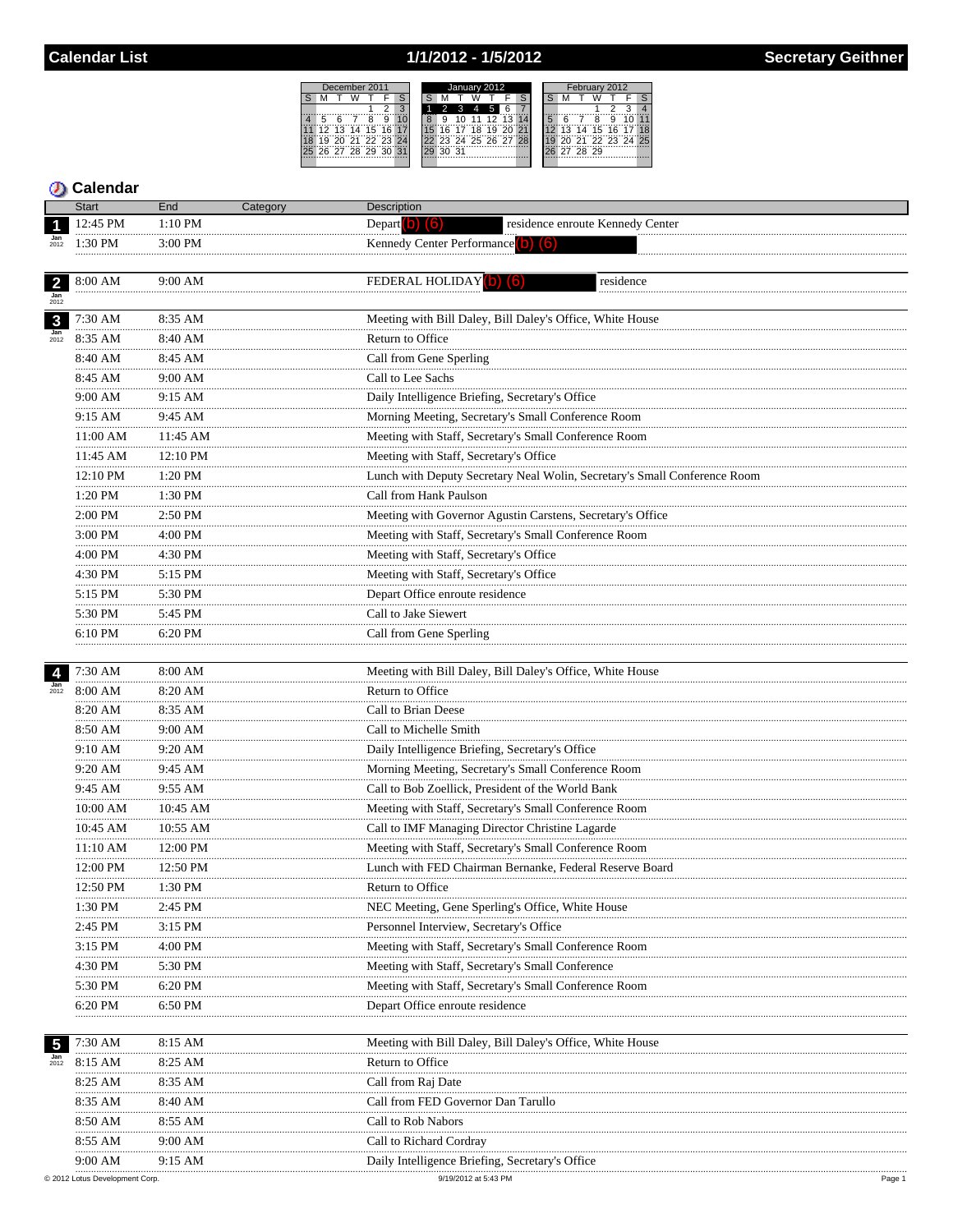## 1/1/2012 - 1/5/2012



## **5** Calendar

|                         | <b>Start</b> | End         | Category | Description                                                                                                              |
|-------------------------|--------------|-------------|----------|--------------------------------------------------------------------------------------------------------------------------|
|                         | 12:45 PM     | 1:10 PM     |          | Depart $\begin{pmatrix} 0 \\ 0 \end{pmatrix}$ $\begin{pmatrix} 6 \\ 0 \end{pmatrix}$<br>residence enroute Kennedy Center |
|                         | 1:30 PM      | $3:00$ PM   |          | Kennedy Center Performance (b)<br>$\blacksquare$                                                                         |
|                         | .            | .           |          |                                                                                                                          |
| $\overline{2}$          | 8:00 AM      | 9:00 AM     |          | <b>FEDERAL HOLIDAY</b> (b)<br>residence                                                                                  |
| $\frac{Jan}{2012}$      |              |             |          | .                                                                                                                        |
| $\mathbf{3}$            | $7:30$ AM    | 8:35 AM     |          | Meeting with Bill Daley, Bill Daley's Office, White House                                                                |
| $\frac{Jan}{2012}$      | 8:35 AM      | 8:40 AM     |          | Return to Office                                                                                                         |
|                         | 8:40 AM      | 8:45 AM     |          | Call from Gene Sperling                                                                                                  |
|                         | 8:45 AM      | 9:00 AM     |          | Call to Lee Sachs                                                                                                        |
|                         | 9:00 AM      | 9:15 AM     |          | Daily Intelligence Briefing, Secretary's Office                                                                          |
|                         | .<br>9:15 AM | 9:45 AM     |          | Morning Meeting, Secretary's Small Conference Room                                                                       |
|                         | 11:00 AM     | 11:45 AM    |          | Meeting with Staff, Secretary's Small Conference Room                                                                    |
|                         | 11:45 AM     | 12:10 PM    |          | Meeting with Staff, Secretary's Office                                                                                   |
|                         | <br>12:10 PM | <br>1:20 PM |          | Lunch with Deputy Secretary Neal Wolin, Secretary's Small Conference Room                                                |
|                         | .<br>1:20 PM | 1:30 PM     |          | Call from Hank Paulson                                                                                                   |
|                         | <br>2:00 PM  | 2:50 PM     |          | Meeting with Governor Agustin Carstens, Secretary's Office                                                               |
|                         | .<br>3:00 PM | 4:00 PM     |          | Meeting with Staff, Secretary's Small Conference Room                                                                    |
|                         | .<br>4:00 PM | 4:30 PM     |          | Meeting with Staff, Secretary's Office                                                                                   |
|                         | 4:30 PM      | 5:15 PM     |          | Meeting with Staff, Secretary's Office                                                                                   |
|                         | .<br>5:15 PM | 5:30 PM     |          | Depart Office enroute residence                                                                                          |
|                         | .<br>5:30 PM | 5:45 PM     |          | Call to Jake Siewert                                                                                                     |
|                         | 6:10 PM      | 6:20 PM     |          | Call from Gene Sperling                                                                                                  |
|                         |              |             |          |                                                                                                                          |
|                         | 7:30 AM      | 8:00 AM     |          | Meeting with Bill Daley, Bill Daley's Office, White House                                                                |
| $\frac{Jan}{2012}$      | 8:00 AM      | 8:20 AM     |          | Return to Office                                                                                                         |
|                         | 8:20 AM      | 8:35 AM     |          | Call to Brian Deese                                                                                                      |
|                         | .<br>8:50 AM | <br>9:00 AM |          | Call to Michelle Smith                                                                                                   |
|                         | 9:10 AM      | 9:20 AM     |          | Daily Intelligence Briefing, Secretary's Office                                                                          |
|                         | .<br>9:20 AM | 9:45 AM     |          | Morning Meeting, Secretary's Small Conference Room                                                                       |
|                         | 9:45 AM      | 9:55 AM     |          | Call to Bob Zoellick, President of the World Bank                                                                        |
|                         | 10:00 AM     | 10:45 AM    |          | Meeting with Staff, Secretary's Small Conference Room                                                                    |
|                         | 10:45 AM     | 10:55 AM    |          | Call to IMF Managing Director Christine Lagarde                                                                          |
|                         | 11:10 AM     | 12:00 PM    |          | Meeting with Staff, Secretary's Small Conference Room                                                                    |
|                         | 12:00 PM     | 12:50 PM    |          | Lunch with FED Chairman Bernanke, Federal Reserve Board                                                                  |
|                         | 12:50 PM     | 1:30 PM     |          | Return to Office                                                                                                         |
|                         | 1:30 PM      | 2:45 PM     |          | NEC Meeting, Gene Sperling's Office, White House                                                                         |
|                         | 2:45 PM      | 3:15 PM     |          | Personnel Interview, Secretary's Office                                                                                  |
|                         | 3:15 PM      | 4:00 PM     |          | Meeting with Staff, Secretary's Small Conference Room                                                                    |
|                         | 4:30 PM      | 5:30 PM     |          | Meeting with Staff, Secretary's Small Conference                                                                         |
|                         | 5:30 PM      | 6:20 PM     |          | Meeting with Staff, Secretary's Small Conference Room                                                                    |
|                         | 6:20 PM      | 6:50 PM     |          | Depart Office enroute residence                                                                                          |
|                         |              |             |          |                                                                                                                          |
| $\overline{\mathbf{5}}$ | 7:30 AM      | 8:15 AM     |          | Meeting with Bill Daley, Bill Daley's Office, White House                                                                |
| $\frac{Jan}{2012}$      | 8:15 AM      | 8:25 AM     |          | Return to Office                                                                                                         |
|                         | 8:25 AM      | 8:35 AM     |          | Call from Raj Date                                                                                                       |
|                         | 8:35 AM      | 8:40 AM     |          | Call from FED Governor Dan Tarullo                                                                                       |
|                         | 8:50 AM      | 8:55 AM     |          | Call to Rob Nabors                                                                                                       |
|                         | 8:55 AM      | 9:00 AM     |          | Call to Richard Cordray                                                                                                  |
|                         | 9:00 AM      | 9:15 AM     |          | Daily Intelligence Briefing, Secretary's Office                                                                          |
|                         |              |             |          |                                                                                                                          |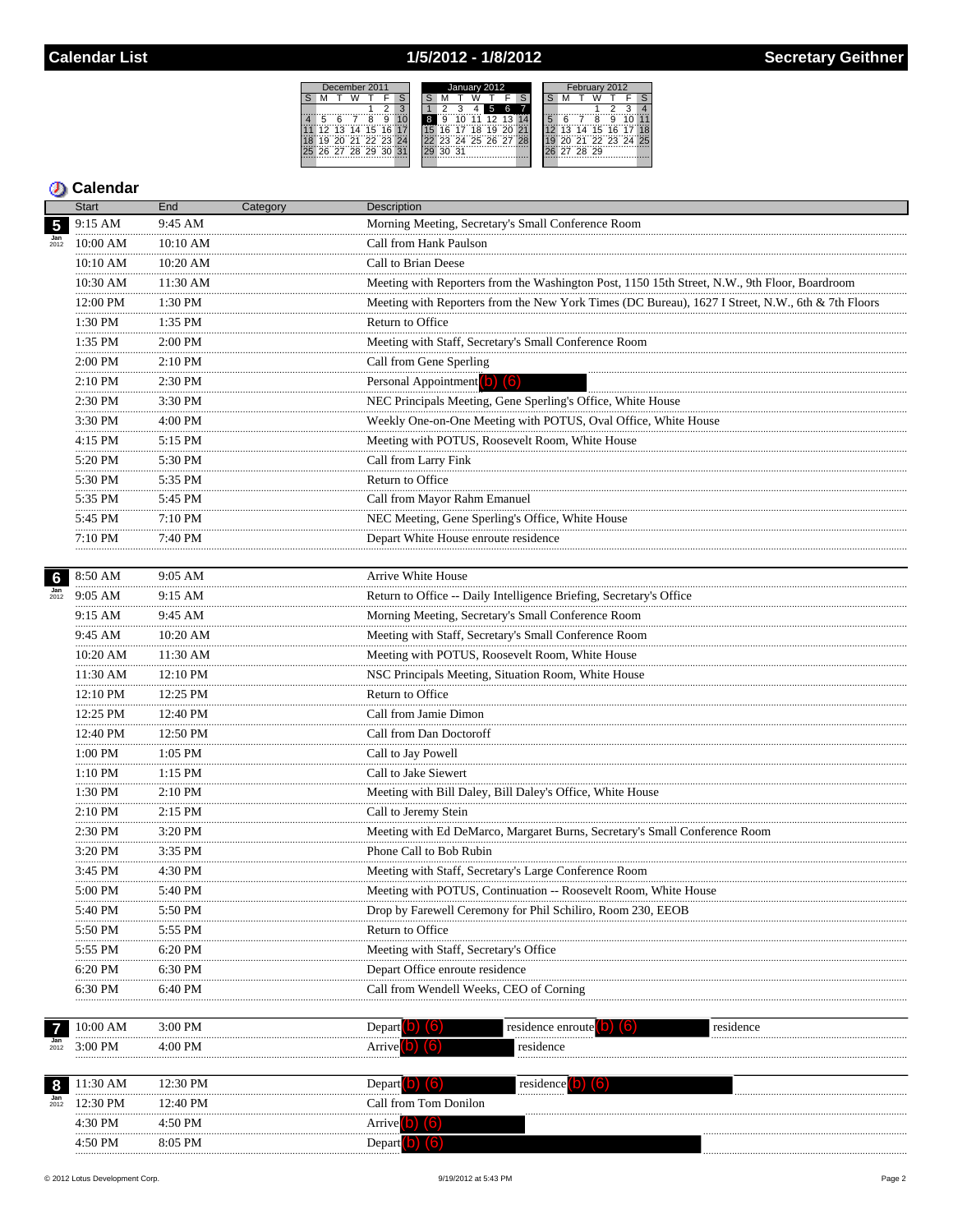# 1/5/2012 - 1/8/2012

|    | December 2011 |    |             |      |  | January 2012 |    |    |    |    |                   |  |  | 2012<br><b>February</b> |    |    |       |    |                |  |  |
|----|---------------|----|-------------|------|--|--------------|----|----|----|----|-------------------|--|--|-------------------------|----|----|-------|----|----------------|--|--|
|    |               |    |             |      |  |              |    |    |    |    |                   |  |  |                         |    |    |       |    |                |  |  |
|    |               |    |             |      |  |              |    |    |    | 5  | 6                 |  |  |                         |    |    |       |    |                |  |  |
| 5  |               |    |             |      |  | 8            |    |    |    |    | $12.13$ $14$      |  |  |                         |    |    |       |    |                |  |  |
| 12 | 13            | 14 | 15          | 16   |  |              | ĥ  |    | 18 | 19 |                   |  |  |                         | 13 | 14 | 15    | 16 |                |  |  |
| ä  | ัวก           |    | 71 72 23 24 |      |  |              |    |    |    |    | 23 24 25 26 27 28 |  |  |                         |    |    |       |    | 21 22 23 24 25 |  |  |
|    | 26 27 28 29   |    |             | - 30 |  |              | ว∩ | 31 |    |    |                   |  |  |                         | 27 |    | 28 29 |    |                |  |  |
|    |               |    |             |      |  |              |    |    |    |    |                   |  |  |                         |    |    |       |    |                |  |  |

### **D** Calendar

|                         | <b>Start</b>              | End           | Category | Description                                                                                       |
|-------------------------|---------------------------|---------------|----------|---------------------------------------------------------------------------------------------------|
| $\overline{\mathbf{5}}$ | 9:15 AM                   | 9:45 AM       |          | Morning Meeting, Secretary's Small Conference Room                                                |
|                         | 10:00 AM                  | 10:10 AM      |          | Call from Hank Paulson                                                                            |
|                         | 10:10 AM                  | 10:20 AM      |          | Call to Brian Deese                                                                               |
|                         | 10:30 AM                  | 11:30 AM      |          | Meeting with Reporters from the Washington Post, 1150 15th Street, N.W., 9th Floor, Boardroom     |
|                         | .<br>12:00 PM             | 1:30 PM       |          | Meeting with Reporters from the New York Times (DC Bureau), 1627 I Street, N.W., 6th & 7th Floors |
|                         | 1:30 PM                   | 1:35 PM       |          | Return to Office                                                                                  |
|                         | 1:35 PM                   | 2:00 PM       |          | Meeting with Staff, Secretary's Small Conference Room                                             |
|                         | <br>2:00 PM               | 2:10 PM       |          | Call from Gene Sperling                                                                           |
|                         | .<br>2:10 PM              | 2:30 PM       |          | Personal Appointment (b) (6)                                                                      |
|                         | .<br>$2:30$ PM            | 3:30 PM       |          | NEC Principals Meeting, Gene Sperling's Office, White House                                       |
|                         | .<br>3:30 PM              | 4:00 PM       |          | Weekly One-on-One Meeting with POTUS, Oval Office, White House                                    |
|                         | .<br>4:15 PM              | 5:15 PM       |          | Meeting with POTUS, Roosevelt Room, White House                                                   |
|                         | .<br>5:20 PM              | .<br>5:30 PM  |          | Call from Larry Fink                                                                              |
|                         | 5:30 PM                   | 5:35 PM       |          | Return to Office                                                                                  |
|                         | .<br>5:35 PM              | 5:45 PM       |          | Call from Mayor Rahm Emanuel                                                                      |
|                         | 5:45 PM                   | 7:10 PM       |          | NEC Meeting, Gene Sperling's Office, White House                                                  |
|                         | 7:10 PM<br>.              | 7:40 PM       |          | Depart White House enroute residence                                                              |
|                         |                           |               |          |                                                                                                   |
| 6                       | 8:50 AM                   | 9:05 AM       |          | Arrive White House                                                                                |
| $\frac{Jan}{2012}$      | 9:05 AM                   | 9:15 AM       |          | Return to Office -- Daily Intelligence Briefing, Secretary's Office                               |
|                         | 9:15 AM<br>               | 9:45 AM       |          | Morning Meeting, Secretary's Small Conference Room                                                |
|                         | 9:45 AM<br>.              | 10:20 AM      |          | Meeting with Staff, Secretary's Small Conference Room                                             |
|                         | 10:20 AM                  | 11:30 AM<br>. |          | Meeting with POTUS, Roosevelt Room, White House                                                   |
|                         | 11:30 AM                  | 12:10 PM      |          | NSC Principals Meeting, Situation Room, White House                                               |
|                         | 12:10 PM<br>.             | 12:25 PM<br>. |          | Return to Office                                                                                  |
|                         | 12:25 PM                  | 12:40 PM      |          | Call from Jamie Dimon                                                                             |
|                         | 12:40 PM<br>.             | 12:50 PM      |          | Call from Dan Doctoroff                                                                           |
|                         | 1:00 PM<br>.              | 1:05 PM<br>.  |          | Call to Jay Powell                                                                                |
|                         | $1:10$ $\mathrm{PM}$<br>. | 1:15 PM       |          | Call to Jake Siewert                                                                              |
|                         | 1:30 PM<br>.              | 2:10 PM<br>   |          | Meeting with Bill Daley, Bill Daley's Office, White House                                         |
|                         | 2:10 PM<br>.              | 2:15 PM       |          | Call to Jeremy Stein                                                                              |
|                         | 2:30 PM<br>.              | 3:20 PM       |          | Meeting with Ed DeMarco, Margaret Burns, Secretary's Small Conference Room                        |
|                         | 3:20 PM                   | 3:35 PM       |          | Phone Call to Bob Rubin                                                                           |
|                         | 3:45 PM                   | 4:30 PM       |          | Meeting with Staff, Secretary's Large Conference Room                                             |
|                         | 5:00 PM<br>               | 5:40 PM       |          | Meeting with POTUS, Continuation -- Roosevelt Room, White House                                   |
|                         | 5:40 PM                   | 5:50 PM       |          | Drop by Farewell Ceremony for Phil Schiliro, Room 230, EEOB                                       |
|                         | 5:50 PM                   | 5:55 PM       |          | Return to Office                                                                                  |
|                         | 5:55 PM                   | 6:20 PM       |          | Meeting with Staff, Secretary's Office                                                            |
|                         | 6:20 PM                   | 6:30 PM       |          | Depart Office enroute residence                                                                   |
|                         | 6:30 PM                   | 6:40 PM       |          | Call from Wendell Weeks, CEO of Corning                                                           |
|                         |                           |               |          |                                                                                                   |
| $\overline{7}$          | 10:00 AM                  | 3:00 PM       |          | Depart<br>residence enroute<br>residence                                                          |
| $\frac{Jan}{2012}$      | 3:00 PM                   | 4:00 PM       |          | residence<br>Arrive                                                                               |
|                         |                           |               |          |                                                                                                   |
| 8                       | 11:30 AM                  | 12:30 PM      |          | residence<br>Depart <b>D</b>                                                                      |
| $\frac{Jan}{2012}$      | 12:30 PM                  | 12:40 PM      |          | Call from Tom Donilon                                                                             |
|                         | 4:30 PM                   | 4:50 PM       |          | Arrive $(b)$ $(6)$                                                                                |

4:50 PM

8:05 PM

Depart (b) (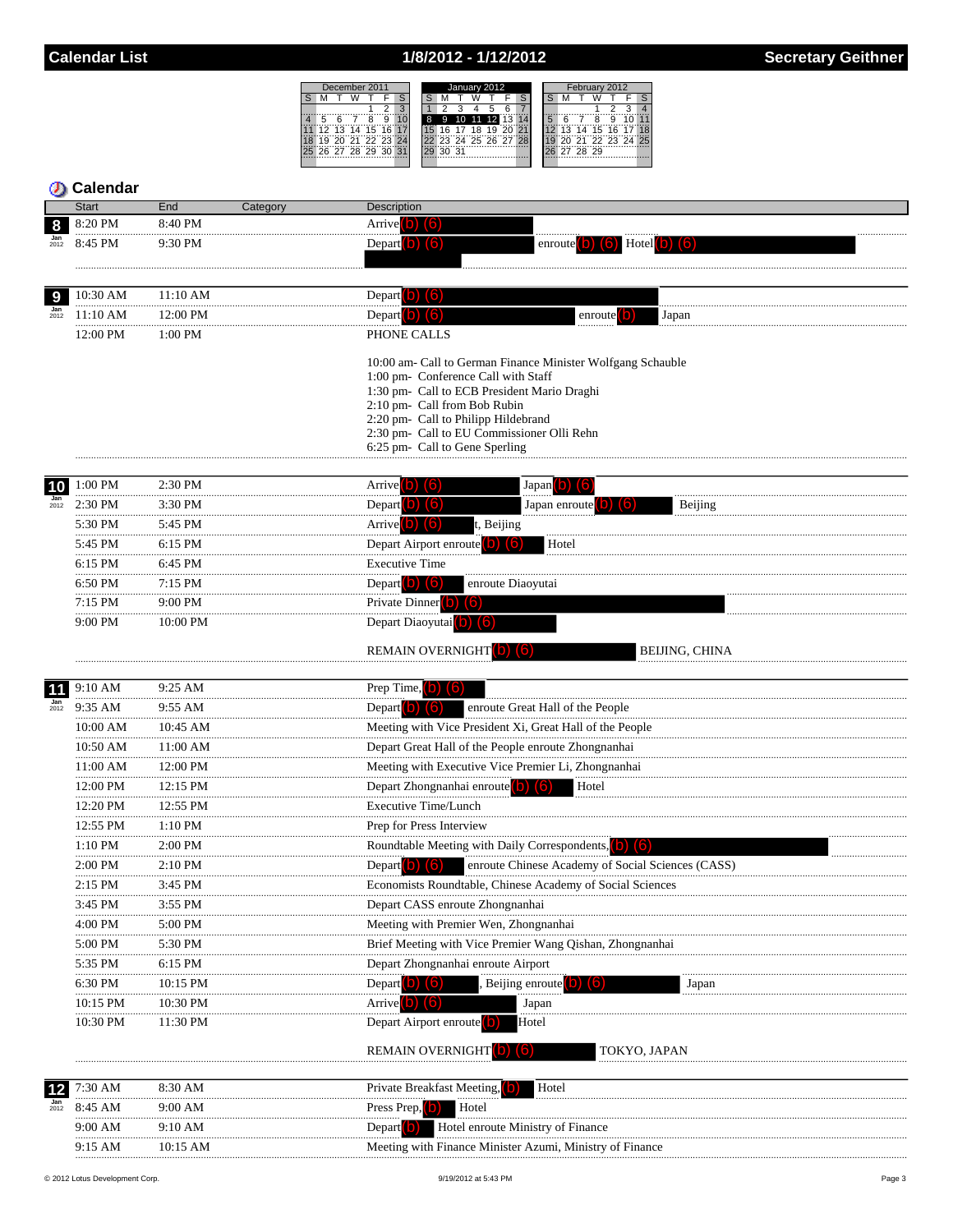# 1/8/2012 - 1/12/2012

|    |    |             | December 2011  |        |    | January 2012 |  |    |    |    |    |                      |    | February 2012 |    |    |                   |    |  |  |  |
|----|----|-------------|----------------|--------|----|--------------|--|----|----|----|----|----------------------|----|---------------|----|----|-------------------|----|--|--|--|
|    |    |             |                |        |    |              |  |    |    |    |    |                      |    |               |    |    |                   |    |  |  |  |
|    |    |             |                |        |    |              |  |    |    |    |    |                      |    |               |    |    |                   |    |  |  |  |
|    |    |             |                |        |    | 8            |  | .9 |    |    |    | 10 11 12 13 14       |    | 5             |    |    |                   |    |  |  |  |
| 12 | 13 | 14          | 15             | - 16 ™ |    |              |  | 16 | 17 | 18 | 19 | 20.                  | 21 |               | 13 | 14 | 15                | 16 |  |  |  |
|    |    |             | 30 31 33 33 34 |        |    |              |  |    |    |    |    | 22 23 24 25 26 27 28 |    |               |    |    | 20 21 22 23 24 25 |    |  |  |  |
|    |    | 26 27 28 29 |                | 30     | 31 | 29           |  | 30 | 31 |    |    |                      |    |               |    |    | 27 28 29          |    |  |  |  |
|    |    |             |                |        |    |              |  |    |    |    |    |                      |    |               |    |    |                   |    |  |  |  |

|                         | Calendar           |                    |                                                                                                                                                               |
|-------------------------|--------------------|--------------------|---------------------------------------------------------------------------------------------------------------------------------------------------------------|
|                         | <b>Start</b>       | End<br>Category    | Description                                                                                                                                                   |
| 8<br>$\frac{Jan}{2012}$ | 8:20 PM            | 8:40 PM            | Arrive $\vert$ b) $\vert$ 6                                                                                                                                   |
|                         | 8:45 PM            | 9:30 PM            | Hotel <sup>o</sup><br>enroute <sup>1</sup><br>llo.                                                                                                            |
|                         |                    |                    |                                                                                                                                                               |
| 9                       | 10:30 AM           | 11:10 AM           | Depart <b>D</b> (6)                                                                                                                                           |
| $\frac{Jan}{2012}$      | 11:10 AM           | 12:00 PM           | Depart <sup>[0]</sup><br>16<br>enroute <sup>[0]</sup><br>Japan                                                                                                |
|                         | 12:00 PM           | 1:00 PM            | PHONE CALLS                                                                                                                                                   |
|                         |                    |                    | 10:00 am- Call to German Finance Minister Wolfgang Schauble                                                                                                   |
|                         |                    |                    | 1:00 pm- Conference Call with Staff<br>1:30 pm- Call to ECB President Mario Draghi                                                                            |
|                         |                    |                    | 2:10 pm- Call from Bob Rubin                                                                                                                                  |
|                         |                    |                    | 2:20 pm- Call to Philipp Hildebrand                                                                                                                           |
|                         |                    |                    | 2:30 pm- Call to EU Commissioner Olli Rehn<br>6:25 pm- Call to Gene Sperling                                                                                  |
|                         |                    |                    |                                                                                                                                                               |
| 10                      | 1:00 PM            | 2:30 PM            | Arrive <sup>(b)</sup> (6)<br>Japan b) (6)                                                                                                                     |
| $\frac{Jan}{2012}$      | 2:30 PM            | 3:30 PM            | Depart $\vert$ b) $\vert$ (6)<br>Japan enroute <sup>(</sup><br>Beijing<br>(16)                                                                                |
|                         | 5:30 PM            | 5:45 PM            | Arrive <sup>(b)</sup> (6)<br>t, Beijing                                                                                                                       |
|                         | 5:45 PM            | 6:15 PM            | Depart Airport enroute <b>D</b><br>lb.<br>Hotel                                                                                                               |
|                         | 6:15 PM            | 6:45 PM            | <b>Executive Time</b>                                                                                                                                         |
|                         | 6:50 PM            | 7:15 PM            | Depart $\left( b\right)$ $\left( 6\right)$<br>enroute Diaoyutai                                                                                               |
|                         | 7:15 PM            | 9:00 PM            | Private Dinner (b) (6)                                                                                                                                        |
|                         | 9:00 PM            | 10:00 PM           | Depart Diaoyutai <sup>(b)</sup> (6)                                                                                                                           |
|                         |                    |                    | <b>REMAIN OVERNIGHT</b> (b) (6)<br>BEIJING, CHINA                                                                                                             |
|                         |                    |                    |                                                                                                                                                               |
| 11<br>2012              | 9:10 AM<br>9:35 AM | 9:25 AM<br>9:55 AM | Prep Time, $\begin{bmatrix} 0 \\ 0 \end{bmatrix}$ $\begin{bmatrix} 6 \\ 0 \end{bmatrix}$<br>Depart $\vert$ b) $\vert$ (6)<br>enroute Great Hall of the People |
|                         | 10:00 AM           | 10:45 AM           | Meeting with Vice President Xi, Great Hall of the People                                                                                                      |
|                         | <br>10:50 AM       | 11:00 AM           | Depart Great Hall of the People enroute Zhongnanhai                                                                                                           |
|                         | 11:00 AM           | 12:00 PM           | Meeting with Executive Vice Premier Li, Zhongnanhai                                                                                                           |
|                         | <br>12:00 PM       | 12:15 PM           | Depart Zhongnanhai enroute <sup>(b)</sup><br>Hotel                                                                                                            |
|                         | 12:20 PM           | 12:55 PM           | <b>Executive Time/Lunch</b>                                                                                                                                   |
|                         | 12:55 PM           | 1:10 PM            | Prep for Press Interview                                                                                                                                      |
|                         | 1:10 PM            | 2:00 PM            | Roundtable Meeting with Daily Correspondents, 0                                                                                                               |
|                         | 2:00 PM            | $2:10$ PM          | Depart (b) $(6)$<br>enroute Chinese Academy of Social Sciences (CASS)                                                                                         |
|                         | 2:15 PM            | 3:45 PM            | Economists Roundtable, Chinese Academy of Social Sciences                                                                                                     |
|                         | 3:45 PM            | 3:55 PM            | Depart CASS enroute Zhongnanhai                                                                                                                               |
|                         | 4:00 PM            | 5:00 PM            | Meeting with Premier Wen, Zhongnanhai                                                                                                                         |
|                         | 5:00 PM            | 5:30 PM            | Brief Meeting with Vice Premier Wang Qishan, Zhongnanhai                                                                                                      |
|                         | 5:35 PM            | 6:15 PM            | Depart Zhongnanhai enroute Airport                                                                                                                            |
|                         | 6:30 PM            | 10:15 PM           | Depart <sup>[0]</sup><br>(161<br>Beijing enroute<br>Japan                                                                                                     |
|                         | 10:15 PM           | 10:30 PM           | <b>Arrive O</b><br>(6<br>Japan                                                                                                                                |
|                         | 10:30 PM           | 11:30 PM           | Depart Airport enroute<br>Hotel                                                                                                                               |
|                         |                    |                    | <b>REMAIN OVERNIGHT</b><br>TOKYO, JAPAN                                                                                                                       |
|                         |                    |                    |                                                                                                                                                               |
|                         | 7:30 AM            | 8:30 AM            | Hotel<br><b>Private Breakfast Meeting,</b> 0                                                                                                                  |
| $\frac{Jan}{2012}$      | 8:45 AM            | 9:00 AM            | Press Prep,<br>Hotel                                                                                                                                          |
|                         | 9:00 AM            | 9:10 AM            | Depart <sup>[1</sup><br>Hotel enroute Ministry of Finance                                                                                                     |
|                         | 9:15 AM            | 10:15 AM           | Meeting with Finance Minister Azumi, Ministry of Finance                                                                                                      |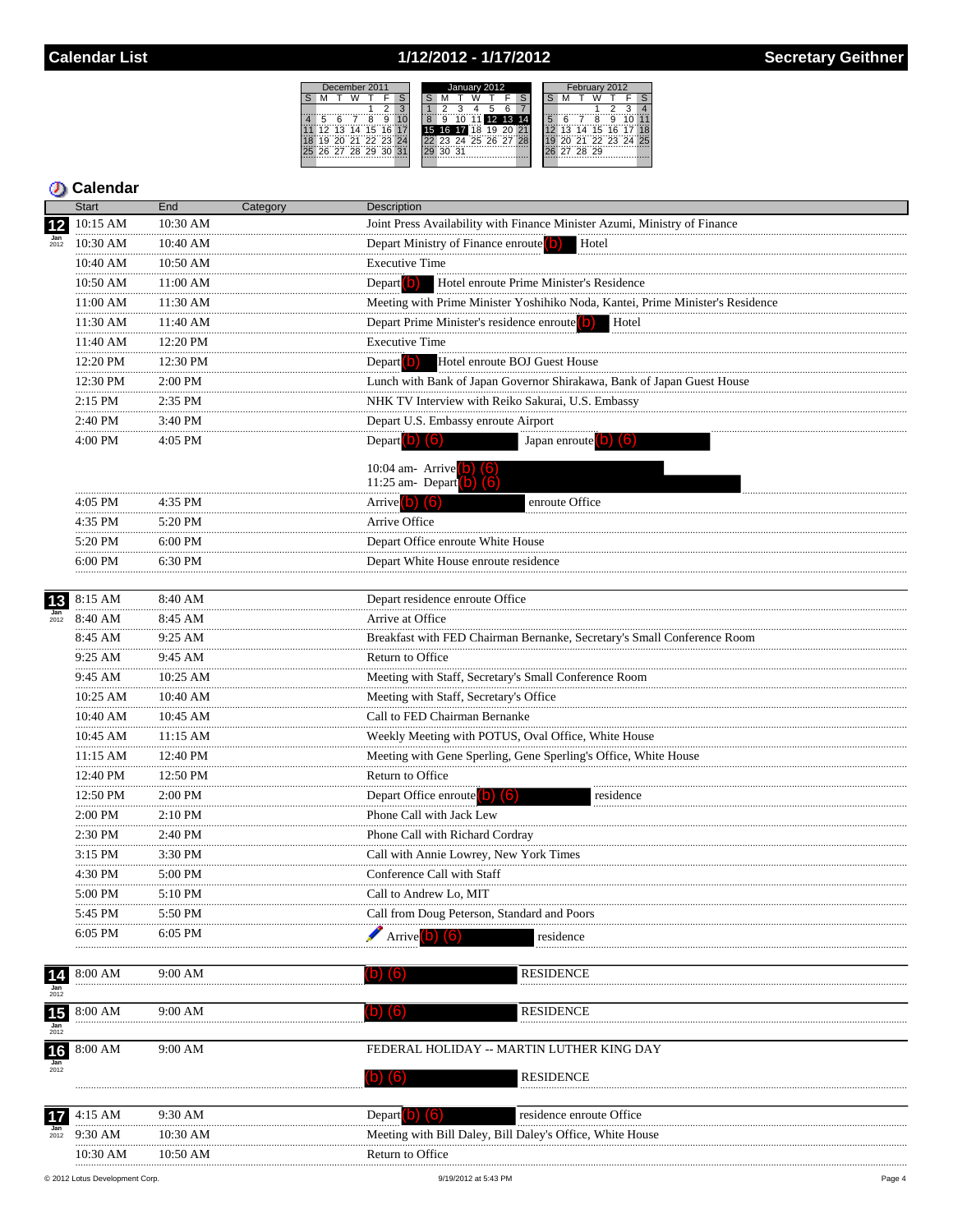# 1/12/2012 - 1/17/2012

|    |                | December 2011 |   |   |                | January 2012 |   |     |             |    |                      |  |  | February 2012 |          |  |             |  |                   |  |  |  |
|----|----------------|---------------|---|---|----------------|--------------|---|-----|-------------|----|----------------------|--|--|---------------|----------|--|-------------|--|-------------------|--|--|--|
|    |                |               |   |   |                |              |   |     |             |    |                      |  |  |               |          |  |             |  |                   |  |  |  |
|    |                |               |   |   |                |              |   |     |             |    |                      |  |  |               |          |  |             |  |                   |  |  |  |
|    |                |               | я | ö |                |              | 9 |     |             |    | 10 11 12 13 14       |  |  |               |          |  | я           |  |                   |  |  |  |
|    | 12             | 13 14 15 16   |   |   |                |              |   |     | 15 16 17 18 | 19 |                      |  |  |               |          |  | 14 15 16 17 |  |                   |  |  |  |
|    | 19             |               |   |   | 20 21 22 23 24 |              |   |     |             |    | 22 23 24 25 26 27 28 |  |  |               |          |  |             |  | 20 21 22 23 24 25 |  |  |  |
| 25 | 26 27 28 29 30 |               |   |   | 31             |              |   | -31 |             |    |                      |  |  |               | 27 28 29 |  |             |  |                   |  |  |  |
|    |                |               |   |   |                |              |   |     |             |    |                      |  |  |               |          |  |             |  |                   |  |  |  |

|                               | Start          | End               | Category | <b>Description</b>                                                                                                                          |
|-------------------------------|----------------|-------------------|----------|---------------------------------------------------------------------------------------------------------------------------------------------|
| 12                            | 10:15 AM       | 10:30 AM          |          | Joint Press Availability with Finance Minister Azumi, Ministry of Finance                                                                   |
| $\frac{Jan}{2012}$            | 10:30 AM       | 10:40 AM          |          | Depart Ministry of Finance enroute <sup>(</sup> O)<br>Hotel                                                                                 |
|                               | 10:40 AM       | 10:50 AM          |          | <b>Executive Time</b>                                                                                                                       |
|                               | 10:50 AM       | 11:00 AM          |          | Depart <sup>(b)</sup><br>Hotel enroute Prime Minister's Residence                                                                           |
|                               | 11:00 AM       | 11:30 AM          |          | Meeting with Prime Minister Yoshihiko Noda, Kantei, Prime Minister's Residence                                                              |
|                               | 11:30 AM       | 11:40 AM          |          | Depart Prime Minister's residence enroute (D) Hotel                                                                                         |
|                               | 11:40 AM       | 12:20 PM          |          | <b>Executive Time</b>                                                                                                                       |
|                               | 12:20 PM       | .<br>12:30 PM     |          | Depart <sup>(</sup> <b>b</b> )<br>Hotel enroute BOJ Guest House                                                                             |
|                               | .<br>12:30 PM  | .<br>2:00 PM      |          | Lunch with Bank of Japan Governor Shirakawa, Bank of Japan Guest House                                                                      |
|                               | .<br>2:15 PM   | .<br>2:35 PM      |          | NHK TV Interview with Reiko Sakurai, U.S. Embassy                                                                                           |
|                               | 2:40 PM        | 3:40 PM           |          | Depart U.S. Embassy enroute Airport                                                                                                         |
|                               | .<br>4:00 PM   | 4:05 PM           |          | Depart $\left( 0 \right)$ $\left( 6 \right)$<br>Japan enroute $\begin{pmatrix} 0 \\ 0 \end{pmatrix}$ $\begin{pmatrix} 6 \\ 0 \end{pmatrix}$ |
|                               |                |                   |          |                                                                                                                                             |
|                               |                |                   |          | 10:04 am- Arrive (b) (6)<br>11:25 am- Depart (b) (6)                                                                                        |
|                               | 4:05 PM        | 4:35 PM           |          | enroute Office<br>Arrive (b) (6)                                                                                                            |
|                               | <br>4:35 PM    | $5:20$ PM         |          | Arrive Office                                                                                                                               |
|                               | 5:20 PM        | 6:00 PM           |          | Depart Office enroute White House                                                                                                           |
|                               | 6:00 PM        | 6:30 PM           |          | Depart White House enroute residence                                                                                                        |
|                               |                |                   |          |                                                                                                                                             |
| 13                            | 8:15 AM        | 8:40 AM           |          | Depart residence enroute Office                                                                                                             |
| $\frac{Jan}{2012}$            | 8:40 AM        | 8:45 AM           |          | Arrive at Office                                                                                                                            |
|                               | 8:45 AM        | 9:25 AM           |          | Breakfast with FED Chairman Bernanke, Secretary's Small Conference Room                                                                     |
|                               | .<br>9:25 AM   | 9:45 AM           |          | Return to Office                                                                                                                            |
|                               | 9:45 AM        | 10:25 AM          |          | Meeting with Staff, Secretary's Small Conference Room                                                                                       |
|                               | 10:25 AM       | <br>10:40 AM      |          | Meeting with Staff, Secretary's Office                                                                                                      |
|                               | 10:40 AM       | .<br>10:45 AM     |          | Call to FED Chairman Bernanke                                                                                                               |
|                               | .<br>10:45 AM  | $11:15$ AM        |          |                                                                                                                                             |
|                               | .<br>11:15 AM  | <br>12:40 PM      |          | Weekly Meeting with POTUS, Oval Office, White House<br>Meeting with Gene Sperling, Gene Sperling's Office, White House                      |
|                               | <br>12:40 PM   | 12:50 PM          |          | Return to Office                                                                                                                            |
|                               | 12:50 PM       | 2:00 PM           |          | Depart Office enroute $\begin{pmatrix} 0 \\ 0 \end{pmatrix}$ $\begin{pmatrix} 6 \\ 0 \end{pmatrix}$<br>residence                            |
|                               | .<br>$2:00$ PM | 2:10 PM           |          | Phone Call with Jack Lew                                                                                                                    |
|                               | 2:30 PM        | 2:40 PM           |          | Phone Call with Richard Cordray                                                                                                             |
|                               | 3:15 PM        | 3:30 PM           |          | Call with Annie Lowrey, New York Times                                                                                                      |
|                               | 4:30 PM        | 5:00 PM           |          | Conference Call with Staff                                                                                                                  |
|                               | 5:00 PM        | $5:10 \text{ PM}$ |          | Call to Andrew Lo, MIT                                                                                                                      |
|                               | 5:45 PM        | 5:50 PM           |          | Call from Doug Peterson, Standard and Poors                                                                                                 |
|                               | 6:05 PM        | 6:05 PM           |          |                                                                                                                                             |
|                               |                |                   |          | Arrive<br>residence                                                                                                                         |
|                               |                |                   |          | <b>RESIDENCE</b>                                                                                                                            |
| $\frac{14}{\frac{tan}{2012}}$ | 8:00 AM        | 9:00 AM           |          | O)<br>(b)                                                                                                                                   |
|                               | 8:00 AM        | 9:00 AM           |          | <b>RESIDENCE</b><br>$\vert 0 \vert$<br>(O)                                                                                                  |
| $\frac{15}{\frac{Jan}{2012}}$ |                |                   |          |                                                                                                                                             |
| 16                            | 8:00 AM        | 9:00 AM           |          | FEDERAL HOLIDAY -- MARTIN LUTHER KING DAY                                                                                                   |
| Jan                           |                |                   |          |                                                                                                                                             |
|                               |                |                   |          | <b>RESIDENCE</b><br>$(D)$ $(6)$                                                                                                             |
|                               |                |                   |          |                                                                                                                                             |
| 17                            | 4:15 AM        | 9:30 AM           |          | Depart <b>O</b><br>residence enroute Office                                                                                                 |
| $\frac{Jan}{2012}$            | 9:30 AM        | 10:30 AM          |          | Meeting with Bill Daley, Bill Daley's Office, White House                                                                                   |
|                               | 10:30 AM       | 10:50 AM          |          | Return to Office                                                                                                                            |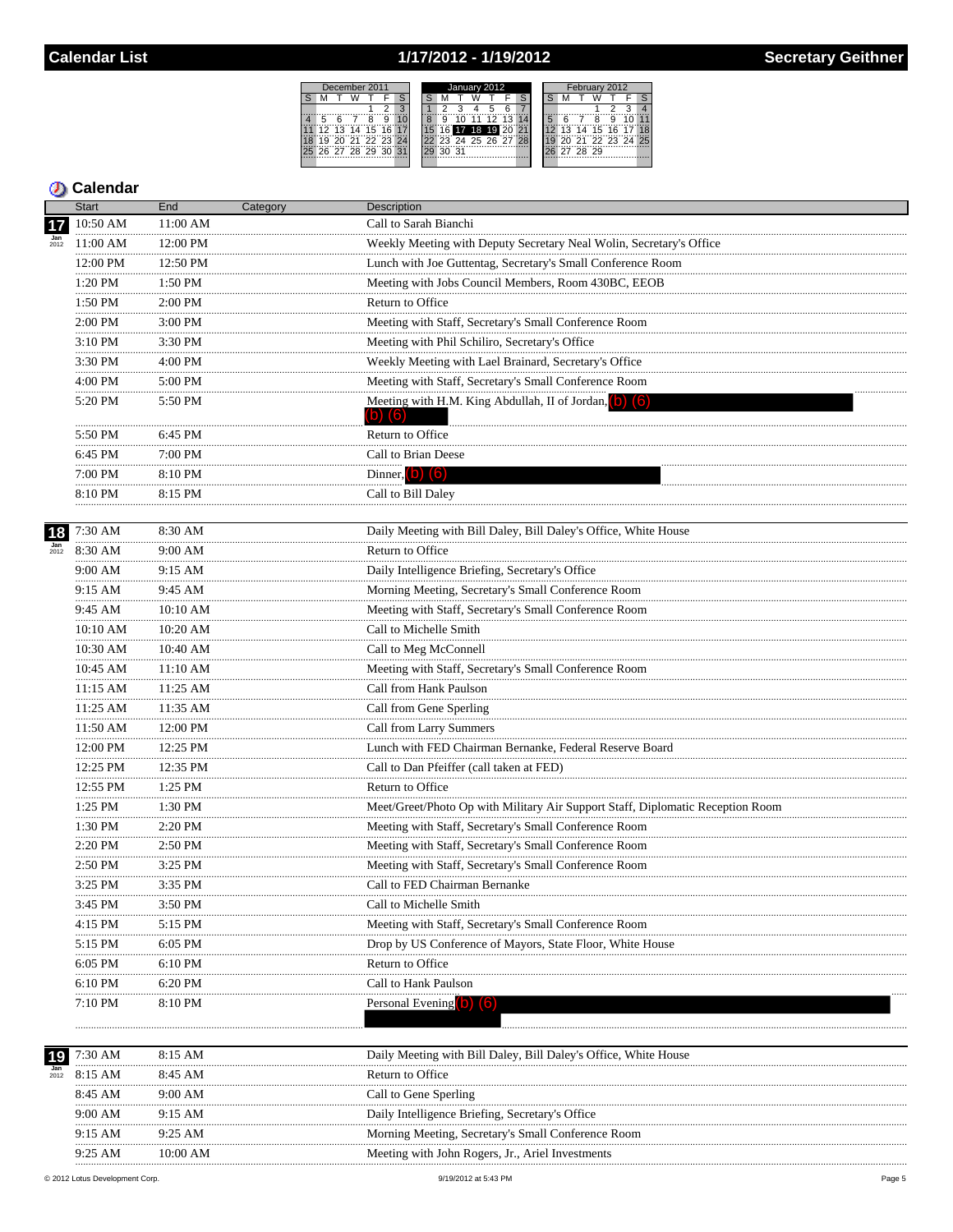## 1/17/2012 - 1/19/2012

 $S$  M



|                    | <b>Start</b>                                 | End            | Category | Description                                                                    |
|--------------------|----------------------------------------------|----------------|----------|--------------------------------------------------------------------------------|
|                    | 10:50 AM                                     | 11:00 AM       |          | Call to Sarah Bianchi                                                          |
| $\frac{Jan}{2012}$ | 11:00 AM                                     | 12:00 PM       |          | Weekly Meeting with Deputy Secretary Neal Wolin, Secretary's Office            |
|                    | 12:00 PM                                     | 12:50 PM       |          | Lunch with Joe Guttentag, Secretary's Small Conference Room                    |
|                    | .<br>1:20 PM                                 | 1:50 PM        |          | Meeting with Jobs Council Members, Room 430BC, EEOB                            |
|                    | 1:50 PM                                      | 2:00 PM        |          | Return to Office                                                               |
|                    | 2:00 PM                                      | 3:00 PM        |          | Meeting with Staff, Secretary's Small Conference Room                          |
|                    | .<br>3:10 PM                                 | 3:30 PM        |          | Meeting with Phil Schiliro, Secretary's Office                                 |
|                    | .<br>3:30 PM                                 | .<br>$4:00$ PM |          | Weekly Meeting with Lael Brainard, Secretary's Office                          |
|                    | .<br>$4\mathord{:}00$ PM                     | 5:00 PM        |          | Meeting with Staff, Secretary's Small Conference Room                          |
|                    | 5:20 PM                                      | 5:50 PM        |          | Meeting with H.M. King Abdullah, II of Jordan, (b) (6)                         |
|                    |                                              |                |          | $(b)$ $(6)$                                                                    |
|                    | 5:50 PM<br>.                                 | 6:45 PM        |          | Return to Office                                                               |
|                    | 6:45 PM                                      | $7:00$ PM      |          | Call to Brian Deese                                                            |
|                    | 7:00 PM                                      | 8:10 PM        |          | Dinner, $(b)$ $(6)$                                                            |
|                    | 8:10 PM                                      | 8:15 PM        |          | Call to Bill Daley                                                             |
|                    |                                              |                |          |                                                                                |
| 18                 | 7:30 AM                                      | 8:30 AM        |          | Daily Meeting with Bill Daley, Bill Daley's Office, White House                |
| $\frac{Jan}{2012}$ | 8:30 AM                                      | 9:00 AM        |          | Return to Office                                                               |
|                    | 9:00 AM<br>.                                 | 9:15 AM        |          | Daily Intelligence Briefing, Secretary's Office                                |
|                    | 9:15 AM                                      | 9:45 AM        |          | Morning Meeting, Secretary's Small Conference Room                             |
|                    | 9:45 AM                                      | 10:10 AM<br>.  |          | Meeting with Staff, Secretary's Small Conference Room                          |
|                    | 10:10 AM                                     | 10:20 AM       |          | Call to Michelle Smith                                                         |
|                    | 10:30 AM                                     | 10:40 AM<br>   |          | Call to Meg McConnell                                                          |
|                    | 10:45 AM                                     | 11:10 AM<br>.  |          | Meeting with Staff, Secretary's Small Conference Room                          |
|                    | 11:15 AM                                     | 11:25 AM       |          | Call from Hank Paulson                                                         |
|                    | 11:25 AM                                     | 11:35 AM       |          | Call from Gene Sperling                                                        |
|                    | 11:50 AM                                     | 12:00 PM       |          | Call from Larry Summers                                                        |
|                    | 12:00 PM                                     | 12:25 PM       |          | Lunch with FED Chairman Bernanke, Federal Reserve Board                        |
|                    | 12:25 PM                                     | 12:35 PM       |          | Call to Dan Pfeiffer (call taken at FED)                                       |
|                    | 12:55 PM                                     | 1:25 PM<br>.   |          | Return to Office                                                               |
|                    | $\begin{array}{c}\n \\ 1:25 PM\n\end{array}$ | 1:30 PM        |          | Meet/Greet/Photo Op with Military Air Support Staff, Diplomatic Reception Room |
|                    | 1:30 PM<br>.                                 | 2:20 PM<br>.   |          | Meeting with Staff, Secretary's Small Conference Room                          |
|                    | 2:20 PM                                      | 2:50 PM        |          | Meeting with Staff, Secretary's Small Conference Room                          |
|                    | 2:50 PM                                      | $3:25$ PM      |          | Meeting with Staff, Secretary's Small Conference Room                          |
|                    | 3:25 PM                                      | 3:35 PM        |          | Call to FED Chairman Bernanke                                                  |
|                    | 3:45 PM                                      | 3:50 PM        |          | Call to Michelle Smith                                                         |
|                    | 4:15 PM                                      | 5:15 PM        |          | Meeting with Staff, Secretary's Small Conference Room                          |
|                    | 5:15 PM                                      | 6:05 PM        |          | Drop by US Conference of Mayors, State Floor, White House                      |
|                    | 6:05 PM                                      | 6:10 PM        |          | Return to Office                                                               |
|                    | 6:10 PM                                      | 6:20 PM        |          | Call to Hank Paulson                                                           |
|                    | 7:10 PM                                      | 8:10 PM        |          | Personal Evening <b>D (6)</b>                                                  |
|                    |                                              |                |          |                                                                                |
|                    |                                              |                |          |                                                                                |
| 19                 | 7:30 AM                                      | 8:15 AM        |          | Daily Meeting with Bill Daley, Bill Daley's Office, White House                |
| 2012               | 8:15 AM                                      | 8:45 AM        |          | Return to Office                                                               |
|                    | 8:45 AM                                      | 9:00 AM        |          | Call to Gene Sperling                                                          |
|                    | 9:00 AM                                      | 9:15 AM        |          | Daily Intelligence Briefing, Secretary's Office                                |
|                    | 9:15 AM                                      | 9:25 AM        |          | Morning Meeting, Secretary's Small Conference Room                             |
|                    | 9:25 AM                                      | 10:00 AM       |          | Meeting with John Rogers, Jr., Ariel Investments                               |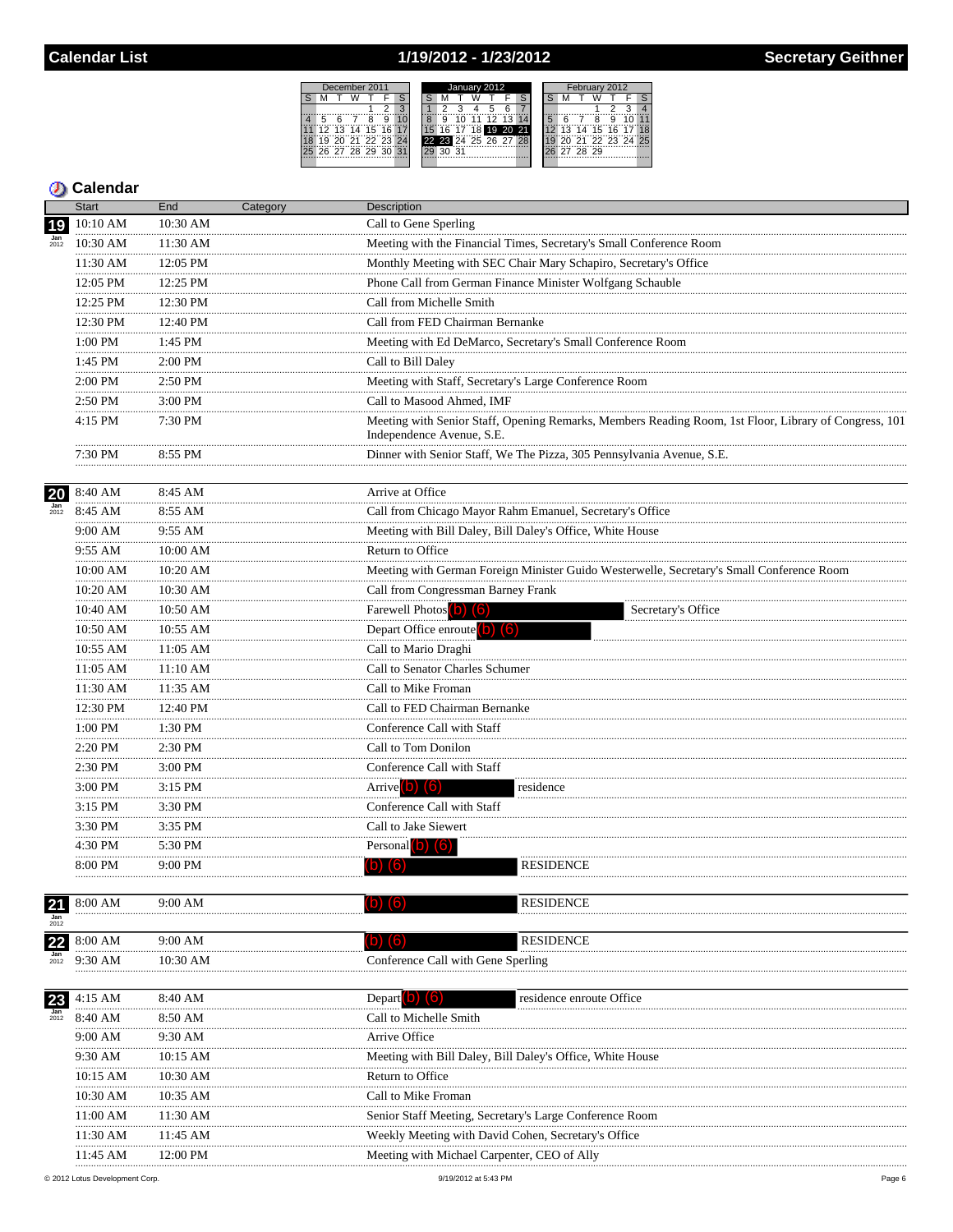## 1/19/2012 - 1/23/2012

December 2011<br>M T W T F S

 $\begin{array}{cccccc} 3 & 11 & 11 & 11 & 12 & 13 \\ \hline 4 & 5 & 6 & 7 & 8 & 9 & 10 \\ \hline 11 & 12 & 13 & 14 & 15 & 16 & 17 \\ \hline 18 & 19 & 20 & 21 & 22 & 23 & 24 \\ \hline 25 & 26 & 27 & 28 & 29 & 30 & 31 \\ \end{array}$ 

S M



|                  | <b>Start</b>     | End               | Category | Description                                                                                                                        |
|------------------|------------------|-------------------|----------|------------------------------------------------------------------------------------------------------------------------------------|
| 19               | 10:10 AM         | 10:30 AM          |          | Call to Gene Sperling                                                                                                              |
|                  | 10:30 AM         | 11:30 AM          |          | Meeting with the Financial Times, Secretary's Small Conference Room                                                                |
|                  | 11:30 AM         | 12:05 PM          |          | Monthly Meeting with SEC Chair Mary Schapiro, Secretary's Office                                                                   |
|                  | 12:05 PM         | 12:25 PM          |          | Phone Call from German Finance Minister Wolfgang Schauble<br>그는 어떻게 되었다. 그는 어떻게 하지 않아 보이지 않아 보이지 않아.                               |
|                  | 12:25 PM         | 12:30 PM          |          | Call from Michelle Smith                                                                                                           |
|                  | 12:30 PM         | 12:40 PM          |          | Call from FED Chairman Bernanke                                                                                                    |
|                  | <br>1:00 PM      | 1:45 PM           |          | Meeting with Ed DeMarco, Secretary's Small Conference Room                                                                         |
|                  | .<br>1:45 PM     | 2:00 PM           |          | Call to Bill Daley                                                                                                                 |
|                  | <br>2:00 PM      | .<br>2:50 PM      |          | Meeting with Staff, Secretary's Large Conference Room                                                                              |
|                  | .<br>2:50 PM     | 3:00 PM           |          | Call to Masood Ahmed, IMF                                                                                                          |
|                  | .<br>4:15 PM     | 7:30 PM           |          | Meeting with Senior Staff, Opening Remarks, Members Reading Room, 1st Floor, Library of Congress, 101<br>Independence Avenue, S.E. |
|                  | 7:30 PM          | 8:55 PM           |          | Dinner with Senior Staff, We The Pizza, 305 Pennsylvania Avenue, S.E.                                                              |
| 20               | 8:40 AM          | 8:45 AM<br>.      |          | Arrive at Office                                                                                                                   |
|                  | 8:45 AM          | 8:55 AM           |          | Call from Chicago Mayor Rahm Emanuel, Secretary's Office                                                                           |
|                  | 9:00 AM<br>.     | 9:55 AM           |          | Meeting with Bill Daley, Bill Daley's Office, White House                                                                          |
|                  | 9:55 AM<br>      | $10:00$ AM        |          | Return to Office                                                                                                                   |
|                  | 10:00 AM         | 10:20 AM          |          | Meeting with German Foreign Minister Guido Westerwelle, Secretary's Small Conference Room                                          |
|                  | 10:20 AM         | 10:30 AM<br>      |          | Call from Congressman Barney Frank                                                                                                 |
|                  | 10:40 AM         | 10:50 AM          |          | Farewell Photos (b) (6)<br>Secretary's Office                                                                                      |
|                  | 10:50 AM         | 10:55 AM          |          | Depart Office enroute (b) (6)                                                                                                      |
|                  | $10:55$ AM       | $11:05$ AM        |          | Call to Mario Draghi                                                                                                               |
|                  | 11:05 AM         | 11:10 AM          |          | Call to Senator Charles Schumer                                                                                                    |
|                  | <br>11:30 AM     | 11:35 AM          |          | Call to Mike Froman                                                                                                                |
|                  | <br>12:30 PM     | <br>12:40 PM      |          | Call to FED Chairman Bernanke                                                                                                      |
|                  | <br>1:00 PM<br>. | .<br>1:30 PM<br>. |          | Conference Call with Staff                                                                                                         |
|                  | 2:20 PM          | 2:30 PM           |          | Call to Tom Donilon                                                                                                                |
|                  | 2:30 PM<br>.     | 3:00 PM           |          | Conference Call with Staff                                                                                                         |
|                  | 3:00 PM          | 3:15 PM           |          | Arrive $(b)$ $(6)$<br>residence                                                                                                    |
|                  | 3:15 PM          | 3:30 PM           |          | Conference Call with Staff                                                                                                         |
|                  | <br>3:30 PM      | 3:35 PM           |          | Call to Jake Siewert                                                                                                               |
|                  | 4:30 PM          | 5:30 PM           |          | Personal $\left($ o $\right)$ $\left($ 6 $\right)$                                                                                 |
|                  | 8:00 PM          | 9:00 PM           |          | (b) (6)<br><b>RESIDENCE</b>                                                                                                        |
| <u>21</u><br>Jan | 8:00 AM          | 9:00 AM           |          | <b>RESIDENCE</b>                                                                                                                   |
| 2012             |                  |                   |          | <b>RESIDENCE</b>                                                                                                                   |
| 22<br>Jan        | 8:00 AM          | 9:00 AM           |          | <b>D</b><br>(lo.                                                                                                                   |
| 2012             | 9:30 AM          | 10:30 AM          |          | Conference Call with Gene Sperling                                                                                                 |
| 23               | 4:15 AM          | 8:40 AM           |          | residence enroute Office<br>Depart <b>D</b> O                                                                                      |
|                  | 8:40 AM          | 8:50 AM           |          | Call to Michelle Smith                                                                                                             |
|                  | 9:00 AM          | 9:30 AM           |          | Arrive Office                                                                                                                      |
|                  | 9:30 AM          | 10:15 AM          |          | Meeting with Bill Daley, Bill Daley's Office, White House                                                                          |
|                  | 10:15 AM         | 10:30 AM          |          | Return to Office                                                                                                                   |
|                  | 10:30 AM         | 10:35 AM          |          | Call to Mike Froman                                                                                                                |
|                  | 11:00 AM         | 11:30 AM          |          | Senior Staff Meeting, Secretary's Large Conference Room                                                                            |
|                  | 11:30 AM         | 11:45 AM          |          | Weekly Meeting with David Cohen, Secretary's Office                                                                                |
|                  | 11:45 AM         | 12:00 PM          |          | Meeting with Michael Carpenter, CEO of Ally                                                                                        |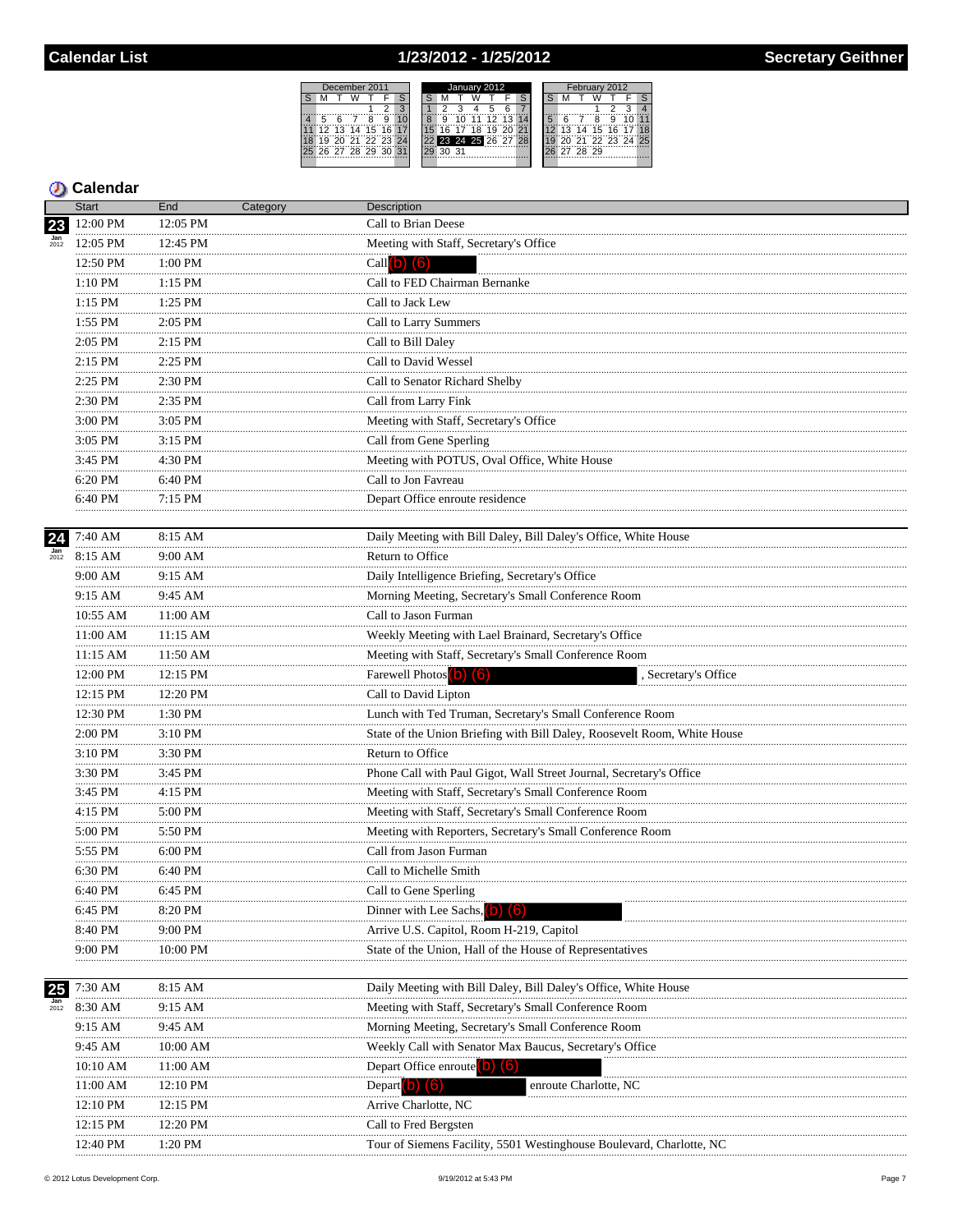# 1/23/2012 - 1/25/2012

December 2011<br>S M T W T F

S M T W T F S<br>
4 5 6 7 8 9 10<br>
11 12 13 14 15 16 17<br>
13 13 14 15 16 17<br>
18 19 20 21 22 23 24<br>
25 26 27 28 29 30 31

| January 2012         | February 2012        |  |  |  |  |  |  |  |  |  |  |
|----------------------|----------------------|--|--|--|--|--|--|--|--|--|--|
|                      |                      |  |  |  |  |  |  |  |  |  |  |
|                      |                      |  |  |  |  |  |  |  |  |  |  |
| 11 12 13<br>14       | я                    |  |  |  |  |  |  |  |  |  |  |
| 18 19 20<br>21       | 13 14 15 16 17 18    |  |  |  |  |  |  |  |  |  |  |
| 22 23 24 25 26 27 28 | 21 22 23 24 25<br>9ñ |  |  |  |  |  |  |  |  |  |  |
| 30 31                | 27 28 29             |  |  |  |  |  |  |  |  |  |  |
|                      |                      |  |  |  |  |  |  |  |  |  |  |

|                    | <b>Start</b>       | End          | Category | Description                                                          |
|--------------------|--------------------|--------------|----------|----------------------------------------------------------------------|
| 23                 | 12:00 PM           | 12:05 PM     |          | Call to Brian Deese                                                  |
|                    | 12:05 PM           | 12:45 PM     |          | Meeting with Staff, Secretary's Office                               |
|                    | 12:50 PM           | 1:00 PM      |          | $Call(b)$ (6)                                                        |
|                    | $1:10~\mathrm{PM}$ | 1:15 PM      |          | Call to FED Chairman Bernanke                                        |
|                    | 1:15 PM            | 1:25 PM      |          | Call to Jack Lew<br>                                                 |
|                    | .<br>1:55 PM<br>.  | 2:05 PM      |          | Call to Larry Summers                                                |
|                    | 2:05 PM            | 2:15 PM<br>. |          | Call to Bill Daley                                                   |
|                    | .<br>$2:15$ PM     | $2:25$ PM    |          | Call to David Wessel                                                 |
|                    | .<br>2:25 PM       | .<br>2:30 PM |          | Call to Senator Richard Shelby                                       |
|                    | .<br>2:30 PM<br>.  | 2:35 PM<br>. |          | Call from Larry Fink                                                 |
|                    | 3:00 PM            | 3:05 PM      |          | Meeting with Staff, Secretary's Office                               |
|                    | 3:05 PM            | 3:15 PM      |          | Call from Gene Sperling                                              |
|                    | .<br>3:45 PM       | 4:30 PM      |          | Meeting with POTUS, Oval Office, White House                         |
|                    | .<br>6:20 PM       | 6:40 PM      |          | Call to Jon Favreau                                                  |
|                    | 6:40 PM            | 7:15 PM      |          | Depart Office enroute residence                                      |
|                    |                    |              |          |                                                                      |
| 24                 | 7:40 AM            | 8:15 AM      |          | Daily Meeting with Bill Daley, Bill Daley's Office, White House      |
| $\frac{Jan}{2012}$ | 8:15 AM            | 9:00 AM      |          | Return to Office                                                     |
|                    | 9:00 AM<br>.       | 9:15 AM      |          | Daily Intelligence Briefing, Secretary's Office                      |
|                    | 9:15 AM<br>.       | 9:45 AM      |          | Morning Meeting, Secretary's Small Conference Room                   |
|                    | 10:55 AM<br>       | 11:00 AM     |          | Call to Jason Furman                                                 |
|                    | 11:00 AM           | $11:15$ AM   |          | Weekly Meeting with Lael Brainard, Secretary's Office                |
|                    | 11:15 AM           | 11:50 AM     |          | Meeting with Staff, Secretary's Small Conference Room                |
|                    | 12:00 PM           | 12:15 PM     |          | Farewell Photos (b) (6)<br>, Secretary's Office                      |
|                    | 12:15 PM           | 12:20 PM     |          | Call to David Lipton                                                 |
|                    | 12:30 PM<br>.      | 1:30 PM      |          | Lunch with Ted Truman, Secretary's Small Conference Room             |
|                    | 2:00 PM            | 3:10 PM      |          | Eunch with Feu Fruman, Secretary 3 Stillar Contener Neon Million     |
|                    | 3:10 PM<br>.       | 3:30 PM      |          | Return to Office                                                     |
|                    | 3:30 PM<br>.       | 3:45 PM      |          | Phone Call with Paul Gigot, Wall Street Journal, Secretary's Office  |
|                    | 3:45 PM<br>.       | 4:15 PM      |          | Meeting with Staff, Secretary's Small Conference Room                |
|                    | $4:15$ PM<br>.     | 5:00 PM<br>. |          | Meeting with Staff, Secretary's Small Conference Room                |
|                    | 5:00 PM            | 5:50 PM      |          | Meeting with Reporters, Secretary's Small Conference Room            |
|                    | 5:55 PM            | 6:00 PM      |          | Call from Jason Furman                                               |
|                    | 6:30 PM            | 6:40 PM      |          | Call to Michelle Smith                                               |
|                    | 6:40 PM            | 6:45 PM      |          | Call to Gene Sperling                                                |
|                    | 6:45 PM<br>        | 8:20 PM      |          | Dinner with Lee Sachs, $(b)$ $(6)$                                   |
|                    | 8:40 PM            | 9:00 PM      |          | Arrive U.S. Capitol, Room H-219, Capitol                             |
|                    | 9:00 PM            | 10:00 PM     |          | State of the Union, Hall of the House of Representatives             |
|                    |                    |              |          |                                                                      |
| 25                 | 7:30 AM            | 8:15 AM      |          | Daily Meeting with Bill Daley, Bill Daley's Office, White House      |
| 2012               | 8:30 AM            | 9:15 AM      |          | Meeting with Staff, Secretary's Small Conference Room                |
|                    | 9:15 AM            | 9:45 AM      |          | Morning Meeting, Secretary's Small Conference Room                   |
|                    | 9:45 AM            | 10:00 AM     |          | Weekly Call with Senator Max Baucus, Secretary's Office              |
|                    | 10:10 AM           | 11:00 AM     |          | Depart Office enroute (b) (6)                                        |
|                    | 11:00 AM           | 12:10 PM     |          | Depart <b>b</b> 6<br>enroute Charlotte, NC                           |
|                    | 12:10 PM           | 12:15 PM     |          | Arrive Charlotte, NC                                                 |
|                    | 12:15 PM           | 12:20 PM     |          | Call to Fred Bergsten                                                |
|                    | 12:40 PM           | 1:20 PM      |          | Tour of Siemens Facility, 5501 Westinghouse Boulevard, Charlotte, NC |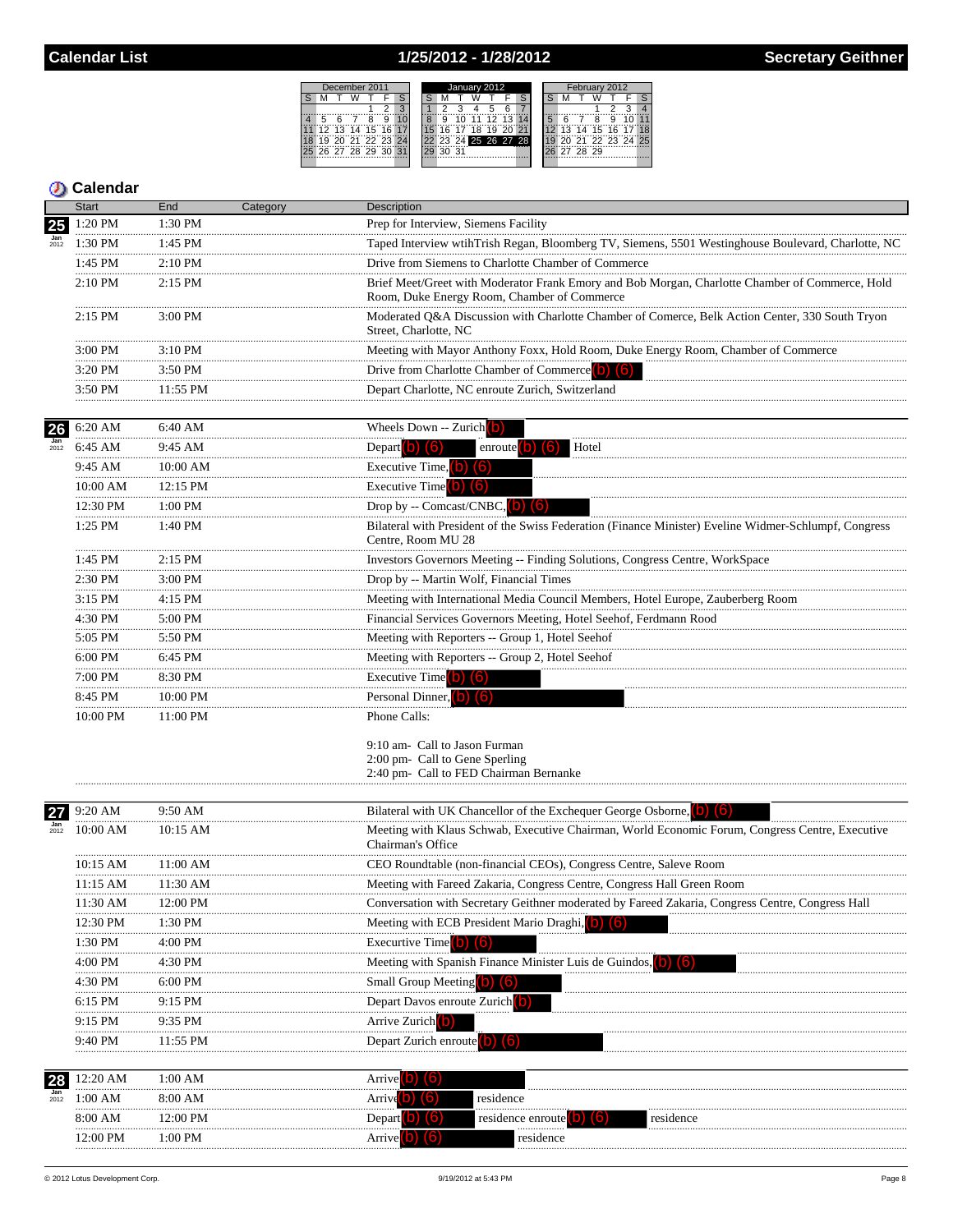# 1/25/2012 - 1/28/2012

|    |  | December 2011  |   |                  | January 2012 |  |  |  |       |                      |  |  |  | February 2012 |       |             |  |                   |  |  |  |
|----|--|----------------|---|------------------|--------------|--|--|--|-------|----------------------|--|--|--|---------------|-------|-------------|--|-------------------|--|--|--|
|    |  |                |   |                  |              |  |  |  |       |                      |  |  |  |               |       |             |  |                   |  |  |  |
|    |  |                |   |                  |              |  |  |  |       |                      |  |  |  |               |       |             |  |                   |  |  |  |
|    |  |                | g |                  |              |  |  |  |       | 7757731              |  |  |  |               |       | я           |  |                   |  |  |  |
| 12 |  | 13, 14, 15, 16 |   |                  |              |  |  |  | 18 19 |                      |  |  |  |               |       | 14 15 16 17 |  |                   |  |  |  |
|    |  |                |   | 1 70 71 77 73 74 |              |  |  |  |       | 22 23 24 25 26 27 28 |  |  |  |               |       |             |  | 20 21 22 23 24 25 |  |  |  |
|    |  | 26 27 28 29 30 |   |                  |              |  |  |  |       |                      |  |  |  |               | 28 29 |             |  |                   |  |  |  |
|    |  |                |   |                  |              |  |  |  |       |                      |  |  |  |               |       |             |  |                   |  |  |  |

|                    | <b>Start</b> | End            | Category | <b>Description</b>                                                                                                                             |
|--------------------|--------------|----------------|----------|------------------------------------------------------------------------------------------------------------------------------------------------|
| 25                 | 1:20 PM      | 1:30 PM        |          | Prep for Interview, Siemens Facility                                                                                                           |
|                    | 1:30 PM      | 1:45 PM        |          | Taped Interview wtihTrish Regan, Bloomberg TV, Siemens, 5501 Westinghouse Boulevard, Charlotte, NC                                             |
|                    | 1:45 PM      | $2:10$ PM      |          | Drive from Siemens to Charlotte Chamber of Commerce                                                                                            |
|                    | 2:10 PM      | 2:15 PM        |          | Brief Meet/Greet with Moderator Frank Emory and Bob Morgan, Charlotte Chamber of Commerce, Hold<br>Room, Duke Energy Room, Chamber of Commerce |
|                    | $2:15$ PM    | 3:00 PM        |          | Moderated Q&A Discussion with Charlotte Chamber of Comerce, Belk Action Center, 330 South Tryon<br>Street, Charlotte, NC                       |
|                    | 3:00 PM      | 3:10 PM        |          | Meeting with Mayor Anthony Foxx, Hold Room, Duke Energy Room, Chamber of Commerce                                                              |
|                    | 3:20 PM<br>  | 3:50 PM        |          | Drive from Charlotte Chamber of Commerce (b) (6)                                                                                               |
|                    | 3:50 PM      | $11:55$ PM     |          | Depart Charlotte, NC enroute Zurich, Switzerland                                                                                               |
| 26                 | 6:20 AM      | 6:40 AM        |          | Wheels Down -- Zurich $\begin{bmatrix} 0 \end{bmatrix}$                                                                                        |
| $\frac{Jan}{2012}$ | 6:45 AM<br>  | 9:45 AM        |          | Depart $\vert$ b) $\vert$ (6)<br>enroute $(b)$ $(6)$<br>Hotel                                                                                  |
|                    | 9:45 AM      | $10:00$ AM     |          | Executive Time, $(b)$ $(6)$                                                                                                                    |
|                    | 10:00 AM     | 12:15 PM       |          | Executive Time $(b)$ $(6)$                                                                                                                     |
|                    | 12:30 PM     | 1:00 PM        |          | Drop by -- Comcast/CNBC, (b) (6)                                                                                                               |
|                    | 1:25 PM      | 1:40 PM        |          | Bilateral with President of the Swiss Federation (Finance Minister) Eveline Widmer-Schlumpf, Congress<br>Centre, Room MU 28                    |
|                    | 1:45 PM<br>. | $2:15$ PM<br>. |          | Investors Governors Meeting -- Finding Solutions, Congress Centre, WorkSpace                                                                   |
|                    | 2:30 PM      | 3:00 PM        |          | Drop by -- Martin Wolf, Financial Times                                                                                                        |
|                    | 3:15 PM      | 4:15 PM        |          | Meeting with International Media Council Members, Hotel Europe, Zauberberg Room                                                                |
|                    | 4:30 PM      | 5:00 PM        |          | Financial Services Governors Meeting, Hotel Seehof, Ferdmann Rood                                                                              |
|                    | 5:05 PM      | 5:50 PM        |          | Meeting with Reporters -- Group 1, Hotel Seehof                                                                                                |
|                    | 6:00 PM      | 6:45 PM        |          | Meeting with Reporters -- Group 2, Hotel Seehof                                                                                                |
|                    | 7:00 PM      | 8:30 PM        |          | Executive Time $(0)$ $(6)$                                                                                                                     |
|                    | 8:45 PM      | 10:00 PM       |          | Personal Dinner, (b) (6)                                                                                                                       |
|                    | 10:00 PM     | 11:00 PM       |          | Phone Calls:                                                                                                                                   |
|                    |              |                |          | 9:10 am- Call to Jason Furman<br>2:00 pm- Call to Gene Sperling<br>2:40 pm- Call to FED Chairman Bernanke                                      |
| 27                 | 9:20 AM      | 9:50 AM        |          | Bilateral with UK Chancellor of the Exchequer George Osborne, (b) (6)                                                                          |
|                    | 10:00 AM     | 10:15 AM       |          | Meeting with Klaus Schwab, Executive Chairman, World Economic Forum, Congress Centre, Executive<br>Chairman's Office                           |
|                    | 10:15 AM     | 11:00 AM       |          | CEO Roundtable (non-financial CEOs), Congress Centre, Saleve Room                                                                              |
|                    | 11:15 AM     | 11:30 AM       |          | Meeting with Fareed Zakaria, Congress Centre, Congress Hall Green Room                                                                         |
|                    | 11:30 AM     | 12:00 PM       |          | Conversation with Secretary Geithner moderated by Fareed Zakaria, Congress Centre, Congress Hall                                               |
|                    | 12:30 PM     | $1:30$ PM      |          | Meeting with ECB President Mario Draghi,                                                                                                       |
|                    | 1:30 PM      | 4:00 PM        |          | <b>Execurtive Time</b>                                                                                                                         |
|                    | 4:00 PM      | 4:30 PM        |          | Meeting with Spanish Finance Minister Luis de Guindos.                                                                                         |
|                    | 4:30 PM      | 6:00 PM        |          | <b>Small Group Meeting D</b>                                                                                                                   |
|                    | 6:15 PM      | 9:15 PM        |          | Depart Davos enroute Zurich <sup>(0)</sup>                                                                                                     |
|                    | 9:15 PM      | 9:35 PM        |          | Arrive Zurich <sup>o</sup>                                                                                                                     |
|                    | 9:40 PM      | 11:55 PM       |          | Depart Zurich enroute $\begin{pmatrix} 0 \\ 0 \end{pmatrix}$ $\begin{pmatrix} 6 \\ 0 \end{pmatrix}$                                            |
| 28                 | 12:20 AM     | 1:00 AM        |          | <b>Arrive</b>                                                                                                                                  |
| 2012               | 1:00 AM      | 8:00 AM        |          | residence<br>Arrive                                                                                                                            |
|                    | 8:00 AM      | 12:00 PM       |          | Depart<br>residence enroute<br>residence                                                                                                       |
|                    | 12:00 PM     | $1:00$ PM      |          | residence<br>Arrive                                                                                                                            |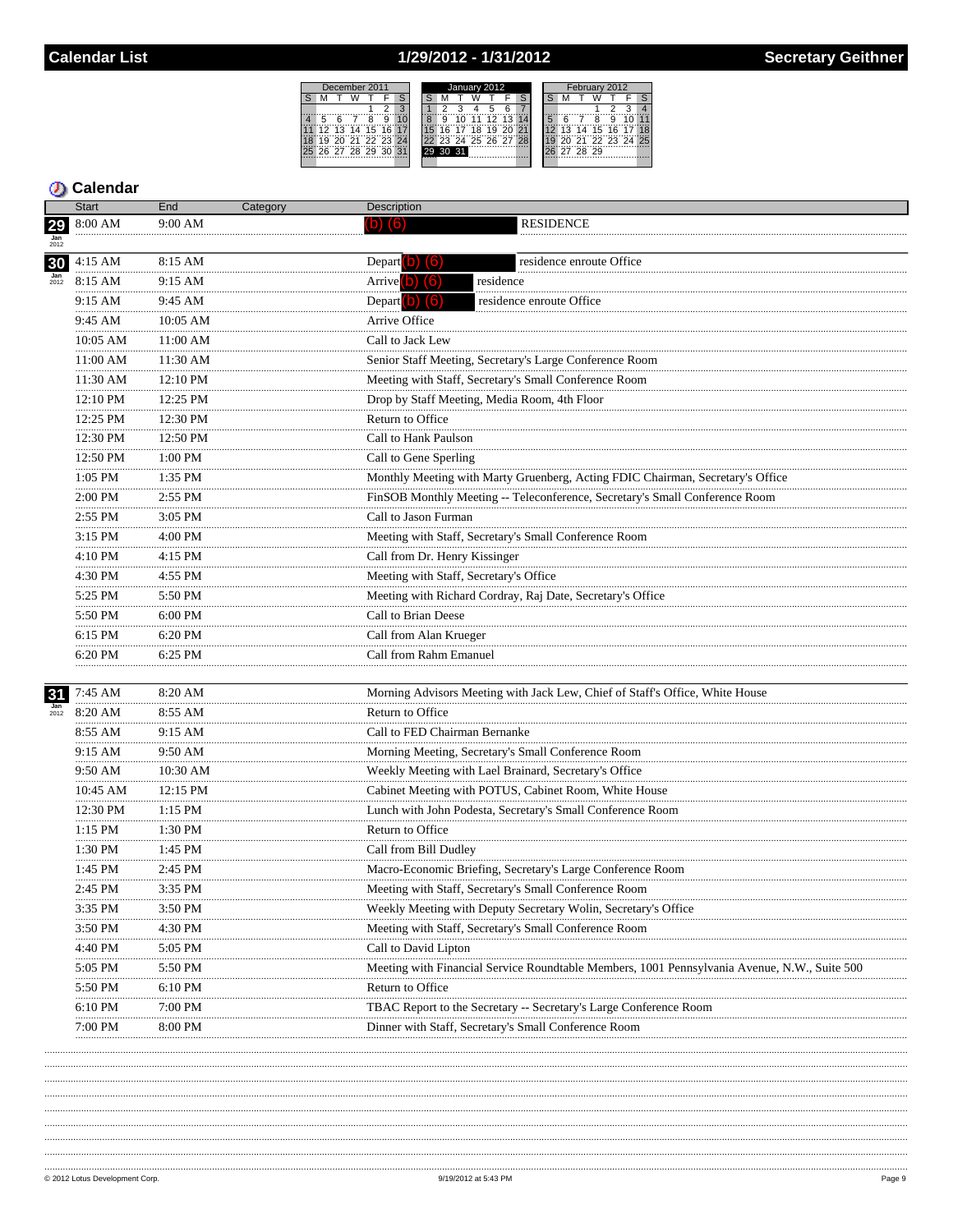# 1/29/2012 - 1/31/2012

|   |             | December 2011   |     | January 2012 |  |          |  |    |    |                      | February 2012 |  |    |  |          |  |                   |  |
|---|-------------|-----------------|-----|--------------|--|----------|--|----|----|----------------------|---------------|--|----|--|----------|--|-------------------|--|
|   |             |                 |     |              |  |          |  |    |    |                      |               |  |    |  |          |  |                   |  |
|   |             |                 |     |              |  |          |  |    |    |                      |               |  |    |  |          |  |                   |  |
| 5 |             |                 | ğ   |              |  | ä        |  |    |    |                      |               |  |    |  |          |  |                   |  |
|   |             | 12 13 14 15     | 16  |              |  | ĥ        |  | 18 | 19 | 20                   |               |  | 13 |  | 14 15 16 |  |                   |  |
|   |             | "20"21"22"23"24 |     |              |  |          |  |    |    | 22 23 24 25 26 27 28 |               |  |    |  |          |  | 20 21 22 23 24 25 |  |
|   | 26 27 28 29 |                 | -30 |              |  | 29 30 31 |  |    |    |                      |               |  |    |  | 28 29    |  |                   |  |
|   |             |                 |     |              |  |          |  |    |    |                      |               |  |    |  |          |  |                   |  |

|                          | <b>Start</b>      | End            | Category | Description                                                                                  |
|--------------------------|-------------------|----------------|----------|----------------------------------------------------------------------------------------------|
| 29<br>$\frac{Jan}{2012}$ | 8:00 AM           | $9:00$ AM      |          | <b>RESIDENCE</b>                                                                             |
| 30                       | $4:15$ AM         | 8:15 AM        |          | Depart $\left( 0 \right)$ $\left( 6 \right)$<br>residence enroute Office                     |
| $\frac{Jan}{2012}$       | 8:15 AM           | 9:15 AM        |          | Arrive $(b)$ $(6)$<br>residence                                                              |
|                          | 9:15 AM           | 9:45 AM        |          | Depart (b) (6)<br>residence enroute Office                                                   |
|                          | .<br>9:45 AM      | <br>10:05 AM   |          | Arrive Office                                                                                |
|                          | 10:05 AM          | 11:00 AM       |          | Call to Jack Lew                                                                             |
|                          | 11:00 AM          | 11:30 AM       |          | Senior Staff Meeting, Secretary's Large Conference Room                                      |
|                          | 11:30 AM          | 12:10 PM       |          | Meeting with Staff, Secretary's Small Conference Room                                        |
|                          | 12:10 PM          | .<br>12:25 PM  |          | Drop by Staff Meeting, Media Room, 4th Floor                                                 |
|                          | <br>12:25 PM      | <br>12:30 PM   |          | Return to Office                                                                             |
|                          | .<br>12:30 PM     | <br>12:50 PM   |          | Call to Hank Paulson                                                                         |
|                          | <br>12:50 PM      | .<br>1:00 PM   |          | Call to Gene Sperling                                                                        |
|                          | <br>1:05 PM       | 1:35 PM        |          | Monthly Meeting with Marty Gruenberg, Acting FDIC Chairman, Secretary's Office               |
|                          | .<br>2:00 PM      | 2:55 PM        |          | FinSOB Monthly Meeting -- Teleconference, Secretary's Small Conference Room                  |
|                          | 2:55 PM           | 3:05 PM        |          | Call to Jason Furman                                                                         |
|                          | .<br>3:15 PM      | 4:00 PM        |          | Meeting with Staff, Secretary's Small Conference Room                                        |
|                          | .<br>4:10 PM      | 4:15 PM        |          | Call from Dr. Henry Kissinger                                                                |
|                          | <br>4:30 PM       | $4:55$ PM      |          | Meeting with Staff, Secretary's Office                                                       |
|                          | <br>5:25 PM       | .<br>5:50 PM   |          | Meeting with Richard Cordray, Raj Date, Secretary's Office                                   |
|                          | 5:50 PM           | 6:00 PM        |          | Call to Brian Deese                                                                          |
|                          | .<br>6:15 PM      | .<br>6:20 PM   |          | Call from Alan Krueger                                                                       |
|                          | .<br>6:20 PM<br>  | 6:25 PM        |          | Call from Rahm Emanuel                                                                       |
| 31                       | 7:45 AM           | 8:20 AM        |          | Morning Advisors Meeting with Jack Lew, Chief of Staff's Office, White House                 |
| $\frac{Jan}{2012}$       | 8:20 AM           | 8:55 AM        |          | Return to Office                                                                             |
|                          | 8:55 AM           | 9:15 AM        |          | Call to FED Chairman Bernanke                                                                |
|                          | 9:15 AM           | 9:50 AM        |          | Morning Meeting, Secretary's Small Conference Room                                           |
|                          | 9:50 AM<br>       | 10:30 AM       |          | Weekly Meeting with Lael Brainard, Secretary's Office                                        |
|                          | 10:45 AM          | $12:15$ PM     |          | Cabinet Meeting with POTUS, Cabinet Room, White House                                        |
|                          | <br>12:30 PM<br>. | .<br>$1:15$ PM |          | Lunch with John Podesta, Secretary's Small Conference Room                                   |
|                          | 1:15 PM<br>       | 1:30 PM<br>.   |          | Return to Office                                                                             |
|                          | 1:30 PM           | 1:45 PM        |          | Call from Bill Dudley                                                                        |
|                          | 1:45 PM           | 2:45 PM        |          | Macro-Economic Briefing, Secretary's Large Conference Room                                   |
|                          | 2:45 PM           | 3:35 PM        |          | Meeting with Staff, Secretary's Small Conference Room                                        |
|                          | 3:35 PM           | 3:50 PM        |          | Weekly Meeting with Deputy Secretary Wolin, Secretary's Office                               |
|                          | 3:50 PM           | 4:30 PM        |          | Meeting with Staff, Secretary's Small Conference Room                                        |
|                          | 4:40 PM           | 5:05 PM        |          | Call to David Lipton                                                                         |
|                          | 5:05 PM           | 5:50 PM        |          | Meeting with Financial Service Roundtable Members, 1001 Pennsylvania Avenue, N.W., Suite 500 |
|                          | 5:50 PM           | 6:10 PM        |          | Return to Office                                                                             |
|                          | 6:10 PM           | 7:00 PM        |          | TBAC Report to the Secretary -- Secretary's Large Conference Room                            |
|                          | 7:00 PM           | 8:00 PM        |          | Dinner with Staff, Secretary's Small Conference Room                                         |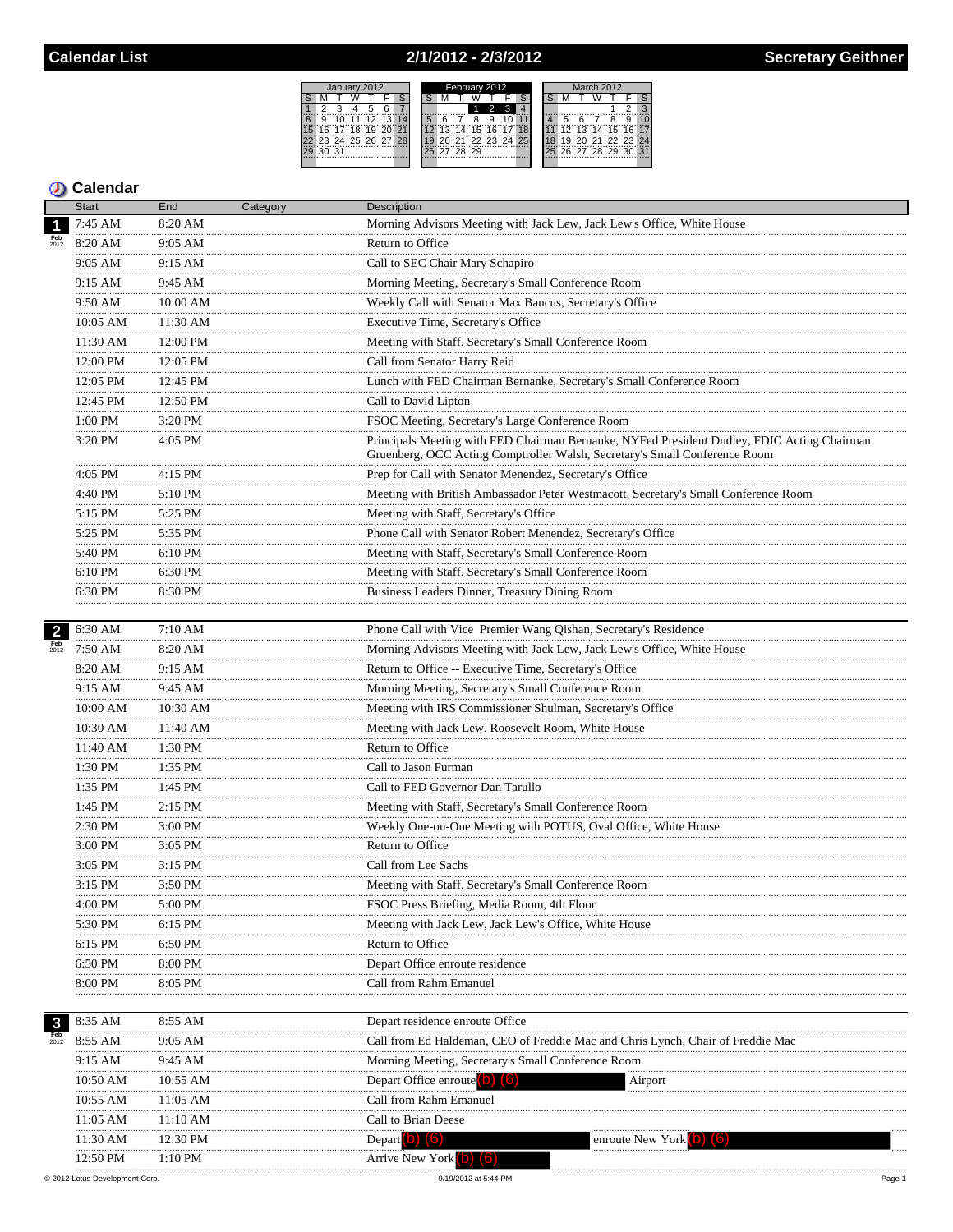# 2/1/2012 - 2/3/2012

|   |       |  | January 2012      |    | February 2012 |    |  |       |                   |  |  | March 2012 |  |  |             |  |                   |  |
|---|-------|--|-------------------|----|---------------|----|--|-------|-------------------|--|--|------------|--|--|-------------|--|-------------------|--|
|   |       |  |                   |    |               |    |  |       |                   |  |  |            |  |  |             |  |                   |  |
|   |       |  |                   |    |               |    |  |       |                   |  |  |            |  |  |             |  |                   |  |
| 8 |       |  | 12 13 14          |    | ïξ            |    |  |       |                   |  |  |            |  |  |             |  |                   |  |
|   |       |  | 16 17 18 19 20    | 21 |               | 13 |  |       | 14 15 16 17 18    |  |  |            |  |  |             |  | 12 13 14 15 16 17 |  |
|   |       |  | 23 24 25 26 27 28 |    |               |    |  |       | 20 21 22 23 24 25 |  |  |            |  |  |             |  | 20 21 22 23 24    |  |
|   | 30 31 |  |                   |    |               |    |  | 28 29 |                   |  |  |            |  |  | 26 27 28 29 |  | ?∩                |  |
|   |       |  |                   |    |               |    |  |       |                   |  |  |            |  |  |             |  |                   |  |

# **D** Calendar

|                         | <b>Start</b>           | End          | Category | Description                                                                                                                                                               |
|-------------------------|------------------------|--------------|----------|---------------------------------------------------------------------------------------------------------------------------------------------------------------------------|
| $\overline{\mathbf{1}}$ | 7:45 AM                | 8:20 AM      |          | Morning Advisors Meeting with Jack Lew, Jack Lew's Office, White House                                                                                                    |
| <b>Feb</b><br>2012      | 8:20 AM                | 9:05 AM      |          | Return to Office                                                                                                                                                          |
|                         | $9:05 \text{ AM}$<br>. | 9:15 AM<br>. |          | Call to SEC Chair Mary Schapiro                                                                                                                                           |
|                         | 9:15 AM<br>.           | 9:45 AM      |          | Morning Meeting, Secretary's Small Conference Room                                                                                                                        |
|                         | 9:50 AM                | 10:00 AM     |          | Weekly Call with Senator Max Baucus, Secretary's Office                                                                                                                   |
|                         | 10:05 AM               | 11:30 AM     |          | Executive Time, Secretary's Office                                                                                                                                        |
|                         | 11:30 AM               | 12:00 PM     |          | Meeting with Staff, Secretary's Small Conference Room                                                                                                                     |
|                         | 12:00 PM               | 12:05 PM     |          | Call from Senator Harry Reid                                                                                                                                              |
|                         | 12:05 PM               | 12:45 PM     |          | Lunch with FED Chairman Bernanke, Secretary's Small Conference Room                                                                                                       |
|                         | 12:45 PM               | 12:50 PM     |          | Call to David Lipton                                                                                                                                                      |
|                         | 1:00 PM                | 3:20 PM      |          | FSOC Meeting, Secretary's Large Conference Room                                                                                                                           |
|                         | 3:20 PM                | 4:05 PM      |          | Principals Meeting with FED Chairman Bernanke, NYFed President Dudley, FDIC Acting Chairman<br>Gruenberg, OCC Acting Comptroller Walsh, Secretary's Small Conference Room |
|                         | 4:05 PM                | 4:15 PM      |          | Prep for Call with Senator Menendez, Secretary's Office                                                                                                                   |
|                         | 4:40 PM                | 5:10 PM      |          | Meeting with British Ambassador Peter Westmacott, Secretary's Small Conference Room                                                                                       |
|                         | 5:15 PM                | 5:25 PM      |          | Meeting with Staff, Secretary's Office                                                                                                                                    |
|                         | .<br>5:25 PM           | 5:35 PM      |          | Phone Call with Senator Robert Menendez, Secretary's Office                                                                                                               |
|                         | 5:40 PM                | $6:10$ PM    |          | Meeting with Staff, Secretary's Small Conference Room                                                                                                                     |
|                         | 6:10 PM                | .<br>6:30 PM |          | Meeting with Staff, Secretary's Small Conference Room                                                                                                                     |
|                         | 6:30 PM                | 8:30 PM      |          | Business Leaders Dinner, Treasury Dining Room                                                                                                                             |
|                         | .                      | .            |          |                                                                                                                                                                           |
| $\overline{2}$          | 6:30 AM                | 7:10 AM      |          | Phone Call with Vice Premier Wang Qishan, Secretary's Residence                                                                                                           |
| Feb<br>2012             | 7:50 AM                | $8:20$ AM    |          | Morning Advisors Meeting with Jack Lew, Jack Lew's Office, White House                                                                                                    |
|                         | 8:20 AM                | 9:15 AM      |          | Return to Office -- Executive Time, Secretary's Office                                                                                                                    |
|                         | .<br>9:15 AM           | 9:45 AM      |          | Morning Meeting, Secretary's Small Conference Room                                                                                                                        |
|                         | 10:00 AM               | 10:30 AM     |          | Meeting with IRS Commissioner Shulman, Secretary's Office                                                                                                                 |
|                         | 10:30 AM               | 11:40 AM     |          | Meeting with Jack Lew, Roosevelt Room, White House                                                                                                                        |
|                         | 11:40 AM               | 1:30 PM      |          | Return to Office                                                                                                                                                          |
|                         | <br>1:30 PM            | 1:35 PM      |          | Call to Jason Furman                                                                                                                                                      |
|                         | .<br>1:35 PM           | .<br>1:45 PM |          | Call to FED Governor Dan Tarullo                                                                                                                                          |
|                         | .<br>1:45 PM           | $2:15$ PM    |          | Meeting with Staff, Secretary's Small Conference Room                                                                                                                     |
|                         | 2:30 PM                | 3:00 PM      |          | Weekly One-on-One Meeting with POTUS, Oval Office, White House                                                                                                            |
|                         | 3:00 PM                | 3:05 PM      |          | Return to Office                                                                                                                                                          |
|                         | 3:05 PM                | 3:15 PM      |          | Call from Lee Sachs                                                                                                                                                       |
|                         | 3:15 PM                | 3:50 PM      |          | Meeting with Staff, Secretary's Small Conference Room                                                                                                                     |
|                         | 4:00 PM                | 5:00 PM      |          | FSOC Press Briefing, Media Room, 4th Floor                                                                                                                                |
|                         | 5:30 PM                | 6:15 PM      |          | Meeting with Jack Lew, Jack Lew's Office, White House                                                                                                                     |
|                         | 6:15 PM                | 6:50 PM      |          | Return to Office                                                                                                                                                          |
|                         | 6:50 PM                | 8:00 PM      |          | Depart Office enroute residence                                                                                                                                           |
|                         | 8:00 PM                | 8:05 PM      |          | Call from Rahm Emanuel                                                                                                                                                    |
|                         |                        |              |          |                                                                                                                                                                           |
| $\mathbf{3}$            | 8:35 AM                | 8:55 AM      |          | Depart residence enroute Office                                                                                                                                           |
| 2012                    | 8:55 AM                | 9:05 AM      |          | Call from Ed Haldeman, CEO of Freddie Mac and Chris Lynch, Chair of Freddie Mac                                                                                           |
|                         | 9:15 AM                | 9:45 AM      |          | Morning Meeting, Secretary's Small Conference Room                                                                                                                        |
|                         | 10:50 AM               | 10:55 AM     |          | Depart Office enroute (O)<br>Airport                                                                                                                                      |
|                         | 10:55 AM               | 11:05 AM     |          | Call from Rahm Emanuel                                                                                                                                                    |
|                         | 11:05 AM               | 11:10 AM     |          | Call to Brian Deese                                                                                                                                                       |
|                         | 11:30 AM               | 12:30 PM     |          | Depart $\vert$ b) $\vert$ (6)<br>enroute New York <b>D</b>                                                                                                                |
|                         | 12:50 PM               | $1:10$ PM    |          | Arrive New York (b) (6)                                                                                                                                                   |
|                         |                        |              |          |                                                                                                                                                                           |

9/19/2012 at 5:44 PM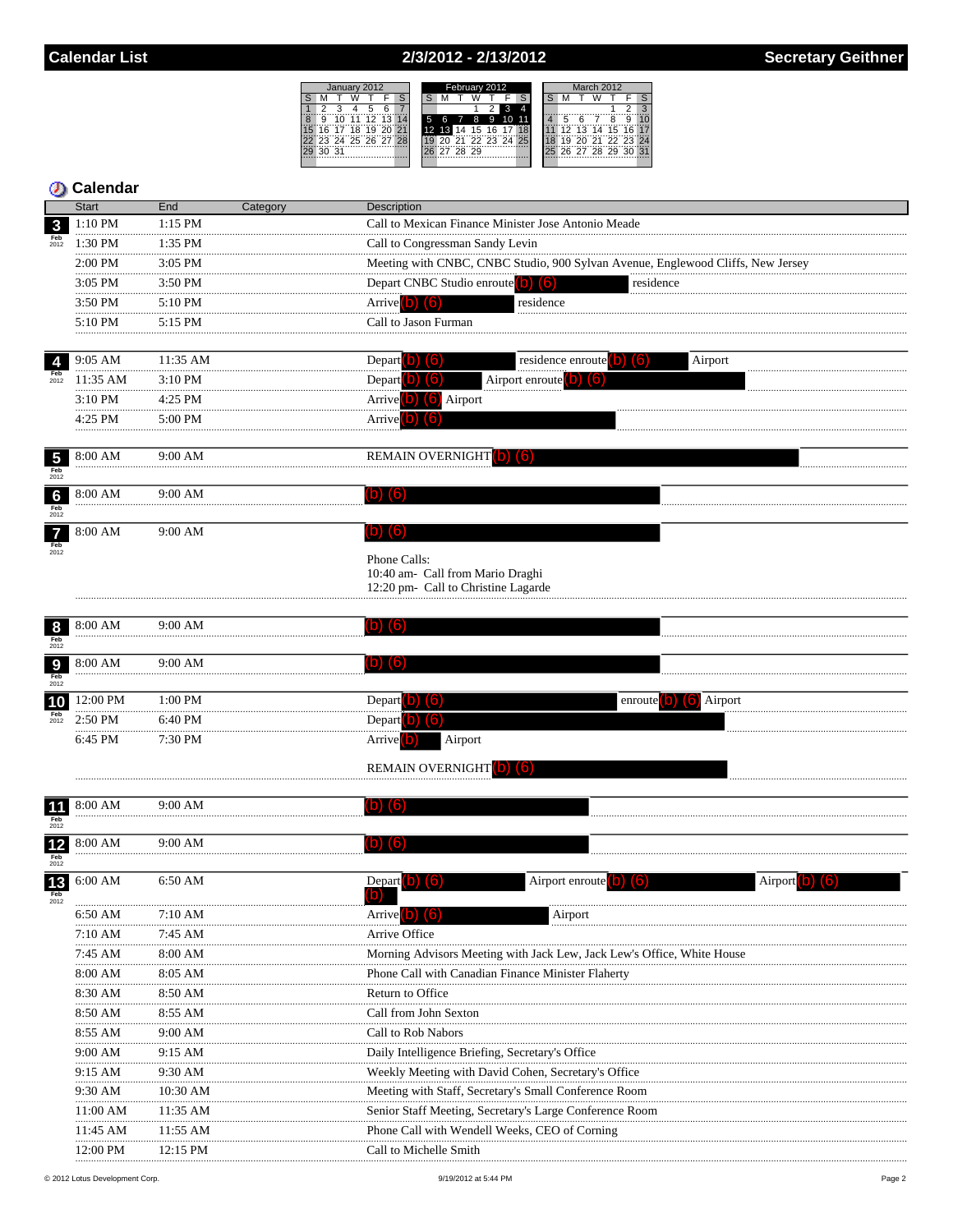## 2/3/2012 - 2/13/2012



## **5** Calendar

|                                                | <b>Start</b>          | End               | Category | Description                         |                                                                                 |         |
|------------------------------------------------|-----------------------|-------------------|----------|-------------------------------------|---------------------------------------------------------------------------------|---------|
| $\mathbf{3}$                                   | 1:10 PM               | $1:15$ PM         |          |                                     | Call to Mexican Finance Minister Jose Antonio Meade                             |         |
| Feb<br>2012                                    | 1:30 PM               | $1:35$ PM         |          | Call to Congressman Sandy Levin     |                                                                                 |         |
|                                                | $2:00$ PM             | $3:05$ PM         |          |                                     | Meeting with CNBC, CNBC Studio, 900 Sylvan Avenue, Englewood Cliffs, New Jersey |         |
|                                                | $3:05$ PM             | 3:50 PM           |          | Depart CNBC Studio enroute (b)      | (6)<br>residence                                                                |         |
|                                                | <br>$3:50 \text{ PM}$ | $5:10$ PM         |          | Arrivel                             | residence                                                                       |         |
|                                                | $5:10 \text{ PM}$     | $5:15$ PM         |          | Call to Jason Furman                |                                                                                 |         |
|                                                |                       |                   |          |                                     |                                                                                 |         |
| $\overline{4}$                                 | 9:05 AM               | $11:35$ AM        |          | Depart                              | residence enroute                                                               | Airport |
| Feb<br>2012                                    | $11:35$ AM            | $3:10$ PM         |          |                                     | Airport enroute                                                                 |         |
|                                                | $3:10$ PM<br>         | $4:25$ PM         |          | Airport                             |                                                                                 |         |
|                                                | 4:25 PM               | 5:00 PM           |          |                                     |                                                                                 |         |
|                                                |                       |                   |          |                                     |                                                                                 |         |
| $\frac{5}{\text{Feb}}$<br>$\frac{2012}{\text{$ | 8:00 AM               | $9.00 \text{ AM}$ |          | <b>REMAIN OVERNIGHT</b>             |                                                                                 |         |
|                                                |                       |                   |          |                                     |                                                                                 |         |
| $6\phantom{1}6$                                | 8:00 AM               | $9:00$ AM         |          |                                     |                                                                                 |         |
| Feb<br>2012                                    |                       |                   |          |                                     |                                                                                 |         |
| $\overline{7}$<br>Feb                          | 8:00 AM               | 9:00 AM           |          |                                     |                                                                                 |         |
| 2012                                           |                       |                   |          | Phone Calls:                        |                                                                                 |         |
|                                                |                       |                   |          | 10:40 am- Call from Mario Draghi    |                                                                                 |         |
|                                                |                       |                   |          | 12:20 pm- Call to Christine Lagarde |                                                                                 |         |

|             | $8:00 \text{ AM}$ | 9:00 AM |         |                    |
|-------------|-------------------|---------|---------|--------------------|
| Feb<br>2012 |                   |         |         |                    |
|             | $8:00 \text{ AM}$ | 9:00 AM |         |                    |
| Feb<br>2012 |                   |         |         |                    |
|             | 12:00 PM          | 1:00 PM |         | Airport<br>enroute |
| Feb<br>2012 | 2:50 PM           | 6:40 PM |         |                    |
|             | 6:45 PM           | 7:30 PM | Airport |                    |

#### REMAIN OVERNIGHT (b) (6)

| 11                        | 8:00 AM  | $9:00$ AM         |                        |                                                                        |         |
|---------------------------|----------|-------------------|------------------------|------------------------------------------------------------------------|---------|
|                           |          |                   |                        |                                                                        |         |
| $12$                      | 8:00 AM  | $9.00 \text{ AM}$ |                        |                                                                        |         |
|                           |          |                   |                        |                                                                        |         |
| 13 <sub>Feb</sub><br>2012 | 6:00 AM  | 6:50 AM           |                        | Airport enroute (b) (6)                                                | Airport |
|                           | 6:50 AM  | 7:10 AM           |                        | Airport                                                                |         |
|                           | 7:10 AM  | $7:45$ AM         | Arrive Office          |                                                                        |         |
|                           | 7:45 AM  | 8:00 AM           |                        | Morning Advisors Meeting with Jack Lew, Jack Lew's Office, White House |         |
|                           | 8:00 AM  | $8:05$ AM         |                        | Phone Call with Canadian Finance Minister Flaherty                     |         |
|                           | 8:30 AM  | 8:50 AM           | Return to Office       |                                                                        |         |
|                           | 8:50 AM  | 8:55 AM           | Call from John Sexton  |                                                                        |         |
|                           | 8:55 AM  | 9:00 AM           | Call to Rob Nabors     |                                                                        |         |
|                           | 9:00 AM  | 9:15 AM           |                        | Daily Intelligence Briefing, Secretary's Office                        |         |
|                           | 9:15 AM  | $9:30$ AM         |                        | Weekly Meeting with David Cohen, Secretary's Office                    |         |
|                           | 9:30 AM  | $10:30$ AM        |                        | Meeting with Staff, Secretary's Small Conference Room                  |         |
|                           | 11:00 AM | $11:35$ AM        |                        | Senior Staff Meeting, Secretary's Large Conference Room                |         |
|                           | 11:45 AM | $11:55$ AM        |                        | Phone Call with Wendell Weeks, CEO of Corning                          |         |
|                           | 12:00 PM | $12:15$ PM        | Call to Michelle Smith |                                                                        |         |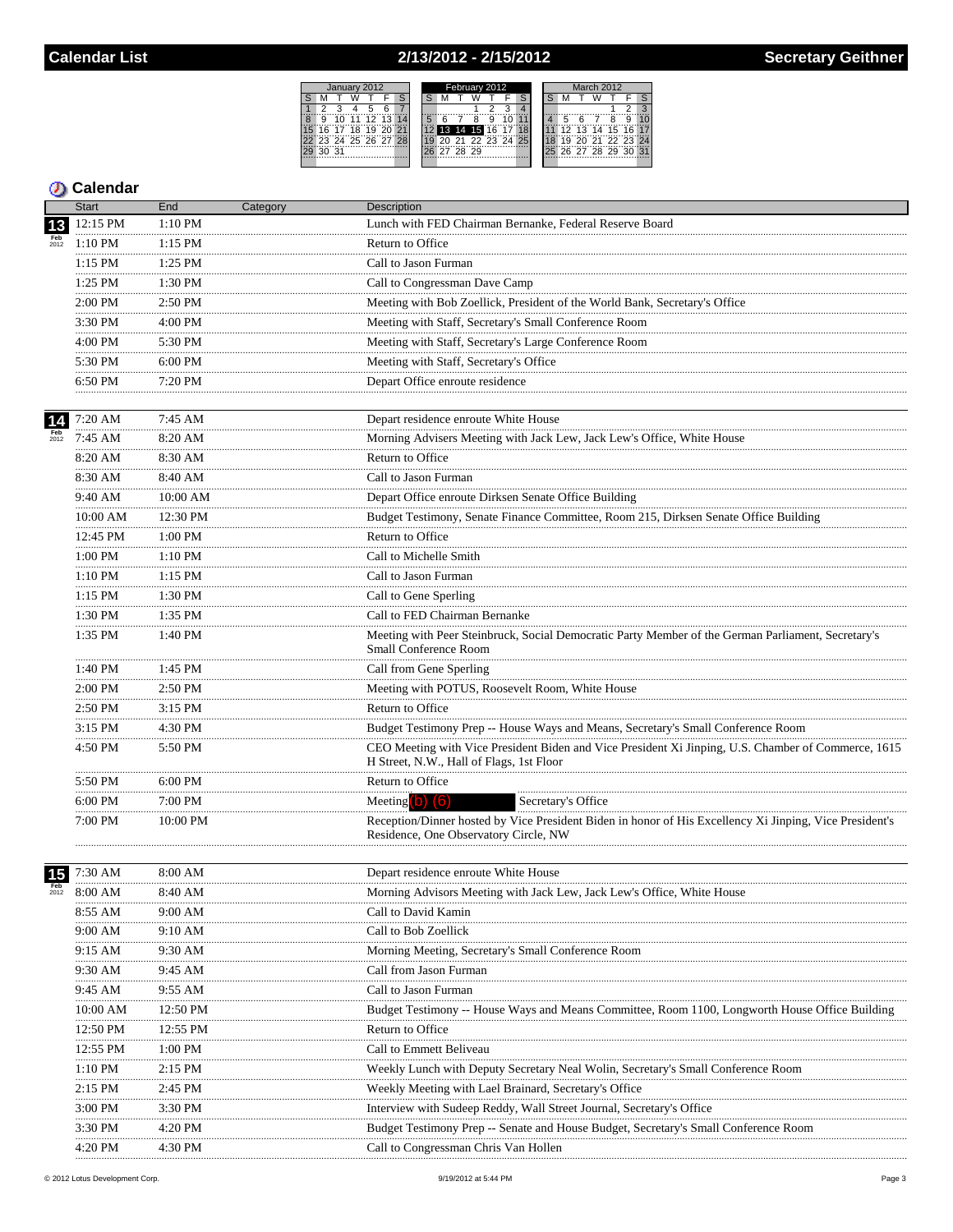# 2/13/2012 - 2/15/2012

| January 2012               | February 2012           | March 2012            |
|----------------------------|-------------------------|-----------------------|
|                            |                         |                       |
|                            |                         |                       |
| 12 13 14<br>1111<br>9      | 5<br>9                  | g<br>10               |
| 18 19<br>20 21<br>17<br>6. | 16<br>13 14<br>15<br>18 | 13 14 15 16 17<br>-12 |
| 23 24 25 26 27 28          | 20 21 22 23 24 25       | 20 21 22 23 24        |
| 31                         | 28 29                   | 26 27 28 29 30 31     |
|                            |                         |                       |

| <b>Start</b><br>End<br>Description<br>Category                                                            |                                                                                                         |
|-----------------------------------------------------------------------------------------------------------|---------------------------------------------------------------------------------------------------------|
| 12:15 PM<br>$1:10$ PM<br>Lunch with FED Chairman Bernanke, Federal Reserve Board<br>13                    |                                                                                                         |
| $Feb$<br>$2012$<br>1:10 PM<br>$1:15$ PM<br>Return to Office                                               |                                                                                                         |
| 1:25 PM<br>1:15 PM<br>Call to Jason Furman                                                                |                                                                                                         |
| 1:25 PM<br>1:30 PM<br>Call to Congressman Dave Camp                                                       |                                                                                                         |
| Meeting with Bob Zoellick, President of the World Bank, Secretary's Office<br>2:00 PM<br>2:50 PM          |                                                                                                         |
| .<br>3:30 PM<br>4:00 PM<br>Meeting with Staff, Secretary's Small Conference Room                          |                                                                                                         |
| <br>5:30 PM<br>4:00 PM<br>Meeting with Staff, Secretary's Large Conference Room                           |                                                                                                         |
| 5:30 PM<br>6:00 PM<br>Meeting with Staff, Secretary's Office                                              |                                                                                                         |
| 6:50 PM<br>7:20 PM<br>Depart Office enroute residence                                                     |                                                                                                         |
| .<br>.                                                                                                    |                                                                                                         |
| 7:45 AM<br>7:20 AM<br>Depart residence enroute White House<br>14                                          |                                                                                                         |
| Morning Advisers Meeting with Jack Lew, Jack Lew's Office, White House<br>7:45 AM<br>8:20 AM              |                                                                                                         |
| 8:20 AM<br>8:30 AM<br>Return to Office                                                                    |                                                                                                         |
| 8:30 AM<br>8:40 AM<br>Call to Jason Furman                                                                |                                                                                                         |
| 9:40 AM<br>10:00 AM<br>Depart Office enroute Dirksen Senate Office Building                               |                                                                                                         |
| 12:30 PM<br>10:00 AM                                                                                      | Budget Testimony, Senate Finance Committee, Room 215, Dirksen Senate Office Building                    |
| 12:45 PM<br>1:00 PM<br>Return to Office                                                                   |                                                                                                         |
| <br>1:00 PM<br>1:10 PM<br>Call to Michelle Smith<br>.                                                     |                                                                                                         |
| <br>$1:10$ PM<br>$1:15$ PM<br>Call to Jason Furman                                                        |                                                                                                         |
| .<br>1:30 PM<br>1:15 PM<br>Call to Gene Sperling                                                          |                                                                                                         |
| <br>.<br>1:30 PM<br>$1:35$ PM<br>Call to FED Chairman Bernanke                                            |                                                                                                         |
| 1:35 PM<br>1:40 PM<br>Small Conference Room                                                               | Meeting with Peer Steinbruck, Social Democratic Party Member of the German Parliament, Secretary's      |
| 1:40 PM<br>1:45 PM<br>Call from Gene Sperling                                                             |                                                                                                         |
| 2:00 PM<br>2:50 PM<br>Meeting with POTUS, Roosevelt Room, White House                                     |                                                                                                         |
| .<br>Return to Office<br>2:50 PM<br>$3:15$ PM                                                             |                                                                                                         |
| .<br>3:15 PM<br>4:30 PM                                                                                   | Budget Testimony Prep -- House Ways and Means, Secretary's Small Conference Room                        |
| 4:50 PM<br>5:50 PM<br>H Street, N.W., Hall of Flags, 1st Floor                                            | CEO Meeting with Vice President Biden and Vice President Xi Jinping, U.S. Chamber of Commerce, 1615     |
| 6:00 PM<br>5:50 PM<br>Return to Office                                                                    |                                                                                                         |
| 7:00 PM<br>6:00 PM<br>Meeting $(b)$ $(6)$<br>Secretary's Office                                           |                                                                                                         |
| 7:00 PM<br>10:00 PM<br>Residence, One Observatory Circle, NW                                              | Reception/Dinner hosted by Vice President Biden in honor of His Excellency Xi Jinping, Vice President's |
| Depart residence enroute White House<br>7:30 AM<br>8:00 AM<br>15                                          |                                                                                                         |
| 8:00 AM<br>8:40 AM<br>Morning Advisors Meeting with Jack Lew, Jack Lew's Office, White House              |                                                                                                         |
| Call to David Kamin<br>8:55 AM<br>9:00 AM                                                                 |                                                                                                         |
| .<br>9:00 AM<br>9:10 AM<br>Call to Bob Zoellick                                                           |                                                                                                         |
| 9:30 AM<br>Morning Meeting, Secretary's Small Conference Room<br>9:15 AM                                  |                                                                                                         |
| Call from Jason Furman<br>9:30 AM<br>9:45 AM                                                              |                                                                                                         |
| <br>9:45 AM<br>9:55 AM<br>Call to Jason Furman                                                            |                                                                                                         |
| 12:50 PM<br>10:00 AM                                                                                      | Budget Testimony -- House Ways and Means Committee, Room 1100, Longworth House Office Building          |
| 12:50 PM<br>12:55 PM<br>Return to Office                                                                  |                                                                                                         |
| 12:55 PM<br>1:00 PM<br>Call to Emmett Beliveau                                                            |                                                                                                         |
| 1:10 PM<br>2:15 PM<br>Weekly Lunch with Deputy Secretary Neal Wolin, Secretary's Small Conference Room    |                                                                                                         |
| 2:45 PM<br>2:15 PM<br>Weekly Meeting with Lael Brainard, Secretary's Office                               |                                                                                                         |
| Interview with Sudeep Reddy, Wall Street Journal, Secretary's Office<br>3:00 PM<br>3:30 PM                |                                                                                                         |
| Budget Testimony Prep -- Senate and House Budget, Secretary's Small Conference Room<br>4:20 PM<br>3:30 PM |                                                                                                         |
|                                                                                                           |                                                                                                         |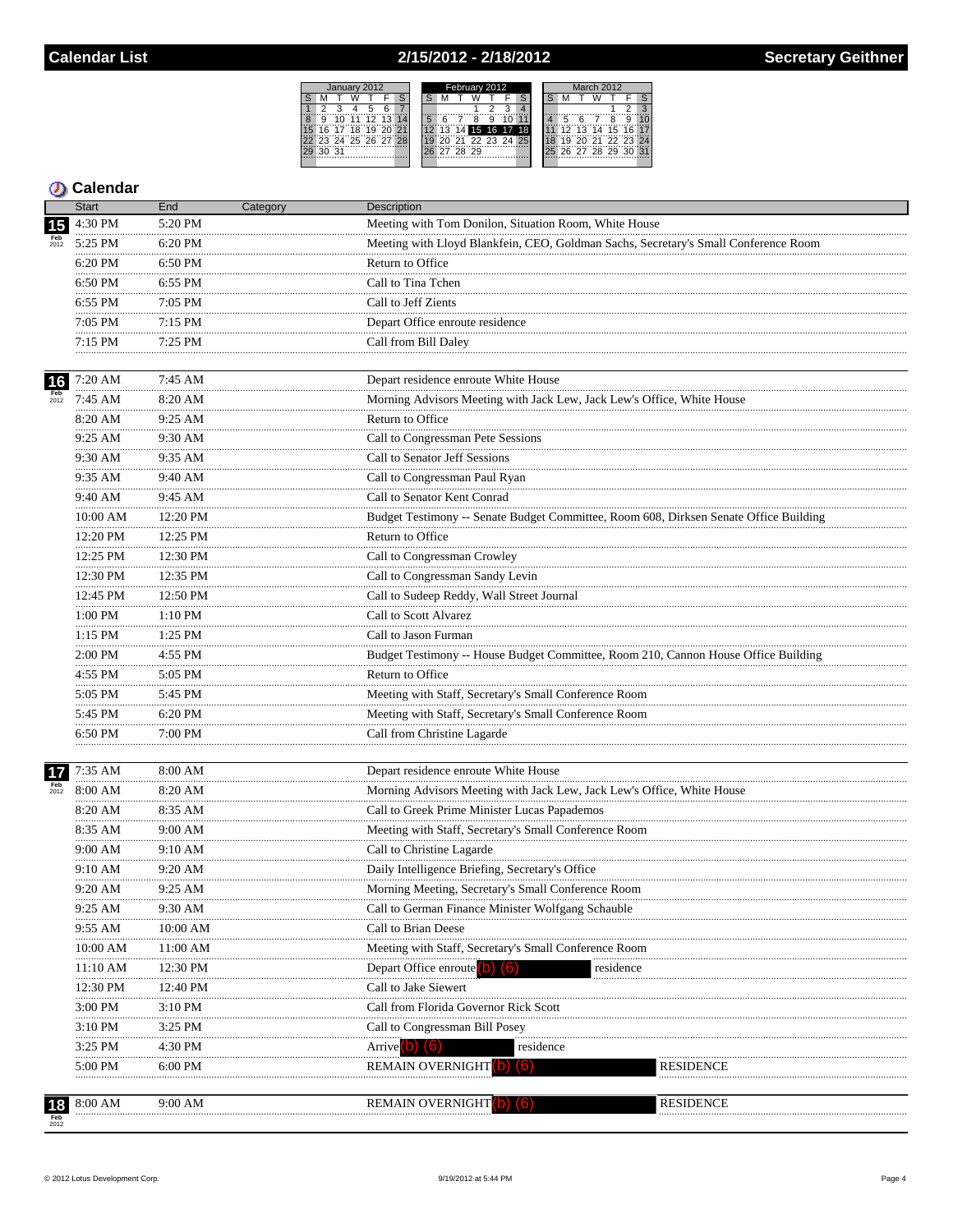## 2/15/2012 - 2/18/2012



|                    | <b>Start</b>        | End          | Category | Description                                                                           |           |
|--------------------|---------------------|--------------|----------|---------------------------------------------------------------------------------------|-----------|
| 15                 | 4:30 PM             | 5:20 PM      |          | Meeting with Tom Donilon, Situation Room, White House                                 |           |
| $\frac{Feb}{2012}$ | 5:25 PM             | 6:20 PM      |          | Meeting with Lloyd Blankfein, CEO, Goldman Sachs, Secretary's Small Conference Room   |           |
|                    | 6:20 PM             | 6:50 PM      |          | Return to Office                                                                      |           |
|                    | <br>6:50 PM         | 6:55 PM      |          | Call to Tina Tchen                                                                    |           |
|                    | .<br>6:55 PM        | 7:05 PM      |          | Call to Jeff Zients                                                                   |           |
|                    | .<br>7:05 PM        | 7:15 PM      |          | Depart Office enroute residence                                                       |           |
|                    | 7:15 PM             | 7:25 PM      |          | Call from Bill Daley                                                                  |           |
| 16                 | 7:20 AM             | 7:45 AM      |          | Depart residence enroute White House                                                  |           |
| <b>Feb</b><br>2012 | .<br>7:45 AM        | .<br>8:20 AM |          | Morning Advisors Meeting with Jack Lew, Jack Lew's Office, White House                |           |
|                    | 8:20 AM             | 9:25 AM      |          | Return to Office                                                                      |           |
|                    | .<br>9:25 AM        | .<br>9:30 AM |          | Call to Congressman Pete Sessions                                                     |           |
|                    | 9:30 AM             | 9:35 AM      |          | Call to Senator Jeff Sessions                                                         |           |
|                    | .<br>9:35 AM        | 9:40 AM      |          | Call to Congressman Paul Ryan                                                         |           |
|                    | .<br>9:40 AM        | 9:45 AM      |          | Call to Senator Kent Conrad                                                           |           |
|                    | $10:00~\mathrm{AM}$ | 12:20 PM     |          | Budget Testimony -- Senate Budget Committee, Room 608, Dirksen Senate Office Building |           |
|                    | .<br>12:20 PM       | 12:25 PM     |          | Return to Office                                                                      |           |
|                    | 12:25 PM            | 12:30 PM     |          | Call to Congressman Crowley                                                           |           |
|                    | <br>12:30 PM        | 12:35 PM     |          | Call to Congressman Sandy Levin                                                       |           |
|                    | 12:45 PM            | 12:50 PM     |          | Call to Sudeep Reddy, Wall Street Journal                                             |           |
|                    | .<br>1:00 PM        | .<br>1:10 PM |          | Call to Scott Alvarez                                                                 |           |
|                    | .<br>$1:15$ PM      | .<br>1:25 PM |          | Call to Jason Furman                                                                  |           |
|                    | <br>2:00 PM         | 4:55 PM      |          | Budget Testimony -- House Budget Committee, Room 210, Cannon House Office Building    |           |
|                    | .<br>4:55 PM        | .<br>5:05 PM |          | Return to Office                                                                      |           |
|                    | 5:05 PM             | 5:45 PM      |          | Meeting with Staff, Secretary's Small Conference Room                                 |           |
|                    | .<br>5:45 PM        | 6:20 PM      |          | Meeting with Staff, Secretary's Small Conference Room                                 |           |
|                    | 6:50 PM             | 7:00 PM      |          | Call from Christine Lagarde                                                           |           |
|                    | .                   |              |          |                                                                                       |           |
| 17                 | 7:35 AM             | 8:00 AM      |          | Depart residence enroute White House                                                  |           |
| <b>Feb</b><br>2012 | 8:00 AM             | 8:20 AM      |          | Morning Advisors Meeting with Jack Lew, Jack Lew's Office, White House                |           |
|                    | 8:20 AM             | 8:35 AM      |          | Call to Greek Prime Minister Lucas Papademos                                          |           |
|                    | 8:35 AM             | 9:00 AM<br>. |          | Meeting with Staff, Secretary's Small Conference Room                                 |           |
|                    | 9:00 AM<br>.        | 9:10 AM<br>. |          | Call to Christine Lagarde                                                             |           |
|                    | 9:10 AM             | 9:20 AM      |          | Daily Intelligence Briefing, Secretary's Office                                       |           |
|                    | 9:20 AM             | 9:25 AM      |          | Morning Meeting, Secretary's Small Conference Room                                    |           |
|                    | 9:25 AM             | 9:30 AM      |          | Call to German Finance Minister Wolfgang Schauble                                     |           |
|                    | 9:55 AM             | 10:00 AM     |          | Call to Brian Deese                                                                   |           |
|                    | 10:00 AM            | 11:00 AM     |          | Meeting with Staff, Secretary's Small Conference Room                                 |           |
|                    | 11:10 AM            | 12:30 PM     |          | Depart Office enroute <sup>(</sup><br>residence                                       |           |
|                    | 12:30 PM            | 12:40 PM     |          | Call to Jake Siewert                                                                  |           |
|                    | 3:00 PM             | 3:10 PM      |          | Call from Florida Governor Rick Scott                                                 |           |
|                    | $3:10$ PM           | 3:25 PM      |          | Call to Congressman Bill Posey                                                        |           |
|                    | 3:25 PM             | 4:30 PM      |          | Arrive <sup>[b]</sup> (6)<br>residence                                                |           |
|                    | 5:00 PM             | 6:00 PM      |          | REMAIN OVERNIGHT<br>b                                                                 | RESIDENCE |
|                    |                     |              |          |                                                                                       |           |
| 18                 | 8:00 AM             | 9:00 AM      |          | REMAIN OVERNIGHT                                                                      | RESIDENCE |
|                    |                     |              |          |                                                                                       |           |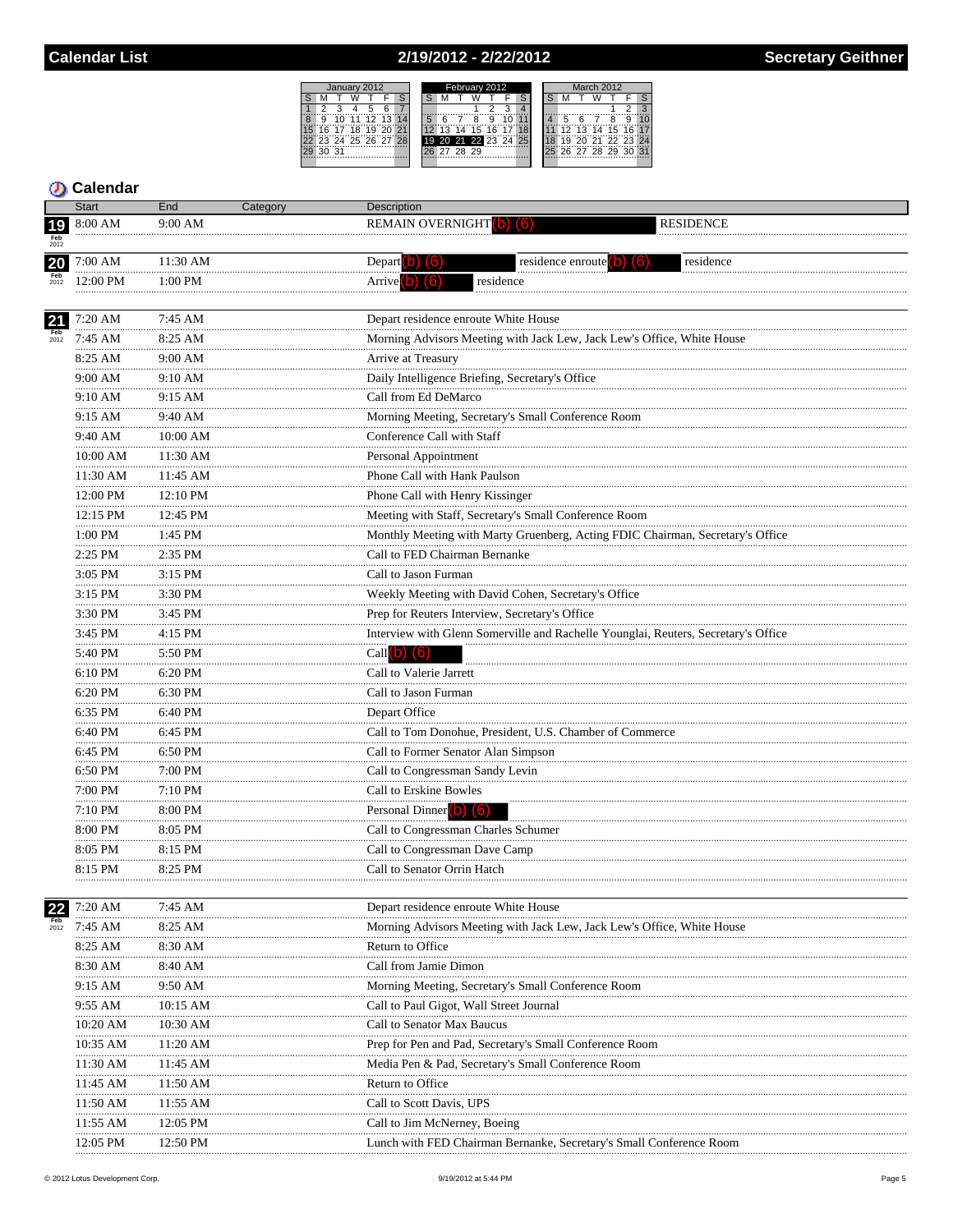# 2/19/2012 - 2/22/2012

|   |       |       | January 2012         |  | February 2012 |  |    |          |  |  |                      |  | March 2012 |  |  |  |                      |  |   |
|---|-------|-------|----------------------|--|---------------|--|----|----------|--|--|----------------------|--|------------|--|--|--|----------------------|--|---|
|   |       |       |                      |  |               |  |    |          |  |  |                      |  |            |  |  |  |                      |  |   |
|   |       |       |                      |  |               |  |    |          |  |  |                      |  |            |  |  |  |                      |  | я |
| 8 | g     | '11'' | 12 13 14             |  |               |  |    |          |  |  |                      |  |            |  |  |  |                      |  |   |
|   |       |       | 6 17 18 19 20 21     |  |               |  | 13 | 14       |  |  | 15 16 17             |  |            |  |  |  | 12 13 14 15 16 17    |  |   |
|   |       |       | 22 23 24 25 26 27 28 |  |               |  |    |          |  |  | 19 20 21 22 23 24 25 |  |            |  |  |  | 19 20 21 22 23 24    |  |   |
|   | 30 31 |       |                      |  |               |  |    | 27 28 29 |  |  |                      |  |            |  |  |  | 25 26 27 28 29 30 31 |  |   |
|   |       |       |                      |  |               |  |    |          |  |  |                      |  |            |  |  |  |                      |  |   |

# **Calendar**

|                 | <b>Start</b>       | End                | Category | Description                                                                                                                        |  |
|-----------------|--------------------|--------------------|----------|------------------------------------------------------------------------------------------------------------------------------------|--|
| 19              | 8:00 AM            | $9:00$ AM          |          | REMAIN OVERNIGHT(b) (6)<br><b>RESIDENCE</b>                                                                                        |  |
|                 |                    |                    |          |                                                                                                                                    |  |
| <b>20</b>       | 7:00 AM            | 11:30 AM           |          | residence enroute $(b)$ $(6)$<br>residence<br>Depart $\begin{pmatrix} 0 \\ 0 \end{pmatrix}$ $\begin{pmatrix} 6 \\ 0 \end{pmatrix}$ |  |
|                 | 12:00 PM           | $1:00$ PM          |          | Arrive <sup>(b)</sup> (6)<br>residence                                                                                             |  |
|                 |                    |                    |          |                                                                                                                                    |  |
| 21              | 7:20 AM<br>.       | 7:45 AM<br>        |          | Depart residence enroute White House                                                                                               |  |
| $Feb$<br>$2012$ | 7:45 AM            | 8:25 AM            |          | Morning Advisors Meeting with Jack Lew, Jack Lew's Office, White House                                                             |  |
|                 | 8:25 AM<br>.       | 9:00 AM<br>        |          | Arrive at Treasury                                                                                                                 |  |
|                 | 9:00 AM            | 9:10 AM            |          | Daily Intelligence Briefing, Secretary's Office                                                                                    |  |
|                 | 9:10 AM            | 9:15 AM            |          | Call from Ed DeMarco                                                                                                               |  |
|                 | 9:15 AM<br>.       | 9:40 AM            |          | Morning Meeting, Secretary's Small Conference Room                                                                                 |  |
|                 | 9:40 AM            | 10:00 AM           |          | Conference Call with Staff                                                                                                         |  |
|                 | 10:00 AM           | 11:30 AM           |          | Personal Appointment                                                                                                               |  |
|                 | 11:30 AM           | <br>11:45 AM       |          | Phone Call with Hank Paulson                                                                                                       |  |
|                 | 12:00 PM           | 12:10 PM           |          | Phone Call with Henry Kissinger                                                                                                    |  |
|                 | .<br>12:15 PM      | <br>12:45 PM       |          | Meeting with Staff, Secretary's Small Conference Room                                                                              |  |
|                 | .<br>1:00 PM       | 1:45 PM            |          | Monthly Meeting with Marty Gruenberg, Acting FDIC Chairman, Secretary's Office                                                     |  |
|                 | .<br>2:25 PM       | 2:35 PM            |          | Call to FED Chairman Bernanke                                                                                                      |  |
|                 | .<br>3:05 PM       | .<br>3:15 PM       |          | Call to Jason Furman                                                                                                               |  |
|                 | .<br>3:15 PM       | 3:30 PM            |          | Weekly Meeting with David Cohen, Secretary's Office                                                                                |  |
|                 | .<br>3:30 PM       | .<br>3:45 PM       |          | Prep for Reuters Interview, Secretary's Office                                                                                     |  |
|                 | .<br>3:45 PM       | 4:15 PM            |          | Interview with Glenn Somerville and Rachelle Younglai, Reuters, Secretary's Office                                                 |  |
|                 | <br>5:40 PM        | 5:50 PM            |          | Call $(b)$ $(6)$                                                                                                                   |  |
|                 | .<br>$6:10$ PM     | .<br>6:20 PM       |          | Call to Valerie Jarrett                                                                                                            |  |
|                 | .<br>6:20 PM       | 6:30 PM            |          | Call to Jason Furman                                                                                                               |  |
|                 | <br>6:35 PM        | .<br>6:40 PM       |          | Depart Office                                                                                                                      |  |
|                 | <br>6:40 PM        | .<br>6:45 PM       |          | Call to Tom Donohue, President, U.S. Chamber of Commerce                                                                           |  |
|                 | .<br>6:45 PM       | .<br>6:50 PM       |          | Call to Former Senator Alan Simpson                                                                                                |  |
|                 | 6:50 PM            | 7:00 PM            |          | Call to Congressman Sandy Levin                                                                                                    |  |
|                 | .<br>7:00 PM       | 7:10 PM            |          | Call to Erskine Bowles                                                                                                             |  |
|                 | <br>$7:10$ PM      | 8:00 PM            |          | Personal Dinner (b) (6)                                                                                                            |  |
|                 | 8:00 PM            | 8:05 PM            |          | Call to Congressman Charles Schumer                                                                                                |  |
|                 | .<br>8:05 PM       | 8:15 PM            |          | Call to Congressman Dave Camp                                                                                                      |  |
|                 | 8:15 PM            | 8:25 PM            |          | Call to Senator Orrin Hatch                                                                                                        |  |
|                 |                    |                    |          |                                                                                                                                    |  |
|                 | 7:20 AM            | 7:45 AM            |          | Depart residence enroute White House                                                                                               |  |
|                 | 7:45 AM            | $8:25$ AM          |          | Morning Advisors Meeting with Jack Lew, Jack Lew's Office, White House                                                             |  |
|                 | 8:25 AM            | 8:30 AM            |          | Return to Office                                                                                                                   |  |
|                 | 8:30 AM            | 8:40 AM            |          | Call from Jamie Dimon                                                                                                              |  |
|                 | 9:15 AM            | 9:50 AM            |          | Morning Meeting, Secretary's Small Conference Room                                                                                 |  |
|                 | 9:55 AM            | 10:15 AM           |          | Call to Paul Gigot, Wall Street Journal                                                                                            |  |
|                 | 10:20 AM           | 10:30 AM           |          | Call to Senator Max Baucus                                                                                                         |  |
|                 | 10:35 AM           | 11:20 AM           |          | Prep for Pen and Pad, Secretary's Small Conference Room                                                                            |  |
|                 | 11:30 AM           | 11:45 AM           |          | Media Pen & Pad, Secretary's Small Conference Room                                                                                 |  |
|                 | 11:45 AM           | 11:50 AM           |          | Return to Office                                                                                                                   |  |
|                 | 11:50 AM           | 11:55 AM           |          | Call to Scott Davis, UPS                                                                                                           |  |
|                 | 11:55 AM           | 12:05 PM           |          | Call to Jim McNerney, Boeing                                                                                                       |  |
|                 | $12:05 \text{ PM}$ | $12:50 \text{ PM}$ |          | Lunch with FED Chairman Bernanke, Secretary's Small Conference Room                                                                |  |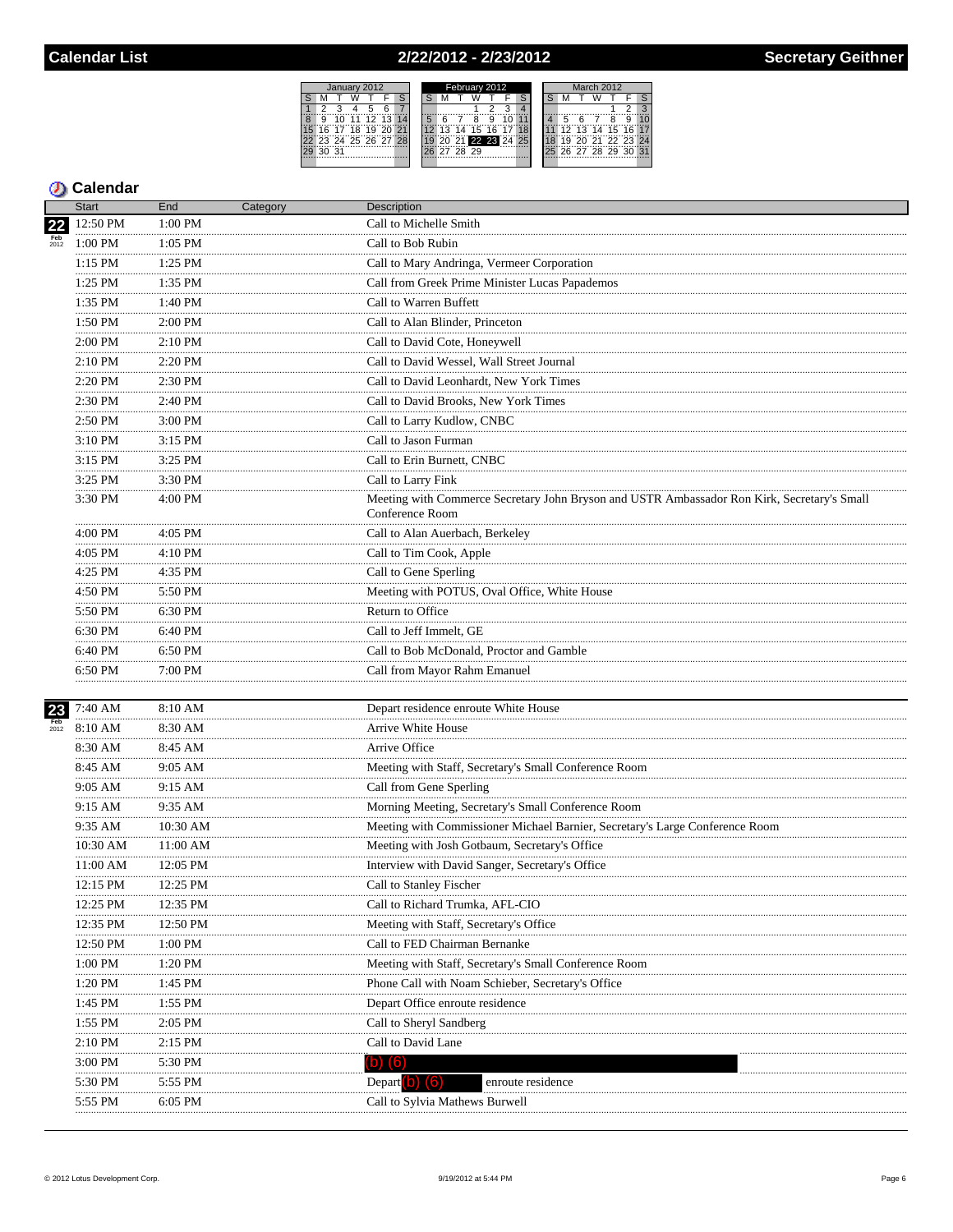### 2/22/2012 - 2/23/2012



|                    | Start             | End                | Category | <b>Description</b>                                                                                             |  |  |  |  |  |  |  |
|--------------------|-------------------|--------------------|----------|----------------------------------------------------------------------------------------------------------------|--|--|--|--|--|--|--|
| $\overline{22}$    | 12:50 PM          | 1:00 PM            |          | Call to Michelle Smith                                                                                         |  |  |  |  |  |  |  |
| <b>Feb</b><br>2012 | 1:00 PM           | $1:05$ PM          |          | Call to Bob Rubin                                                                                              |  |  |  |  |  |  |  |
|                    | $1:15$ PM<br>     | .<br>1:25 PM       |          | Call to Mary Andringa, Vermeer Corporation                                                                     |  |  |  |  |  |  |  |
|                    | 1:25 PM           | 1:35 PM            |          | Call from Greek Prime Minister Lucas Papademos                                                                 |  |  |  |  |  |  |  |
|                    | .<br>1:35 PM      | 1:40 PM            |          | Call to Warren Buffett                                                                                         |  |  |  |  |  |  |  |
|                    | .<br>1:50 PM      | $2:00$ PM          |          | Call to Alan Blinder, Princeton                                                                                |  |  |  |  |  |  |  |
|                    | .<br>2:00 PM      | .<br>2:10 PM       |          | Call to David Cote, Honeywell                                                                                  |  |  |  |  |  |  |  |
|                    | <br>2:10 PM       | .<br>2:20 PM       |          | Call to David Wessel, Wall Street Journal                                                                      |  |  |  |  |  |  |  |
|                    | <br>2:20 PM       | .<br>2:30 PM       |          | Call to David Leonhardt. New York Times                                                                        |  |  |  |  |  |  |  |
|                    | .<br>2:30 PM<br>. | .<br>2:40 PM       |          | Call to David Brooks, New York Times                                                                           |  |  |  |  |  |  |  |
|                    | 2:50 PM           | 3:00 PM            |          | Call to Larry Kudlow, CNBC                                                                                     |  |  |  |  |  |  |  |
|                    | .<br>3:10 PM      | 3:15 PM            |          | Call to Jason Furman                                                                                           |  |  |  |  |  |  |  |
|                    | .<br>3:15 PM<br>. | .<br>3:25 PM       |          | Call to Erin Burnett, CNBC                                                                                     |  |  |  |  |  |  |  |
|                    | 3:25 PM           | 3:30 PM            |          | Call to Larry Fink                                                                                             |  |  |  |  |  |  |  |
|                    | 3:30 PM           | 4:00 PM            |          | Meeting with Commerce Secretary John Bryson and USTR Ambassador Ron Kirk, Secretary's Small<br>Conference Room |  |  |  |  |  |  |  |
|                    | 4:00 PM<br>       | 4:05 PM            |          | Call to Alan Auerbach, Berkeley                                                                                |  |  |  |  |  |  |  |
|                    | 4:05 PM<br>.      | 4:10 PM            |          | Call to Tim Cook, Apple                                                                                        |  |  |  |  |  |  |  |
|                    | 4:25 PM<br>.      | 4:35 PM            |          | Call to Gene Sperling                                                                                          |  |  |  |  |  |  |  |
|                    | 4:50 PM           | 5:50 PM            |          | Meeting with POTUS, Oval Office, White House                                                                   |  |  |  |  |  |  |  |
|                    | 5:50 PM<br>.      | 6:30 PM<br>.       |          | Return to Office                                                                                               |  |  |  |  |  |  |  |
|                    | 6:30 PM           | 6:40 PM            |          | Call to Jeff Immelt, GE                                                                                        |  |  |  |  |  |  |  |
|                    | 6:40 PM           | 6:50 PM            |          | Call to Bob McDonald, Proctor and Gamble                                                                       |  |  |  |  |  |  |  |
|                    | 6:50 PM           | 7:00 PM            |          | Call from Mayor Rahm Emanuel                                                                                   |  |  |  |  |  |  |  |
| 23                 | 7:40 AM           | 8:10 AM            |          | Depart residence enroute White House                                                                           |  |  |  |  |  |  |  |
| <b>Feb</b><br>2012 | 8:10 AM<br>.      | 8:30 AM<br>.       |          | Arrive White House                                                                                             |  |  |  |  |  |  |  |
|                    | 8:30 AM           | 8:45 AM            |          | Arrive Office                                                                                                  |  |  |  |  |  |  |  |
|                    | 8:45 AM<br>.      | 9:05 AM<br>.       |          | Meeting with Staff, Secretary's Small Conference Room                                                          |  |  |  |  |  |  |  |
|                    | 9:05 AM<br>.      | 9:15 AM            |          | Call from Gene Sperling                                                                                        |  |  |  |  |  |  |  |
|                    | 9:15 AM           | 9:35 AM            |          | Morning Meeting, Secretary's Small Conference Room                                                             |  |  |  |  |  |  |  |
|                    | 9:35 AM           | 10:30 AM           |          | Meeting with Commissioner Michael Barnier, Secretary's Large Conference Room                                   |  |  |  |  |  |  |  |
|                    | 10:30 AM          | 11:00 AM           |          | Meeting with Josh Gotbaum, Secretary's Office                                                                  |  |  |  |  |  |  |  |
|                    | 11:00 AM          | 12:05 PM           |          | Interview with David Sanger, Secretary's Office                                                                |  |  |  |  |  |  |  |
|                    | 12:15 PM          | 12:25 PM           |          | Call to Stanley Fischer                                                                                        |  |  |  |  |  |  |  |
|                    | 12:25 PM          | 12:35 PM           |          | Call to Richard Trumka, AFL-CIO                                                                                |  |  |  |  |  |  |  |
|                    | 12:35 PM          | $12:50 \text{ PM}$ |          | Meeting with Staff, Secretary's Office                                                                         |  |  |  |  |  |  |  |
|                    | 12:50 PM          | 1:00 PM            |          | Call to FED Chairman Bernanke                                                                                  |  |  |  |  |  |  |  |
|                    | 1:00 PM           | 1:20 PM            |          | Meeting with Staff, Secretary's Small Conference Room                                                          |  |  |  |  |  |  |  |
|                    | 1:20 PM           | 1:45 PM            |          | Phone Call with Noam Schieber, Secretary's Office                                                              |  |  |  |  |  |  |  |
|                    | 1:45 PM           | 1:55 PM            |          | Depart Office enroute residence                                                                                |  |  |  |  |  |  |  |
|                    | 1:55 PM           | 2:05 PM            |          | Call to Sheryl Sandberg                                                                                        |  |  |  |  |  |  |  |
|                    | 2:10 PM           | 2:15 PM            |          | Call to David Lane                                                                                             |  |  |  |  |  |  |  |
|                    | 3:00 PM<br>       | 5:30 PM            |          | $\mathbf{b})$ (6)                                                                                              |  |  |  |  |  |  |  |
|                    | 5:30 PM           | 5:55 PM            |          | Depart <sup>(</sup> <b>b</b> )<br>enroute residence<br>(6)                                                     |  |  |  |  |  |  |  |
|                    | 5:55 PM           | 6:05 PM            |          | Call to Sylvia Mathews Burwell                                                                                 |  |  |  |  |  |  |  |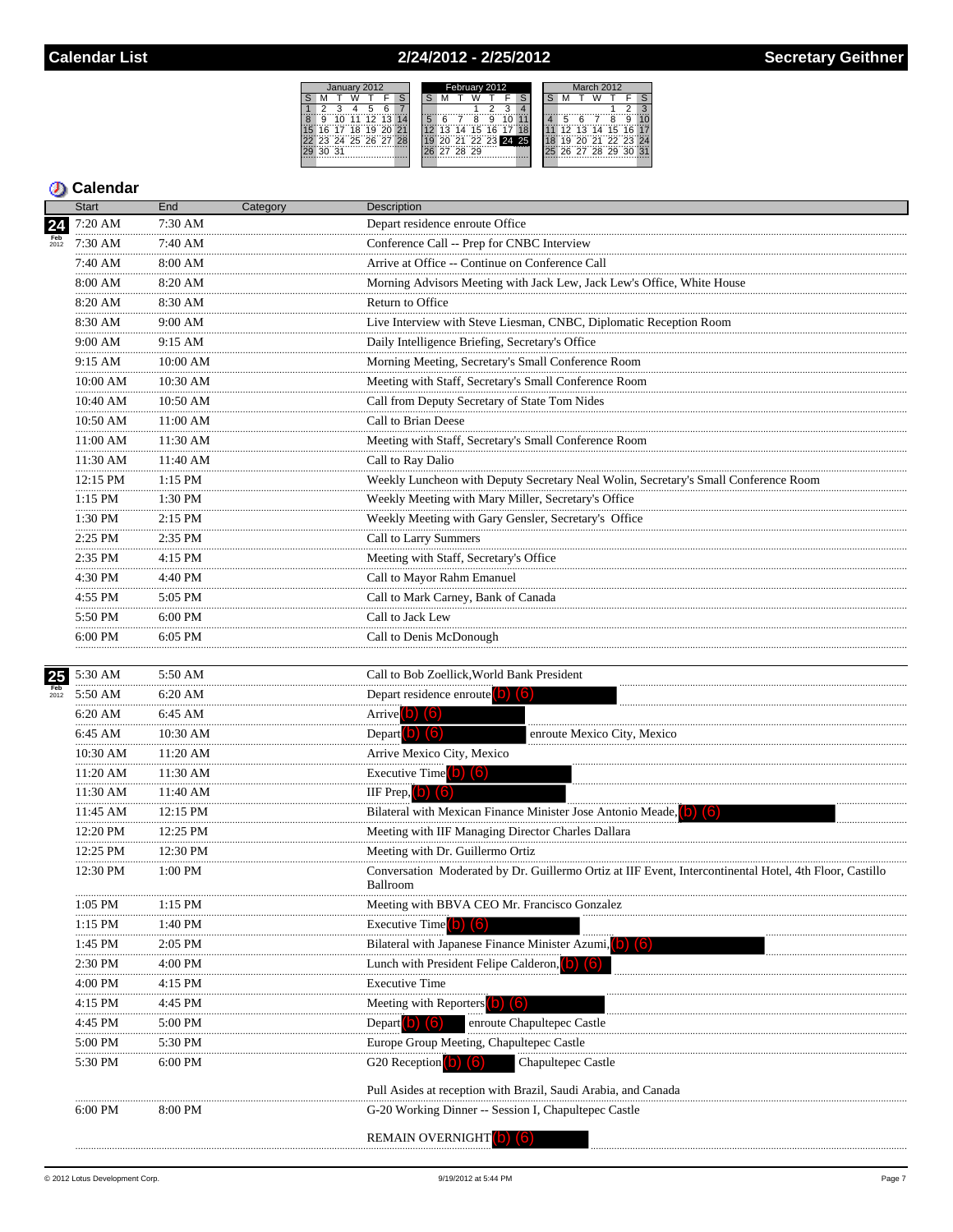# 2/24/2012 - 2/25/2012

| January 2012 |                   |    |          |  |  |  |  | February 2012 |       |             |   |                   |  | March 2012 |    |   |                   |  |  |  |
|--------------|-------------------|----|----------|--|--|--|--|---------------|-------|-------------|---|-------------------|--|------------|----|---|-------------------|--|--|--|
|              |                   |    |          |  |  |  |  |               |       |             |   |                   |  |            |    |   |                   |  |  |  |
|              |                   |    |          |  |  |  |  |               |       |             |   |                   |  |            |    |   |                   |  |  |  |
| ğ            | 10.               | 11 | 12 13 14 |  |  |  |  |               |       | 8           | 9 |                   |  |            |    | ĥ |                   |  |  |  |
|              | 16 17 18 19 20 21 |    |          |  |  |  |  |               |       | 13 14 15 16 |   |                   |  |            |    |   | 12 13 14 15 16 17 |  |  |  |
|              | 23 24 25 26 27 28 |    |          |  |  |  |  |               |       |             |   | 20 21 22 23 24 25 |  | 18         | 19 |   | 19 20 21 22 23 24 |  |  |  |
|              | . 31              |    |          |  |  |  |  |               | 78.29 |             |   |                   |  |            |    |   | 26 27 28 29 30    |  |  |  |
|              |                   |    |          |  |  |  |  |               |       |             |   |                   |  |            |    |   |                   |  |  |  |

## **Calendar**

|             | <b>Start</b>   | End          | Category | Description                                                                                                         |
|-------------|----------------|--------------|----------|---------------------------------------------------------------------------------------------------------------------|
| 24          | 7:20 AM        | $7:30$ AM    |          | Depart residence enroute Office                                                                                     |
|             | 7:30 AM        | 7:40 AM      |          | Conference Call -- Prep for CNBC Interview                                                                          |
|             | 7:40 AM        | 8:00 AM      |          | Arrive at Office -- Continue on Conference Call                                                                     |
|             | 8:00 AM        | 8:20 AM      |          | Morning Advisors Meeting with Jack Lew, Jack Lew's Office, White House                                              |
|             | .<br>8:20 AM   | 8:30 AM      |          | Return to Office                                                                                                    |
|             | .<br>8:30 AM   | 9:00 AM      |          | Live Interview with Steve Liesman, CNBC, Diplomatic Reception Room                                                  |
|             | .<br>9:00 AM   | 9:15 AM      |          | Daily Intelligence Briefing, Secretary's Office                                                                     |
|             | .<br>9:15 AM   | $10:00$ AM   |          | Morning Meeting, Secretary's Small Conference Room                                                                  |
|             | .<br>10:00 AM  | 10:30 AM     |          | Meeting with Staff, Secretary's Small Conference Room                                                               |
|             | .<br>10:40 AM  | <br>10:50 AM |          | Call from Deputy Secretary of State Tom Nides                                                                       |
|             | 10:50 AM       | 11:00 AM     |          | Call to Brian Deese                                                                                                 |
|             | .<br>11:00 AM  | 11:30 AM     |          | Meeting with Staff, Secretary's Small Conference Room                                                               |
|             | 11:30 AM       | 11:40 AM     |          | Call to Ray Dalio                                                                                                   |
|             | 12:15 PM       | 1:15 PM      |          | Weekly Luncheon with Deputy Secretary Neal Wolin, Secretary's Small Conference Room                                 |
|             | .<br>1:15 PM   | 1:30 PM      |          | Weekly Meeting with Mary Miller, Secretary's Office                                                                 |
|             | .<br>$1:30$ PM | 2:15 PM      |          | Weekly Meeting with Gary Gensler, Secretary's Office                                                                |
|             | .<br>2:25 PM   | .<br>2:35 PM |          | Call to Larry Summers                                                                                               |
|             | .<br>2:35 PM   | 4:15 PM      |          | Meeting with Staff, Secretary's Office                                                                              |
|             | .<br>4:30 PM   | 4:40 PM      |          | Call to Mayor Rahm Emanuel                                                                                          |
|             | 4:55 PM        | 5:05 PM      |          | Call to Mark Carney, Bank of Canada                                                                                 |
|             | 5:50 PM        | 6:00 PM      |          | Call to Jack Lew                                                                                                    |
|             | .<br>6:00 PM   | 6:05 PM      |          | Call to Denis McDonough                                                                                             |
|             |                |              |          |                                                                                                                     |
| 25          | 5:30 AM        | 5:50 AM      |          | Call to Bob Zoellick, World Bank President                                                                          |
| Feb<br>2012 | 5:50 AM        | 6:20 AM      |          | Depart residence enroute (b) (6)                                                                                    |
|             | 6:20 AM        | 6:45 AM      |          | Arrive $(b)$ $(6)$                                                                                                  |
|             | 6:45 AM        | 10:30 AM     |          | Depart $\left( 0 \right)$ $\left( 6 \right)$<br>enroute Mexico City, Mexico                                         |
|             | 10:30 AM       | 11:20 AM     |          | Arrive Mexico City, Mexico                                                                                          |
|             | .<br>11:20 AM  | 11:30 AM     |          | Executive Time $(b)$ $(6)$                                                                                          |
|             | 11:30 AM       | 11:40 AM     |          | IIF Prep, $\boxed{\bullet}$<br>(6)                                                                                  |
|             | 11:45 AM       | 12:15 PM     |          | Bilateral with Mexican Finance Minister Jose Antonio Meade, (b)<br>(6)                                              |
|             | 12:20 PM<br>.  | 12:25 PM     |          | Meeting with IIF Managing Director Charles Dallara                                                                  |
|             | 12:25 PM       | 12:30 PM     |          | Meeting with Dr. Guillermo Ortiz                                                                                    |
|             | 12:30 PM       | 1:00 PM      |          | Conversation Moderated by Dr. Guillermo Ortiz at IIF Event, Intercontinental Hotel, 4th Floor, Castillo<br>Ballroom |
|             | 1:05 PM        | $1:15$ PM    |          | Meeting with BBVA CEO Mr. Francisco Gonzalez                                                                        |
|             | 1:15 PM        | 1:40 PM      |          | Executive Time <sup>(b)</sup> (6)                                                                                   |
|             | 1:45 PM        | 2:05 PM      |          | Bilateral with Japanese Finance Minister Azumi, (b) (6)                                                             |
|             | 2:30 PM        | 4:00 PM      |          | Lunch with President Felipe Calderon. (O) (6)                                                                       |
|             | 4:00 PM        | 4:15 PM      |          | <b>Executive Time</b>                                                                                               |
|             | 4:15 PM        | 4:45 PM      |          | Meeting with Reporters <b>D</b><br>(6)                                                                              |
|             | 4:45 PM        | 5:00 PM      |          | Depart (b) $\left( 6 \right)$<br>enroute Chapultepec Castle                                                         |
|             | 5:00 PM        | 5:30 PM      |          | Europe Group Meeting, Chapultepec Castle                                                                            |
|             | 5:30 PM        | $6:00$ PM    |          | Chapultepec Castle<br>G <sub>20</sub> Reception <b>b</b>                                                            |
|             |                |              |          | Pull Asides at reception with Brazil, Saudi Arabia, and Canada                                                      |
|             | 6:00 PM        | 8:00 PM      |          | G-20 Working Dinner -- Session I, Chapultepec Castle                                                                |
|             |                |              |          | <b>REMAIN OVERNIGHT</b> (D)                                                                                         |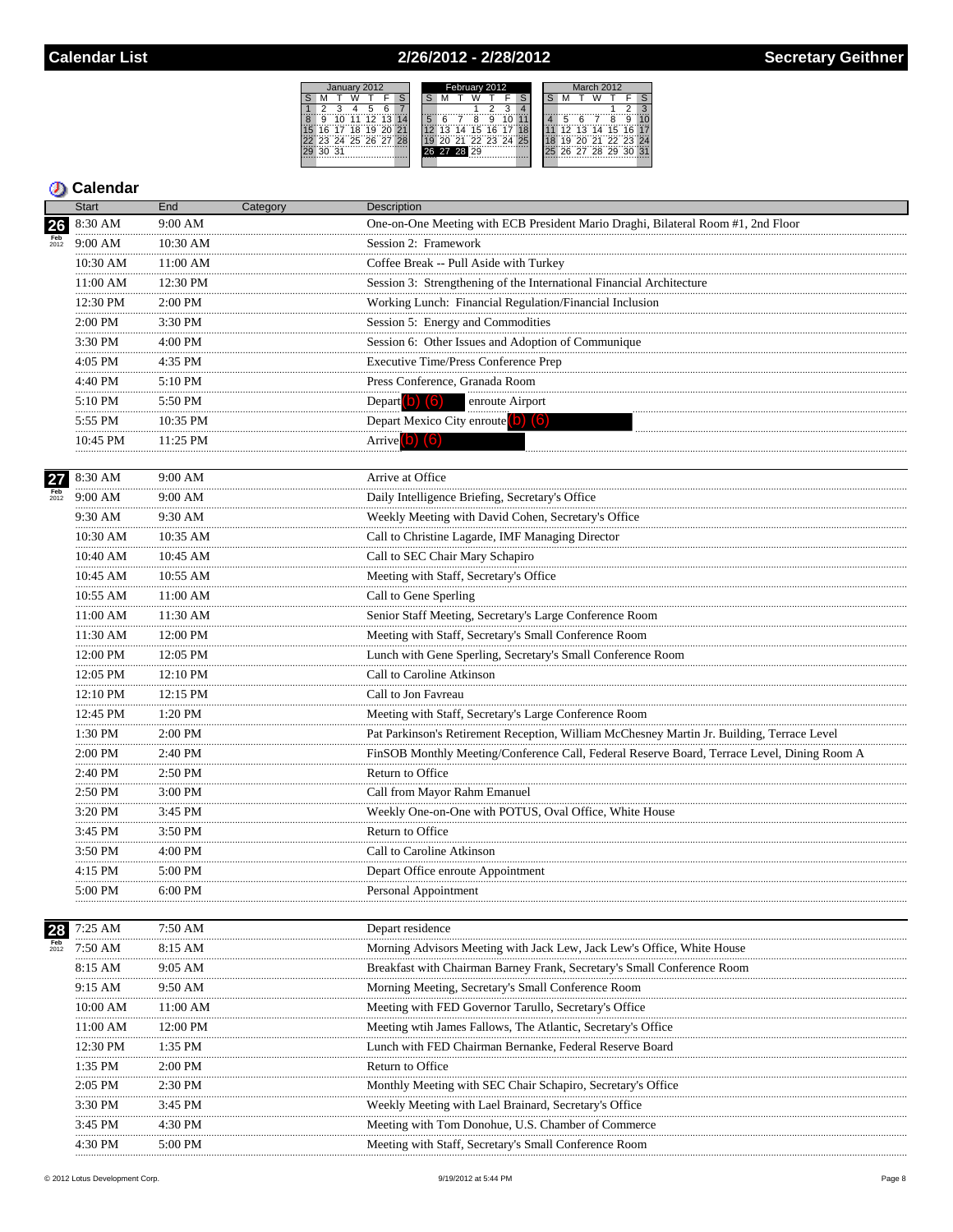## 2/26/2012 - 2/28/2012



## **5** Calendar

|             | <b>Start</b>     | End          | Category | Description                                                                                 |
|-------------|------------------|--------------|----------|---------------------------------------------------------------------------------------------|
| 26          | 8:30 AM          | 9:00 AM      |          | One-on-One Meeting with ECB President Mario Draghi, Bilateral Room #1, 2nd Floor            |
| Feb<br>2012 | 9:00 AM          | 10:30 AM     |          | Session 2: Framework                                                                        |
|             | 10:30 AM         | 11:00 AM     |          | Coffee Break -- Pull Aside with Turkey                                                      |
|             | 11:00 AM         | 12:30 PM     |          | Session 3: Strengthening of the International Financial Architecture                        |
|             | 12:30 PM         | 2:00 PM      |          | Working Lunch: Financial Regulation/Financial Inclusion                                     |
|             | 2:00 PM          | 3:30 PM      |          | Session 5: Energy and Commodities                                                           |
|             | 3:30 PM          | 4:00 PM      |          | Session 6: Other Issues and Adoption of Communique                                          |
|             | <br>4:05 PM      | .<br>4:35 PM |          | Executive Time/Press Conference Prep                                                        |
|             | .<br>4:40 PM     | 5:10 PM      |          | Press Conference, Granada Room                                                              |
|             | <br>5:10 PM      | .<br>5:50 PM |          | Depart (b) $(6)$<br>enroute Airport                                                         |
|             | 5:55 PM          | 10:35 PM     |          | Depart Mexico City enroute $(b)$ $(6)$                                                      |
|             | <br>10:45 PM     | 11:25 PM     |          | Arrive <sup>(b)</sup> (6)                                                                   |
|             | .                | .            |          |                                                                                             |
| 27          | 8:30 AM          | 9:00 AM      |          | Arrive at Office                                                                            |
| 2012        | 9:00 AM          | 9:00 AM      |          | Daily Intelligence Briefing, Secretary's Office                                             |
|             | 9:30 AM          | 9:30 AM      |          | Weekly Meeting with David Cohen, Secretary's Office                                         |
|             | 10:30 AM         | 10:35 AM     |          | Call to Christine Lagarde, IMF Managing Director                                            |
|             | 10:40 AM         | 10:45 AM     |          | Call to SEC Chair Mary Schapiro                                                             |
|             | 10:45 AM         | 10:55 AM     |          | Meeting with Staff, Secretary's Office                                                      |
|             | <br>10:55 AM     | 11:00 AM     |          | Call to Gene Sperling                                                                       |
|             | 11:00 AM         | 11:30 AM     |          | Senior Staff Meeting, Secretary's Large Conference Room                                     |
|             | <br>11:30 AM     | 12:00 PM     |          | Meeting with Staff, Secretary's Small Conference Room                                       |
|             | <br>12:00 PM     | 12:05 PM     |          | Lunch with Gene Sperling, Secretary's Small Conference Room                                 |
|             | .<br>12:05 PM    | 12:10 PM     |          | Call to Caroline Atkinson                                                                   |
|             | 12:10 PM         | 12:15 PM     |          | Call to Jon Favreau                                                                         |
|             | 12:45 PM         | 1:20 PM      |          | Meeting with Staff, Secretary's Large Conference Room                                       |
|             | 1:30 PM          | 2:00 PM      |          | Pat Parkinson's Retirement Reception, William McChesney Martin Jr. Building, Terrace Level  |
|             | 2:00 PM<br>      | 2:40 PM      |          | FinSOB Monthly Meeting/Conference Call, Federal Reserve Board, Terrace Level, Dining Room A |
|             | 2:40 PM          | 2:50 PM      |          | Return to Office                                                                            |
|             | <br>2:50 PM<br>. | .<br>3:00 PM |          | Call from Mayor Rahm Emanuel                                                                |
|             | 3:20 PM<br>.     | 3:45 PM      |          | Weekly One-on-One with POTUS, Oval Office, White House                                      |
|             | $3:45$ PM<br>    | 3:50 PM<br>. |          | Return to Office                                                                            |
|             | 3:50 PM          | 4:00 PM      |          | Call to Caroline Atkinson                                                                   |
|             | 4:15 PM          | 5:00 PM      |          | Depart Office enroute Appointment                                                           |
|             | 5:00 PM          | 6:00 PM      |          | Personal Appointment                                                                        |
|             | 7:25 AM          | 7:50 AM      |          | Depart residence                                                                            |
| 2012        | 7:50 AM          | 8:15 AM      |          | Morning Advisors Meeting with Jack Lew, Jack Lew's Office, White House                      |
|             | 8:15 AM          | 9:05 AM      |          | Breakfast with Chairman Barney Frank, Secretary's Small Conference Room                     |
|             | 9:15 AM          | 9:50 AM      |          | Morning Meeting, Secretary's Small Conference Room                                          |
|             | 10:00 AM         | 11:00 AM     |          | Meeting with FED Governor Tarullo, Secretary's Office                                       |
|             | 11:00 AM         | 12:00 PM     |          | Meeting with James Fallows, The Atlantic, Secretary's Office                                |
|             | 12:30 PM         | $1:35$ PM    |          | Lunch with FED Chairman Bernanke, Federal Reserve Board                                     |
|             | 1:35 PM          | 2:00 PM      |          | Return to Office                                                                            |
|             | $2:05$ PM        | 2:30 PM      |          | Monthly Meeting with SEC Chair Schapiro, Secretary's Office                                 |
|             | 3:30 PM          | 3:45 PM      |          | Weekly Meeting with Lael Brainard, Secretary's Office                                       |
|             | 3:45 PM          | 4:30 PM      |          | Meeting with Tom Donohue, U.S. Chamber of Commerce                                          |
|             | 4:30 PM          | 5:00 PM      |          | Meeting with Staff, Secretary's Small Conference Room                                       |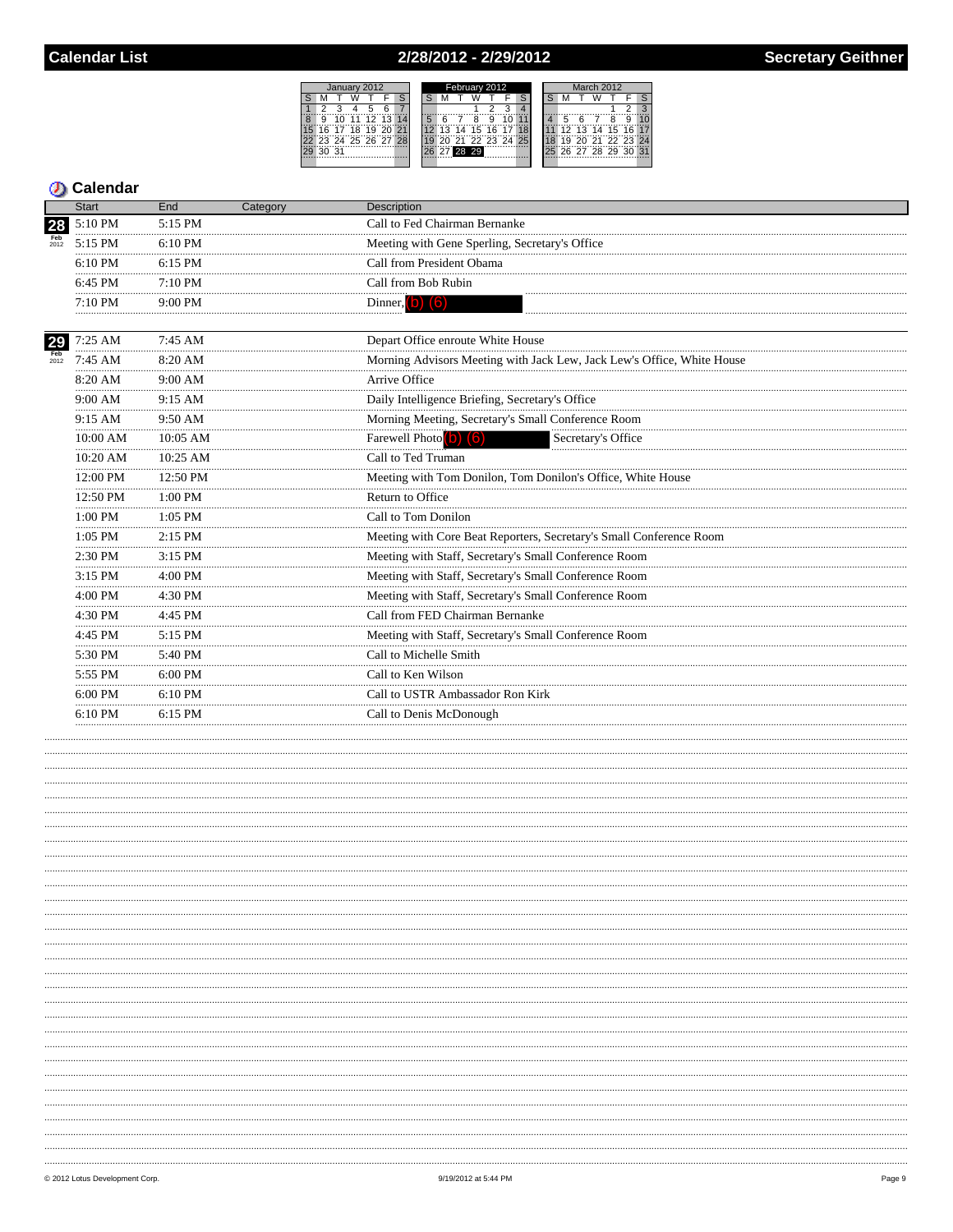# 2/28/2012 - 2/29/2012



|                    | <b>Start</b>          | End                | Category | Description                                                            |  |  |  |  |  |  |  |
|--------------------|-----------------------|--------------------|----------|------------------------------------------------------------------------|--|--|--|--|--|--|--|
| 28                 | 5:10 PM               | 5:15 PM            |          | Call to Fed Chairman Bernanke                                          |  |  |  |  |  |  |  |
| Feb<br>2012        | 5:15 PM               | $6:10$ PM          |          | Meeting with Gene Sperling, Secretary's Office                         |  |  |  |  |  |  |  |
|                    | $6:10 \text{ PM}$<br> | $6:15$ PM          |          | Call from President Obama                                              |  |  |  |  |  |  |  |
|                    | 6:45 PM               | 7:10 PM            |          | Call from Bob Rubin                                                    |  |  |  |  |  |  |  |
|                    | 7:10 PM               | 9:00 PM            |          | Dinner, $(b)$ $(6)$                                                    |  |  |  |  |  |  |  |
| 29                 | 7:25 AM               | 7:45 AM            |          | Depart Office enroute White House                                      |  |  |  |  |  |  |  |
| <b>Feb</b><br>2012 | 7:45 AM               | 8:20 AM            |          | Morning Advisors Meeting with Jack Lew, Jack Lew's Office, White House |  |  |  |  |  |  |  |
|                    | 8:20 AM               | 9:00 AM            |          | Arrive Office                                                          |  |  |  |  |  |  |  |
|                    | 9:00 AM               | 9:15 AM            |          | Daily Intelligence Briefing, Secretary's Office                        |  |  |  |  |  |  |  |
|                    | 9:15 AM<br>           | 9:50 AM            |          | Morning Meeting, Secretary's Small Conference Room                     |  |  |  |  |  |  |  |
|                    | 10:00 AM              | 10:05 AM           |          | Farewell Photo (b) (6)<br>Secretary's Office                           |  |  |  |  |  |  |  |
|                    | 10:20 AM              | 10:25 AM           |          | Call to Ted Truman                                                     |  |  |  |  |  |  |  |
|                    | 12:00 PM              | $12:50 \text{ PM}$ |          | Meeting with Tom Donilon, Tom Donilon's Office, White House            |  |  |  |  |  |  |  |
|                    | 12:50 PM              | $1:00$ PM          |          | Return to Office                                                       |  |  |  |  |  |  |  |
|                    | 1:00 PM               | 1:05 PM            |          | Call to Tom Donilon                                                    |  |  |  |  |  |  |  |
|                    | 1:05 PM               | 2:15 PM            |          | Meeting with Core Beat Reporters, Secretary's Small Conference Room    |  |  |  |  |  |  |  |
|                    | 2:30 PM               | $3:15$ PM          |          | Meeting with Staff, Secretary's Small Conference Room                  |  |  |  |  |  |  |  |
|                    | 3:15 PM               | 4:00 PM            |          | Meeting with Staff, Secretary's Small Conference Room                  |  |  |  |  |  |  |  |
|                    | 4:00 PM               | 4:30 PM            |          | Meeting with Staff, Secretary's Small Conference Room                  |  |  |  |  |  |  |  |
|                    | 4:30 PM               | 4:45 PM            |          | Call from FED Chairman Bernanke                                        |  |  |  |  |  |  |  |
|                    | 4:45 PM               | 5:15 PM            |          | Meeting with Staff, Secretary's Small Conference Room                  |  |  |  |  |  |  |  |
|                    | 5:30 PM               | 5:40 PM            |          | Call to Michelle Smith                                                 |  |  |  |  |  |  |  |
|                    | 5:55 PM               | 6:00 PM<br>.       |          | Call to Ken Wilson                                                     |  |  |  |  |  |  |  |
|                    | 6:00 PM               | 6:10 PM            |          | Call to USTR Ambassador Ron Kirk                                       |  |  |  |  |  |  |  |
|                    | 6:10 PM               | 6:15 PM            |          | Call to Denis McDonough                                                |  |  |  |  |  |  |  |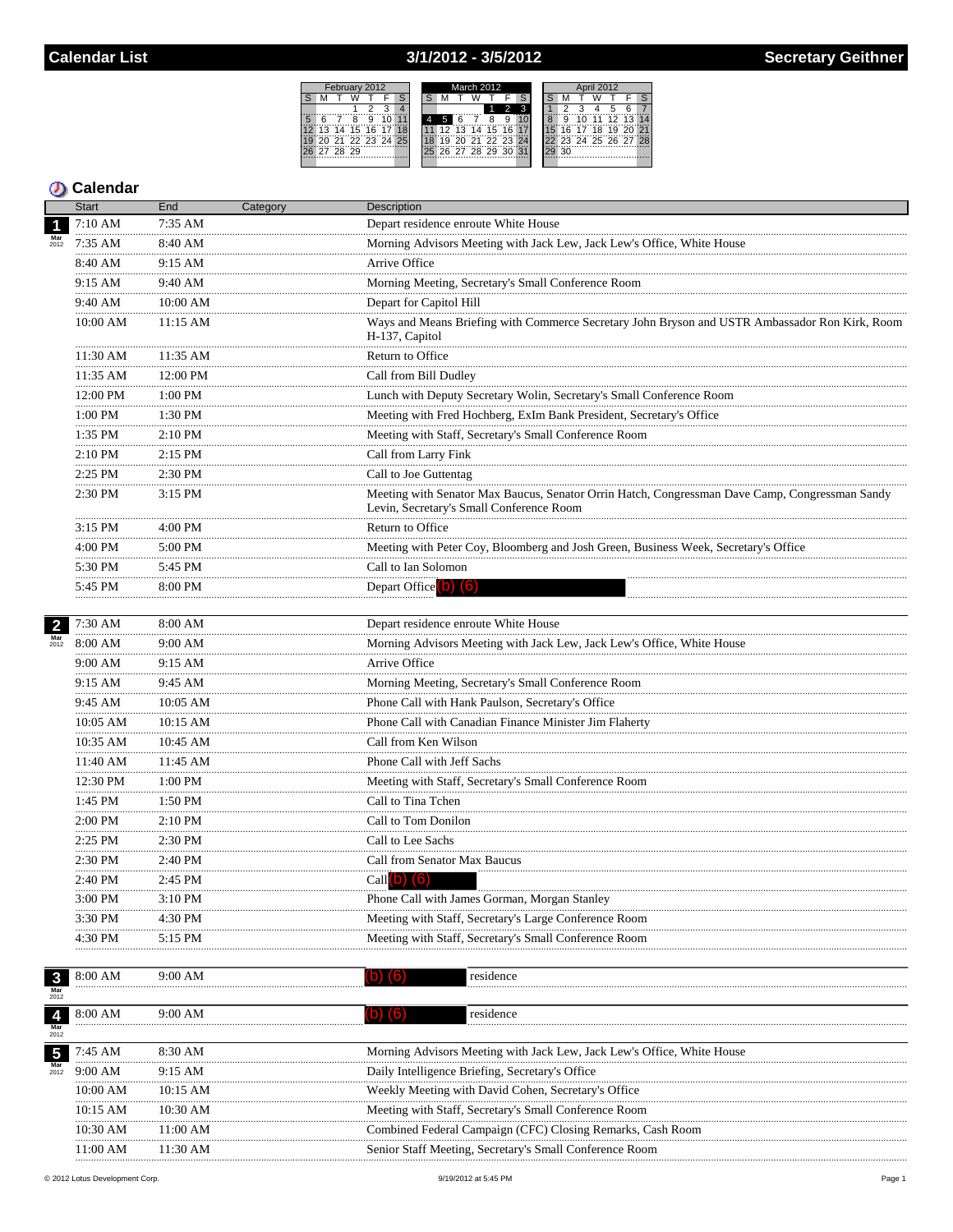## 3/1/2012 - 3/5/2012



|                             | <b>Start</b>         | End          | Category | Description                                                                                                                                |
|-----------------------------|----------------------|--------------|----------|--------------------------------------------------------------------------------------------------------------------------------------------|
| $\overline{\mathbf{1}}$     | 7:10 AM              | 7:35 AM      |          | Depart residence enroute White House                                                                                                       |
| $Mar$<br>$2012$             | 7:35 AM              | 8:40 AM      |          | Morning Advisors Meeting with Jack Lew, Jack Lew's Office, White House                                                                     |
|                             | 8:40 AM              | 9:15 AM      |          | Arrive Office                                                                                                                              |
|                             | 9:15 AM              | 9:40 AM      |          | Morning Meeting, Secretary's Small Conference Room                                                                                         |
|                             | 9:40 AM              | 10:00 AM     |          | Depart for Capitol Hill                                                                                                                    |
|                             | 10:00 AM             | 11:15 AM     |          | Ways and Means Briefing with Commerce Secretary John Bryson and USTR Ambassador Ron Kirk, Room<br>H-137, Capitol                           |
|                             | 11:30 AM             | 11:35 AM     |          | Return to Office                                                                                                                           |
|                             | 11:35 AM             | 12:00 PM     |          | Call from Bill Dudley                                                                                                                      |
|                             | 12:00 PM             | 1:00 PM      |          | Lunch with Deputy Secretary Wolin, Secretary's Small Conference Room                                                                       |
|                             | <br>$1:00\;{\rm PM}$ | 1:30 PM      |          | Meeting with Fred Hochberg, ExIm Bank President, Secretary's Office                                                                        |
|                             | 1:35 PM              | $2:10$ PM    |          | Meeting with Staff, Secretary's Small Conference Room                                                                                      |
|                             | .<br>2:10 PM         | 2:15 PM      |          | Call from Larry Fink                                                                                                                       |
|                             | .<br>2:25 PM         | 2:30 PM      |          | Call to Joe Guttentag                                                                                                                      |
|                             | 2:30 PM              | 3:15 PM      |          | Meeting with Senator Max Baucus, Senator Orrin Hatch, Congressman Dave Camp, Congressman Sandy<br>Levin, Secretary's Small Conference Room |
|                             | 3:15 PM              | 4:00 PM      |          | Return to Office                                                                                                                           |
|                             | .<br>4:00 PM         | 5:00 PM      |          | Meeting with Peter Coy, Bloomberg and Josh Green, Business Week, Secretary's Office                                                        |
|                             | .<br>5:30 PM         | 5:45 PM      |          | Call to Ian Solomon                                                                                                                        |
|                             | .<br>5:45 PM         | 8:00 PM      |          | Depart Office <sup>(</sup> O) <sup>(6)</sup>                                                                                               |
|                             |                      |              |          |                                                                                                                                            |
| $\overline{2}$              | 7:30 AM              | 8:00 AM      |          | Depart residence enroute White House                                                                                                       |
| $\frac{\text{Mar}}{2012}$   | 8:00 AM              | 9:00 AM<br>. |          | Morning Advisors Meeting with Jack Lew, Jack Lew's Office, White House                                                                     |
|                             | 9:00 AM              | 9:15 AM      |          | Arrive Office                                                                                                                              |
|                             | 9:15 AM              | 9:45 AM      |          | Morning Meeting, Secretary's Small Conference Room                                                                                         |
|                             | .<br>9:45 AM         | 10:05 AM     |          | Phone Call with Hank Paulson, Secretary's Office                                                                                           |
|                             | 10:05 AM             | 10:15 AM     |          | Phone Call with Canadian Finance Minister Jim Flaherty                                                                                     |
|                             | 10:35 AM             | 10:45 AM     |          | Call from Ken Wilson                                                                                                                       |
|                             | 11:40 AM             | 11:45 AM     |          | Phone Call with Jeff Sachs                                                                                                                 |
|                             | .<br>12:30 PM        | 1:00 PM      |          | Meeting with Staff, Secretary's Small Conference Room                                                                                      |
|                             | <br>1:45 PM          | 1:50 PM      |          | Call to Tina Tchen                                                                                                                         |
|                             | 2:00 PM              | $2:10$ PM    |          | Call to Tom Donilon                                                                                                                        |
|                             | .<br>$2:25$ PM       | .<br>2:30 PM |          | Call to Lee Sachs                                                                                                                          |
|                             | 2:30 PM              | 2:40 PM      |          | Call from Senator Max Baucus                                                                                                               |
|                             | 2:40 PM              | 2:45 PM      |          | $Call(b)$ $(6)$                                                                                                                            |
|                             | 3:00 PM              | 3:10 PM      |          | Phone Call with James Gorman, Morgan Stanley                                                                                               |
|                             | 3:30 PM              | 4:30 PM      |          | Meeting with Staff, Secretary's Large Conference Room                                                                                      |
|                             | 4:30 PM              | 5:15 PM      |          | Meeting with Staff, Secretary's Small Conference Room                                                                                      |
|                             |                      |              |          |                                                                                                                                            |
| $\mathbf{3}$<br>Mar<br>2012 | 8:00 AM              | 9:00 AM      |          | (6)<br>residence<br>D)                                                                                                                     |
| $\overline{\mathbf{4}}$     | 8:00 AM              | 9:00 AM      |          | (b) (6)<br>residence                                                                                                                       |
| 2012                        |                      |              |          |                                                                                                                                            |
| $\sqrt{5}$                  | 7:45 AM              | 8:30 AM      |          | Morning Advisors Meeting with Jack Lew, Jack Lew's Office, White House                                                                     |
| 2012                        | 9:00 AM              | 9:15 AM      |          | Daily Intelligence Briefing, Secretary's Office                                                                                            |
|                             | 10:00 AM             | 10:15 AM     |          | Weekly Meeting with David Cohen, Secretary's Office                                                                                        |
|                             | 10:15 AM             | 10:30 AM     |          | Meeting with Staff, Secretary's Small Conference Room                                                                                      |
|                             | 10:30 AM             | 11:00 AM     |          | Combined Federal Campaign (CFC) Closing Remarks, Cash Room                                                                                 |
|                             | 11:00 AM             | 11:30 AM     |          | Senior Staff Meeting, Secretary's Small Conference Room                                                                                    |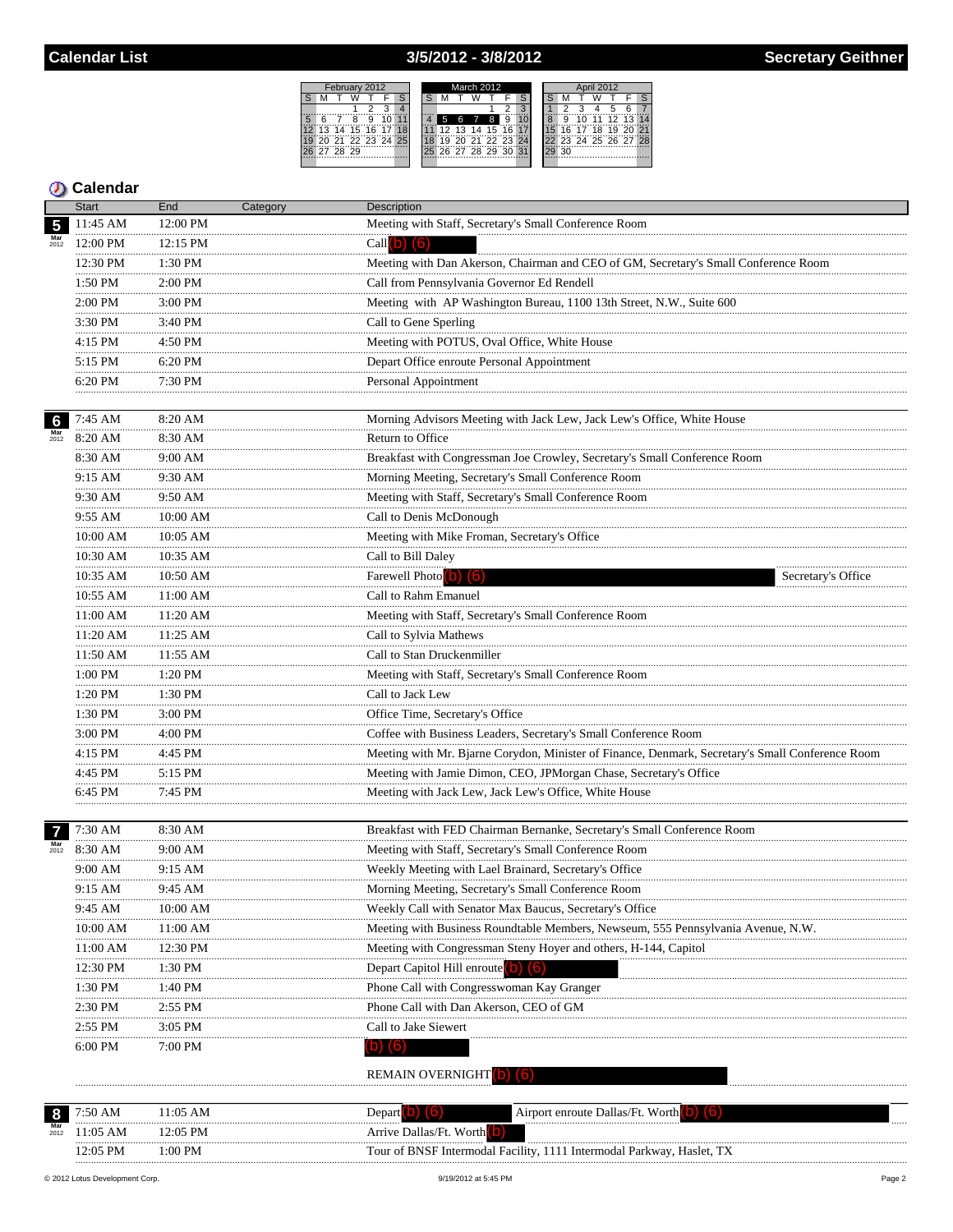## 3/5/2012 - 3/8/2012

February 2012<br>M T W T F

S M



### **D** Calendar

|                           | <b>Start</b>   | End          | Category | <b>Description</b>                                                                               |  |
|---------------------------|----------------|--------------|----------|--------------------------------------------------------------------------------------------------|--|
| 5                         | 11:45 AM       | 12:00 PM     |          | Meeting with Staff, Secretary's Small Conference Room                                            |  |
|                           | 12:00 PM       | $12:15$ PM   |          | Call $(b)$ $(6)$                                                                                 |  |
|                           | 12:30 PM       | 1:30 PM      |          | Meeting with Dan Akerson, Chairman and CEO of GM, Secretary's Small Conference Room              |  |
|                           | 1:50 PM        | 2:00 PM      |          | Call from Pennsylvania Governor Ed Rendell                                                       |  |
|                           | 2:00 PM        | 3:00 PM      |          | Meeting with AP Washington Bureau, 1100 13th Street, N.W., Suite 600                             |  |
|                           | .<br>3:30 PM   | 3:40 PM      |          | Call to Gene Sperling                                                                            |  |
|                           | 4:15 PM        | 4:50 PM      |          | Meeting with POTUS, Oval Office, White House                                                     |  |
|                           | .<br>$5:15$ PM | 6:20 PM      |          | Depart Office enroute Personal Appointment                                                       |  |
|                           | .<br>6:20 PM   | .<br>7:30 PM |          | Personal Appointment                                                                             |  |
|                           |                |              |          |                                                                                                  |  |
| $6\phantom{1}6$           | 7:45 AM        | 8:20 AM      |          | Morning Advisors Meeting with Jack Lew, Jack Lew's Office, White House                           |  |
| $\frac{\text{Mar}}{2012}$ | 8:20 AM        | 8:30 AM      |          | Return to Office                                                                                 |  |
|                           | .<br>8:30 AM   | .<br>9:00 AM |          | Breakfast with Congressman Joe Crowley, Secretary's Small Conference Room                        |  |
|                           | 9:15 AM        | 9:30 AM      |          | Morning Meeting, Secretary's Small Conference Room                                               |  |
|                           | .<br>9:30 AM   | 9:50 AM      |          | Meeting with Staff, Secretary's Small Conference Room                                            |  |
|                           | 9:55 AM        | 10:00 AM     |          | Call to Denis McDonough                                                                          |  |
|                           | 10:00 AM       | 10:05 AM     |          | Meeting with Mike Froman, Secretary's Office                                                     |  |
|                           | 10:30 AM       | 10:35 AM     |          | Call to Bill Daley                                                                               |  |
|                           | 10:35 AM       | 10:50 AM     |          | Farewell Photo (b) (6)<br>Secretary's Office                                                     |  |
|                           | 10:55 AM       | 11:00 AM     |          | Call to Rahm Emanuel                                                                             |  |
|                           | 11:00 AM       | 11:20 AM     |          | Meeting with Staff, Secretary's Small Conference Room                                            |  |
|                           | 11:20 AM       | 11:25 AM     |          | Call to Sylvia Mathews                                                                           |  |
|                           | 11:50 AM       | 11:55 AM     |          | Call to Stan Druckenmiller                                                                       |  |
|                           | .<br>1:00 PM   | .<br>1:20 PM |          | Meeting with Staff, Secretary's Small Conference Room                                            |  |
|                           | 1:20 PM        | 1:30 PM      |          | Call to Jack Lew                                                                                 |  |
|                           | .<br>1:30 PM   | 3:00 PM      |          | Office Time, Secretary's Office                                                                  |  |
|                           | .<br>3:00 PM   | 4:00 PM      |          | Coffee with Business Leaders, Secretary's Small Conference Room                                  |  |
|                           | 4:15 PM        | 4:45 PM      |          | Meeting with Mr. Bjarne Corydon, Minister of Finance, Denmark, Secretary's Small Conference Room |  |
|                           | .<br>4:45 PM   | .<br>5:15 PM |          | Meeting with Jamie Dimon, CEO, JPMorgan Chase, Secretary's Office                                |  |
|                           | 6:45 PM        | 7:45 PM      |          | Meeting with Jack Lew, Jack Lew's Office, White House                                            |  |
|                           | .              |              |          |                                                                                                  |  |
|                           | 7:30 AM        | 8:30 AM      |          | Breakfast with FED Chairman Bernanke, Secretary's Small Conference Room                          |  |
| $\frac{\text{Mar}}{2012}$ | 8:30 AM        | 9:00 AM      |          | Meeting with Staff, Secretary's Small Conference Room                                            |  |
|                           | 9:00 AM        | 9:15 AM      |          | Weekly Meeting with Lael Brainard, Secretary's Office                                            |  |
|                           | 9:15 AM        | 9:45 AM      |          | Morning Meeting, Secretary's Small Conference Room                                               |  |
|                           | 9:45 AM        | 10:00 AM     |          | Weekly Call with Senator Max Baucus, Secretary's Office                                          |  |
|                           | 10:00 AM       | 11:00 AM     |          | Meeting with Business Roundtable Members, Newseum, 555 Pennsylvania Avenue, N.W.                 |  |
|                           | 11:00 AM       | 12:30 PM     |          | Meeting with Congressman Steny Hoyer and others, H-144, Capitol                                  |  |
|                           | 12:30 PM       | 1:30 PM      |          | Depart Capitol Hill enroute (0) (6)                                                              |  |
|                           | 1:30 PM        | 1:40 PM      |          | Phone Call with Congresswoman Kay Granger                                                        |  |
|                           | 2:30 PM        | $2:55$ PM    |          | Phone Call with Dan Akerson, CEO of GM                                                           |  |
|                           | 2:55 PM        | 3:05 PM      |          | Call to Jake Siewert                                                                             |  |
|                           |                |              |          |                                                                                                  |  |
|                           | 6:00 PM        | 7:00 PM      |          | (6)<br>D)                                                                                        |  |
|                           |                |              |          | REMAIN OVERNIGHT                                                                                 |  |
|                           |                |              |          |                                                                                                  |  |
| 8                         | 7:50 AM        | $11:05$ AM   |          | Depart $\left( \text{b} \right)$ $\left( \text{b} \right)$<br>Airport enroute Dallas/Ft. Worth   |  |
|                           | 11:05 AM       | 12:05 PM     |          | Arrive Dallas/Ft. Worth <sup>(b)</sup>                                                           |  |

 $1:00$  PM

Tour of BNSF Intermodal Facility, 1111 Intermodal Parkway, Haslet, TX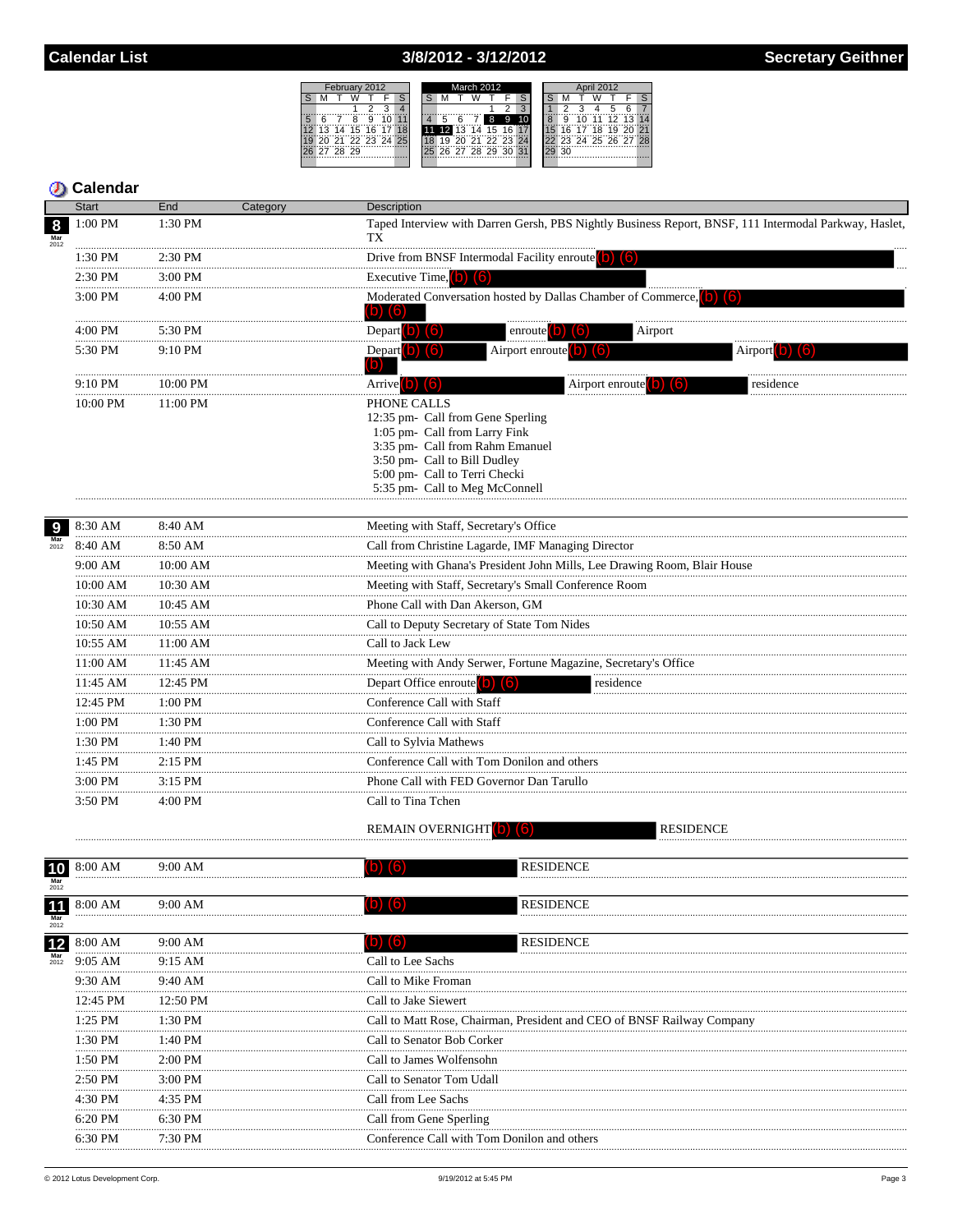### 3/8/2012 - 3/12/2012



|                                 | Start             | End           | Category | Description                                                                                                                                                                                                             |                                                                                               |                                                                                                       |
|---------------------------------|-------------------|---------------|----------|-------------------------------------------------------------------------------------------------------------------------------------------------------------------------------------------------------------------------|-----------------------------------------------------------------------------------------------|-------------------------------------------------------------------------------------------------------|
| 8<br>2012                       | 1:00 PM           | 1:30 PM       |          | TX                                                                                                                                                                                                                      |                                                                                               | Taped Interview with Darren Gersh, PBS Nightly Business Report, BNSF, 111 Intermodal Parkway, Haslet, |
|                                 | 1:30 PM           | 2:30 PM       |          | Drive from BNSF Intermodal Facility enroute (b) (6)                                                                                                                                                                     |                                                                                               |                                                                                                       |
|                                 | 2:30 PM           | 3:00 PM       |          | Executive Time, $(b)$ $(6)$                                                                                                                                                                                             |                                                                                               |                                                                                                       |
|                                 | 3:00 PM           | 4:00 PM       |          | $\blacksquare$<br>(b)                                                                                                                                                                                                   | Moderated Conversation hosted by Dallas Chamber of Commerce,                                  |                                                                                                       |
|                                 | 4:00 PM           | 5:30 PM       |          | Depart $(b)$ $(6)$                                                                                                                                                                                                      | Airport<br>enroute <b>0</b><br>(b.                                                            |                                                                                                       |
|                                 | 5:30 PM           | 9:10 PM       |          | Depart b) (6)<br>D)                                                                                                                                                                                                     | Airport enroute $\begin{pmatrix} 0 \\ 0 \end{pmatrix}$ $\begin{pmatrix} 6 \\ 0 \end{pmatrix}$ | Airport 0<br>IIO.                                                                                     |
|                                 | .<br>9:10 PM      | 10:00 PM      |          | Arrive b) (6)                                                                                                                                                                                                           | Airport enroute                                                                               | residence                                                                                             |
|                                 | 10:00 PM          | 11:00 PM      |          | PHONE CALLS<br>12:35 pm- Call from Gene Sperling<br>1:05 pm- Call from Larry Fink<br>3:35 pm- Call from Rahm Emanuel<br>3:50 pm- Call to Bill Dudley<br>5:00 pm- Call to Terri Checki<br>5:35 pm- Call to Meg McConnell |                                                                                               |                                                                                                       |
| 9                               | 8:30 AM           | 8:40 AM       |          | Meeting with Staff, Secretary's Office                                                                                                                                                                                  |                                                                                               |                                                                                                       |
| $\frac{\text{Mar}}{2012}$       | 8:40 AM           | 8:50 AM       |          | Call from Christine Lagarde, IMF Managing Director                                                                                                                                                                      |                                                                                               |                                                                                                       |
|                                 | 9:00 AM           | 10:00 AM      |          |                                                                                                                                                                                                                         | Meeting with Ghana's President John Mills, Lee Drawing Room, Blair House                      |                                                                                                       |
|                                 | 10:00 AM          | 10:30 AM      |          | Meeting with Staff, Secretary's Small Conference Room                                                                                                                                                                   |                                                                                               |                                                                                                       |
|                                 | 10:30 AM          | .<br>10:45 AM |          | Phone Call with Dan Akerson, GM                                                                                                                                                                                         |                                                                                               |                                                                                                       |
|                                 | <br>10:50 AM      | 10:55 AM      |          | Call to Deputy Secretary of State Tom Nides                                                                                                                                                                             |                                                                                               |                                                                                                       |
|                                 | .                 |               |          |                                                                                                                                                                                                                         |                                                                                               |                                                                                                       |
|                                 | 10:55 AM<br>.     | 11:00 AM      |          | Call to Jack Lew                                                                                                                                                                                                        |                                                                                               |                                                                                                       |
|                                 | 11:00 AM          | 11:45 AM      |          |                                                                                                                                                                                                                         | Meeting with Andy Serwer, Fortune Magazine, Secretary's Office                                |                                                                                                       |
|                                 | 11:45 AM<br>.     | 12:45 PM      |          | Depart Office enroute $\begin{pmatrix} 0 \\ 0 \end{pmatrix}$ $\begin{pmatrix} 6 \\ 0 \end{pmatrix}$                                                                                                                     | residence                                                                                     |                                                                                                       |
|                                 | 12:45 PM          | 1:00 PM       |          | Conference Call with Staff                                                                                                                                                                                              |                                                                                               |                                                                                                       |
|                                 | 1:00 PM           | 1:30 PM       |          | Conference Call with Staff                                                                                                                                                                                              |                                                                                               |                                                                                                       |
|                                 | 1:30 PM           | 1:40 PM       |          | Call to Sylvia Mathews                                                                                                                                                                                                  |                                                                                               |                                                                                                       |
|                                 | 1:45 PM           | 2:15 PM       |          | Conference Call with Tom Donilon and others                                                                                                                                                                             |                                                                                               |                                                                                                       |
|                                 | 3:00 PM           | $3:15$ PM     |          | Phone Call with FED Governor Dan Tarullo                                                                                                                                                                                |                                                                                               |                                                                                                       |
|                                 | 3:50 PM           | 4:00 PM       |          | Call to Tina Tchen<br><b>REMAIN OVERNIGHT</b>                                                                                                                                                                           | <b>RESIDENCE</b>                                                                              |                                                                                                       |
| 10<br>$\frac{\text{Mar}}{2012}$ | 8:00 AM           | 9:00 AM       |          |                                                                                                                                                                                                                         | <b>RESIDENCE</b>                                                                              |                                                                                                       |
| <b>H</b><br>Mar                 | <b>11</b> 8:00 AM | 9:00 AM       |          |                                                                                                                                                                                                                         | <b>RESIDENCE</b>                                                                              |                                                                                                       |
| 2012<br>12                      | 8:00 AM           | 9:00 AM       |          | [b<br>(6)                                                                                                                                                                                                               | <b>RESIDENCE</b>                                                                              |                                                                                                       |
| $\frac{\text{Mar}}{2012}$       | 9:05 AM           | 9:15 AM       |          | Call to Lee Sachs                                                                                                                                                                                                       |                                                                                               |                                                                                                       |
|                                 | 9:30 AM           | 9:40 AM       |          | Call to Mike Froman                                                                                                                                                                                                     |                                                                                               |                                                                                                       |
|                                 | .<br>12:45 PM     | 12:50 PM      |          | Call to Jake Siewert                                                                                                                                                                                                    |                                                                                               |                                                                                                       |
|                                 | .<br>1:25 PM      | 1:30 PM       |          |                                                                                                                                                                                                                         | Call to Matt Rose, Chairman, President and CEO of BNSF Railway Company                        |                                                                                                       |
|                                 | 1:30 PM           | 1:40 PM       |          | Call to Senator Bob Corker                                                                                                                                                                                              |                                                                                               |                                                                                                       |
|                                 | .<br>1:50 PM      | 2:00 PM       |          | Call to James Wolfensohn                                                                                                                                                                                                |                                                                                               |                                                                                                       |
|                                 | 2:50 PM           | 3:00 PM       |          | Call to Senator Tom Udall                                                                                                                                                                                               |                                                                                               |                                                                                                       |
|                                 |                   |               |          |                                                                                                                                                                                                                         |                                                                                               |                                                                                                       |
|                                 | 4:30 PM           | 4:35 PM       |          | Call from Lee Sachs                                                                                                                                                                                                     |                                                                                               |                                                                                                       |
|                                 | 6:20 PM           | 6:30 PM       |          | Call from Gene Sperling                                                                                                                                                                                                 |                                                                                               |                                                                                                       |
|                                 | 6:30 PM           | 7:30 PM       |          | Conference Call with Tom Donilon and others                                                                                                                                                                             |                                                                                               |                                                                                                       |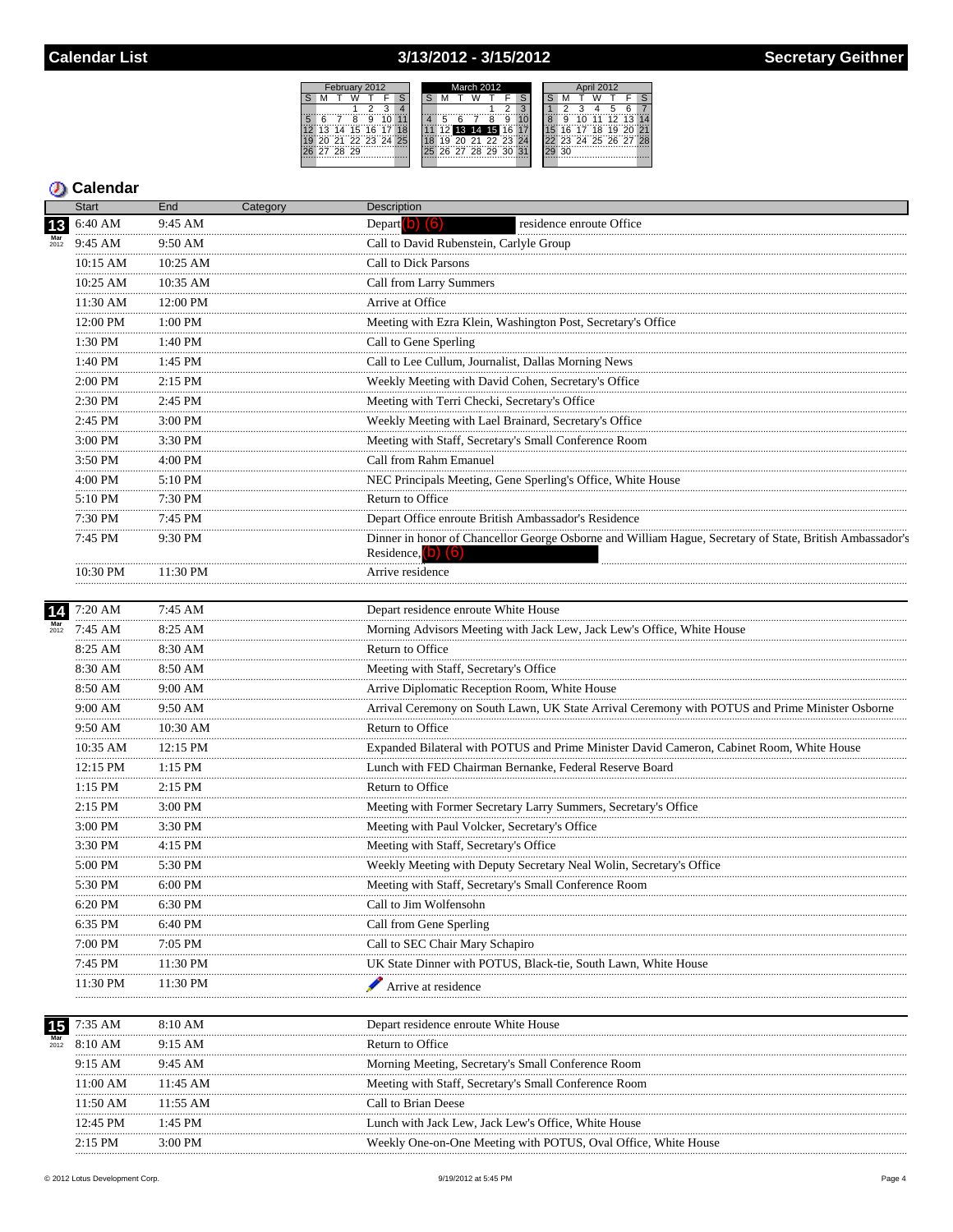## 3/13/2012 - 3/15/2012



## **5** Calendar

|                 | <b>Start</b>      | End            | Category | Description                                                                                                                        |
|-----------------|-------------------|----------------|----------|------------------------------------------------------------------------------------------------------------------------------------|
| 13              | 6:40 AM           | 9:45 AM        |          | Depart $\begin{bmatrix} 0 \\ 0 \end{bmatrix}$ $\begin{bmatrix} 6 \\ 0 \end{bmatrix}$<br>residence enroute Office                   |
| $Mar$<br>$2012$ | 9:45 AM           | 9:50 AM<br>    |          | Call to David Rubenstein, Carlyle Group                                                                                            |
|                 | 10:15 AM          | 10:25 AM       |          | Call to Dick Parsons                                                                                                               |
|                 | 10:25 AM          | 10:35 AM<br>   |          | Call from Larry Summers                                                                                                            |
|                 | 11:30 AM          | 12:00 PM       |          | Arrive at Office                                                                                                                   |
|                 | 12:00 PM          | 1:00 PM        |          | Meeting with Ezra Klein, Washington Post, Secretary's Office                                                                       |
|                 | 1:30 PM<br>.      | 1:40 PM        |          | Call to Gene Sperling                                                                                                              |
|                 | 1:40 PM<br>.      | 1:45 PM        |          | Call to Lee Cullum, Journalist, Dallas Morning News                                                                                |
|                 | 2:00 PM           | $2:15$ PM      |          | Weekly Meeting with David Cohen, Secretary's Office                                                                                |
|                 | .<br>2:30 PM      | <br>2:45 PM    |          | Meeting with Terri Checki, Secretary's Office                                                                                      |
|                 | 2:45 PM<br>.      | 3:00 PM        |          | Weekly Meeting with Lael Brainard, Secretary's Office                                                                              |
|                 | 3:00 PM           | 3:30 PM        |          | Meeting with Staff, Secretary's Small Conference Room                                                                              |
|                 | .<br>3:50 PM      | .<br>4:00 PM   |          | Call from Rahm Emanuel                                                                                                             |
|                 | 4:00 PM           | 5:10 PM        |          | NEC Principals Meeting, Gene Sperling's Office, White House                                                                        |
|                 | .<br>5:10 PM      | 7:30 PM        |          | Return to Office                                                                                                                   |
|                 | 7:30 PM           | 7:45 PM        |          | Depart Office enroute British Ambassador's Residence                                                                               |
|                 | 7:45 PM           | 9:30 PM        |          | Dinner in honor of Chancellor George Osborne and William Hague, Secretary of State, British Ambassador's<br>Residence, $(b)$ $(6)$ |
|                 | 10:30 PM          | 11:30 PM<br>.  |          | Arrive residence                                                                                                                   |
| 14              | 7:20 AM           | 7:45 AM        |          | Depart residence enroute White House                                                                                               |
|                 | 7:45 AM           | 8:25 AM        |          | Morning Advisors Meeting with Jack Lew, Jack Lew's Office, White House                                                             |
|                 | 8:25 AM           | 8:30 AM        |          | Return to Office                                                                                                                   |
|                 | 8:30 AM           | 8:50 AM        |          | Meeting with Staff, Secretary's Office                                                                                             |
|                 | 8:50 AM           | 9:00 AM        |          | Arrive Diplomatic Reception Room, White House                                                                                      |
|                 | .<br>9:00 AM<br>. | 9:50 AM        |          | Arrival Ceremony on South Lawn, UK State Arrival Ceremony with POTUS and Prime Minister Osborne                                    |
|                 | 9:50 AM           | 10:30 AM       |          | Return to Office                                                                                                                   |
|                 | .<br>10:35 AM     | 12:15 PM       |          | Expanded Bilateral with POTUS and Prime Minister David Cameron, Cabinet Room, White House                                          |
|                 | .<br>12:15 PM     | .<br>$1:15$ PM |          | Lunch with FED Chairman Bernanke, Federal Reserve Board                                                                            |
|                 | 1:15 PM           | 2:15 PM        |          | Return to Office                                                                                                                   |
|                 | 2:15 PM           | 3:00 PM        |          | Meeting with Former Secretary Larry Summers, Secretary's Office                                                                    |
|                 | .<br>3:00 PM      | 3:30 PM        |          | Meeting with Paul Volcker, Secretary's Office                                                                                      |
|                 | 3:30 PM           | 4:15 PM        |          | Meeting with Staff, Secretary's Office                                                                                             |
|                 | 5:00 PM           | 5:30 PM        |          | Weekly Meeting with Deputy Secretary Neal Wolin, Secretary's Office                                                                |
|                 | 5:30 PM           | 6:00 PM        |          | Meeting with Staff, Secretary's Small Conference Room                                                                              |
|                 | 6:20 PM           | 6:30 PM        |          | Call to Jim Wolfensohn                                                                                                             |
|                 | 6:35 PM           | $6:40$ PM      |          | Call from Gene Sperling                                                                                                            |
|                 | 7:00 PM           | 7:05 PM        |          | Call to SEC Chair Mary Schapiro                                                                                                    |
|                 | 7:45 PM           | 11:30 PM       |          | UK State Dinner with POTUS, Black-tie, South Lawn, White House                                                                     |
|                 | 11:30 PM          | 11:30 PM       |          | Arrive at residence                                                                                                                |
| 15              | 7:35 AM           | 8:10 AM        |          | Depart residence enroute White House                                                                                               |
| 2012            | 8:10 AM           | 9:15 AM        |          | Return to Office                                                                                                                   |
|                 | 9:15 AM           | 9:45 AM        |          | Morning Meeting, Secretary's Small Conference Room                                                                                 |
|                 | 11:00 AM          | 11:45 AM       |          | Meeting with Staff, Secretary's Small Conference Room                                                                              |
|                 | 11:50 AM          | 11:55 AM       |          | Call to Brian Deese                                                                                                                |
|                 | 12:45 PM          | 1:45 PM        |          | Lunch with Jack Lew, Jack Lew's Office, White House                                                                                |
|                 | 2:15 PM           | 3:00 PM        |          | Weekly One-on-One Meeting with POTUS, Oval Office, White House                                                                     |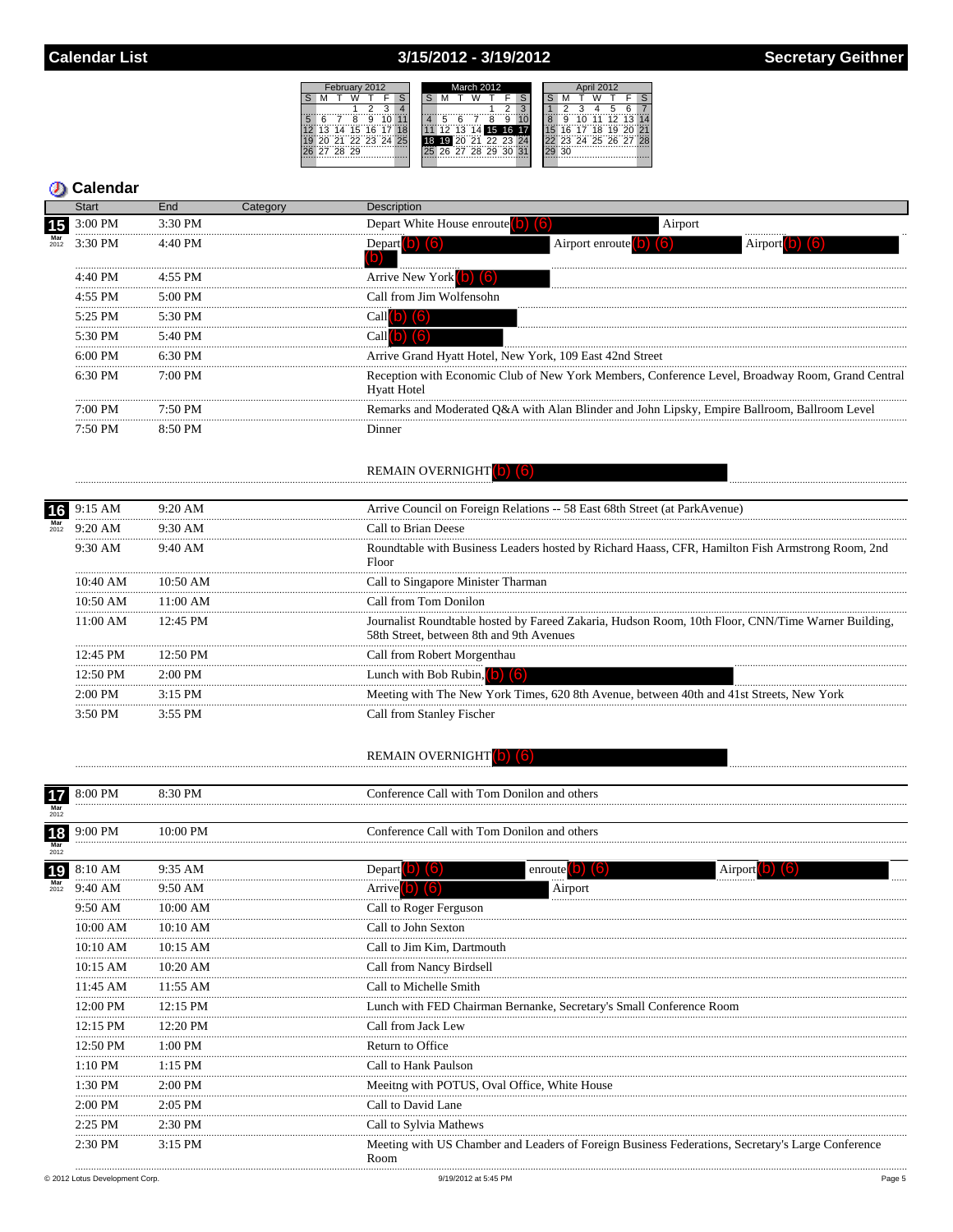# 3/15/2012 - 3/19/2012

|   | February 2012 |       |                |   |  |    |  | March 2012 |    |       |                |  |    | April 2012  |  |   |    |                    |       |  |  |
|---|---------------|-------|----------------|---|--|----|--|------------|----|-------|----------------|--|----|-------------|--|---|----|--------------------|-------|--|--|
|   |               |       |                |   |  |    |  |            |    |       |                |  |    |             |  |   |    |                    |       |  |  |
|   |               |       |                |   |  |    |  |            |    |       |                |  |    |             |  |   |    |                    |       |  |  |
| 5 |               |       |                | 9 |  |    |  |            |    |       |                |  | 9  |             |  | ğ | 1Ö | 44                 | 75.73 |  |  |
|   | 13            |       | $14$ 15 16 17  |   |  | 18 |  |            | 12 | 13    |                |  |    | 14 15 16 17 |  |   |    | 16 17 18 19 20     |       |  |  |
|   |               |       | 71 72 73 74 75 |   |  |    |  | 18         |    |       | 20 21 22 23 24 |  |    |             |  |   |    | 123 24 25 26 27 28 |       |  |  |
|   | 27            | 28 29 |                |   |  |    |  |            |    | 26.27 | 78.79          |  | 3U |             |  |   |    |                    |       |  |  |
|   |               |       |                |   |  |    |  |            |    |       |                |  |    |             |  |   |    |                    |       |  |  |
|   |               |       |                |   |  |    |  |            |    |       |                |  |    |             |  |   |    |                    |       |  |  |

|                   | <b>Start</b>         | End                  | Category | Description                                                                              |                             |                                                                                                   |
|-------------------|----------------------|----------------------|----------|------------------------------------------------------------------------------------------|-----------------------------|---------------------------------------------------------------------------------------------------|
| 15                | 3:00 PM              | 3:30 PM              |          | Depart White House enroute (b) (6)                                                       | Airport                     |                                                                                                   |
| $Mar$<br>$2012$   | 3:30 PM              | 4:40 PM              |          | Depart 0 (6)<br>'b)                                                                      | Airport enroute $(b)$ $(6)$ | Airport                                                                                           |
|                   | 4:40 PM              | 4:55 PM              |          | Arrive New York (b) (6)                                                                  |                             |                                                                                                   |
|                   | 4:55 PM<br>          | 5:00 PM              |          | Call from Jim Wolfensohn                                                                 |                             |                                                                                                   |
|                   | 5:25 PM              | 5:30 PM              |          | $Call$ $\bigcirc$ $\bigcirc$ $\bigcirc$                                                  |                             |                                                                                                   |
|                   | <br>5:30 PM          | 5:40 PM              |          | Call $\vert$ (b) $\vert$ (6)                                                             |                             |                                                                                                   |
|                   | <br>6:00 PM          | 6:30 PM              |          | Arrive Grand Hyatt Hotel, New York, 109 East 42nd Street                                 |                             |                                                                                                   |
|                   | 6:30 PM              | 7:00 PM              |          | <b>Hyatt Hotel</b>                                                                       |                             | Reception with Economic Club of New York Members, Conference Level, Broadway Room, Grand Central  |
|                   | 7:00 PM              | 7:50 PM              |          |                                                                                          |                             | Remarks and Moderated Q&A with Alan Blinder and John Lipsky, Empire Ballroom, Ballroom Level      |
|                   | 7:50 PM              | 8:50 PM              |          | Dinner                                                                                   |                             |                                                                                                   |
|                   |                      |                      |          | <b>REMAIN OVERNIGHT</b>                                                                  |                             |                                                                                                   |
| 16                | 9:15 AM              | 9:20 AM              |          | Arrive Council on Foreign Relations -- 58 East 68th Street (at ParkAvenue)               |                             |                                                                                                   |
| 2012              | 9:20 AM              | 9:30 AM              |          | Call to Brian Deese                                                                      |                             |                                                                                                   |
|                   | 9:30 AM              | 9:40 AM              |          | Floor                                                                                    |                             | Roundtable with Business Leaders hosted by Richard Haass, CFR, Hamilton Fish Armstrong Room, 2nd  |
|                   | 10:40 AM             | 10:50 AM             |          | Call to Singapore Minister Tharman                                                       |                             |                                                                                                   |
|                   | 10:50 AM             | 11:00 AM             |          | Call from Tom Donilon                                                                    |                             |                                                                                                   |
|                   | 11:00 AM             | 12:45 PM             |          | 58th Street, between 8th and 9th Avenues                                                 |                             | Journalist Roundtable hosted by Fareed Zakaria, Hudson Room, 10th Floor, CNN/Time Warner Building |
|                   | 12:45 PM             | 12:50 PM             |          | Call from Robert Morgenthau                                                              |                             |                                                                                                   |
|                   | <br>12:50 PM         | .<br>2:00 PM         |          | Lunch with Bob Rubin, $\left($ $\bullet\right)$<br>$\blacksquare$                        |                             |                                                                                                   |
|                   | $2:00$ PM            | $3:15$ PM            |          | Meeting with The New York Times, 620 8th Avenue, between 40th and 41st Streets, New York |                             |                                                                                                   |
|                   | 3:50 PM              | 3:55 PM              |          | Call from Stanley Fischer                                                                |                             |                                                                                                   |
|                   |                      |                      |          | <b>REMAIN OVERNIGHT</b>                                                                  |                             |                                                                                                   |
|                   | 8:00 PM              | 8:30 PM              |          | Conference Call with Tom Donilon and others                                              |                             |                                                                                                   |
| 2012              |                      |                      |          |                                                                                          |                             |                                                                                                   |
| 18<br>Mar<br>2012 | 9:00 PM              | 10:00 PM             |          | Conference Call with Tom Donilon and others                                              |                             |                                                                                                   |
| 19                | 8:10 AM              | 9:35 AM              |          | Depart                                                                                   | enroute                     | Airport                                                                                           |
| 2012              | 9:40 AM              | 9:50 AM              |          | <b>Arrive</b>                                                                            | Airport                     |                                                                                                   |
|                   | 9:50 AM              | 10:00 AM             |          | Call to Roger Ferguson                                                                   |                             |                                                                                                   |
|                   | 10:00 AM             | 10:10 AM             |          | Call to John Sexton                                                                      |                             |                                                                                                   |
|                   | 10:10 AM             | 10:15 AM             |          | Call to Jim Kim, Dartmouth                                                               |                             |                                                                                                   |
|                   | 10:15 AM             | 10:20 AM             |          | Call from Nancy Birdsell                                                                 |                             |                                                                                                   |
|                   | 11:45 AM             | 11:55 AM             |          | Call to Michelle Smith                                                                   |                             |                                                                                                   |
|                   | 12:00 PM             | 12:15 PM             |          | Lunch with FED Chairman Bernanke, Secretary's Small Conference Room                      |                             |                                                                                                   |
|                   | 12:15 PM             | 12:20 PM             |          | Call from Jack Lew                                                                       |                             |                                                                                                   |
|                   | 12:50 PM             | 1:00 PM              |          | Return to Office                                                                         |                             |                                                                                                   |
|                   | 1:10 PM              | $1:15$ PM            |          | <br>Call to Hank Paulson                                                                 |                             |                                                                                                   |
|                   | 1:30 PM              | 2:00 PM              |          | Meeitng with POTUS, Oval Office, White House                                             |                             |                                                                                                   |
|                   |                      |                      |          |                                                                                          |                             |                                                                                                   |
|                   |                      |                      |          |                                                                                          |                             |                                                                                                   |
|                   | $2:00$ PM<br>2:25 PM | $2:05$ PM<br>2:30 PM |          | Call to David Lane<br>Call to Sylvia Mathews                                             |                             |                                                                                                   |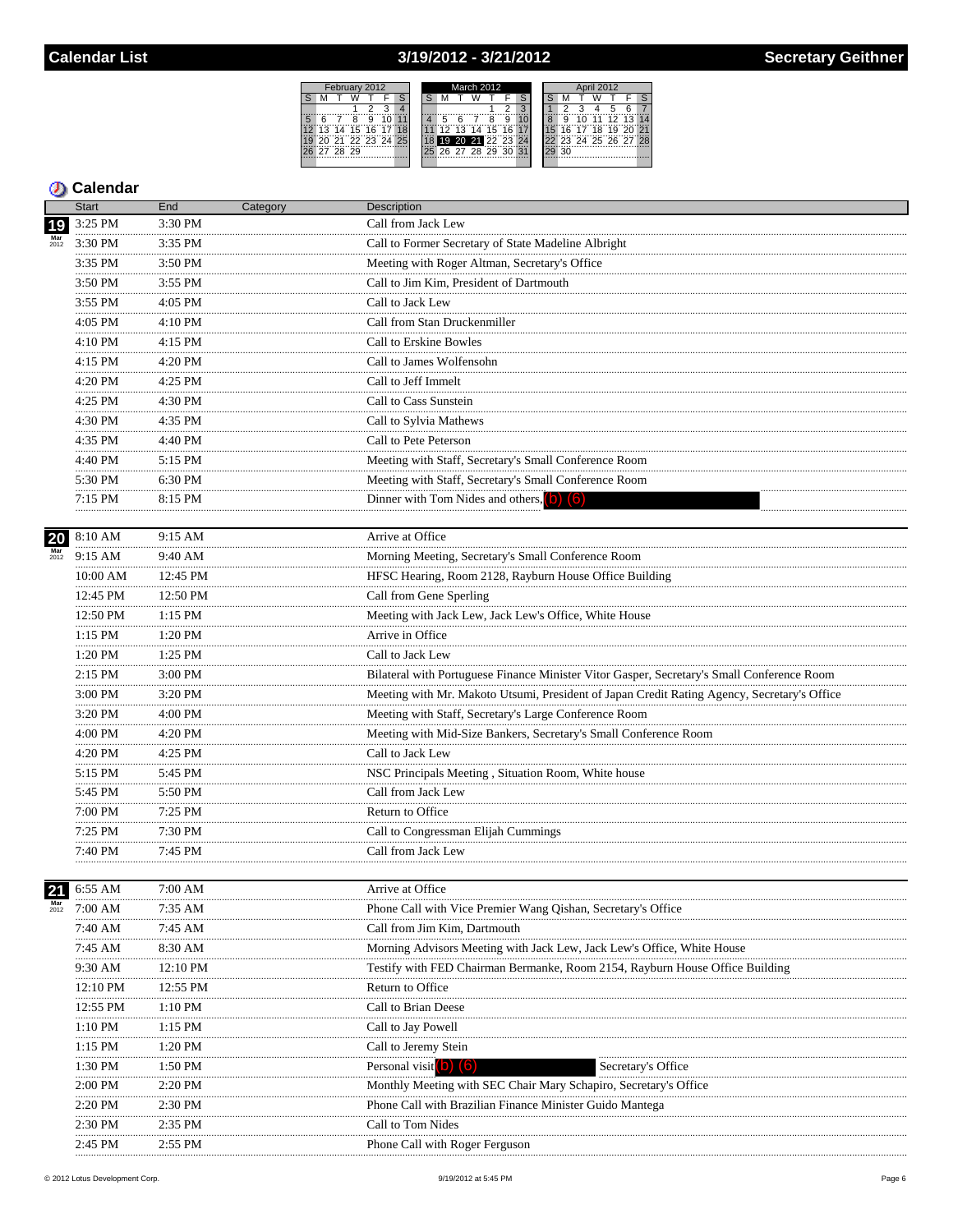## 3/19/2012 - 3/21/2012



## **5** Calendar

|                           | <b>Start</b>       | End            | Category | Description                                                                                 |
|---------------------------|--------------------|----------------|----------|---------------------------------------------------------------------------------------------|
| 19                        | 3:25 PM            | 3:30 PM        |          | Call from Jack Lew                                                                          |
| $Mar$<br>$2012$           | 3:30 PM<br>.       | 3:35 PM        |          | Call to Former Secretary of State Madeline Albright                                         |
|                           | 3:35 PM            | 3:50 PM<br>.   |          | Meeting with Roger Altman, Secretary's Office                                               |
|                           | 3:50 PM            | 3:55 PM        |          | Call to Jim Kim, President of Dartmouth                                                     |
|                           | 3:55 PM            | 4:05 PM        |          | Call to Jack Lew                                                                            |
|                           | .<br>4:05 PM<br>.  | .<br>4:10 PM   |          | Call from Stan Druckenmiller                                                                |
|                           | 4:10 PM<br>.       | 4:15 PM        |          | Call to Erskine Bowles                                                                      |
|                           | 4:15 PM            | 4:20 PM        |          | Call to James Wolfensohn                                                                    |
|                           | .<br>4:20 PM       | 4:25 PM        |          | Call to Jeff Immelt                                                                         |
|                           | 4:25 PM            | 4:30 PM        |          | Call to Cass Sunstein                                                                       |
|                           | .<br>4:30 PM       | .<br>4:35 PM   |          | Call to Sylvia Mathews                                                                      |
|                           | .<br>4:35 PM       | 4:40 PM        |          | Call to Pete Peterson                                                                       |
|                           | .<br>4:40 PM       | .<br>5:15 PM   |          | Meeting with Staff, Secretary's Small Conference Room                                       |
|                           | 5:30 PM            | 6:30 PM        |          | Meeting with Staff, Secretary's Small Conference Room                                       |
|                           | .<br>7:15 PM       | 8:15 PM        |          | Dinner with Tom Nides and others, $(b)$ $(6)$                                               |
|                           |                    |                |          |                                                                                             |
| 20                        | $8:10~\mathrm{AM}$ | 9:15 AM        |          | Arrive at Office                                                                            |
| $\frac{\text{Mar}}{2012}$ | 9:15 AM            | 9:40 AM        |          | Morning Meeting, Secretary's Small Conference Room                                          |
|                           | 10:00 AM<br>.      | 12:45 PM       |          | HFSC Hearing, Room 2128, Rayburn House Office Building                                      |
|                           | 12:45 PM           | 12:50 PM       |          | Call from Gene Sperling                                                                     |
|                           | 12:50 PM<br>.      | 1:15 PM<br>.   |          | Meeting with Jack Lew, Jack Lew's Office, White House                                       |
|                           | $1:15$ PM<br>.     | 1:20 PM<br>.   |          | Arrive in Office                                                                            |
|                           | 1:20 PM<br>.       | $1:25$ PM<br>. |          | Call to Jack Lew                                                                            |
|                           | 2:15 PM            | 3:00 PM        |          | Bilateral with Portuguese Finance Minister Vitor Gasper, Secretary's Small Conference Room  |
|                           | 3:00 PM<br>.       | 3:20 PM<br>.   |          | Meeting with Mr. Makoto Utsumi, President of Japan Credit Rating Agency, Secretary's Office |
|                           | 3:20 PM            | 4:00 PM        |          | Meeting with Staff, Secretary's Large Conference Room                                       |
|                           | 4:00 PM<br>.       | 4:20 PM        |          | Meeting with Mid-Size Bankers, Secretary's Small Conference Room                            |
|                           | 4:20 PM<br>.       | 4:25 PM        |          | Call to Jack Lew                                                                            |
|                           | 5:15 PM            | 5:45 PM        |          | NSC Principals Meeting, Situation Room, White house                                         |
|                           | .<br>$5:45$ PM     | 5:50 PM<br>.   |          | Call from Jack Lew                                                                          |
|                           | .<br>7:00 PM       | 7:25 PM<br>.   |          | Return to Office                                                                            |
|                           | .<br>7:25 PM       | 7:30 PM        |          | Call to Congressman Elijah Cummings                                                         |
|                           | 7:40 PM            | 7:45 PM        |          | Call from Jack Lew                                                                          |
|                           |                    |                |          |                                                                                             |
|                           | 21 6:55 AM         | 7:00 AM        |          | Arrive at Office                                                                            |
| 2012                      | 7:00 AM            | $7:35 \;AM$    |          | Phone Call with Vice Premier Wang Qishan, Secretary's Office                                |
|                           | 7:40 AM            | 7:45 AM        |          | Call from Jim Kim, Dartmouth                                                                |
|                           | 7:45 AM            | 8:30 AM        |          | Morning Advisors Meeting with Jack Lew, Jack Lew's Office, White House                      |
|                           | 9:30 AM            | 12:10 PM       |          | Testify with FED Chairman Bermanke, Room 2154, Rayburn House Office Building                |
|                           | 12:10 PM           | 12:55 PM       |          | Return to Office                                                                            |
|                           | 12:55 PM           | $1:10$ PM      |          | Call to Brian Deese                                                                         |
|                           | 1:10 PM            | 1:15 PM        |          | Call to Jay Powell                                                                          |
|                           | $1:15$ PM          | 1:20 PM        |          | Call to Jeremy Stein                                                                        |
|                           | 1:30 PM            | 1:50 PM        |          | Personal visit <sup>o</sup><br>Secretary's Office                                           |
|                           | 2:00 PM            | 2:20 PM        |          | Monthly Meeting with SEC Chair Mary Schapiro, Secretary's Office                            |
|                           | 2:20 PM            | 2:30 PM        |          | Phone Call with Brazilian Finance Minister Guido Mantega                                    |
|                           | 2:30 PM            | 2:35 PM        |          | Call to Tom Nides                                                                           |
|                           | 2:45 PM            | 2:55 PM        |          | Phone Call with Roger Ferguson                                                              |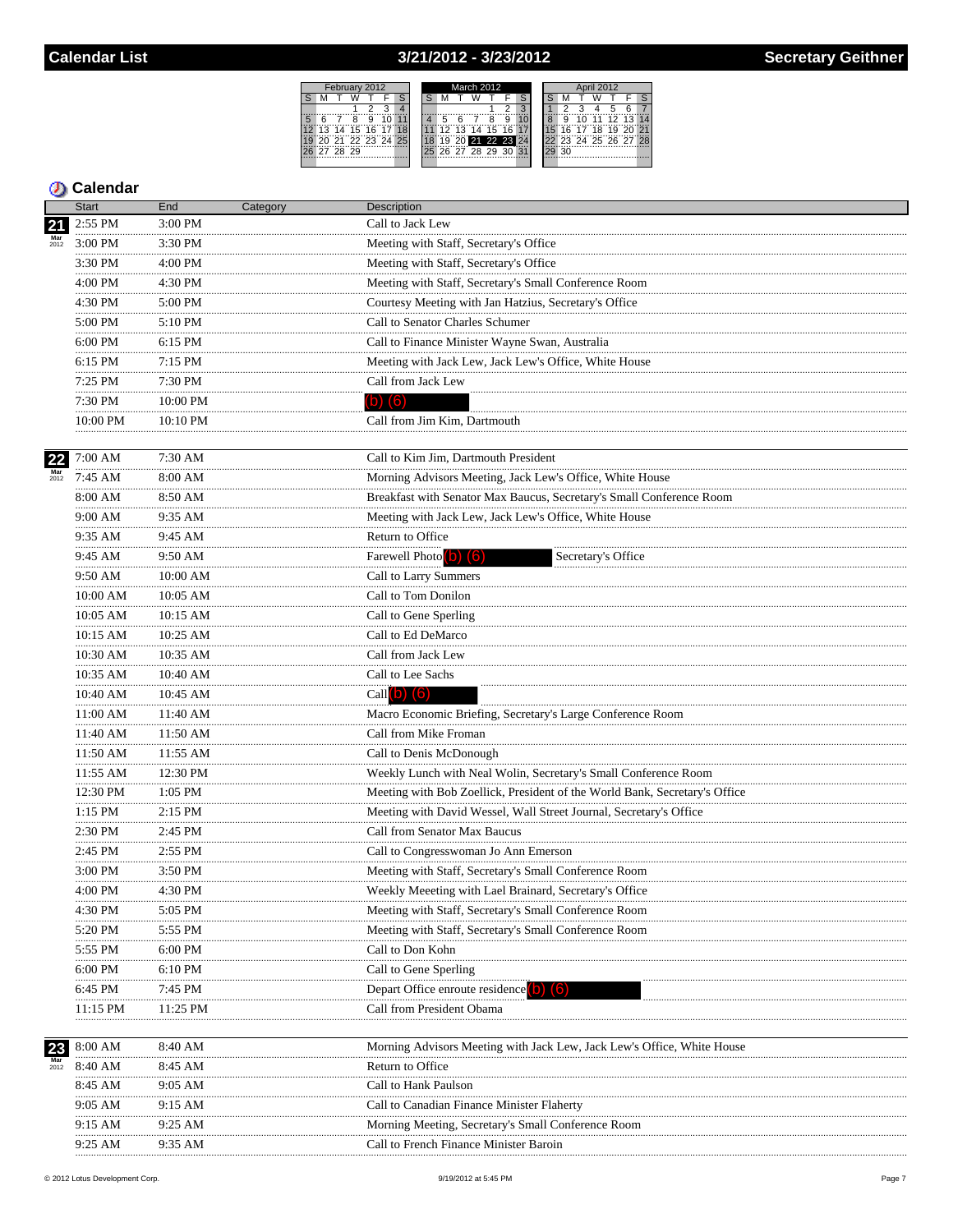## 3/21/2012 - 3/23/2012



|      | <b>Start</b>  | End           | Category | Description                                                                |
|------|---------------|---------------|----------|----------------------------------------------------------------------------|
|      | 2:55 PM       | 3:00 PM       |          | Call to Jack Lew                                                           |
|      | 3:00 PM       | 3:30 PM       |          | Meeting with Staff, Secretary's Office                                     |
|      | 3:30 PM       | 4:00 PM       |          | Meeting with Staff, Secretary's Office                                     |
|      | 4:00 PM       | 4:30 PM       |          | Meeting with Staff, Secretary's Small Conference Room                      |
|      | <br>4:30 PM   | 5:00 PM       |          | Courtesy Meeting with Jan Hatzius, Secretary's Office                      |
|      | <br>5:00 PM   | 5:10 PM       |          | Call to Senator Charles Schumer                                            |
|      | 6:00 PM       | 6:15 PM       |          | Call to Finance Minister Wayne Swan, Australia                             |
|      | 6:15 PM       | 7:15 PM       |          | Meeting with Jack Lew, Jack Lew's Office, White House                      |
|      | .<br>7:25 PM  | .<br>7:30 PM  |          | Call from Jack Lew                                                         |
|      | 7:30 PM       | 10:00 PM      |          | $(b)$ $(6)$                                                                |
|      | 10:00 PM      | 10:10 PM      |          | Call from Jim Kim, Dartmouth                                               |
|      |               |               |          |                                                                            |
| 22   | 7:00 AM       | 7:30 AM       |          | Call to Kim Jim, Dartmouth President                                       |
| 2012 | 7:45 AM       | 8:00 AM       |          | Morning Advisors Meeting, Jack Lew's Office, White House                   |
|      | 8:00 AM<br>   | 8:50 AM       |          | Breakfast with Senator Max Baucus, Secretary's Small Conference Room       |
|      | 9:00 AM<br>.  | 9:35 AM       |          | Meeting with Jack Lew, Jack Lew's Office, White House                      |
|      | 9:35 AM<br>.  | 9:45 AM       |          | Return to Office                                                           |
|      | 9:45 AM<br>.  | 9:50 AM<br>.  |          | Farewell Photo <sup>(b)</sup> (6)<br>Secretary's Office                    |
|      | 9:50 AM       | 10:00 AM      |          | Call to Larry Summers                                                      |
|      | 10:00 AM<br>. | 10:05 AM      |          | Call to Tom Donilon                                                        |
|      | 10:05 AM      | 10:15 AM      |          | Call to Gene Sperling                                                      |
|      | 10:15 AM      | 10:25 AM      |          | Call to Ed DeMarco                                                         |
|      | 10:30 AM      | 10:35 AM      |          | Call from Jack Lew                                                         |
|      | 10:35 AM      | 10:40 AM      |          | Call to Lee Sachs                                                          |
|      | 10:40 AM      | 10:45 AM      |          | Call $(b)$ $(6)$                                                           |
|      | 11:00 AM      | 11:40 AM      |          | Macro Economic Briefing, Secretary's Large Conference Room                 |
|      | 11:40 AM<br>  | 11:50 AM<br>  |          | Call from Mike Froman                                                      |
|      | 11:50 AM<br>. | 11:55 AM      |          | Call to Denis McDonough                                                    |
|      | 11:55 AM<br>  | 12:30 PM<br>. |          | Weekly Lunch with Neal Wolin, Secretary's Small Conference Room            |
|      | 12:30 PM<br>. | 1:05 PM       |          | Meeting with Bob Zoellick, President of the World Bank, Secretary's Office |
|      | $1:15$ PM     | 2:15 PM       |          | Meeting with David Wessel, Wall Street Journal, Secretary's Office         |
|      | 2:30 PM       | 2:45 PM       |          | Call from Senator Max Baucus                                               |
|      | 2:45 PM       | 2:55 PM       |          | Call to Congresswoman Jo Ann Emerson                                       |
|      | 3:00 PM       | 3:50 PM       |          | Meeting with Staff, Secretary's Small Conference Room                      |
|      | 4:00 PM<br>   | 4:30 PM<br>   |          | Weekly Meeeting with Lael Brainard, Secretary's Office                     |
|      | 4:30 PM       | 5:05 PM       |          | Meeting with Staff, Secretary's Small Conference Room                      |
|      | 5:20 PM       | 5:55 PM       |          | Meeting with Staff, Secretary's Small Conference Room                      |
|      | 5:55 PM       | 6:00 PM       |          | Call to Don Kohn                                                           |
|      | $6:00$ PM     | 6:10 PM       |          | Call to Gene Sperling                                                      |
|      | 6:45 PM       | 7:45 PM       |          | Depart Office enroute residence b) (6)                                     |
|      | 11:15 PM      | 11:25 PM      |          | Call from President Obama                                                  |
|      | 8:00 AM       | 8:40 AM       |          | Morning Advisors Meeting with Jack Lew, Jack Lew's Office, White House     |
| 2012 | 8:40 AM       | 8:45 AM       |          | Return to Office                                                           |
|      | 8:45 AM       | 9:05 AM       |          | Call to Hank Paulson                                                       |
|      | <br>9:05 AM   | 9:15 AM       |          | Call to Canadian Finance Minister Flaherty                                 |
|      | 9:15 AM       | 9:25 AM       |          | Morning Meeting, Secretary's Small Conference Room                         |
|      | 9:25 AM       | 9:35 AM       |          | Call to French Finance Minister Baroin                                     |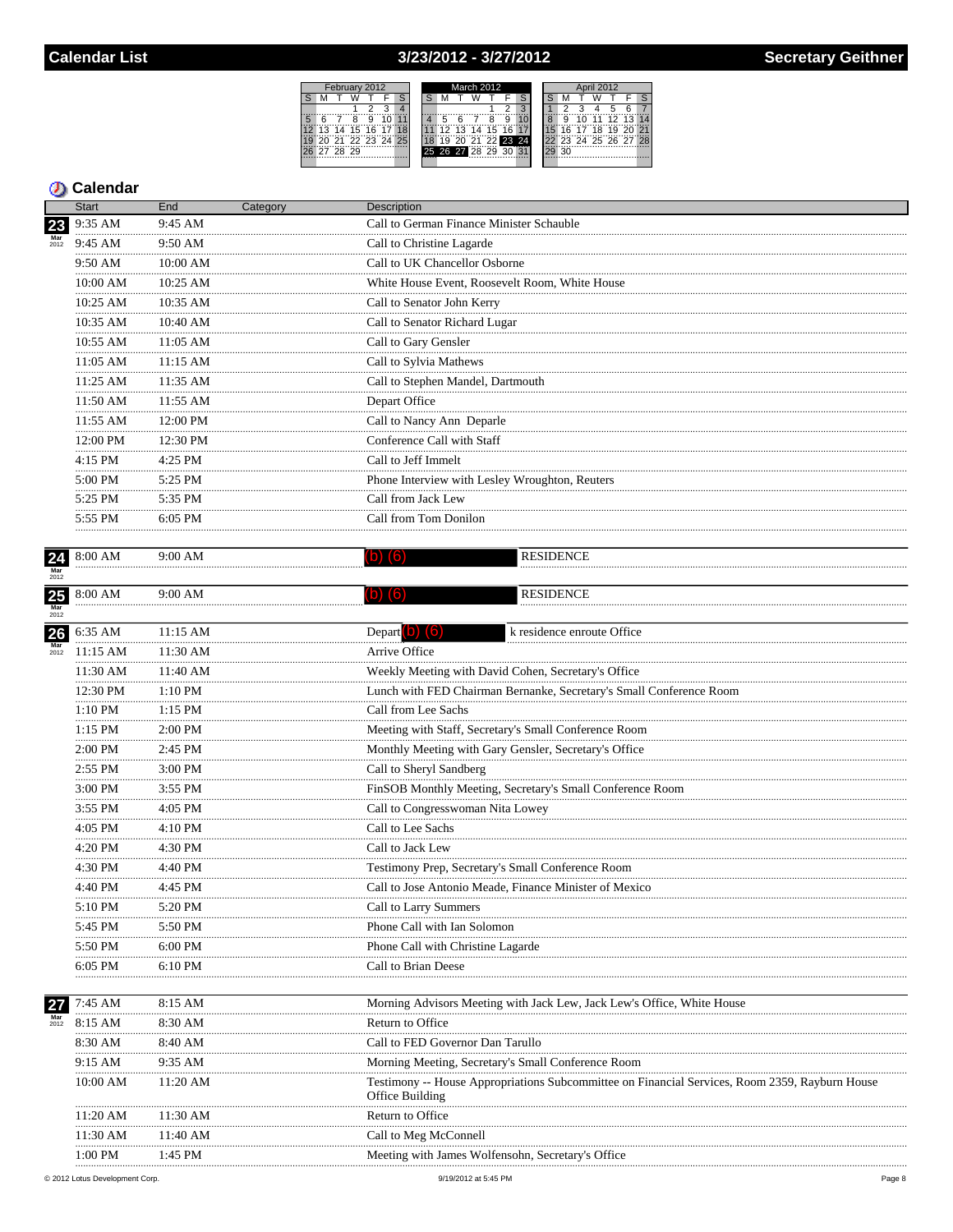### 3/23/2012 - 3/27/2012



|                           | <b>Start</b>              | End          | Category | Description                                                                                    |
|---------------------------|---------------------------|--------------|----------|------------------------------------------------------------------------------------------------|
| 23                        | 9:35 AM                   | 9:45 AM      |          | Call to German Finance Minister Schauble                                                       |
| $\frac{\text{Mar}}{2012}$ | 9:45 AM                   | $9:50$ AM    |          | Call to Christine Lagarde                                                                      |
|                           | 9:50 AM<br>.              | 10:00 AM<br> |          | Call to UK Chancellor Osborne                                                                  |
|                           | 10:00 AM<br>.             | 10:25 AM     |          | White House Event, Roosevelt Room, White House                                                 |
|                           | 10:25 AM<br>              | 10:35 AM     |          | Call to Senator John Kerry                                                                     |
|                           | 10:35 AM                  | 10:40 AM     |          | Call to Senator Richard Lugar                                                                  |
|                           | 10:55 AM                  | 11:05 AM     |          | Call to Gary Gensler                                                                           |
|                           | 11:05 AM                  | 11:15 AM     |          | Call to Sylvia Mathews                                                                         |
|                           | 11:25 AM                  | 11:35 AM     |          | Call to Stephen Mandel, Dartmouth                                                              |
|                           | 11:50 AM                  | 11:55 AM     |          | Depart Office                                                                                  |
|                           | 11:55 AM                  | 12:00 PM     |          | Call to Nancy Ann Deparle                                                                      |
|                           | .<br>12:00 PM             | 12:30 PM     |          | Conference Call with Staff                                                                     |
|                           | .<br>4:15 PM              | <br>4:25 PM  |          | Call to Jeff Immelt                                                                            |
|                           | .<br>5:00 PM              | 5:25 PM      |          | Phone Interview with Lesley Wroughton, Reuters                                                 |
|                           | .<br>5:25 PM              | .<br>5:35 PM |          | Call from Jack Lew                                                                             |
|                           | 5:55 PM                   | 6:05 PM      |          | Call from Tom Donilon                                                                          |
|                           |                           | .            |          |                                                                                                |
| $\frac{24}{\text{Mar}}$   | 8:00 AM                   | 9:00 AM      |          | <b>RESIDENCE</b><br>$(b)$ $(6)$                                                                |
|                           |                           |              |          |                                                                                                |
| 25                        | 8:00 AM                   | 9:00 AM      |          | <b>RESIDENCE</b><br>(b) (6)                                                                    |
| Mar<br>2012               |                           |              |          |                                                                                                |
| 26                        | 6:35 AM                   | $11:15$ AM   |          | Depart $\left(b\right)$ $\left(6\right)$<br>k residence enroute Office                         |
| 2012                      | 11:15 AM                  | 11:30 AM     |          | Arrive Office                                                                                  |
|                           | 11:30 AM                  | 11:40 AM     |          | Weekly Meeting with David Cohen, Secretary's Office                                            |
|                           | 12:30 PM                  | 1:10 PM      |          | Lunch with FED Chairman Bernanke, Secretary's Small Conference Room                            |
|                           | .<br>$1:10$ $\mathrm{PM}$ | 1:15 PM      |          | Call from Lee Sachs                                                                            |
|                           | .<br>1:15 PM              | 2:00 PM      |          | Meeting with Staff, Secretary's Small Conference Room                                          |
|                           | .<br>2:00 PM              | .<br>2:45 PM |          | Monthly Meeting with Gary Gensler, Secretary's Office                                          |
|                           | .<br>2:55 PM              | 3:00 PM      |          | Call to Sheryl Sandberg                                                                        |
|                           | .<br>3:00 PM              | .<br>3:55 PM |          | FinSOB Monthly Meeting, Secretary's Small Conference Room                                      |
|                           | 3:55 PM                   | 4:05 PM      |          | Call to Congresswoman Nita Lowey                                                               |
|                           | .<br>4:05 PM              | <br>4:10 PM  |          | Call to Lee Sachs                                                                              |
|                           | .<br>4:20 PM              | 4:30 PM      |          | Call to Jack Lew                                                                               |
|                           | .<br>4:30 PM              | 4:40 PM      |          | Testimony Prep, Secretary's Small Conference Room                                              |
|                           | 4:40 PM                   | 4:45 PM      |          | Call to Jose Antonio Meade, Finance Minister of Mexico                                         |
|                           | 5:10 PM                   | 5:20 PM      |          | Call to Larry Summers                                                                          |
|                           | 5:45 PM                   | 5:50 PM      |          | Phone Call with Ian Solomon                                                                    |
|                           | 5:50 PM                   | $6:00$ PM    |          | Phone Call with Christine Lagarde                                                              |
|                           | $6:05$ PM                 | 6:10 PM      |          | Call to Brian Deese                                                                            |
|                           |                           |              |          |                                                                                                |
| 27                        | 7:45 AM                   | 8:15 AM      |          | Morning Advisors Meeting with Jack Lew, Jack Lew's Office, White House                         |
| 2012                      | 8:15 AM                   | 8:30 AM      |          | Return to Office                                                                               |
|                           | 8:30 AM                   | 8:40 AM      |          | Call to FED Governor Dan Tarullo                                                               |
|                           | 9:15 AM                   | 9:35 AM      |          | Morning Meeting, Secretary's Small Conference Room                                             |
|                           | 10:00 AM                  | 11:20 AM     |          | Testimony -- House Appropriations Subcommittee on Financial Services, Room 2359, Rayburn House |
|                           |                           |              |          | Office Building                                                                                |
|                           | 11:20 AM                  | 11:30 AM     |          | Return to Office                                                                               |
|                           | 11:30 AM                  | 11:40 AM     |          | Call to Meg McConnell                                                                          |
|                           | 1:00 PM                   | 1:45 PM      |          | Meeting with James Wolfensohn, Secretary's Office                                              |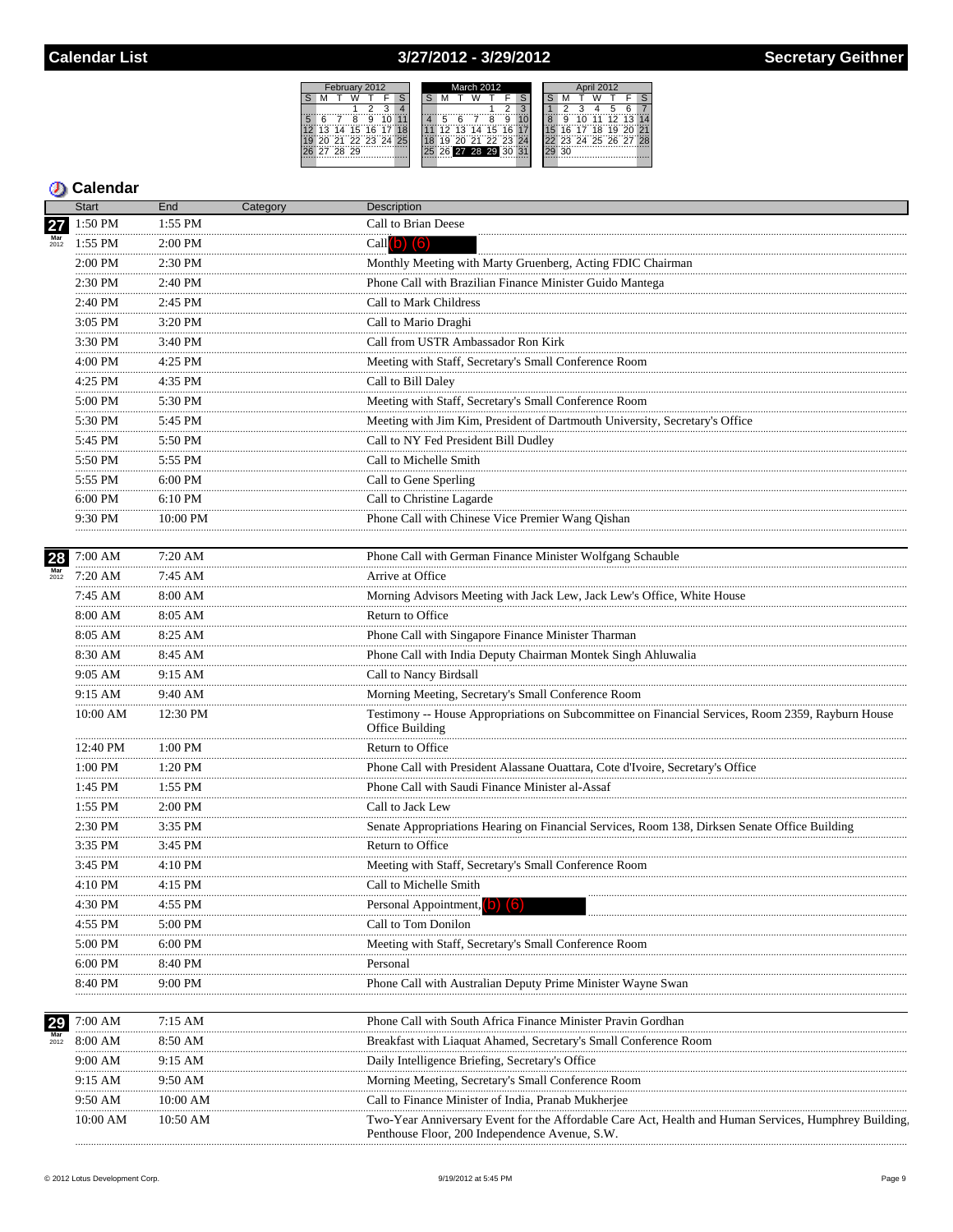# 3/27/2012 - 3/29/2012

|  |          | February 2012     |  |  |  | March 2012 |    |  |          |  |                      |  | April 2012 |  |    |  |                   |           |  |  |
|--|----------|-------------------|--|--|--|------------|----|--|----------|--|----------------------|--|------------|--|----|--|-------------------|-----------|--|--|
|  |          |                   |  |  |  |            |    |  |          |  |                      |  |            |  |    |  |                   |           |  |  |
|  |          |                   |  |  |  |            |    |  |          |  |                      |  |            |  |    |  |                   |           |  |  |
|  |          |                   |  |  |  |            |    |  |          |  |                      |  |            |  |    |  |                   | <b>Fi</b> |  |  |
|  |          | 13 14 15 16 17    |  |  |  |            | 12 |  | 13 14 15 |  | 16 <sup>1</sup>      |  |            |  |    |  | 16 17 18 19 20    |           |  |  |
|  |          | 20 21 22 23 24 25 |  |  |  |            | 19 |  |          |  | 30 31 33 33 34       |  |            |  |    |  | 23 24 25 26 27 28 |           |  |  |
|  | 27 28 29 |                   |  |  |  |            |    |  |          |  | 25 26 27 28 29 30 31 |  |            |  | ٩Λ |  |                   |           |  |  |
|  |          |                   |  |  |  |            |    |  |          |  |                      |  |            |  |    |  |                   |           |  |  |

|                           | Start          | End          | Category | Description                                                                                                                                            |
|---------------------------|----------------|--------------|----------|--------------------------------------------------------------------------------------------------------------------------------------------------------|
| 27                        | 1:50 PM        | 1:55 PM      |          | Call to Brian Deese                                                                                                                                    |
|                           | 1:55 PM        | 2:00 PM      |          | Call $(b)$ $(6)$                                                                                                                                       |
|                           | 2:00 PM        | 2:30 PM      |          | Monthly Meeting with Marty Gruenberg, Acting FDIC Chairman                                                                                             |
|                           | .<br>2:30 PM   | 2:40 PM      |          | Phone Call with Brazilian Finance Minister Guido Mantega                                                                                               |
|                           | .<br>2:40 PM   | 2:45 PM      |          | Call to Mark Childress                                                                                                                                 |
|                           | .<br>$3:05$ PM | 3:20 PM      |          | Call to Mario Draghi                                                                                                                                   |
|                           | .<br>3:30 PM   | 3:40 PM      |          | Call from USTR Ambassador Ron Kirk                                                                                                                     |
|                           | 4:00 PM        | 4:25 PM      |          | Meeting with Staff, Secretary's Small Conference Room                                                                                                  |
|                           | .<br>$4:25$ PM | 4:35 PM      |          | Call to Bill Daley                                                                                                                                     |
|                           | 5:00 PM        | 5:30 PM      |          | Meeting with Staff, Secretary's Small Conference Room                                                                                                  |
|                           | 5:30 PM        | 5:45 PM      |          | Meeting with Jim Kim, President of Dartmouth University, Secretary's Office                                                                            |
|                           | .<br>5:45 PM   | 5:50 PM      |          | Call to NY Fed President Bill Dudley                                                                                                                   |
|                           | 5:50 PM        | 5:55 PM      |          | Call to Michelle Smith                                                                                                                                 |
|                           | .<br>5:55 PM   | 6:00 PM      |          | Call to Gene Sperling                                                                                                                                  |
|                           | 6:00 PM        | 6:10 PM      |          | Call to Christine Lagarde                                                                                                                              |
|                           | 9:30 PM        | 10:00 PM     |          | Phone Call with Chinese Vice Premier Wang Qishan                                                                                                       |
|                           |                |              |          |                                                                                                                                                        |
| 28                        | 7:00 AM        | 7:20 AM      |          | Phone Call with German Finance Minister Wolfgang Schauble                                                                                              |
| $Mar$<br>$2012$           | 7:20 AM        | 7:45AM       |          | Arrive at Office                                                                                                                                       |
|                           | <br>7:45 AM    | .<br>8:00 AM |          | Morning Advisors Meeting with Jack Lew, Jack Lew's Office, White House                                                                                 |
|                           | 8:00 AM        | 8:05 AM      |          | Return to Office                                                                                                                                       |
|                           | 8:05 AM        | 8:25 AM      |          | Phone Call with Singapore Finance Minister Tharman                                                                                                     |
|                           | 8:30 AM        | 8:45 AM      |          |                                                                                                                                                        |
|                           | 9:05 AM        | 9:15 AM      |          | Phone Call with India Deputy Chairman Montek Singh Ahluwalia<br>Call to Nancy Birdsall                                                                 |
|                           | 9:15 AM        | 9:40 AM      |          | Morning Meeting, Secretary's Small Conference Room                                                                                                     |
|                           | 10:00 AM       | 12:30 PM     |          | Testimony -- House Appropriations on Subcommittee on Financial Services, Room 2359, Rayburn House<br>Office Building                                   |
|                           | 12:40 PM       | 1:00 PM      |          | Return to Office                                                                                                                                       |
|                           | 1:00 PM        | 1:20 PM      |          | Phone Call with President Alassane Ouattara, Cote d'Ivoire, Secretary's Office                                                                         |
|                           | .<br>1:45 PM   | 1:55 PM      |          | Phone Call with Saudi Finance Minister al-Assaf                                                                                                        |
|                           | 1:55 PM        | 2:00 PM      |          | Call to Jack Lew                                                                                                                                       |
|                           | .<br>2:30 PM   | 3:35 PM      |          | Senate Appropriations Hearing on Financial Services, Room 138, Dirksen Senate Office Building                                                          |
|                           | 3:35 PM        | 3:45 PM      |          | Return to Office                                                                                                                                       |
|                           | 3:45 PM        | 4:10 PM      |          | Meeting with Staff, Secretary's Small Conference Room                                                                                                  |
|                           | 4:10 PM        | 4:15 PM      |          | Call to Michelle Smith                                                                                                                                 |
|                           | 4:30 PM        | 4:55 PM      |          | Personal Appointment, (b) (6)                                                                                                                          |
|                           | 4:55 PM        | 5:00 PM      |          | Call to Tom Donilon                                                                                                                                    |
|                           | 5:00 PM        | 6:00 PM      |          | Meeting with Staff, Secretary's Small Conference Room                                                                                                  |
|                           | 6:00 PM        | 8:40 PM      |          | Personal                                                                                                                                               |
|                           | 8:40 PM        | 9:00 PM      |          | Phone Call with Australian Deputy Prime Minister Wayne Swan                                                                                            |
|                           |                |              |          |                                                                                                                                                        |
| 29                        | 7:00 AM        | 7:15 AM      |          | Phone Call with South Africa Finance Minister Pravin Gordhan                                                                                           |
| $\frac{\text{Mar}}{2012}$ | 8:00 AM        | 8:50 AM      |          | Breakfast with Liaquat Ahamed, Secretary's Small Conference Room                                                                                       |
|                           | 9:00 AM        | 9:15 AM      |          | Daily Intelligence Briefing, Secretary's Office                                                                                                        |
|                           | 9:15 AM        | 9:50 AM      |          | Morning Meeting, Secretary's Small Conference Room                                                                                                     |
|                           | 9:50 AM        | 10:00 AM     |          | Call to Finance Minister of India, Pranab Mukherjee                                                                                                    |
|                           | 10:00 AM       | 10:50 AM     |          | Two-Year Anniversary Event for the Affordable Care Act, Health and Human Services, Humphrey Building<br>Penthouse Floor, 200 Independence Avenue, S.W. |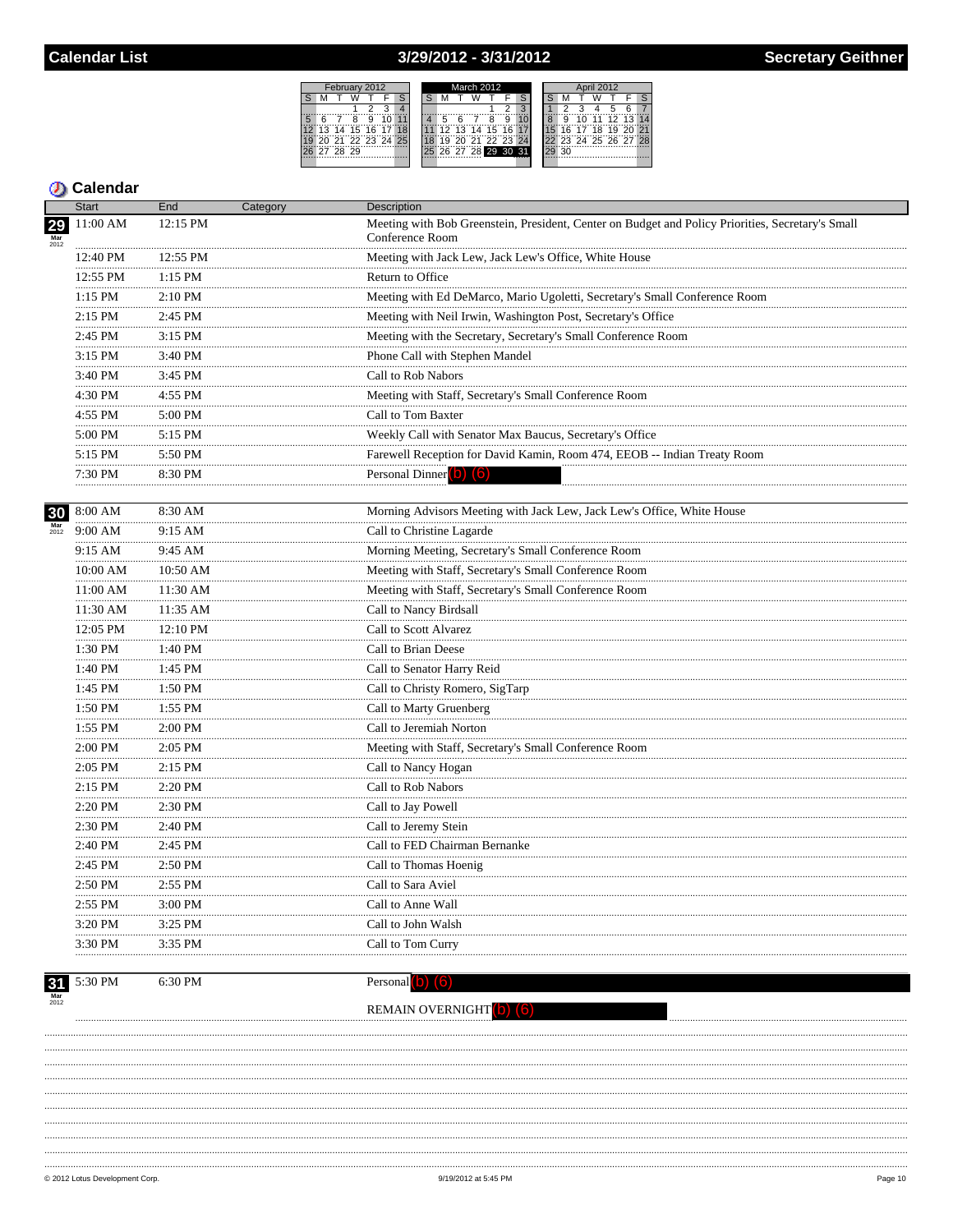## 3/29/2012 - 3/31/2012



### **D** Calendar

|    | <b>Start</b>  | End       | Category | <b>Description</b>                                                                                                   |
|----|---------------|-----------|----------|----------------------------------------------------------------------------------------------------------------------|
| 29 | 11:00 AM      | 12:15 PM  |          | Meeting with Bob Greenstein, President, Center on Budget and Policy Priorities, Secretary's Small<br>Conference Room |
|    | 12:40 PM      | 12:55 PM  |          | Meeting with Jack Lew, Jack Lew's Office, White House                                                                |
|    | 12:55 PM      | $1:15$ PM |          | Return to Office                                                                                                     |
|    | 1:15 PM       | 2:10 PM   |          | Meeting with Ed DeMarco, Mario Ugoletti, Secretary's Small Conference Room                                           |
|    | 2:15 PM       | 2:45 PM   |          | Meeting with Neil Irwin, Washington Post, Secretary's Office                                                         |
|    | 2:45 PM       | $3:15$ PM |          | Meeting with the Secretary, Secretary's Small Conference Room                                                        |
|    | 3:15 PM       | 3:40 PM   |          | Phone Call with Stephen Mandel                                                                                       |
|    | 3:40 PM       | 3:45 PM   |          | Call to Rob Nabors                                                                                                   |
|    | 4:30 PM       | 4:55 PM   |          | Meeting with Staff, Secretary's Small Conference Room                                                                |
|    | 4:55 PM       | 5:00 PM   |          | Call to Tom Baxter                                                                                                   |
|    | 5:00 PM       | $5:15$ PM |          | Weekly Call with Senator Max Baucus, Secretary's Office                                                              |
|    | 5:15 PM       | 5:50 PM   |          | Farewell Reception for David Kamin, Room 474, EEOB -- Indian Treaty Room                                             |
|    | 7:30 PM<br>.  | 8:30 PM   |          | Personal Dinner (b) (6)                                                                                              |
|    | 30 8:00 AM    | 8:30 AM   |          | Morning Advisors Meeting with Jack Lew, Jack Lew's Office, White House                                               |
|    | 9:00 AM       | 9:15 AM   |          | Call to Christine Lagarde                                                                                            |
|    | $9:15$ AM     | 9:45 AM   |          | Morning Meeting, Secretary's Small Conference Room                                                                   |
|    | 10:00 AM      | 10:50 AM  |          | Meeting with Staff, Secretary's Small Conference Room                                                                |
|    | .<br>11:00 AM | 11:30 AM  |          | Meeting with Staff, Secretary's Small Conference Room                                                                |
|    | 11:30 AM      | 11:35 AM  |          | Call to Nancy Birdsall                                                                                               |
|    | 12:05 PM      | 12:10 PM  |          | Call to Scott Alvarez                                                                                                |
|    | 1:30 PM       | 1:40 PM   |          | Call to Brian Deese                                                                                                  |
|    | 1:40 PM       | 1:45 PM   |          | Call to Senator Harry Reid                                                                                           |
|    | 1:45 PM       | 1:50 PM   |          | Call to Christy Romero, SigTarp                                                                                      |
|    | 1:50 PM       | 1:55 PM   |          | Call to Marty Gruenberg                                                                                              |
|    | 1:55 PM       | 2:00 PM   |          | Call to Jeremiah Norton                                                                                              |
|    | 2:00 PM       | 2:05 PM   |          | Meeting with Staff, Secretary's Small Conference Room                                                                |
|    | 2:05 PM       | 2:15 PM   |          | Call to Nancy Hogan                                                                                                  |
|    | 2:15 PM       | 2:20 PM   |          | Call to Rob Nabors                                                                                                   |
|    | 2:20 PM       | 2:30 PM   |          | Call to Jay Powell                                                                                                   |
|    | .<br>2:30 PM  | 2:40 PM   |          | Call to Jeremy Stein                                                                                                 |
|    | 2:40 PM       | 2:45 PM   |          | Call to FED Chairman Bernanke                                                                                        |
|    | 2:45 PM       | 2:50 PM   |          | Call to Thomas Hoenig                                                                                                |
|    | 2:50 PM       | 2:55 PM   |          | Call to Sara Aviel                                                                                                   |
|    | 2:55 PM       | 3:00 PM   |          | Call to Anne Wall                                                                                                    |
|    | 3:20 PM       | 3:25 PM   |          | Call to John Walsh                                                                                                   |
|    | 3:30 PM       | 3:35 PM   |          | Call to Tom Curry                                                                                                    |

 $\frac{31}{\frac{Mar}{2012}}$  5:30 PM

6:30 PM

Personal $(b)$  $(6)$ 

## REMAIN OVERNIGHT (b) (6)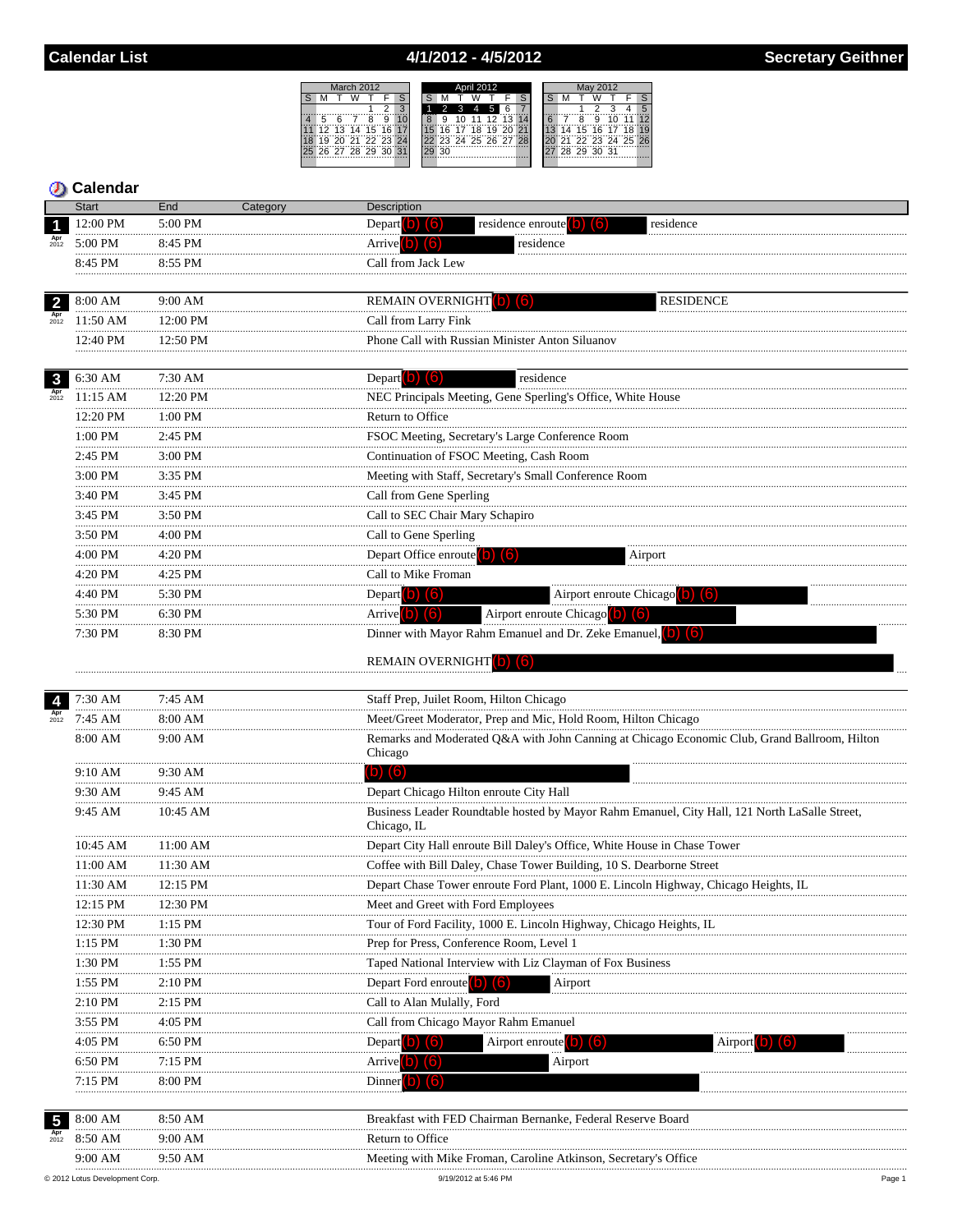# 4/1/2012 - 4/5/2012

|    |   |             | March 2012     |      |   | <b>April 2012</b> |       |    |  |    |    |                      | May 2012 |  |  |  |                   |  |  |  |
|----|---|-------------|----------------|------|---|-------------------|-------|----|--|----|----|----------------------|----------|--|--|--|-------------------|--|--|--|
|    |   |             |                |      |   |                   |       |    |  |    |    |                      |          |  |  |  |                   |  |  |  |
|    |   |             |                |      | 3 |                   |       |    |  |    |    |                      |          |  |  |  |                   |  |  |  |
| 5  | ี |             | Ä              | g    |   |                   | <br>8 | 9  |  | 11 | 12 | ापश्चालिक            |          |  |  |  | 9                 |  |  |  |
| 12 |   |             | 13 14 15       | 16   |   |                   |       | ี  |  | 18 | 19 | 20 21                |          |  |  |  | 15 16 17          |  |  |  |
|    |   |             | 30 31 33 33 34 |      |   |                   |       |    |  |    |    | 22 23 24 25 26 27 28 |          |  |  |  | 21 22 23 24 25 26 |  |  |  |
|    |   | 26 27 28 29 |                | - 30 |   |                   |       | 30 |  |    |    |                      |          |  |  |  | 28 29 30 31       |  |  |  |
|    |   |             |                |      |   |                   |       |    |  |    |    |                      |          |  |  |  |                   |  |  |  |

|                         | <b>Start</b> | End          | Category | <b>Description</b>                                                                                             |
|-------------------------|--------------|--------------|----------|----------------------------------------------------------------------------------------------------------------|
| 1                       | 12:00 PM     | 5:00 PM      |          | Depart $\left( b\right)$ (6)<br>residence enroute (b)<br>residence<br>(lõ)                                     |
|                         | 5:00 PM      | 8:45 PM      |          | Arrive $(b)$ $(6)$<br>residence                                                                                |
|                         | 8:45 PM      | 8:55 PM      |          | Call from Jack Lew                                                                                             |
|                         | .            |              |          |                                                                                                                |
| $\overline{2}$          | 8:00 AM      | 9:00 AM      |          | REMAIN OVERNIGHT (b) (6)<br><b>RESIDENCE</b>                                                                   |
| $_{2012}^{Apr}$         | 11:50 AM     | 12:00 PM     |          | Call from Larry Fink                                                                                           |
|                         | 12:40 PM     | 12:50 PM     |          | Phone Call with Russian Minister Anton Siluanov                                                                |
|                         |              |              |          |                                                                                                                |
| $\mathbf{3}$            | 6:30 AM      | 7:30 AM      |          | Depart (b) $(6)$<br>residence                                                                                  |
| $_{2012}^{\text{Apr}}$  | 11:15 AM     | 12:20 PM     |          | NEC Principals Meeting, Gene Sperling's Office, White House                                                    |
|                         | 12:20 PM     | 1:00 PM      |          | Return to Office                                                                                               |
|                         | <br>1:00 PM  | .<br>2:45 PM |          | FSOC Meeting, Secretary's Large Conference Room                                                                |
|                         | 2:45 PM      | 3:00 PM      |          | Continuation of FSOC Meeting, Cash Room                                                                        |
|                         | <br>3:00 PM  | .<br>3:35 PM |          | Meeting with Staff, Secretary's Small Conference Room                                                          |
|                         | .<br>3:40 PM | 3:45 PM      |          | Call from Gene Sperling                                                                                        |
|                         | 3:45 PM      | 3:50 PM      |          | Call to SEC Chair Mary Schapiro                                                                                |
|                         | 3:50 PM      | 4:00 PM      |          | Call to Gene Sperling                                                                                          |
|                         | 4:00 PM      | 4:20 PM      |          | Depart Office enroute $\begin{pmatrix} 0 \\ 0 \end{pmatrix}$ $\begin{pmatrix} 6 \\ 6 \end{pmatrix}$<br>Airport |
|                         | .<br>4:20 PM | 4:25 PM      |          | Call to Mike Froman                                                                                            |
|                         | .<br>4:40 PM | 5:30 PM      |          | Depart $(b)$ $(6)$<br>Airport enroute Chicago (b) (6)                                                          |
|                         | 5:30 PM      | 6:30 PM      |          | Airport enroute Chicago (b) (6)<br>Arrive $(b)$ $(6)$                                                          |
|                         | 7:30 PM      | 8:30 PM      |          | Dinner with Mayor Rahm Emanuel and Dr. Zeke Emanuel, (b) (6)                                                   |
|                         |              |              |          |                                                                                                                |
|                         |              |              |          | <b>REMAIN OVERNIGHT</b> (6)                                                                                    |
| $\overline{\mathbf{4}}$ | 7:30 AM      | 7:45 AM      |          | Staff Prep, Juilet Room, Hilton Chicago                                                                        |
| $_{2012}^{Apr}$         | 7:45 AM      | 8:00 AM      |          | Meet/Greet Moderator, Prep and Mic, Hold Room, Hilton Chicago                                                  |
|                         | 8:00 AM      | $9:00$ AM    |          | Remarks and Moderated Q&A with John Canning at Chicago Economic Club, Grand Ballroom, Hilton                   |
|                         |              |              |          | Chicago                                                                                                        |
|                         | 9:10 AM<br>. | 9:30 AM      |          | $(b)$ $(6)$                                                                                                    |
|                         | 9:30 AM      | 9:45 AM      |          | Depart Chicago Hilton enroute City Hall                                                                        |
|                         | 9:45 AM      | 10:45 AM     |          | Business Leader Roundtable hosted by Mayor Rahm Emanuel, City Hall, 121 North LaSalle Street,                  |
|                         |              |              |          | Chicago, IL                                                                                                    |
|                         | 10:45 AM     | $11:00$ AM   |          | Depart City Hall enroute Bill Daley's Office, White House in Chase Tower                                       |
|                         | 11:00 AM     | 11:30 AM     |          | Coffee with Bill Daley, Chase Tower Building, 10 S. Dearborne Street                                           |
|                         | 11:30 AM     | 12:15 PM     |          | Depart Chase Tower enroute Ford Plant, 1000 E. Lincoln Highway, Chicago Heights, IL                            |
|                         | 12:15 PM     | 12:30 PM     |          | Meet and Greet with Ford Employees                                                                             |
|                         | 12:30 PM     | 1:15 PM      |          | Tour of Ford Facility, 1000 E. Lincoln Highway, Chicago Heights, IL                                            |
|                         | 1:15 PM      | 1:30 PM      |          | Prep for Press, Conference Room, Level 1                                                                       |
|                         | 1:30 PM      | $1:55$ PM    |          | Taped National Interview with Liz Clayman of Fox Business                                                      |
|                         | 1:55 PM      | 2:10 PM      |          | Depart Ford enroute<br>Airport                                                                                 |
|                         | 2:10 PM      | 2:15 PM      |          | Call to Alan Mulally, Ford                                                                                     |
|                         | 3:55 PM      | 4:05 PM      |          | Call from Chicago Mayor Rahm Emanuel                                                                           |
|                         | 4:05 PM      | 6:50 PM      |          | Airport enroute <sup>(b)</sup><br>Depart $\blacksquare$<br>Airport<br>ID.<br>lb.                               |
|                         | 6:50 PM      | 7:15 PM      |          | Airport<br>Arrive <sup>1</sup>                                                                                 |
|                         | 7:15 PM      | 8:00 PM      |          | Dinner                                                                                                         |
|                         |              |              |          |                                                                                                                |
| 5                       | 8:00 AM      | 8:50 AM      |          | Breakfast with FED Chairman Bernanke, Federal Reserve Board                                                    |
| Apr<br>$2012$           | 8:50 AM      | 9:00 AM      |          | Return to Office                                                                                               |
|                         | 9:00 AM      | 9:50 AM      |          | Meeting with Mike Froman, Caroline Atkinson, Secretary's Office                                                |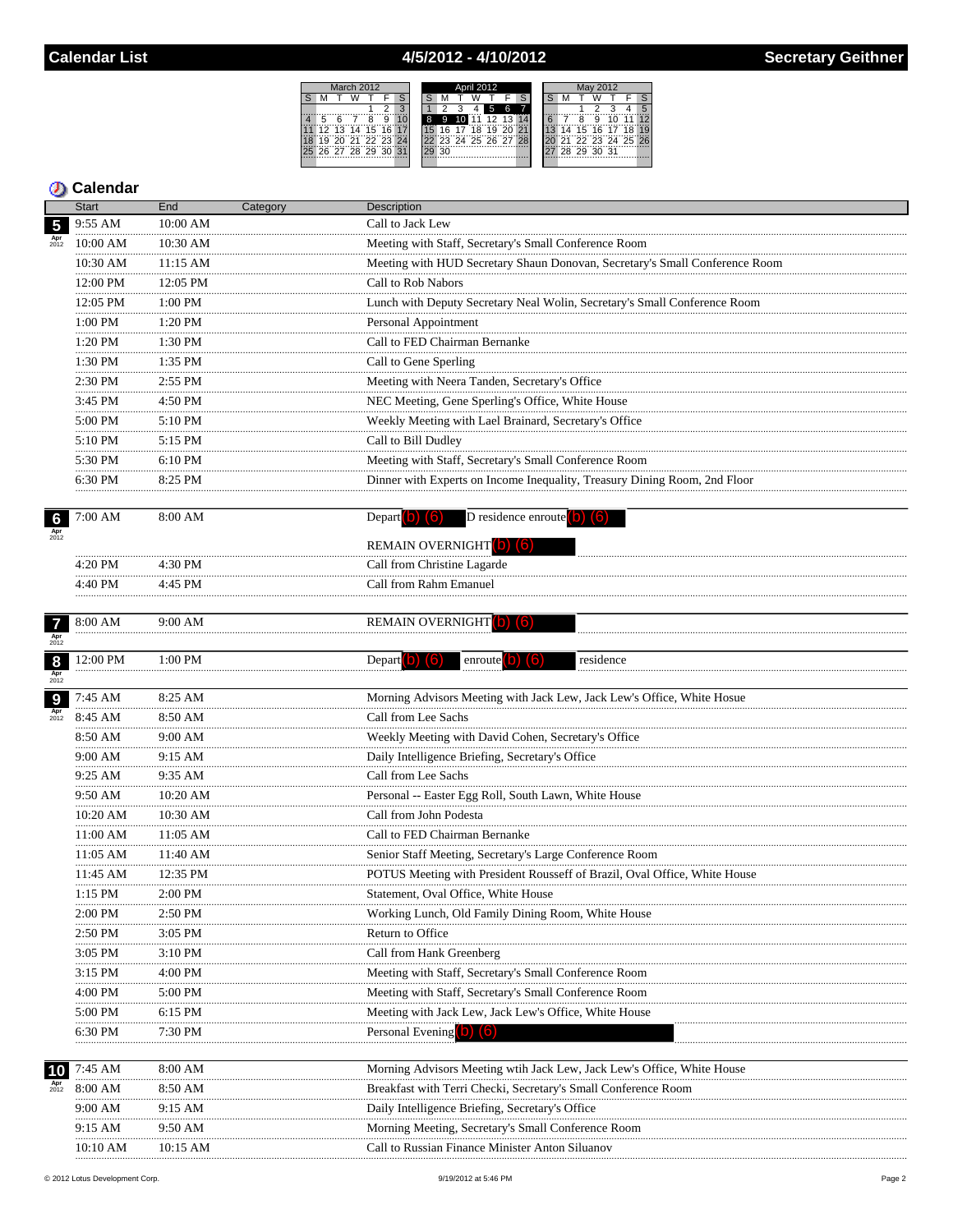## 4/5/2012 - 4/10/2012

 $S$  M



|                        | <b>Start</b>          | End                | Category | Description                                                                     |
|------------------------|-----------------------|--------------------|----------|---------------------------------------------------------------------------------|
| 5                      | 9:55 AM               | 10:00 AM           |          | Call to Jack Lew                                                                |
| Apr<br>$2012$          | 10:00 AM              | 10:30 AM           |          | Meeting with Staff, Secretary's Small Conference Room                           |
|                        | 10:30 AM              | 11:15 AM           |          | Meeting with HUD Secretary Shaun Donovan, Secretary's Small Conference Room     |
|                        | 12:00 PM              | 12:05 PM           |          | Call to Rob Nabors                                                              |
|                        | 12:05 PM              | 1:00 PM            |          | Lunch with Deputy Secretary Neal Wolin, Secretary's Small Conference Room       |
|                        | $1:00 \; \mathrm{PM}$ | 1:20 PM            |          | Personal Appointment                                                            |
|                        | .<br>$1:20$ PM        | 1:30 PM            |          | Call to FED Chairman Bernanke                                                   |
|                        | 1:30 PM               | .<br>1:35 PM       |          | Call to Gene Sperling                                                           |
|                        | 2:30 PM               | 2:55 PM            |          | Meeting with Neera Tanden, Secretary's Office                                   |
|                        | .<br>3:45 PM          | <br>4:50 PM        |          | NEC Meeting, Gene Sperling's Office, White House                                |
|                        | 5:00 PM               | 5:10 PM            |          | Weekly Meeting with Lael Brainard, Secretary's Office                           |
|                        | .<br>5:10 PM          | 5:15 PM            |          | Call to Bill Dudley                                                             |
|                        | 5:30 PM               | 6:10 PM            |          | Meeting with Staff, Secretary's Small Conference Room                           |
|                        | 6:30 PM               | 8:25 PM            |          | Dinner with Experts on Income Inequality, Treasury Dining Room, 2nd Floor       |
|                        |                       |                    |          |                                                                                 |
| $\frac{6}{\text{Apr}}$ | 7:00 AM               | 8:00 AM            |          | $\overline{D}$ residence enroute $(b)$ $(6)$<br>Depart $(b)$ $(6)$              |
|                        |                       |                    |          | REMAIN OVERNIGHT (b) (6)                                                        |
|                        | 4:20 PM               | 4:30 PM            |          | Call from Christine Lagarde                                                     |
|                        | 4:40 PM               | 4:45 PM            |          | Call from Rahm Emanuel                                                          |
|                        |                       |                    |          |                                                                                 |
| $\overline{7}$         | 8:00 AM               | 9:00 AM            |          | REMAIN OVERNIGHT (b) (6)                                                        |
| $_{2012}^{Apr}$        |                       |                    |          |                                                                                 |
| $\boldsymbol{8}$       | 12:00 PM              | 1:00 PM            |          | residence<br>Depart $\left( 0 \right)$ $\left( 6 \right)$<br>enroute <b>D 6</b> |
| $_{2012}^{Apr}$        |                       |                    |          |                                                                                 |
| 9                      | 7:45 AM               | 8:25 AM            |          | Morning Advisors Meeting with Jack Lew, Jack Lew's Office, White Hosue          |
| $_{2012}^{Apr}$        | 8:45 AM               | 8:50 AM            |          | Call from Lee Sachs                                                             |
|                        | 8:50 AM               | 9:00 AM            |          | Weekly Meeting with David Cohen, Secretary's Office                             |
|                        | 9:00 AM               | 9:15 AM            |          | Daily Intelligence Briefing, Secretary's Office                                 |
|                        | 9:25 AM               | 9:35 AM            |          | Call from Lee Sachs                                                             |
|                        | 9:50 AM               | 10:20 AM           |          | Personal -- Easter Egg Roll, South Lawn, White House                            |
|                        | 10:20 AM              | 10:30 AM           |          | Call from John Podesta                                                          |
|                        | 11:00 AM              | 11:05 AM           |          | Call to FED Chairman Bernanke                                                   |
|                        | 11:05 AM              | 11:40 AM           |          | Senior Staff Meeting, Secretary's Large Conference Room                         |
|                        | 11:45 AM              | 12:35 PM           |          | POTUS Meeting with President Rousseff of Brazil, Oval Office, White House       |
|                        | 1:15 PM               | 2:00 PM            |          | Statement, Oval Office, White House                                             |
|                        | $2:00$ PM             | 2:50 PM            |          | Working Lunch, Old Family Dining Room, White House                              |
|                        | 2:50 PM               | 3:05 PM            |          | Return to Office                                                                |
|                        | 3:05 PM               | 3:10 PM            |          | Call from Hank Greenberg                                                        |
|                        | 3:15 PM               | 4:00 PM            |          | Meeting with Staff, Secretary's Small Conference Room                           |
|                        | 4:00 PM               | 5:00 PM            |          | Meeting with Staff, Secretary's Small Conference Room                           |
|                        | 5:00 PM               | 6:15 PM            |          | Meeting with Jack Lew, Jack Lew's Office, White House                           |
|                        | 6:30 PM               | 7:30 PM            |          | Personal Evening <b>D</b> ( <b>b</b> )                                          |
|                        |                       |                    |          | Morning Advisors Meeting wtih Jack Lew, Jack Lew's Office, White House          |
| 10                     | 7:45 AM<br>8:00 AM    | 8:00 AM<br>8:50 AM |          | Breakfast with Terri Checki, Secretary's Small Conference Room                  |
|                        |                       |                    |          |                                                                                 |
|                        | 9:00 AM               | 9:15 AM<br>9:50 AM |          | Daily Intelligence Briefing, Secretary's Office                                 |
|                        | 9:15 AM               |                    |          | Morning Meeting, Secretary's Small Conference Room                              |
|                        | 10:10 AM              | 10:15 AM           |          | Call to Russian Finance Minister Anton Siluanov                                 |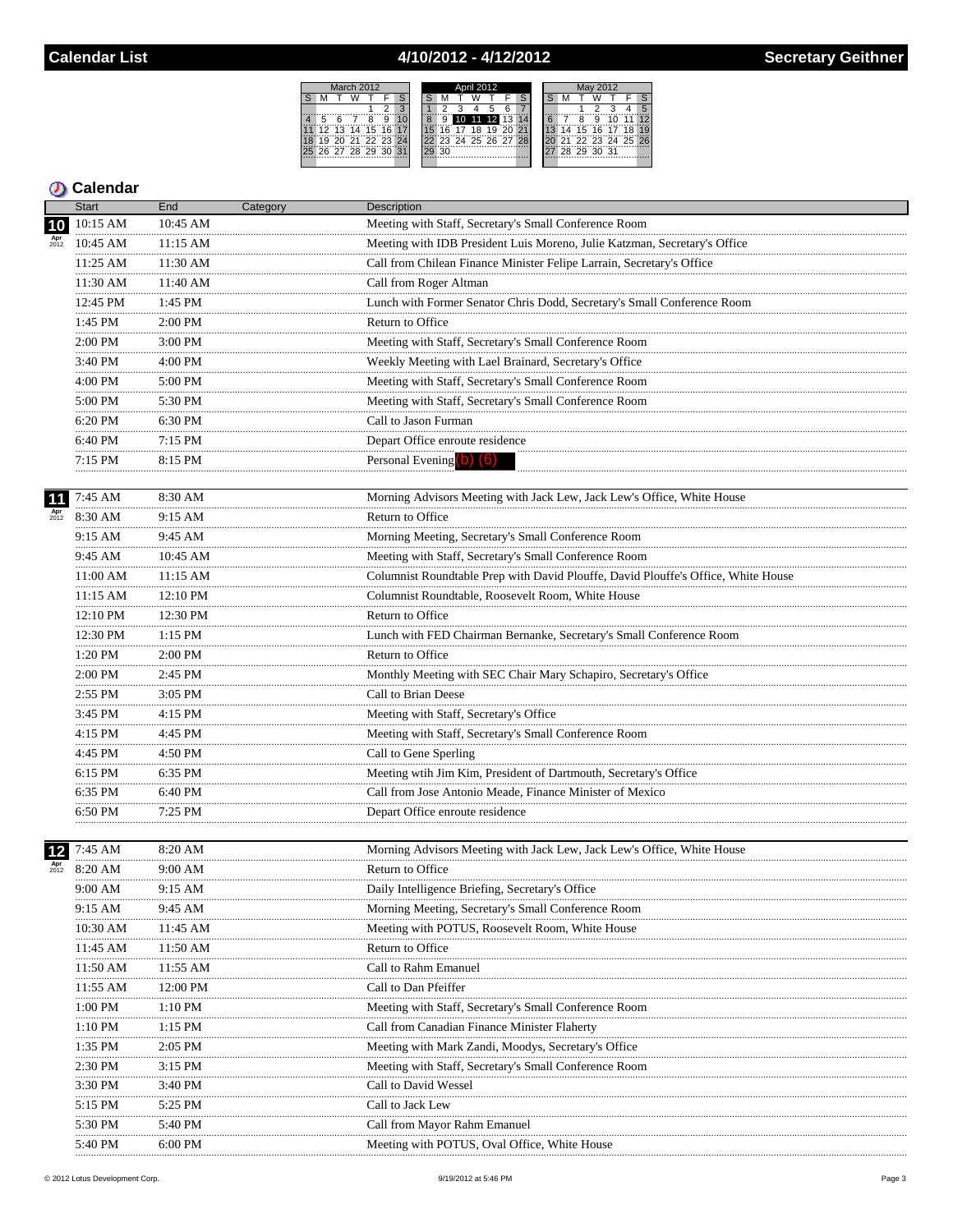## 4/10/2012 - 4/12/2012



|                 | <b>Start</b>       | End                | Category | <b>Description</b>                                                                                    |
|-----------------|--------------------|--------------------|----------|-------------------------------------------------------------------------------------------------------|
| 10              | 10:15 AM           | 10:45 AM           |          | Meeting with Staff, Secretary's Small Conference Room                                                 |
|                 | 10:45 AM           | 11:15 AM           |          | Meeting with IDB President Luis Moreno, Julie Katzman, Secretary's Office                             |
|                 | 11:25 AM           | 11:30 AM           |          | Call from Chilean Finance Minister Felipe Larrain, Secretary's Office                                 |
|                 | 11:30 AM           | 11:40 AM           |          | Call from Roger Altman                                                                                |
|                 | 12:45 PM           | 1:45 PM            |          | Lunch with Former Senator Chris Dodd, Secretary's Small Conference Room                               |
|                 | 1:45 PM            | 2:00 PM            |          | Return to Office                                                                                      |
|                 | 2:00 PM            | 3:00 PM            |          | Meeting with Staff, Secretary's Small Conference Room                                                 |
|                 | 3:40 PM<br>.       | 4:00 PM            |          | Weekly Meeting with Lael Brainard, Secretary's Office                                                 |
|                 | 4:00 PM<br>.       | $5:00$ PM          |          | Meeting with Staff, Secretary's Small Conference Room                                                 |
|                 | 5:00 PM<br>.       | 5:30 PM<br>        |          | Meeting with Staff, Secretary's Small Conference Room                                                 |
|                 | 6:20 PM<br>.       | $6:30$ PM          |          | Call to Jason Furman                                                                                  |
|                 | 6:40 PM            | 7:15 PM            |          | Depart Office enroute residence                                                                       |
|                 | 7:15 PM            | 8:15 PM            |          | Personal Evening (b) (6)                                                                              |
|                 |                    |                    |          |                                                                                                       |
|                 | 7:45 AM            | 8:30 AM            |          | Morning Advisors Meeting with Jack Lew, Jack Lew's Office, White House                                |
| $Apr$<br>$2012$ | 8:30 AM            | 9:15 AM            |          | Return to Office                                                                                      |
|                 | 9:15 AM            | 9:45 AM            |          | Morning Meeting, Secretary's Small Conference Room                                                    |
|                 | 9:45 AM            | 10:45 AM<br>.      |          | Meeting with Staff, Secretary's Small Conference Room                                                 |
|                 | 11:00 AM           | $11:15$ AM<br>     |          | Columnist Roundtable Prep with David Plouffe, David Plouffe's Office, White House                     |
|                 | 11:15 AM<br>.      | 12:10 PM           |          | Columnist Roundtable, Roosevelt Room, White House                                                     |
|                 | 12:10 PM<br>.      | 12:30 PM<br>       |          | Return to Office                                                                                      |
|                 | 12:30 PM<br>.      | $1:15$ PM          |          | Lunch with FED Chairman Bernanke, Secretary's Small Conference Room                                   |
|                 | 1:20 PM            | 2:00 PM            |          | Return to Office                                                                                      |
|                 | 2:00 PM<br>.       | 2:45 PM            |          | Monthly Meeting with SEC Chair Mary Schapiro, Secretary's Office                                      |
|                 | 2:55 PM            | 3:05 PM            |          | Call to Brian Deese                                                                                   |
|                 | 3:45 PM            | 4:15 PM            |          | Meeting with Staff, Secretary's Office                                                                |
|                 | 4:15 PM            | 4:45 PM            |          | Meeting with Staff, Secretary's Small Conference Room                                                 |
|                 | $4:45$ PM<br>.     | $4:50$ PM<br>.     |          | Call to Gene Sperling                                                                                 |
|                 | 6:15 PM<br>.       | 6:35 PM            |          | Meeting wtih Jim Kim, President of Dartmouth, Secretary's Office                                      |
|                 | 6:35 PM            | 6:40 PM            |          | Call from Jose Antonio Meade, Finance Minister of Mexico                                              |
|                 | 6:50 PM            | 7:25 PM            |          | Depart Office enroute residence                                                                       |
|                 |                    | 8:20 AM            |          |                                                                                                       |
| 12              | 7:45 AM<br>8:20 AM | 9:00 AM            |          | Morning Advisors Meeting with Jack Lew, Jack Lew's Office, White House<br>Return to Office            |
|                 | 9:00 AM            | 9:15 AM            |          | Daily Intelligence Briefing, Secretary's Office                                                       |
|                 | 9:15 AM            | 9:45 AM            |          | Morning Meeting, Secretary's Small Conference Room                                                    |
|                 | 10:30 AM           | 11:45 AM           |          | Meeting with POTUS, Roosevelt Room, White House                                                       |
|                 | 11:45 AM           | 11:50 AM           |          | Return to Office                                                                                      |
|                 | 11:50 AM           | 11:55 AM           |          | Call to Rahm Emanuel                                                                                  |
|                 | 11:55 AM           | 12:00 PM           |          | Call to Dan Pfeiffer                                                                                  |
|                 | 1:00 PM            | $1:10$ PM          |          |                                                                                                       |
|                 | 1:10 PM            | $1:15$ PM          |          | Meeting with Staff, Secretary's Small Conference Room<br>Call from Canadian Finance Minister Flaherty |
|                 |                    |                    |          |                                                                                                       |
|                 | 1:35 PM<br>2:30 PM | 2:05 PM            |          | Meeting with Mark Zandi, Moodys, Secretary's Office                                                   |
|                 | 3:30 PM            | 3:15 PM<br>3:40 PM |          | Meeting with Staff, Secretary's Small Conference Room<br>Call to David Wessel                         |
|                 | 5:15 PM            | 5:25 PM            |          | Call to Jack Lew                                                                                      |
|                 | 5:30 PM            | 5:40 PM            |          | Call from Mayor Rahm Emanuel                                                                          |
|                 | 5:40 PM            | 6:00 PM            |          | Meeting with POTUS, Oval Office, White House                                                          |
|                 |                    |                    |          |                                                                                                       |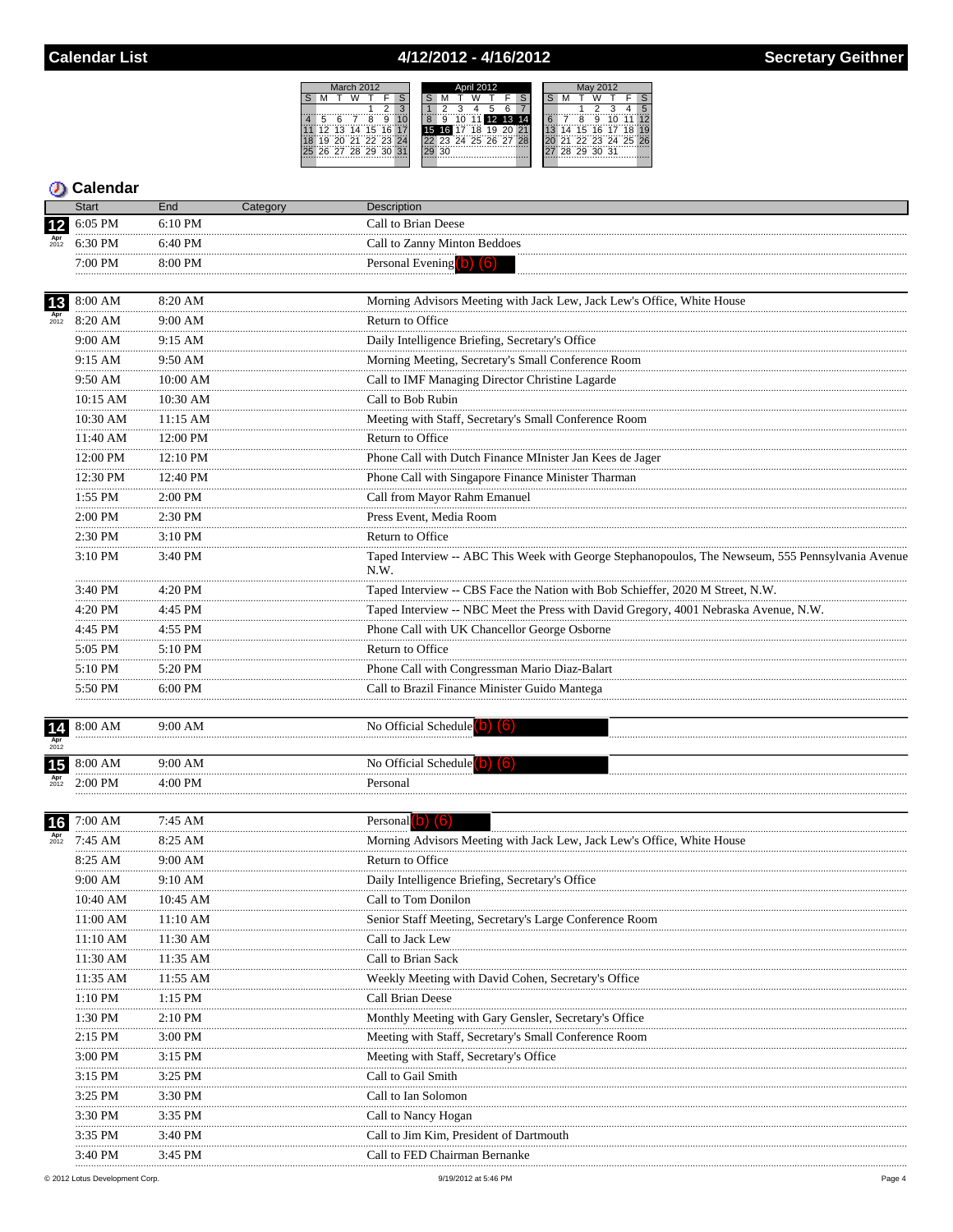## 4/12/2012 - 4/16/2012



|                        | <b>Start</b>  | End           | Category | Description                                                                                       |
|------------------------|---------------|---------------|----------|---------------------------------------------------------------------------------------------------|
|                        | 6:05 PM       | 6:10 PM       |          | Call to Brian Deese                                                                               |
|                        | 6:30 PM       | 6:40 PM       |          | Call to Zanny Minton Beddoes                                                                      |
|                        | .<br>7:00 PM  | 8:00 PM       |          | Personal Evening (b) (6)                                                                          |
|                        |               |               |          |                                                                                                   |
| 13                     | 8:00 AM       | 8:20 AM       |          | Morning Advisors Meeting with Jack Lew, Jack Lew's Office, White House                            |
| $_{2012}^{\text{Apr}}$ | 8:20 AM       | 9:00 AM       |          | Return to Office                                                                                  |
|                        | 9:00 AM       | 9:15 AM       |          | Daily Intelligence Briefing, Secretary's Office                                                   |
|                        | 9:15 AM       | 9:50 AM       |          | Morning Meeting, Secretary's Small Conference Room                                                |
|                        | <br>9:50 AM   | 10:00 AM      |          | Call to IMF Managing Director Christine Lagarde                                                   |
|                        | 10:15 AM      | .<br>10:30 AM |          | Call to Bob Rubin                                                                                 |
|                        | <br>10:30 AM  | 11:15 AM      |          | Meeting with Staff, Secretary's Small Conference Room                                             |
|                        | .<br>11:40 AM | 12:00 PM      |          | Return to Office                                                                                  |
|                        | <br>12:00 PM  | 12:10 PM      |          | Phone Call with Dutch Finance MInister Jan Kees de Jager                                          |
|                        | <br>12:30 PM  | .<br>12:40 PM |          | Phone Call with Singapore Finance Minister Tharman                                                |
|                        | 1:55 PM       | 2:00 PM       |          | Call from Mayor Rahm Emanuel                                                                      |
|                        | 2:00 PM       | 2:30 PM       |          | Press Event, Media Room                                                                           |
|                        | <br>2:30 PM   | 3:10 PM       |          | Return to Office                                                                                  |
|                        | 3:10 PM       | 3:40 PM       |          | Taped Interview -- ABC This Week with George Stephanopoulos, The Newseum, 555 Pennsylvania Avenue |
|                        |               |               |          | N.W.                                                                                              |
|                        | 3:40 PM       | 4:20 PM       |          | Taped Interview -- CBS Face the Nation with Bob Schieffer, 2020 M Street, N.W.                    |
|                        | 4:20 PM       | 4:45 PM       |          | Taped Interview -- NBC Meet the Press with David Gregory, 4001 Nebraska Avenue, N.W.              |
|                        | .<br>4:45 PM  | 4:55 PM       |          | Phone Call with UK Chancellor George Osborne                                                      |
|                        | 5:05 PM       | 5:10 PM       |          | Return to Office                                                                                  |
|                        | <br>5:10 PM   | 5:20 PM       |          | Phone Call with Congressman Mario Diaz-Balart                                                     |
|                        | 5:50 PM       | 6:00 PM       |          | Call to Brazil Finance Minister Guido Mantega                                                     |
|                        |               |               |          |                                                                                                   |
| 14                     | 8:00 AM       | $9:00$ AM     |          | No Official Schedule                                                                              |
|                        |               |               |          |                                                                                                   |
| 15                     | 8:00 AM       | 9:00 AM       |          | No Official Schedule <sup>(O</sup>                                                                |
|                        | $2:00$ PM     | 4:00 PM       |          | Personal                                                                                          |
|                        |               |               |          |                                                                                                   |
| 16 <sub>l</sub>        | 7:00 AM       | 7:45 AM       |          | Personal $(b)$ $(6)$                                                                              |
| Apr<br>$2012$          | 7:45 AM       | 8:25 AM<br>   |          | Morning Advisors Meeting with Jack Lew, Jack Lew's Office, White House                            |
|                        | 8:25 AM       | 9:00 AM       |          | Return to Office                                                                                  |
|                        | 9:00 AM       | 9:10 AM       |          | Daily Intelligence Briefing, Secretary's Office                                                   |
|                        | 10:40 AM      | 10:45 AM      |          | Call to Tom Donilon                                                                               |
|                        | 11:00 AM      | 11:10 AM      |          | Senior Staff Meeting, Secretary's Large Conference Room                                           |
|                        | 11:10 AM      | 11:30 AM      |          | Call to Jack Lew                                                                                  |
|                        | 11:30 AM      | 11:35 AM      |          | Call to Brian Sack                                                                                |
|                        | 11:35 AM      | 11:55 AM      |          | Weekly Meeting with David Cohen, Secretary's Office                                               |
|                        | $1:10$ PM     | $1:15$ PM     |          | Call Brian Deese                                                                                  |
|                        | .<br>1:30 PM  | $2:10$ PM     |          | Monthly Meeting with Gary Gensler, Secretary's Office                                             |
|                        | 2:15 PM       | 3:00 PM       |          | Meeting with Staff, Secretary's Small Conference Room                                             |
|                        | 3:00 PM       | 3:15 PM       |          | Meeting with Staff, Secretary's Office.                                                           |
|                        | 3:15 PM       | 3:25 PM       |          | Call to Gail Smith                                                                                |
|                        | 3:25 PM       | 3:30 PM       |          | Call to Ian Solomon                                                                               |
|                        | 3:30 PM       | 3:35 PM       |          | Call to Nancy Hogan                                                                               |
|                        | 3:35 PM       | 3:40 PM       |          | Call to Jim Kim, President of Dartmouth                                                           |
|                        | $3.40$ PM     | $3.45$ PM     |          | Call to FED Chairman Bernanke                                                                     |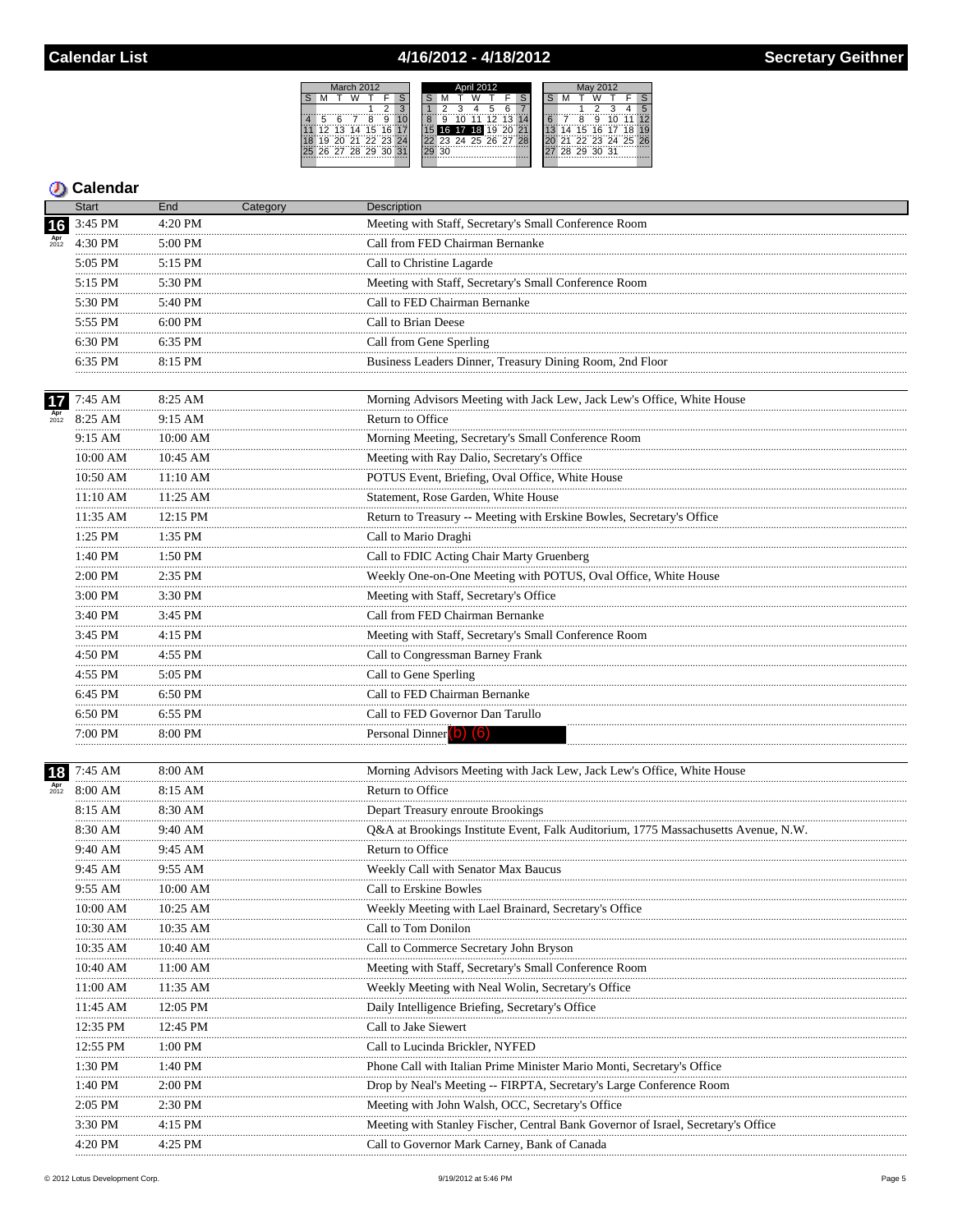# 4/16/2012 - 4/18/2012

March 2012<br>S M T W T

March 2012<br>
S M T W T F S<br>
1 2 3<br>
4 5 6 7 8 9 10<br>
11 12 13 14 15 16 17<br>
18 19 20 21 22 23 24<br>
25 26 27 28 29 30 31

|    |    | April 2012 |                   |    |   |             | May 2012 |                   |  |
|----|----|------------|-------------------|----|---|-------------|----------|-------------------|--|
|    |    |            |                   |    |   |             |          |                   |  |
|    |    |            |                   |    |   |             |          |                   |  |
|    |    |            |                   |    |   |             |          |                   |  |
| ä  | 1Ö |            | 11 12 13 1        | 14 | Ä | я           |          |                   |  |
|    |    |            | 16 17 18 19 20 21 |    |   |             |          | 14 15 16 17 18    |  |
|    |    |            | 23 24 25 26 27 28 |    |   |             |          | 21 22 23 24 25 26 |  |
| 30 |    |            |                   |    |   | 28 29 30 31 |          |                   |  |
|    |    |            |                   |    |   |             |          |                   |  |

|                        | Start         | End          | Category | <b>Description</b>                                                                 |
|------------------------|---------------|--------------|----------|------------------------------------------------------------------------------------|
| 16                     | 3:45 PM       | 4:20 PM      |          | Meeting with Staff, Secretary's Small Conference Room                              |
| Apr<br>$2012$          | 4:30 PM       | 5:00 PM      |          | Call from FED Chairman Bernanke                                                    |
|                        | 5:05 PM       | 5:15 PM      |          | Call to Christine Lagarde                                                          |
|                        | <br>5:15 PM   | 5:30 PM      |          | Meeting with Staff, Secretary's Small Conference Room                              |
|                        | 5:30 PM       | 5:40 PM      |          | Call to FED Chairman Bernanke                                                      |
|                        | .<br>5:55 PM  | 6:00 PM      |          | Call to Brian Deese                                                                |
|                        | 6:30 PM       | 6:35 PM      |          | Call from Gene Sperling                                                            |
|                        | .<br>6:35 PM  | 8:15 PM      |          | Business Leaders Dinner, Treasury Dining Room, 2nd Floor                           |
|                        |               |              |          |                                                                                    |
| 17                     | 7:45 AM       | 8:25 AM      |          | Morning Advisors Meeting with Jack Lew, Jack Lew's Office, White House             |
| $_{2012}^{\text{Apr}}$ | 8:25 AM<br>   | 9:15 AM<br>  |          | Return to Office                                                                   |
|                        | 9:15 AM       | $10:00$ AM   |          | Morning Meeting, Secretary's Small Conference Room                                 |
|                        | 10:00 AM      | 10:45 AM     |          | Meeting with Ray Dalio, Secretary's Office                                         |
|                        | 10:50 AM      | 11:10 AM     |          | POTUS Event, Briefing, Oval Office, White House                                    |
|                        | 11:10 AM      | 11:25 AM     |          | Statement, Rose Garden, White House                                                |
|                        | 11:35 AM      | 12:15 PM     |          | Return to Treasury -- Meeting with Erskine Bowles, Secretary's Office              |
|                        | 1:25 PM       | 1:35 PM      |          | Call to Mario Draghi                                                               |
|                        | 1:40 PM       | 1:50 PM      |          | Call to FDIC Acting Chair Marty Gruenberg                                          |
|                        | .<br>2:00 PM  | .<br>2:35 PM |          | Weekly One-on-One Meeting with POTUS, Oval Office, White House                     |
|                        | 3:00 PM       | 3:30 PM<br>. |          | Meeting with Staff, Secretary's Office                                             |
|                        | .<br>3:40 PM  | 3:45 PM      |          | Call from FED Chairman Bernanke                                                    |
|                        | .<br>3:45 PM  | 4:15 PM      |          | Meeting with Staff, Secretary's Small Conference Room                              |
|                        | 4:50 PM       | 4:55 PM      |          | <br>Call to Congressman Barney Frank                                               |
|                        | <br>4:55 PM   | .<br>5:05 PM |          | Call to Gene Sperling                                                              |
|                        | 6:45 PM       | 6:50 PM      |          | Call to FED Chairman Bernanke                                                      |
|                        | .<br>6:50 PM  | 6:55 PM      |          | Call to FED Governor Dan Tarullo                                                   |
|                        | 7:00 PM<br>   | 8:00 PM      |          | Personal Dinner (b) (6)                                                            |
|                        |               |              |          |                                                                                    |
| 18                     | 7:45 AM       | 8:00 AM      |          | Morning Advisors Meeting with Jack Lew, Jack Lew's Office, White House             |
| $_{2012}^{Apr}$        | 8:00 AM       | 8:15 AM      |          | Return to Office                                                                   |
|                        | 8:15 AM       | 8:30 AM      |          | Depart Treasury enroute Brookings                                                  |
|                        | 8:30 AM<br>.  | 9:40 AM<br>. |          | Q&A at Brookings Institute Event, Falk Auditorium, 1775 Massachusetts Avenue, N.W. |
|                        | 9:40 AM       | 9:45 AM      |          | Return to Office                                                                   |
|                        | 9:45 AM       | 9:55 AM      |          | Weekly Call with Senator Max Baucus                                                |
|                        | 9:55 AM       | 10:00 AM     |          | Call to Erskine Bowles                                                             |
|                        | 10:00 AM      | 10:25 AM     |          | Weekly Meeting with Lael Brainard, Secretary's Office                              |
|                        | 10:30 AM      | 10:35 AM     |          | Call to Tom Donilon                                                                |
|                        | 10:35 AM      | 10:40 AM     |          | Call to Commerce Secretary John Bryson                                             |
|                        | 10:40 AM      | 11:00 AM     |          | Meeting with Staff, Secretary's Small Conference Room                              |
|                        | 11:00 AM<br>. | 11:35 AM     |          | Weekly Meeting with Neal Wolin, Secretary's Office                                 |
|                        | 11:45 AM      | 12:05 PM     |          | Daily Intelligence Briefing, Secretary's Office                                    |
|                        | 12:35 PM<br>  | 12:45 PM     |          | Call to Jake Siewert                                                               |
|                        | 12:55 PM      | 1:00 PM      |          | Call to Lucinda Brickler, NYFED                                                    |
|                        | 1:30 PM       | 1:40 PM      |          | Phone Call with Italian Prime Minister Mario Monti, Secretary's Office             |
|                        | 1:40 PM       | 2:00 PM      |          | Drop by Neal's Meeting -- FIRPTA, Secretary's Large Conference Room                |
|                        | 2:05 PM       | 2:30 PM      |          | Meeting with John Walsh, OCC, Secretary's Office                                   |
|                        | 3:30 PM       | 4:15 PM      |          | Meeting with Stanley Fischer, Central Bank Governor of Israel, Secretary's Office  |
|                        | 4:20 PM       | 4:25 PM      |          | Call to Governor Mark Carney, Bank of Canada                                       |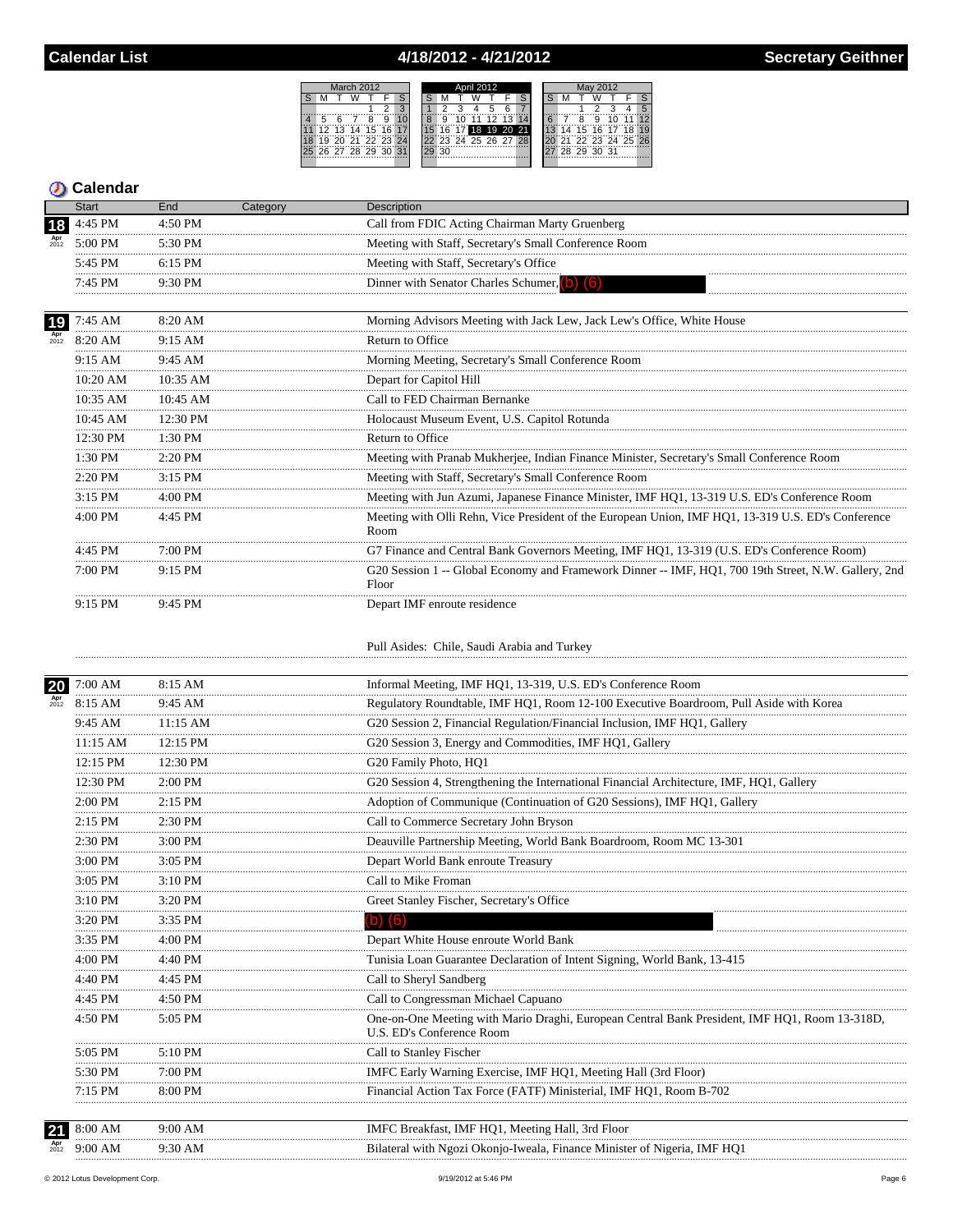## 4/18/2012 - 4/21/2012



|                        | <b>Start</b> | End          | Category | <b>Description</b>                                                                                                         |
|------------------------|--------------|--------------|----------|----------------------------------------------------------------------------------------------------------------------------|
| 18                     | 4:45 PM      | 4:50 PM      |          | Call from FDIC Acting Chairman Marty Gruenberg                                                                             |
| Apr<br>$2012$          | 5:00 PM      | 5:30 PM<br>. |          | Meeting with Staff, Secretary's Small Conference Room                                                                      |
|                        | 5:45 PM      | 6:15 PM      |          | Meeting with Staff, Secretary's Office                                                                                     |
|                        | 7:45 PM      | 9:30 PM      |          | Dinner with Senator Charles Schumer, (b) (6)                                                                               |
|                        | .            |              |          |                                                                                                                            |
| 19                     | 7:45 AM      | 8:20 AM      |          | Morning Advisors Meeting with Jack Lew, Jack Lew's Office, White House                                                     |
| Apr<br>$2012$          | 8:20 AM      | 9:15 AM      |          | Return to Office                                                                                                           |
|                        | 9:15 AM      | 9:45 AM      |          | Morning Meeting, Secretary's Small Conference Room                                                                         |
|                        | <br>10:20 AM | 10:35 AM     |          | Depart for Capitol Hill                                                                                                    |
|                        | 10:35 AM     | 10:45 AM     |          | Call to FED Chairman Bernanke                                                                                              |
|                        | 10:45 AM     | 12:30 PM     |          | Holocaust Museum Event, U.S. Capitol Rotunda                                                                               |
|                        | 12:30 PM     | 1:30 PM      |          | Return to Office                                                                                                           |
|                        | .<br>1:30 PM | 2:20 PM      |          | Meeting with Pranab Mukherjee, Indian Finance Minister, Secretary's Small Conference Room                                  |
|                        | 2:20 PM      | 3:15 PM      |          | Meeting with Staff, Secretary's Small Conference Room                                                                      |
|                        | 3:15 PM      | 4:00 PM      |          | Meeting with Jun Azumi, Japanese Finance Minister, IMF HQ1, 13-319 U.S. ED's Conference Room                               |
|                        | .<br>4:00 PM | 4:45 PM      |          | Meeting with Olli Rehn, Vice President of the European Union, IMF HQ1, 13-319 U.S. ED's Conference<br>Room                 |
|                        | 4:45 PM      | 7:00 PM      |          | G7 Finance and Central Bank Governors Meeting, IMF HQ1, 13-319 (U.S. ED's Conference Room)                                 |
|                        | 7:00 PM      | 9:15 PM      |          | G20 Session 1 -- Global Economy and Framework Dinner -- IMF, HO1, 700 19th Street, N.W. Gallery, 2nd<br>Floor              |
|                        | 9:15 PM      | 9:45 PM      |          | Depart IMF enroute residence                                                                                               |
|                        |              |              |          | Pull Asides: Chile, Saudi Arabia and Turkey                                                                                |
| 20                     | 7:00 AM      | 8:15 AM      |          | Informal Meeting, IMF HQ1, 13-319, U.S. ED's Conference Room                                                               |
| $_{2012}^{\text{Apr}}$ | 8:15 AM      | 9:45 AM      |          | Regulatory Roundtable, IMF HQ1, Room 12-100 Executive Boardroom, Pull Aside with Korea                                     |
|                        | 9:45 AM      | 11:15 AM     |          | G20 Session 2, Financial Regulation/Financial Inclusion, IMF HQ1, Gallery                                                  |
|                        | 11:15 AM     | 12:15 PM     |          | G20 Session 3, Energy and Commodities, IMF HQ1, Gallery                                                                    |
|                        | <br>12:15 PM | 12:30 PM     |          | G20 Family Photo, HQ1                                                                                                      |
|                        | 12:30 PM     | 2:00 PM      |          | G20 Session 4, Strengthening the International Financial Architecture, IMF, HQ1, Gallery                                   |
|                        | .<br>2:00 PM | $2:15$ PM    |          | Adoption of Communique (Continuation of G20 Sessions), IMF HQ1, Gallery                                                    |
|                        | 2:15 PM      | 2:30 PM      |          | Call to Commerce Secretary John Bryson                                                                                     |
|                        | 2:30 PM      | 3:00 PM      |          | Deauville Partnership Meeting, World Bank Boardroom, Room MC 13-301                                                        |
|                        | 3:00 PM      | .<br>3:05 PM |          | Depart World Bank enroute Treasury                                                                                         |
|                        | 3:05 PM      | 3:10 PM      |          | Call to Mike Froman                                                                                                        |
|                        | 3:10 PM      | 3:20 PM      |          | Greet Stanley Fischer, Secretary's Office                                                                                  |
|                        | 3:20 PM      | 3:35 PM      |          | (b) (6)                                                                                                                    |
|                        | 3:35 PM      | 4:00 PM      |          | Depart White House enroute World Bank                                                                                      |
|                        | 4:00 PM      | 4:40 PM      |          | Tunisia Loan Guarantee Declaration of Intent Signing, World Bank, 13-415                                                   |
|                        | 4:40 PM      | 4:45 PM      |          | Call to Sheryl Sandberg                                                                                                    |
|                        | 4:45 PM      | 4:50 PM      |          | Call to Congressman Michael Capuano                                                                                        |
|                        | 4:50 PM      | 5:05 PM      |          | One-on-One Meeting with Mario Draghi, European Central Bank President, IMF HQ1, Room 13-318D,<br>U.S. ED's Conference Room |
|                        | 5:05 PM      | 5:10 PM      |          | Call to Stanley Fischer                                                                                                    |
|                        | 5:30 PM      | 7:00 PM      |          | IMFC Early Warning Exercise, IMF HQ1, Meeting Hall (3rd Floor)                                                             |
|                        | 7:15 PM      | 8:00 PM      |          | Financial Action Tax Force (FATF) Ministerial, IMF HQ1, Room B-702                                                         |
|                        | 8:00 AM      | 9:00 AM      |          | IMFC Breakfast, IMF HQ1, Meeting Hall, 3rd Floor                                                                           |
|                        | 9:00 AM      | 9:30 AM      |          | Bilateral with Ngozi Okonjo-Iweala, Finance Minister of Nigeria, IMF HQ1                                                   |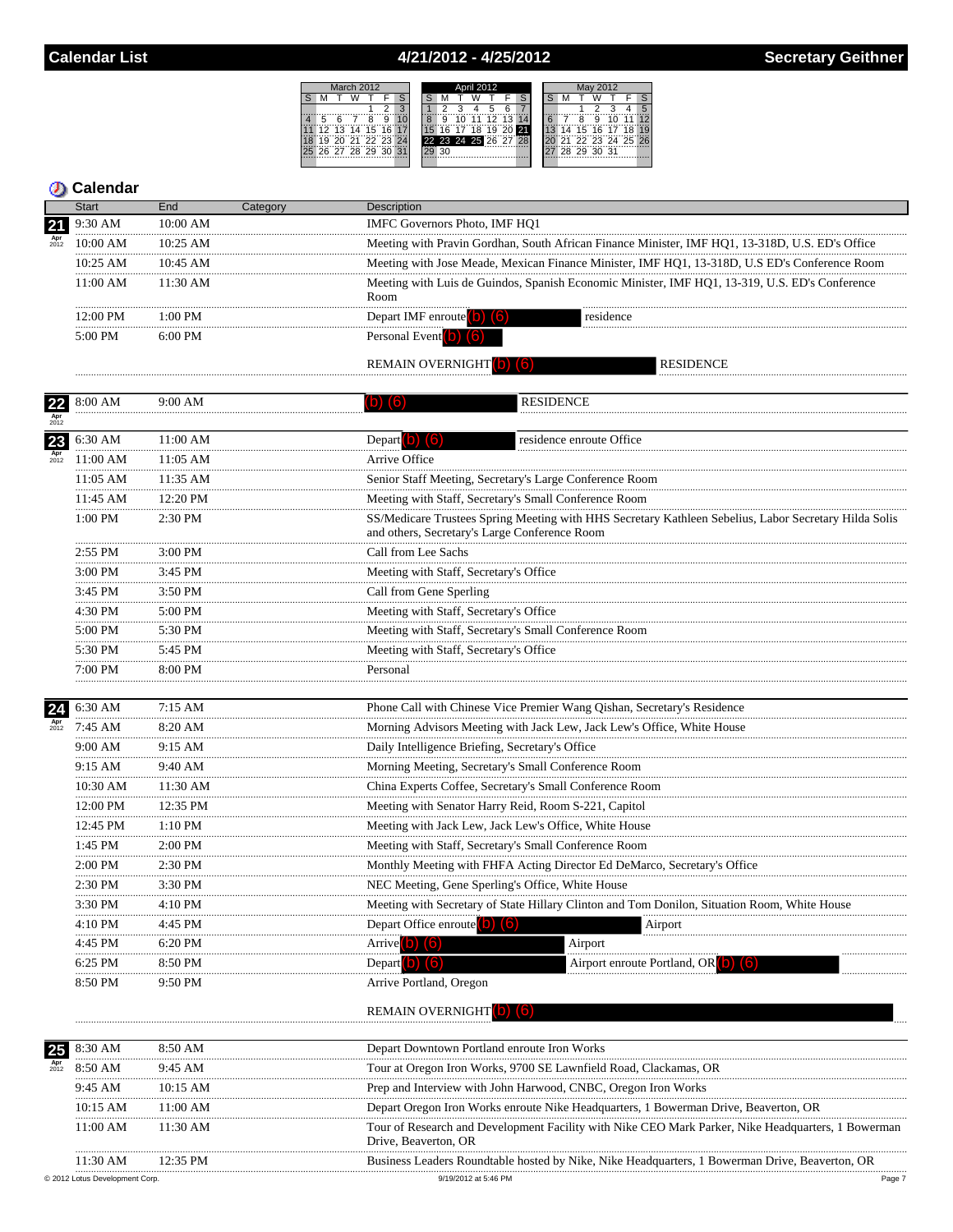### 4/21/2012 - 4/25/2012

 $S$  M



### **5** Calendar

|                        | Start                        | End        | :ategory | <b>Description</b>                                                                              |                                                                                                |  |  |  |  |  |  |
|------------------------|------------------------------|------------|----------|-------------------------------------------------------------------------------------------------|------------------------------------------------------------------------------------------------|--|--|--|--|--|--|
| 21                     | 9:30 AM                      | 10:00 AM   |          | IMFC Governors Photo, IMF HQ1                                                                   |                                                                                                |  |  |  |  |  |  |
| $_{2012}^{\text{Apr}}$ | $10:00$ AM                   | $10:25$ AM |          | Meeting with Pravin Gordhan, South African Finance Minister, IMF HQ1, 13-318D, U.S. ED's Office |                                                                                                |  |  |  |  |  |  |
|                        | $10:25$ AM                   | $10:45$ AM |          | Meeting with Jose Meade, Mexican Finance Minister, IMF HQ1, 13-318D, U.S ED's Conference Room   |                                                                                                |  |  |  |  |  |  |
|                        | 11:00 AM                     | $11:30$ AM |          | Room                                                                                            | Meeting with Luis de Guindos, Spanish Economic Minister, IMF HQ1, 13-319, U.S. ED's Conference |  |  |  |  |  |  |
|                        | $12:00 \text{ PM}$           | 1.00 PM    |          | Depart IMF enroute                                                                              | residence                                                                                      |  |  |  |  |  |  |
|                        | 5:00 PM<br>$6.00 \text{ PM}$ |            |          | Personal Event                                                                                  |                                                                                                |  |  |  |  |  |  |
|                        |                              |            |          | <b>REMAIN OVERNIGHT</b>                                                                         | <b>RESIDENCE</b>                                                                               |  |  |  |  |  |  |

| 22                  | 8:00 AM    | 9:00 AM  | <b>RESIDENCE</b><br>(b) (6)                                                                                                                            |
|---------------------|------------|----------|--------------------------------------------------------------------------------------------------------------------------------------------------------|
|                     |            |          |                                                                                                                                                        |
| 23<br>Apr<br>$2012$ | 6:30 AM    | 11:00 AM | Depart $\begin{pmatrix} 0 \\ 0 \end{pmatrix}$ $\begin{pmatrix} 6 \\ 0 \end{pmatrix}$<br>residence enroute Office                                       |
|                     | 11:00 AM   | 11:05 AM | Arrive Office                                                                                                                                          |
|                     | $11:05$ AM | 11:35 AM | Senior Staff Meeting, Secretary's Large Conference Room                                                                                                |
|                     | 11:45 AM   | 12:20 PM | Meeting with Staff, Secretary's Small Conference Room                                                                                                  |
|                     | 1:00 PM    | 2:30 PM  | SS/Medicare Trustees Spring Meeting with HHS Secretary Kathleen Sebelius, Labor Secretary Hilda Solis<br>and others, Secretary's Large Conference Room |
|                     | 2:55 PM    | 3:00 PM  | Call from Lee Sachs                                                                                                                                    |
|                     | 3:00 PM    | 3:45 PM  | Meeting with Staff, Secretary's Office                                                                                                                 |
|                     | 3:45 PM    | 3:50 PM  | Call from Gene Sperling                                                                                                                                |
|                     | 4:30 PM    | 5:00 PM  | Meeting with Staff, Secretary's Office                                                                                                                 |
|                     | 5:00 PM    | 5:30 PM  | Meeting with Staff, Secretary's Small Conference Room                                                                                                  |
|                     | 5:30 PM    | 5:45 PM  | Meeting with Staff, Secretary's Office                                                                                                                 |
|                     | 7:00 PM    | 8:00 PM  | Personal                                                                                                                                               |
| 24                  | 6:30 AM    | 7:15 AM  | Phone Call with Chinese Vice Premier Wang Qishan, Secretary's Residence                                                                                |
|                     | 7:45 AM    | 8:20 AM  | Morning Advisors Meeting with Jack Lew, Jack Lew's Office, White House                                                                                 |
|                     | 9:00 AM    | 9:15 AM  | Daily Intelligence Briefing, Secretary's Office                                                                                                        |
|                     | 9:15 AM    | 9:40 AM  | Morning Meeting, Secretary's Small Conference Room                                                                                                     |
|                     | 10:30 AM   | 11:30 AM | China Experts Coffee, Secretary's Small Conference Room                                                                                                |
|                     | 12:00 PM   | 12:35 PM | Meeting with Senator Harry Reid, Room S-221, Capitol                                                                                                   |
|                     | 12:45 PM   | 1:10 PM  | Meeting with Jack Lew, Jack Lew's Office, White House                                                                                                  |
|                     | 1:45 PM    | 2:00 PM  | Meeting with Staff, Secretary's Small Conference Room                                                                                                  |
|                     | 2:00 PM    | 2:30 PM  | Monthly Meeting with FHFA Acting Director Ed DeMarco, Secretary's Office                                                                               |
|                     | 2:30 PM    | 3:30 PM  | NEC Meeting, Gene Sperling's Office, White House                                                                                                       |
|                     | 3:30 PM    | 4:10 PM  | Meeting with Secretary of State Hillary Clinton and Tom Donilon, Situation Room, White House                                                           |
|                     | 4:10 PM    | 4:45 PM  | Depart Office enroute (b) (6)<br>Airport                                                                                                               |
|                     | 4:45 PM    | 6:20 PM  | Arrive $(b)$ $(6)$<br>Airport                                                                                                                          |
|                     | 6:25 PM    | 8:50 PM  | Depart $\vert$ b) $\vert$ (6)<br>Airport enroute Portland, OR <sup>1</sup>                                                                             |
|                     | 8:50 PM    | 9:50 PM  | Arrive Portland, Oregon                                                                                                                                |
|                     |            |          | <b>REMAIN OVERNIGHT</b><br>(6)                                                                                                                         |
| 25                  | 8:30 AM    | 8:50 AM  | Depart Downtown Portland enroute Iron Works                                                                                                            |
| Apr<br>$2012$       | 8:50 AM    | 9:45 AM  | Tour at Oregon Iron Works, 9700 SE Lawnfield Road, Clackamas, OR                                                                                       |
|                     | 9:45 AM    | 10:15 AM | Prep and Interview with John Harwood, CNBC, Oregon Iron Works                                                                                          |
|                     | 10:15 AM   | 11:00 AM | Depart Oregon Iron Works enroute Nike Headquarters, 1 Bowerman Drive, Beaverton, OR                                                                    |
|                     | 11:00 AM   | 11:30 AM | Tour of Research and Development Facility with Nike CEO Mark Parker, Nike Headquarters, 1 Bowerman<br>Drive, Beaverton, OR                             |
|                     | 11:30 AM   | 12:35 PM | Business Leaders Roundtable hosted by Nike, Nike Headquarters, 1 Bowerman Drive, Beaverton, OR                                                         |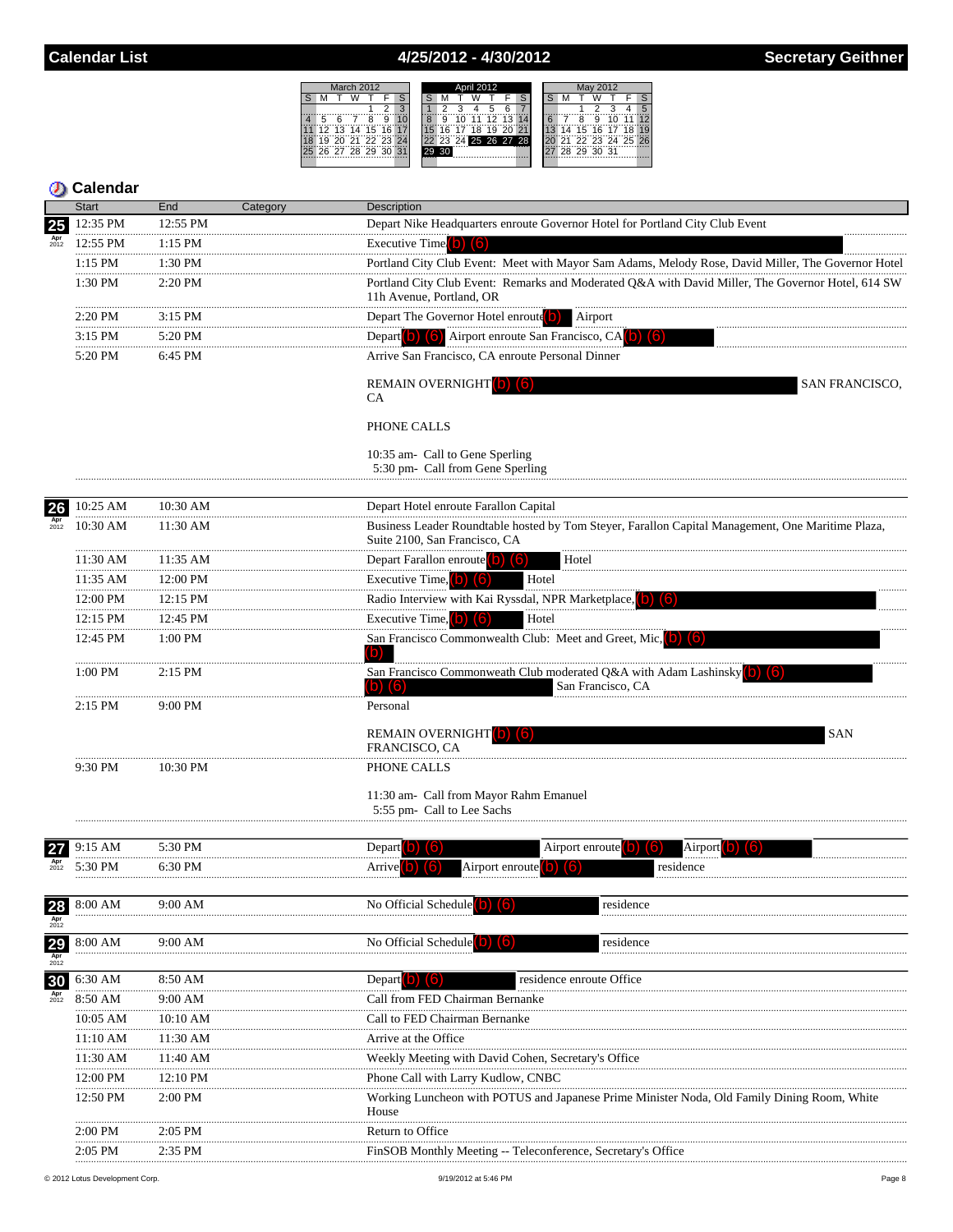**D** Calendar

9:30 PM

9:15 AM

 $5:30$  PM

8:00 AM

8:00 AM

6:30 AM

8:50 AM

10:05 AM

11:10 AM

11:30 AM

12:00 PM

12:50 PM

2:00 PM

27

28

29

30

10:30 PM

5:30 PM

6:30 PM

9:00 AM

 $9:00$  AM

8:50 AM

 $9:00 AM$ 

10:10 AM

11:30 AM

11:40 AM

12:10 PM

2:00 PM

2:05 PM

#### 4/25/2012 - 4/30/2012



Airport enroute

residence enroute Office

residence

residence

Working Luncheon with POTUS and Japanese Prime Minister Noda, Old Family Dining Room, White

Airport

residence

11:30 am- Call from Mayor Rahm Emanuel

Airport enroute

Weekly Meeting with David Cohen, Secretary's Office

FinSOB Monthly Meeting -- Teleconference, Secretary's Office

5:55 pm- Call to Lee Sachs

FRANCISCO, CA

No Official Schedule

No Official Schedule

Arrive at the Office

Return to Office

House

Call from FED Chairman Bernanke

Phone Call with Larry Kudlow, CNBC

Call to FED Chairman Bernanke

Depart (b)  $(6)$ 

PHONE CALLS

Depart

Arrive

|                        | ыап                | Ena        | Category | Description                                                                                                                        |
|------------------------|--------------------|------------|----------|------------------------------------------------------------------------------------------------------------------------------------|
| 25                     | 12:35 PM           | 12:55 PM   |          | Depart Nike Headquarters enroute Governor Hotel for Portland City Club Event                                                       |
| $_{2012}^{\text{Apr}}$ | 12:55 PM           | $1:15$ PM  |          | Executive Time                                                                                                                     |
|                        | $1:15$ PM          | 1:30 PM    |          | Portland City Club Event: Meet with Mayor Sam Adams, Melody Rose, David Miller, The Governor Hotel                                 |
|                        | 1:30 PM            | 2:20 PM    |          | Portland City Club Event: Remarks and Moderated Q&A with David Miller, The Governor Hotel, 614 SW<br>11h Avenue, Portland, OR      |
|                        | 2:20 PM            | $3:15$ PM  |          | Depart The Governor Hotel enroute <sup>(0)</sup><br>Airport                                                                        |
|                        | $3:15$ PM          | $5:20$ PM  |          | Depart <b>(b) (6)</b><br>Airport enroute San Francisco, CA                                                                         |
|                        | 5:20 PM            | 6:45 PM    |          | Arrive San Francisco, CA enroute Personal Dinner                                                                                   |
|                        |                    |            |          | SAN FRANCISCO,<br><b>REMAIN OVERNIGHT</b><br>CA                                                                                    |
|                        |                    |            |          | PHONE CALLS                                                                                                                        |
|                        |                    |            |          | 10:35 am- Call to Gene Sperling<br>5:30 pm- Call from Gene Sperling                                                                |
| 26                     | 10:25 AM           | 10:30 AM   |          | Depart Hotel enroute Farallon Capital                                                                                              |
| $_{2012}^{\text{Apr}}$ | $10:30$ AM         | 11:30 AM   |          | Business Leader Roundtable hosted by Tom Stever, Farallon Capital Management, One Maritime Plaza,<br>Suite 2100, San Francisco, CA |
|                        | 11:30 AM           | 11:35 AM   |          | Depart Farallon enroute <sup>1</sup><br>Hotel<br>(161                                                                              |
|                        | 11:35 AM           | 12:00 PM   |          | Executive Time, 0<br>Hotel<br>$\sqrt{6}$                                                                                           |
|                        | $12:00 \text{ PM}$ | $12:15$ PM |          | Radio Interview with Kai Ryssdal, NPR Marketplace,                                                                                 |
|                        | 12:15 PM           | 12:45 PM   |          | Executive Time, (b) (6)<br>Hotel                                                                                                   |
|                        | 12:45 PM           | $1:00$ PM  |          | San Francisco Commonwealth Club: Meet and Greet, Mic,                                                                              |
|                        | 1:00 PM            | $2:15$ PM  |          | San Francisco Commonweath Club moderated Q&A with Adam Lashinsky<br>(6)<br>San Francisco, CA                                       |
|                        | $2:15$ PM          | 9:00 PM    |          | Personal                                                                                                                           |
|                        |                    |            |          | <b>REMAIN OVERNIGHT</b> (6)<br><b>SAN</b>                                                                                          |

2:05 PM 2:35 PM © 2012 Lotus Development Corp

| 9/19/2012 at 5:46 PM |  |
|----------------------|--|
|                      |  |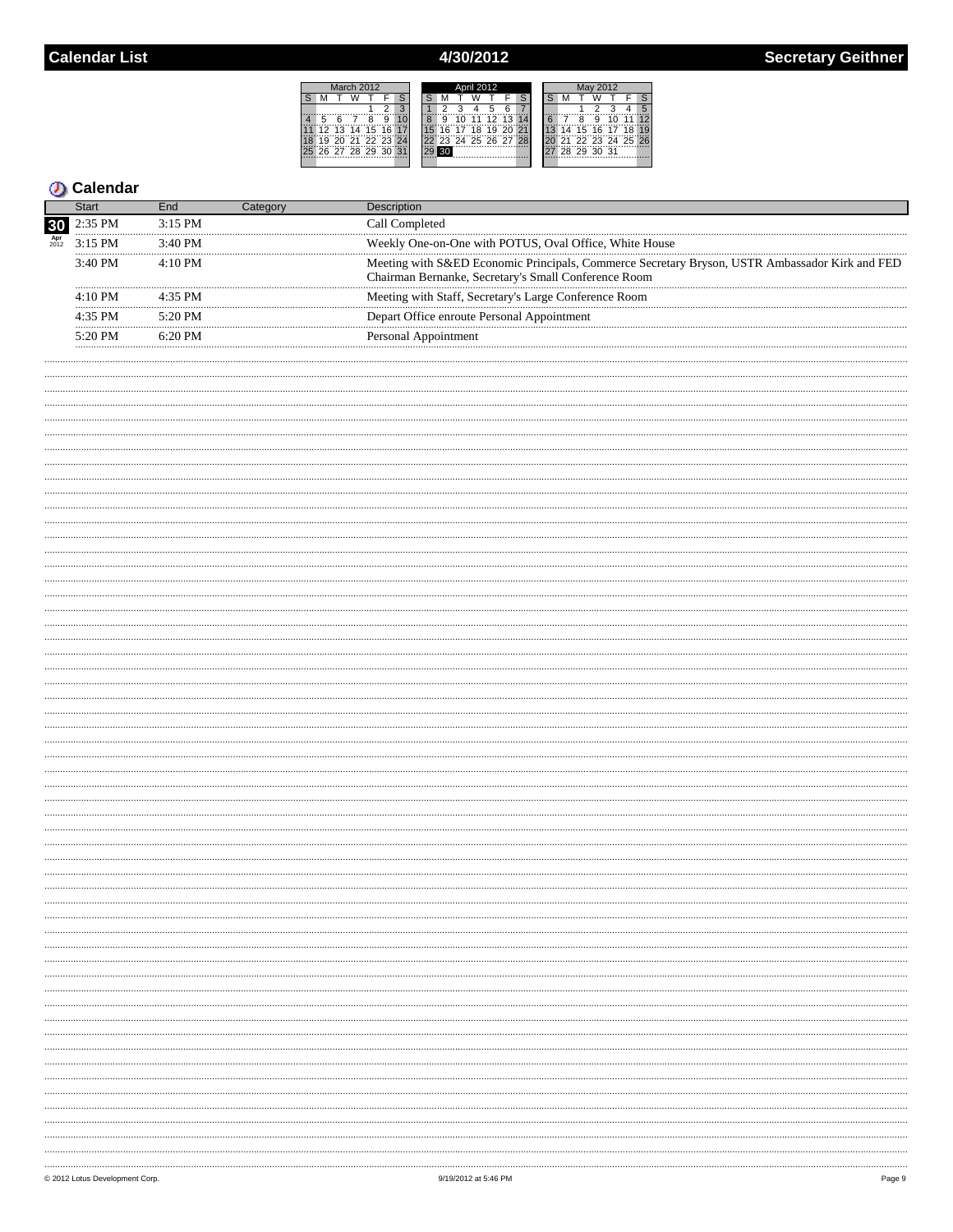# 4/30/2012

|    |   | March 2012 |                |    | April 2012      |      |  |    |       |                      |  | Mav 2012 |  |  |             |  |                   |  |
|----|---|------------|----------------|----|-----------------|------|--|----|-------|----------------------|--|----------|--|--|-------------|--|-------------------|--|
|    |   |            |                |    |                 |      |  |    |       |                      |  |          |  |  |             |  |                   |  |
|    |   |            |                | ာ  |                 |      |  |    |       | 6                    |  |          |  |  |             |  |                   |  |
|    | 6 |            | g              |    |                 | ġ,   |  | 11 | 12    | $-43$                |  |          |  |  |             |  |                   |  |
| 12 |   |            | $13$ 14 15 16  |    | 15 <sup>1</sup> | 1617 |  |    | 18'19 | 20 21                |  |          |  |  | 14 15 16 17 |  |                   |  |
| 19 |   |            | 20 21 22 23 24 |    |                 |      |  |    |       | 22 23 24 25 26 27 28 |  |          |  |  |             |  | 21 22 23 24 25 26 |  |
|    |   |            | 26 27 28 29 30 | 31 |                 | 30   |  |    |       |                      |  |          |  |  | 28 29 30 31 |  |                   |  |
|    |   |            |                |    |                 |      |  |    |       |                      |  |          |  |  |             |  |                   |  |

|                           | Start             |                   |                                                                                                                                                        |
|---------------------------|-------------------|-------------------|--------------------------------------------------------------------------------------------------------------------------------------------------------|
| 30                        | $2.35$ PM         | $3.15$ PM         | ≌all Completed                                                                                                                                         |
| $\frac{\text{Apr}}{2012}$ | $3.15$ PM         | $3.40$ PM         | Weekly One-on-One with POTUS, Oval Office, White House                                                                                                 |
|                           | $3:40$ PM         | $4.10 \text{ PM}$ | Meeting with S&ED Economic Principals, Commerce Secretary Bryson, USTR Ambassador Kirk and FED<br>Chairman Bernanke, Secretary's Small Conference Room |
|                           | $4.10 \text{ PM}$ | $4.35$ PM         | Meeting with Staff, Secretary's Large Conference Room                                                                                                  |
|                           | $4.35$ PM         | $5.20 \text{ PM}$ | Depart Office enroute Personal Appointment                                                                                                             |
|                           | 5.20 PM           | $6.20 \text{ PM}$ | Personal Appointment                                                                                                                                   |
|                           |                   |                   |                                                                                                                                                        |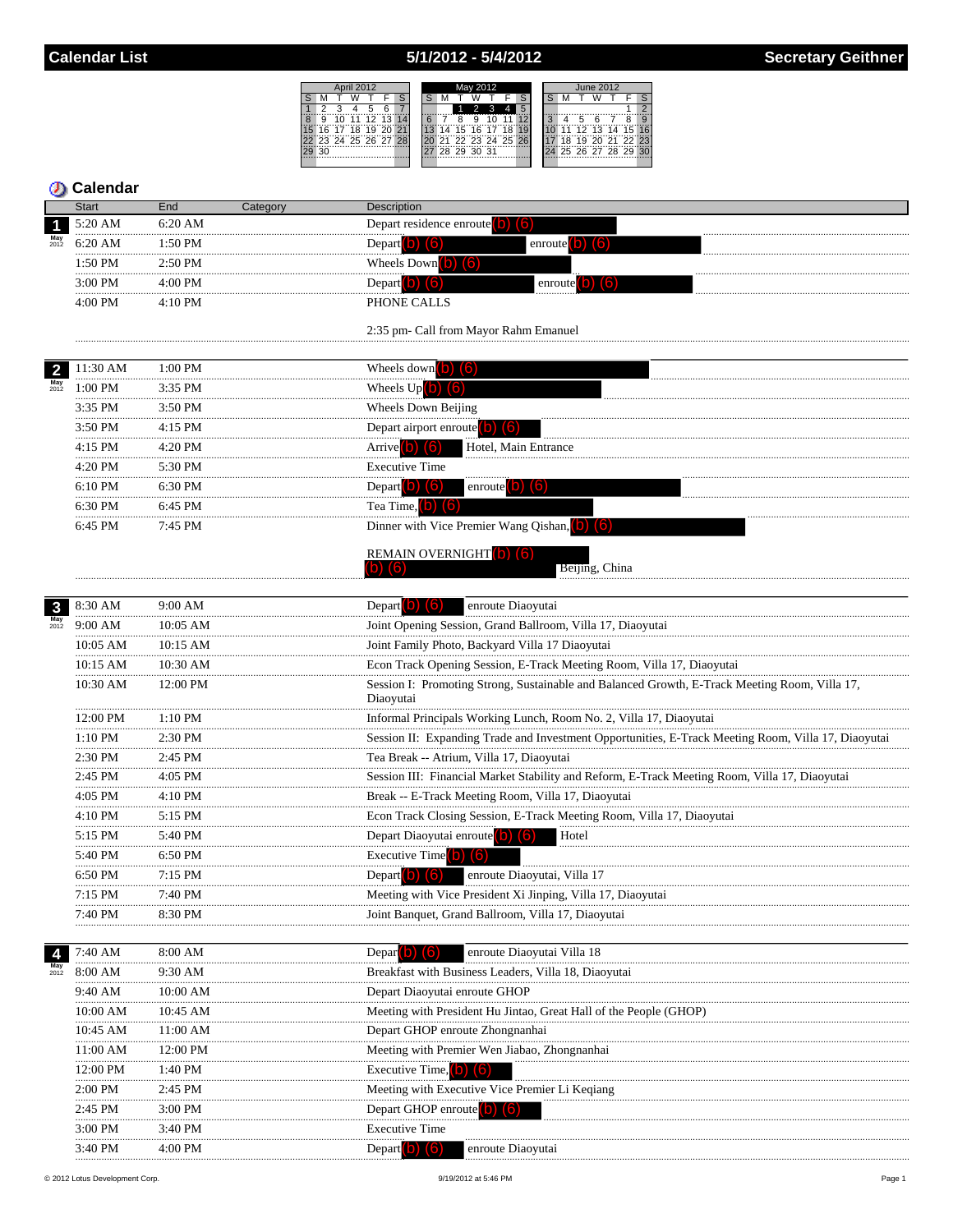# 5/1/2012 - 5/4/2012

| April 2012 |    |    |       |  |                   |  | May 2012 |    |    |   |             |                   |    | <b>June 2012</b> |  |     |   |   |  |                   |   |
|------------|----|----|-------|--|-------------------|--|----------|----|----|---|-------------|-------------------|----|------------------|--|-----|---|---|--|-------------------|---|
|            |    |    |       |  |                   |  |          |    |    |   |             |                   |    |                  |  |     |   |   |  |                   |   |
|            |    |    |       |  |                   |  |          |    |    |   |             |                   |    | 5                |  |     |   |   |  |                   | ◠ |
|            |    | ïö | ***   |  | 72.7314           |  |          |    |    | Ä | g           |                   |    |                  |  |     | Έ | Ä |  | Ŕ                 |   |
|            | 16 | 17 | 18 19 |  | $20\,$ 21         |  |          | 13 | 14 |   | 15 16 17    |                   | 18 |                  |  |     |   |   |  | 12 13 14 15 16    |   |
|            |    |    |       |  | 23 24 25 26 27 28 |  |          |    |    |   |             | 21 22 23 24 25 26 |    |                  |  | ΪÄ. |   |   |  | 19 20 21 22 23    |   |
|            |    |    |       |  |                   |  |          |    |    |   | 28 29 30 31 |                   |    |                  |  |     |   |   |  | 25 26 27 28 29 30 |   |
|            |    |    |       |  |                   |  |          |    |    |   |             |                   |    |                  |  |     |   |   |  |                   |   |

|                         | <b>Calendar</b> |                 |                                                                                                            |
|-------------------------|-----------------|-----------------|------------------------------------------------------------------------------------------------------------|
|                         | <b>Start</b>    | End<br>Category | Description                                                                                                |
|                         | 5:20 AM         | $6:20$ AM       | Depart residence enroute $(b)$ $(6)$                                                                       |
| $May$ <sub>2012</sub>   | 6:20 AM         | 1:50 PM         | enroute $(b)$ $(6)$<br>Depart b) (6)                                                                       |
|                         | 1:50 PM         | 2:50 PM         | Wheels Down $(b)$ $(6)$                                                                                    |
|                         | 3:00 PM         | 4:00 PM         | Depart (b) $(6)$<br>enroute $\begin{pmatrix} 0 \\ 0 \end{pmatrix}$ $\begin{pmatrix} 6 \\ 0 \end{pmatrix}$  |
|                         | 4:00 PM         | 4:10 PM         | PHONE CALLS                                                                                                |
|                         |                 |                 | 2:35 pm- Call from Mayor Rahm Emanuel                                                                      |
|                         |                 |                 |                                                                                                            |
| $\overline{\mathbf{2}}$ | 11:30 AM<br>.   | 1:00 PM<br>.    | Wheels down $\begin{bmatrix} 0 \\ 0 \end{bmatrix}$ $\begin{bmatrix} 6 \\ 0 \end{bmatrix}$                  |
| $May$<br>$2012$         | 1:00 PM         | 3:35 PM         | Wheels $Up(b)$<br>(6                                                                                       |
|                         | 3:35 PM         | 3:50 PM         | <b>Wheels Down Beijing</b>                                                                                 |
|                         | 3:50 PM         | 4:15 PM         | Depart airport enroute <sup>(0)</sup><br>(10)                                                              |
|                         | 4:15 PM         | 4:20 PM         | Arrive <sup>(b)</sup> (6)<br>Hotel, Main Entrance                                                          |
|                         | 4:20 PM         | 5:30 PM         | <b>Executive Time</b>                                                                                      |
|                         | 6:10 PM         | 6:30 PM         | enroute $(b)$ $(6)$<br>Depart b) (6)                                                                       |
|                         | 6:30 PM         | 6:45 PM         | Tea Time, $\begin{pmatrix} 0 \\ 0 \end{pmatrix}$ $\begin{pmatrix} 6 \\ 1 \end{pmatrix}$                    |
|                         | 6:45 PM         | 7:45 PM         | Dinner with Vice Premier Wang Qishan, (b) (6)                                                              |
|                         |                 |                 | <b>REMAIN OVERNIGHT b</b> ) (6)                                                                            |
|                         |                 |                 | 61<br>Beijing, China                                                                                       |
| $\mathbf{3}$            | 8:30 AM         | 9:00 AM         | Depart $\left( \text{b} \right)$ $\left( \text{b} \right)$<br>enroute Diaoyutai                            |
| May<br>2012             | 9:00 AM         | $10:05$ AM      | Joint Opening Session, Grand Ballroom, Villa 17, Diaoyutai                                                 |
|                         | 10:05 AM        | 10:15 AM        | Joint Family Photo, Backyard Villa 17 Diaoyutai                                                            |
|                         | 10:15 AM        | 10:30 AM        | Econ Track Opening Session, E-Track Meeting Room, Villa 17, Diaoyutai                                      |
|                         | 10:30 AM        | 12:00 PM        | Session I: Promoting Strong, Sustainable and Balanced Growth, E-Track Meeting Room, Villa 17,<br>Diaoyutai |
|                         | 12:00 PM        | $1:10$ PM       | Informal Principals Working Lunch, Room No. 2, Villa 17, Diaoyutai                                         |
|                         | 1:10 PM         | 2:30 PM         | Session II: Expanding Trade and Investment Opportunities, E-Track Meeting Room, Villa 17, Diaoyutai        |
|                         | 2:30 PM         | 2:45 PM         | Tea Break -- Atrium, Villa 17, Diaoyutai                                                                   |
|                         | 2:45 PM         | 4:05 PM         | Session III: Financial Market Stability and Reform, E-Track Meeting Room, Villa 17, Diaoyutai              |
|                         | 4:05 PM         | 4:10 PM         | Break -- E-Track Meeting Room, Villa 17, Diaoyutai                                                         |
|                         | 4:10 PM         | 5:15 PM         | Econ Track Closing Session, E-Track Meeting Room, Villa 17, Diaoyutai                                      |
|                         | 5:15 PM         | 5:40 PM         | Depart Diaoyutai enroute (b) (6)<br>Hotel                                                                  |
|                         | 5:40 PM         | 6:50 PM         | Executive Time $(b)$ $(6)$                                                                                 |
|                         | 6:50 PM         | 7:15 PM         | Depart $(b)$ $(6)$<br>enroute Diaoyutai, Villa 17                                                          |
|                         | 7:15 PM         | 7:40 PM         | Meeting with Vice President Xi Jinping, Villa 17, Diaoyutai                                                |
|                         | 7:40 PM         | 8:30 PM         | Joint Banquet, Grand Ballroom, Villa 17, Diaoyutai                                                         |
|                         |                 |                 |                                                                                                            |
|                         | 7:40 AM         | 8:00 AM         | Depar <sup>1</sup><br>enroute Diaoyutai Villa 18                                                           |
| 2012                    | 8:00 AM         | 9:30 AM         | Breakfast with Business Leaders, Villa 18, Diaoyutai                                                       |
|                         | 9:40 AM         | 10:00 AM        | Depart Diaoyutai enroute GHOP                                                                              |
|                         | 10:00 AM        | 10:45 AM        | Meeting with President Hu Jintao, Great Hall of the People (GHOP)                                          |
|                         | 10:45 AM        | 11:00 AM        | Depart GHOP enroute Zhongnanhai                                                                            |
|                         | 11:00 AM        | 12:00 PM        | Meeting with Premier Wen Jiabao, Zhongnanhai                                                               |
|                         | 12:00 PM        | 1:40 PM         | Executive Time, O                                                                                          |
|                         | $2:00$ PM<br>   | 2:45 PM         | Meeting with Executive Vice Premier Li Keqiang                                                             |
|                         | 2:45 PM         | 3:00 PM         | Depart GHOP enroute <b>D</b>                                                                               |
|                         | $3:00$ PM       | 3:40 PM         | <b>Executive Time</b>                                                                                      |
|                         | 3:40 PM         | 4:00 PM         | Depart $\begin{pmatrix} 0 \\ 0 \end{pmatrix}$ $\begin{pmatrix} 6 \\ 0 \end{pmatrix}$<br>enroute Diaoyutai  |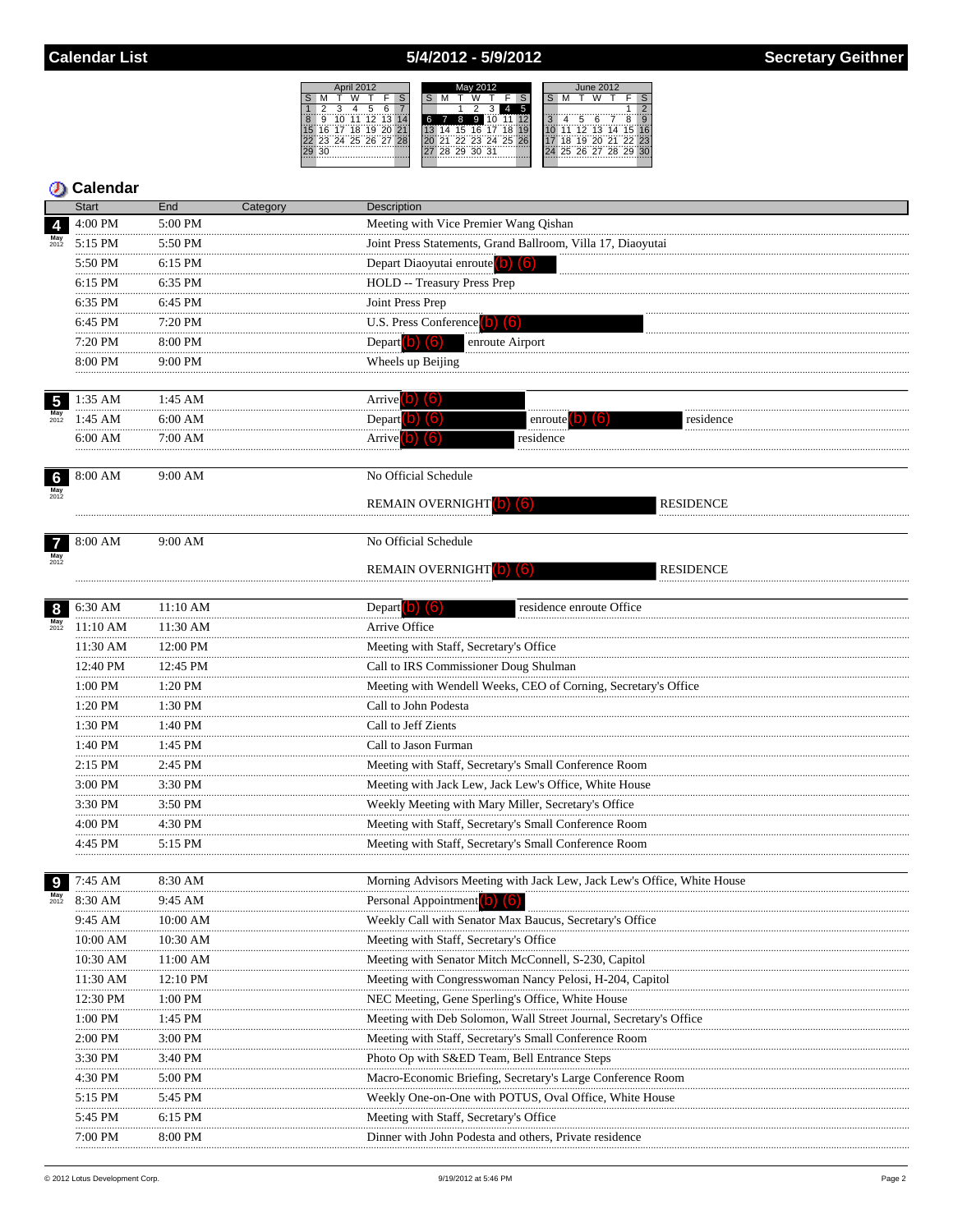### 5/4/2012 - 5/9/2012

Meeting with Vice Premier Wang Qishan

Depart Diaoyutai enroute (b) (6)

HOLD -- Treasury Press Prep

U.S. Press Conference (b) (6)

ā 15 16

|  | pril 2012 |               |               |  |   | May 2012          |  |  | <b>June 2012</b> |  |   |   |  |                      |  |
|--|-----------|---------------|---------------|--|---|-------------------|--|--|------------------|--|---|---|--|----------------------|--|
|  |           |               |               |  |   |                   |  |  |                  |  |   |   |  |                      |  |
|  |           |               |               |  |   |                   |  |  |                  |  |   |   |  |                      |  |
|  |           | 0 11 12 13 14 |               |  | 8 | 9                 |  |  |                  |  | 5 | ี |  |                      |  |
|  |           | 7 18 19 20 21 |               |  |   | 14 15 16 17 18    |  |  |                  |  |   |   |  | 11 12 13 14 15 16    |  |
|  |           |               | 4 25 26 27 28 |  |   | 21 22 23 24 25 26 |  |  |                  |  |   |   |  | 18 19 20 21 22 23    |  |
|  |           |               |               |  |   | 28 29 30 31       |  |  |                  |  |   |   |  | 24 25 26 27 28 29 30 |  |
|  |           |               |               |  |   |                   |  |  |                  |  |   |   |  |                      |  |

Joint Press Statements, Grand Ballroom, Villa 17, Diaoyutai

enroute Airport

**RESIDENCE** 

**RESIDENCE** 

#### **Calendar** Start End Category 4:00 PM 5:00 PM  $\overline{4}$ 5:15 PM 5:50 PM 5:50 PM 6:15 PM  $6:15$  PM  $6:35$  PM 6:35 PM 6:45 PM  $6:45$  PM 7:20 PM  $7:20$  PM 8:00 PM 8:00 PM 9:00 PM

9:00 AM

9:00 AM

|             | 1:35 AM |       |               |           |
|-------------|---------|-------|---------------|-----------|
| May<br>2012 | `AN.    | iai t |               | residence |
|             | 5:00 AM |       | <br>residence |           |
|             |         |       |               |           |



 $7^{8:00 \text{ AM}}$ 

 $May$ <br> $2012$ 

No Official Schedule

Description

Joint Press Prep

Depart  $(b)$   $(6)$ 

Wheels up Beijing

REMAIN OVERNIGHT

### No Official Schedule

REMAIN OVERNIGHT bl

| 8                         | 6:30 AM        | 11:10 AM       | residence enroute Office<br>Depart <sup>[0]</sup>                      |
|---------------------------|----------------|----------------|------------------------------------------------------------------------|
| $\frac{\text{May}}{2012}$ | 11:10 AM       | $11:30$ AM     | Arrive Office                                                          |
|                           | 11:30 AM<br>   | 12:00 PM       | Meeting with Staff, Secretary's Office                                 |
|                           | 12:40 PM       | 12:45 PM       | Call to IRS Commissioner Doug Shulman                                  |
|                           | 1:00 PM<br>    | $1:20$ PM      | Meeting with Wendell Weeks, CEO of Corning, Secretary's Office         |
|                           | 1:20 PM<br>    | 1:30 PM        | Call to John Podesta                                                   |
|                           | 1:30 PM        | 1:40 PM        | Call to Jeff Zients                                                    |
|                           | $1:40$ PM<br>. | $1:45$ PM      | Call to Jason Furman                                                   |
|                           | 2:15 PM<br>    | 2:45 PM        | Meeting with Staff, Secretary's Small Conference Room                  |
|                           | 3:00 PM        | 3:30 PM        | Meeting with Jack Lew, Jack Lew's Office, White House                  |
|                           | 3:30 PM        | 3:50 PM        | Weekly Meeting with Mary Miller, Secretary's Office                    |
|                           | 4:00 PM        | 4:30 PM        | Meeting with Staff, Secretary's Small Conference Room                  |
|                           | 4:45 PM        | $5:15$ PM      | Meeting with Staff, Secretary's Small Conference Room                  |
|                           |                |                |                                                                        |
| 9                         | 7:45 AM        | 8:30 AM        | Morning Advisors Meeting with Jack Lew, Jack Lew's Office, White House |
| $\frac{\text{May}}{2012}$ | 8:30 AM        | 9:45 AM        | Personal Appointment (b) (6)                                           |
|                           | 9:45 AM        | 10:00 AM       | Weekly Call with Senator Max Baucus, Secretary's Office                |
|                           | 10:00 AM<br>   | 10:30 AM       | Meeting with Staff, Secretary's Office                                 |
|                           | 10:30 AM       | 11:00 AM       | Meeting with Senator Mitch McConnell, S-230, Capitol                   |
|                           | 11:30 AM       | 12:10 PM       | Meeting with Congresswoman Nancy Pelosi, H-204, Capitol                |
|                           | 12:30 PM<br>   | 1:00 PM        | NEC Meeting, Gene Sperling's Office, White House                       |
|                           | $1:00$ PM<br>. | $1:45$ PM<br>. | Meeting with Deb Solomon, Wall Street Journal, Secretary's Office      |
|                           | 2:00 PM        | 3:00 PM        | Meeting with Staff, Secretary's Small Conference Room                  |
|                           | 3:30 PM        | 3:40 PM        | Photo Op with S&ED Team, Bell Entrance Steps                           |
|                           | 4:30 PM<br>    | 5:00 PM        | Macro-Economic Briefing, Secretary's Large Conference Room             |
|                           | 5:15 PM        | 5:45 PM        | Weekly One-on-One with POTUS, Oval Office, White House                 |
|                           | 5:45 PM        | $6:15$ PM      | Meeting with Staff, Secretary's Office                                 |
|                           | 7:00 PM        | 8:00 PM        | Dinner with John Podesta and others, Private residence                 |
|                           |                |                |                                                                        |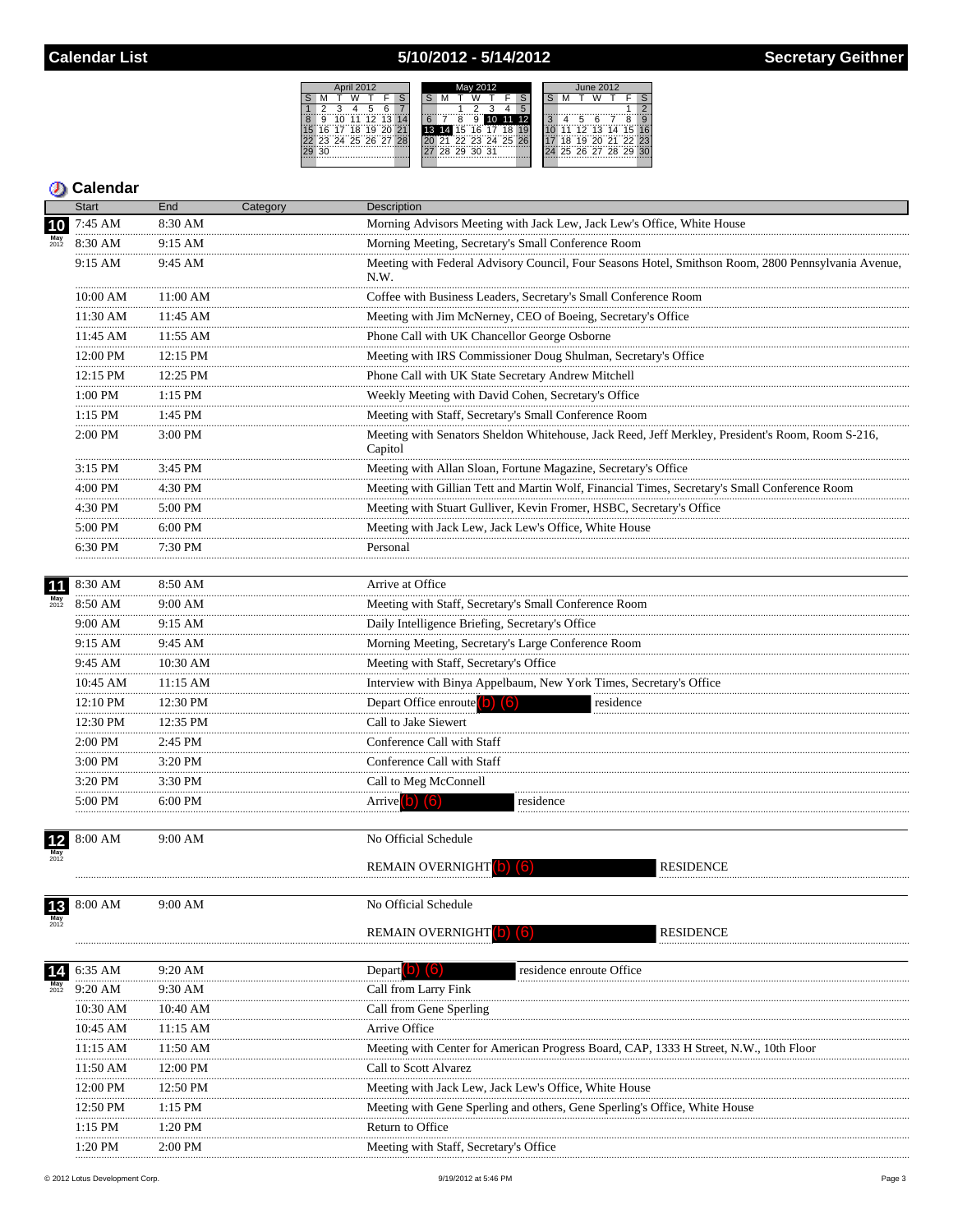# 5/10/2012 - 5/14/2012

|      |                   | April 2012 |     |      |  | May 2012 |  |             |   |  |                      |  |  |   |   |   | <b>June 2012</b> |                |                |  |
|------|-------------------|------------|-----|------|--|----------|--|-------------|---|--|----------------------|--|--|---|---|---|------------------|----------------|----------------|--|
|      |                   |            |     |      |  |          |  |             |   |  |                      |  |  |   |   |   |                  |                |                |  |
|      |                   |            |     |      |  |          |  |             |   |  |                      |  |  |   |   |   |                  |                |                |  |
|      | 10                | 44         | 羊づ. | 7371 |  |          |  |             | 9 |  |                      |  |  | ٩ |   | 5 | ี                |                | Ω              |  |
| ີ 16 | 17                | 18         | 19  |      |  |          |  | 14 15 16 17 |   |  |                      |  |  |   |   |   |                  | $12$ 13 14     | - 15 ™         |  |
|      | 23 24 25 26 27 28 |            |     |      |  |          |  |             |   |  | 20 21 22 23 24 25 26 |  |  |   | Ä |   |                  |                | 19 20 21 22 23 |  |
|      |                   |            |     |      |  |          |  | 28 29 30 31 |   |  |                      |  |  |   |   |   |                  | 25 26 27 28 29 |                |  |
|      |                   |            |     |      |  |          |  |             |   |  |                      |  |  |   |   |   |                  |                |                |  |

|                    | <b>Start</b>  | End           | Category | Description                                                                                                 |
|--------------------|---------------|---------------|----------|-------------------------------------------------------------------------------------------------------------|
| 10                 | 7:45 AM       | 8:30 AM       |          | Morning Advisors Meeting with Jack Lew, Jack Lew's Office, White House                                      |
|                    | 8:30 AM       | 9:15 AM       |          | Morning Meeting, Secretary's Small Conference Room                                                          |
|                    | 9:15 AM       | 9:45 AM       |          | Meeting with Federal Advisory Council, Four Seasons Hotel, Smithson Room, 2800 Pennsylvania Avenue,<br>N.W. |
|                    | 10:00 AM      | 11:00 AM      |          | Coffee with Business Leaders, Secretary's Small Conference Room                                             |
|                    | 11:30 AM      | 11:45 AM      |          | Meeting with Jim McNerney, CEO of Boeing, Secretary's Office                                                |
|                    | 11:45 AM      | .<br>11:55 AM |          | Phone Call with UK Chancellor George Osborne                                                                |
|                    | 12:00 PM      | <br>12:15 PM  |          | $\frac{1}{2}$<br>Meeting with IRS Commissioner Doug Shulman, Secretary's Office                             |
|                    | 12:15 PM      | 12:25 PM      |          | Phone Call with UK State Secretary Andrew Mitchell                                                          |
|                    | .<br>1:00 PM  | <br>$1:15$ PM |          | Weekly Meeting with David Cohen, Secretary's Office                                                         |
|                    | 1:15 PM       | 1:45 PM       |          | Meeting with Staff, Secretary's Small Conference Room                                                       |
|                    | 2:00 PM       | 3:00 PM       |          | Meeting with Senators Sheldon Whitehouse, Jack Reed, Jeff Merkley, President's Room, Room S-216,<br>Capitol |
|                    | 3:15 PM       | $3:45$ PM     |          | Meeting with Allan Sloan, Fortune Magazine, Secretary's Office                                              |
|                    | .<br>4:00 PM  | 4:30 PM       |          | Meeting with Gillian Tett and Martin Wolf, Financial Times, Secretary's Small Conference Room               |
|                    | .<br>4:30 PM  | 5:00 PM       |          | Meeting with Stuart Gulliver, Kevin Fromer, HSBC, Secretary's Office                                        |
|                    | 5:00 PM<br>.  | 6:00 PM       |          | Meeting with Jack Lew, Jack Lew's Office, White House                                                       |
|                    | 6:30 PM       | 7:30 PM       |          | Personal                                                                                                    |
| 11                 | 8:30 AM       | 8:50 AM       |          | Arrive at Office                                                                                            |
| $May$<br>$2012$    | 8:50 AM       | 9:00 AM       |          | Meeting with Staff, Secretary's Small Conference Room                                                       |
|                    | 9:00 AM<br>.  | 9:15 AM<br>.  |          | Daily Intelligence Briefing, Secretary's Office                                                             |
|                    | 9:15 AM<br>.  | 9:45 AM       |          | Morning Meeting, Secretary's Large Conference Room                                                          |
|                    | 9:45 AM<br>.  | 10:30 AM      |          | Meeting with Staff, Secretary's Office                                                                      |
|                    | 10:45 AM<br>  | 11:15 AM<br>. |          | Interview with Binya Appelbaum, New York Times, Secretary's Office                                          |
|                    | 12:10 PM      | 12:30 PM      |          | Depart Office enroute <sup>(</sup> O) (6)<br>residence                                                      |
|                    | 12:30 PM<br>. | 12:35 PM      |          | Call to Jake Siewert                                                                                        |
|                    | 2:00 PM       | 2:45 PM       |          | Conference Call with Staff                                                                                  |
|                    | 3:00 PM<br>.  | 3:20 PM       |          | Conference Call with Staff                                                                                  |
|                    | 3:20 PM       | 3:30 PM       |          | Call to Meg McConnell                                                                                       |
|                    | 5:00 PM       | 6:00 PM       |          | Arrive <sup>(b)</sup> (6)<br>residence                                                                      |
| $12$               | 8:00 AM       | $9:00$ AM     |          | No Official Schedule                                                                                        |
|                    |               |               |          | <b>REMAIN OVERNIGHT</b><br><b>RESIDENCE</b><br>llo.                                                         |
| $13$               | 8:00 AM       | 9:00 AM       |          | No Official Schedule                                                                                        |
|                    |               |               |          | <b>REMAIN OVERNIGHT</b><br><b>RESIDENCE</b>                                                                 |
| 14                 | 6:35 AM       | 9:20 AM       |          | Depart <b>b</b> (b)<br>residence enroute Office                                                             |
| <b>May</b><br>2012 | 9:20 AM       | 9:30 AM       |          | Call from Larry Fink                                                                                        |
|                    | 10:30 AM      | 10:40 AM      |          | Call from Gene Sperling                                                                                     |
|                    | 10:45 AM      | 11:15 AM      |          | Arrive Office                                                                                               |
|                    | 11:15 AM      | 11:50 AM      |          | Meeting with Center for American Progress Board, CAP, 1333 H Street, N.W., 10th Floor                       |
|                    | <br>11:50 AM  | 12:00 PM      |          | Call to Scott Alvarez                                                                                       |
|                    | 12:00 PM      | 12:50 PM      |          | Meeting with Jack Lew, Jack Lew's Office, White House                                                       |
|                    | 12:50 PM      | 1:15 PM       |          | Meeting with Gene Sperling and others, Gene Sperling's Office, White House                                  |
|                    | 1:15 PM       | 1:20 PM       |          | Return to Office                                                                                            |
|                    | 1:20 PM       | $2:00$ PM     |          | Meeting with Staff, Secretary's Office                                                                      |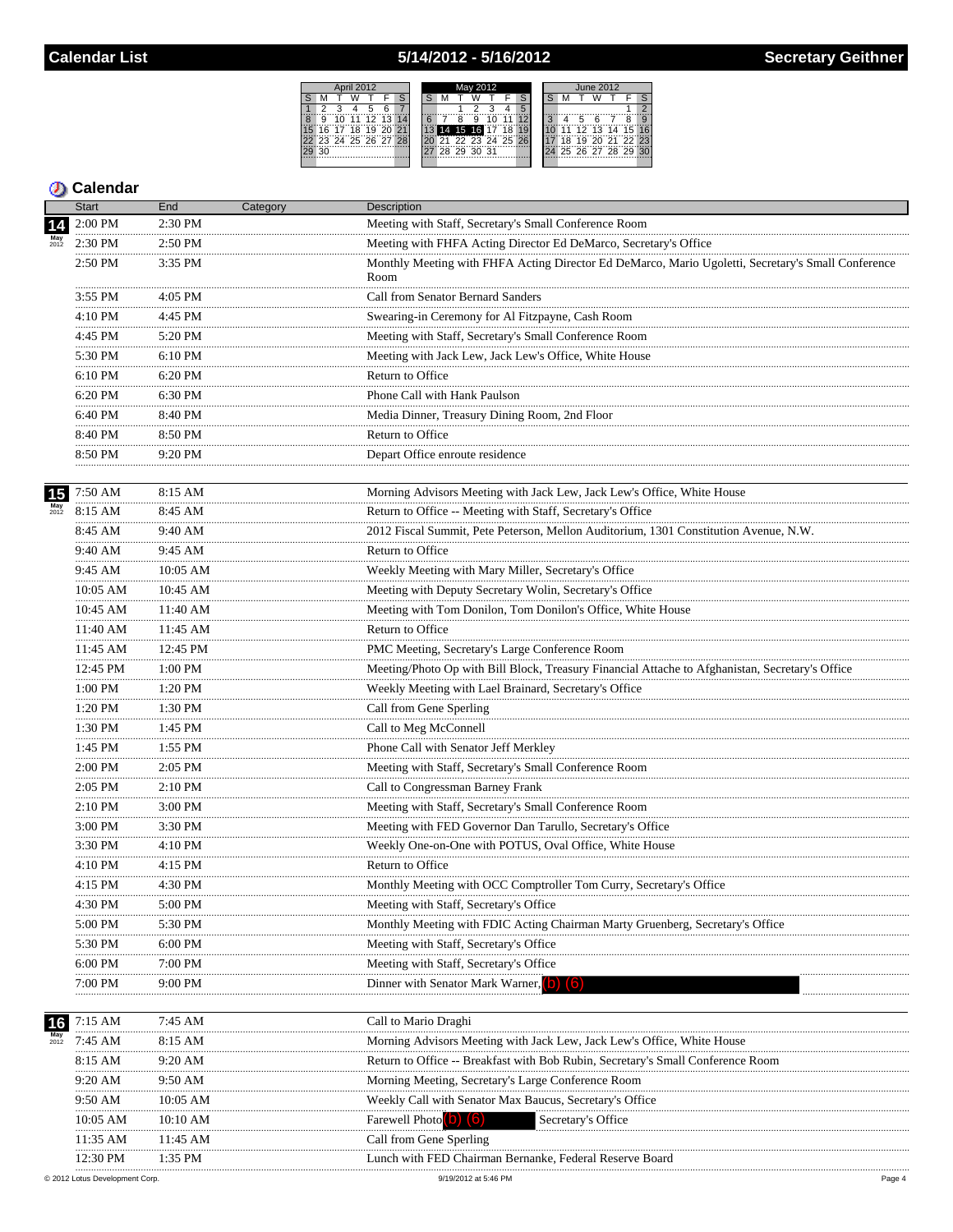# 5/14/2012 - 5/16/2012

|   | April 2012 |                      |  |  | May 2012    |                   |  |    | June 2012            |  |  |
|---|------------|----------------------|--|--|-------------|-------------------|--|----|----------------------|--|--|
|   |            |                      |  |  |             |                   |  |    |                      |  |  |
|   |            |                      |  |  |             |                   |  |    |                      |  |  |
| 9 |            | 10 11 12 13 14       |  |  |             |                   |  |    |                      |  |  |
|   |            | 16 17 18 19 20 21    |  |  |             | 14 15 16 17 18    |  | 11 | 12 13 14 15 16       |  |  |
|   |            | 22 23 24 25 26 27 28 |  |  |             | 21 22 23 24 25 26 |  | 18 | 19 20 21 22 23       |  |  |
|   |            |                      |  |  | 28 29 30 31 |                   |  |    | 24 25 26 27 28 29 30 |  |  |
|   |            |                      |  |  |             |                   |  |    |                      |  |  |

|    | <b>Start</b> | End          | Category | Description                                                                                                                                       |
|----|--------------|--------------|----------|---------------------------------------------------------------------------------------------------------------------------------------------------|
|    | 2:00 PM      | 2:30 PM      |          | Meeting with Staff, Secretary's Small Conference Room                                                                                             |
|    | 2:30 PM      | 2:50 PM      |          | Meeting with FHFA Acting Director Ed DeMarco, Secretary's Office                                                                                  |
|    | 2:50 PM      | 3:35 PM      |          | Monthly Meeting with FHFA Acting Director Ed DeMarco, Mario Ugoletti, Secretary's Small Conference<br>Room                                        |
|    | 3:55 PM      | $4:05$ PM    |          | Call from Senator Bernard Sanders                                                                                                                 |
|    | 4:10 PM      | 4:45 PM      |          | Swearing-in Ceremony for Al Fitzpayne, Cash Room                                                                                                  |
|    | <br>4:45 PM  | 5:20 PM      |          | Meeting with Staff, Secretary's Small Conference Room                                                                                             |
|    | 5:30 PM      | 6:10 PM      |          | Meeting with Jack Lew, Jack Lew's Office, White House                                                                                             |
|    | .<br>6:10 PM | 6:20 PM      |          | Return to Office                                                                                                                                  |
|    | 6:20 PM      | 6:30 PM      |          | Phone Call with Hank Paulson                                                                                                                      |
|    | .<br>6:40 PM | 8:40 PM      |          | Media Dinner, Treasury Dining Room, 2nd Floor                                                                                                     |
|    | 8:40 PM      | 8:50 PM      |          | Return to Office                                                                                                                                  |
|    | 8:50 PM      | 9:20 PM<br>. |          | Depart Office enroute residence                                                                                                                   |
| 15 | 7:50 AM      | 8:15 AM      |          | Morning Advisors Meeting with Jack Lew, Jack Lew's Office, White House                                                                            |
|    | 8:15 AM      | 8:45 AM      |          | Return to Office -- Meeting with Staff, Secretary's Office                                                                                        |
|    | 8:45 AM      | 9:40 AM      |          | 2012 Fiscal Summit, Pete Peterson, Mellon Auditorium, 1301 Constitution Avenue, N.W.                                                              |
|    | 9:40 AM      | 9:45 AM      |          | Return to Office                                                                                                                                  |
|    | 9:45 AM      | 10:05 AM     |          | Weekly Meeting with Mary Miller, Secretary's Office                                                                                               |
|    | 10:05 AM     | 10:45 AM     |          |                                                                                                                                                   |
|    | <br>10:45 AM | 11:40 AM     |          | Meeting with Deputy Secretary Wolin, Secretary's Office<br>Meeting with Tom Donilon, Tom Donilon's Office, White House                            |
|    | 11:40 AM     | 11:45 AM     |          | Return to Office                                                                                                                                  |
|    | 11:45 AM     | 12:45 PM     |          |                                                                                                                                                   |
|    | <br>12:45 PM |              |          | PMC Meeting, Secretary's Large Conference Room<br>Meeting/Photo Op with Bill Block, Treasury Financial Attache to Afghanistan, Secretary's Office |
|    |              | 1:00 PM<br>. |          |                                                                                                                                                   |
|    | 1:00 PM<br>. | 1:20 PM<br>. |          | Weekly Meeting with Lael Brainard, Secretary's Office                                                                                             |
|    | 1:20 PM      | 1:30 PM      |          | Call from Gene Sperling                                                                                                                           |
|    | 1:30 PM<br>  | 1:45 PM      |          | Call to Meg McConnell                                                                                                                             |
|    | 1:45 PM      | 1:55 PM      |          | Phone Call with Senator Jeff Merkley                                                                                                              |
|    | 2:00 PM      | 2:05 PM      |          | Meeting with Staff, Secretary's Small Conference Room                                                                                             |
|    | 2:05 PM      | 2:10 PM      |          | Call to Congressman Barney Frank                                                                                                                  |
|    | 2:10 PM<br>. | 3:00 PM      |          | Meeting with Staff, Secretary's Small Conference Room                                                                                             |
|    | 3:00 PM      | 3:30 PM      |          | Meeting with FED Governor Dan Tarullo, Secretary's Office                                                                                         |
|    | 3:30 PM      | 4:10 PM      |          | Weekly One-on-One with POTUS, Oval Office, White House                                                                                            |
|    | 4:10 PM      | 4:15 PM      |          | Return to Office                                                                                                                                  |
|    | 4:15 PM      | 4:30 PM      |          | Monthly Meeting with OCC Comptroller Tom Curry, Secretary's Office                                                                                |
|    | 4:30 PM      | 5:00 PM      |          | Meeting with Staff, Secretary's Office                                                                                                            |
|    | 5:00 PM      | 5:30 PM      |          | Monthly Meeting with FDIC Acting Chairman Marty Gruenberg, Secretary's Office                                                                     |
|    | 5:30 PM      | 6:00 PM      |          | Meeting with Staff, Secretary's Office                                                                                                            |
|    | 6:00 PM      | 7:00 PM      |          | Meeting with Staff, Secretary's Office                                                                                                            |
|    | 7:00 PM      | 9:00 PM      |          | Dinner with Senator Mark Warner, (b)<br>161                                                                                                       |
| 16 | 7:15 AM      | 7:45 AM      |          | Call to Mario Draghi                                                                                                                              |
|    | 7:45 AM      | 8:15 AM      |          | Morning Advisors Meeting with Jack Lew, Jack Lew's Office, White House                                                                            |
|    | 8:15 AM      | 9:20 AM      |          | Return to Office -- Breakfast with Bob Rubin, Secretary's Small Conference Room                                                                   |
|    | 9:20 AM      | 9:50 AM      |          | Morning Meeting, Secretary's Large Conference Room                                                                                                |
|    | 9:50 AM      | 10:05 AM     |          | Weekly Call with Senator Max Baucus, Secretary's Office                                                                                           |
|    | 10:05 AM     | 10:10 AM     |          | Farewell Photo (O) (6)<br>Secretary's Office                                                                                                      |
|    | 11:35 AM     | 11:45 AM     |          | Call from Gene Sperling                                                                                                                           |
|    | 12:30 PM     | 1:35 PM      |          | Lunch with FED Chairman Bernanke, Federal Reserve Board                                                                                           |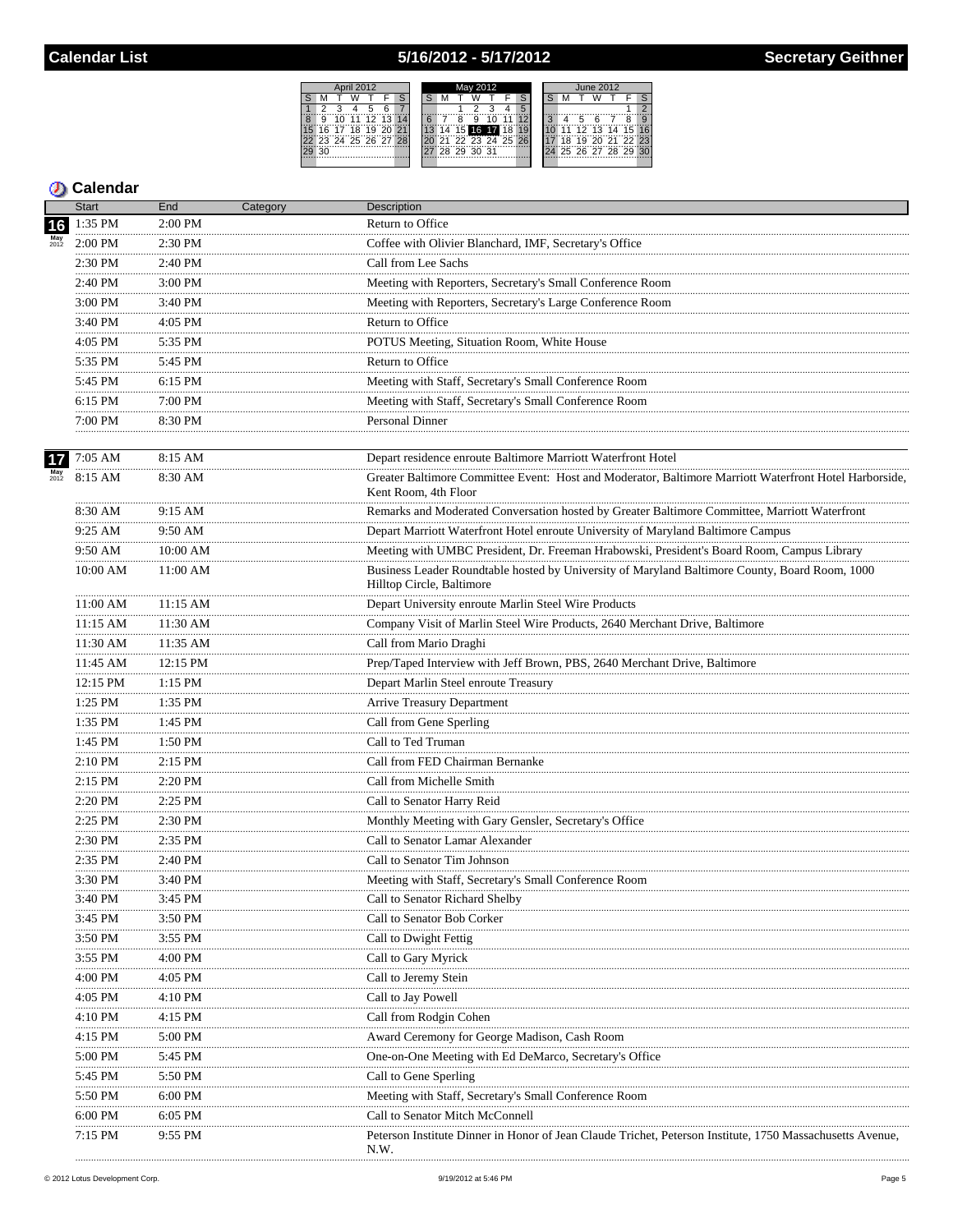## 5/16/2012 - 5/17/2012



|                           | <b>Start</b>   | End          | Category | Description                                                                                                                 |
|---------------------------|----------------|--------------|----------|-----------------------------------------------------------------------------------------------------------------------------|
| 16                        | 1:35 PM        | $2:00$ PM    |          | Return to Office                                                                                                            |
|                           | $2:00$ PM      | 2:30 PM      |          | Coffee with Olivier Blanchard, IMF, Secretary's Office                                                                      |
|                           | .<br>2:30 PM   | 2:40 PM      |          | Call from Lee Sachs                                                                                                         |
|                           | 2:40 PM        | 3:00 PM      |          | Meeting with Reporters, Secretary's Small Conference Room                                                                   |
|                           | .<br>3:00 PM   | .<br>3:40 PM |          | Meeting with Reporters, Secretary's Large Conference Room                                                                   |
|                           | 3:40 PM        | 4:05 PM      |          | Return to Office                                                                                                            |
|                           | .<br>4:05 PM   | 5:35 PM      |          | POTUS Meeting, Situation Room, White House                                                                                  |
|                           | .<br>5:35 PM   | 5:45 PM      |          | Return to Office                                                                                                            |
|                           | .<br>5:45 PM   | 6:15 PM      |          | Meeting with Staff, Secretary's Small Conference Room                                                                       |
|                           | .<br>6:15 PM   | .<br>7:00 PM |          | Meeting with Staff, Secretary's Small Conference Room                                                                       |
|                           | .<br>7:00 PM   | 8:30 PM      |          | <b>Personal Dinner</b>                                                                                                      |
|                           | .              |              |          |                                                                                                                             |
| 17                        | 7:05 AM        | 8:15 AM      |          | Depart residence enroute Baltimore Marriott Waterfront Hotel                                                                |
| $\frac{\text{May}}{2012}$ | 8:15 AM        | 8:30 AM      |          | Greater Baltimore Committee Event: Host and Moderator, Baltimore Marriott Waterfront Hotel Harborside,                      |
|                           |                |              |          | Kent Room, 4th Floor                                                                                                        |
|                           | 8:30 AM<br>.   | 9:15 AM      |          | Remarks and Moderated Conversation hosted by Greater Baltimore Committee, Marriott Waterfront                               |
|                           | $9:25$ AM<br>. | 9:50 AM      |          | Depart Marriott Waterfront Hotel enroute University of Maryland Baltimore Campus                                            |
|                           | 9:50 AM        | 10:00 AM     |          | Meeting with UMBC President, Dr. Freeman Hrabowski, President's Board Room, Campus Library                                  |
|                           | 10:00 AM       | 11:00 AM     |          | Business Leader Roundtable hosted by University of Maryland Baltimore County, Board Room, 1000<br>Hilltop Circle, Baltimore |
|                           | 11:00 AM       | $11:15$ AM   |          | Depart University enroute Marlin Steel Wire Products                                                                        |
|                           | 11:15 AM       | 11:30 AM     |          | Company Visit of Marlin Steel Wire Products, 2640 Merchant Drive, Baltimore                                                 |
|                           | <br>11:30 AM   | 11:35 AM     |          | Call from Mario Draghi                                                                                                      |
|                           | <br>11:45 AM   | <br>12:15 PM |          | Prep/Taped Interview with Jeff Brown, PBS, 2640 Merchant Drive, Baltimore                                                   |
|                           | 12:15 PM       | .<br>1:15 PM |          | Depart Marlin Steel enroute Treasury                                                                                        |
|                           | <br>1:25 PM    | .<br>1:35 PM |          | Arrive Treasury Department                                                                                                  |
|                           | .<br>1:35 PM   | 1:45 PM      |          | Call from Gene Sperling                                                                                                     |
|                           | .<br>1:45 PM   | 1:50 PM      |          | Call to Ted Truman                                                                                                          |
|                           | .<br>2:10 PM   | 2:15 PM      |          | Call from FED Chairman Bernanke                                                                                             |
|                           | .<br>$2:15$ PM | 2:20 PM      |          | Call from Michelle Smith                                                                                                    |
|                           | <br>2:20 PM    | .<br>2:25 PM |          | Call to Senator Harry Reid                                                                                                  |
|                           | .<br>$2:25$ PM | $2:30$ PM    |          | Monthly Meeting with Gary Gensler, Secretary's Office                                                                       |
|                           | <br>2:30 PM    | .<br>2:35 PM |          | Call to Senator Lamar Alexander                                                                                             |
|                           | .<br>2:35 PM   | 2:40 PM      |          | Call to Senator Tim Johnson                                                                                                 |
|                           | .<br>3:30 PM   | 3:40 PM      |          | Meeting with Staff, Secretary's Small Conference Room                                                                       |
|                           | <br>3:40 PM    | 3:45 PM      |          | Call to Senator Richard Shelby                                                                                              |
|                           | 3:45 PM        |              |          |                                                                                                                             |
|                           | .              | 3:50 PM      |          | Call to Senator Bob Corker                                                                                                  |
|                           | 3:50 PM        | 3:55 PM      |          | Call to Dwight Fettig                                                                                                       |
|                           | 3:55 PM        | 4:00 PM      |          | Call to Gary Myrick                                                                                                         |
|                           | 4:00 PM        | 4:05 PM      |          | Call to Jeremy Stein                                                                                                        |
|                           | 4:05 PM        | 4:10 PM      |          | Call to Jay Powell                                                                                                          |
|                           | 4:10 PM        | 4:15 PM      |          | Call from Rodgin Cohen                                                                                                      |
|                           | 4:15 PM        | 5:00 PM      |          | Award Ceremony for George Madison, Cash Room                                                                                |
|                           | 5:00 PM        | 5:45 PM      |          |                                                                                                                             |
|                           | 5:45 PM        | 5:50 PM      |          | Call to Gene Sperling                                                                                                       |
|                           | 5:50 PM<br>.   | 6:00 PM      |          | Meeting with Staff, Secretary's Small Conference Room                                                                       |
|                           | 6:00 PM        | 6:05 PM      |          | Call to Senator Mitch McConnell                                                                                             |
|                           | 7:15 PM        | 9:55 PM      |          | Peterson Institute Dinner in Honor of Jean Claude Trichet, Peterson Institute, 1750 Massachusetts Avenue,<br>N.W.           |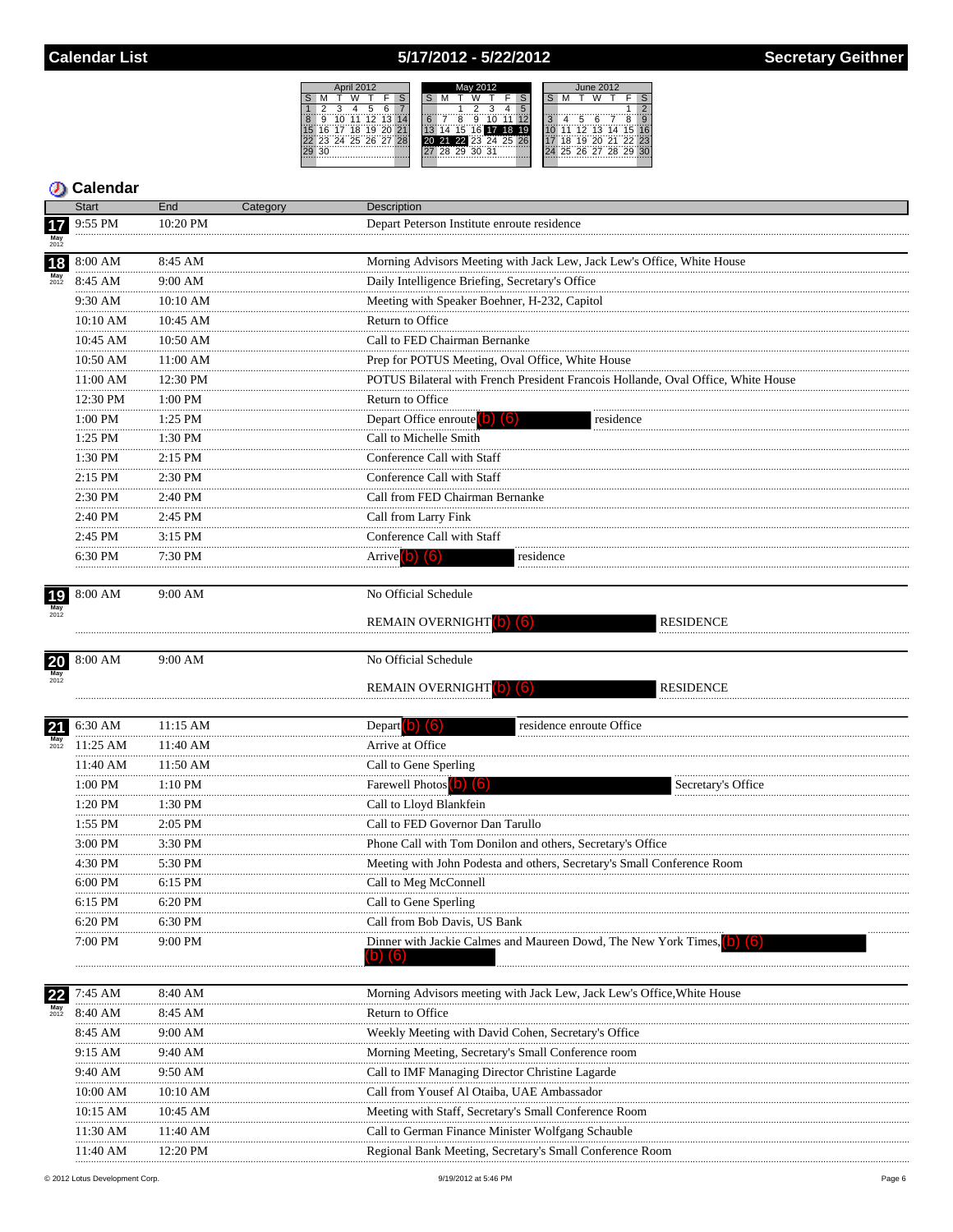# 5/17/2012 - 5/22/2012

|                      |                   | May 2012 |          |  |  |  |              |       |  | June 2012            |    |  |  |    |    |                |  |             |  |
|----------------------|-------------------|----------|----------|--|--|--|--------------|-------|--|----------------------|----|--|--|----|----|----------------|--|-------------|--|
|                      |                   |          |          |  |  |  |              |       |  |                      |    |  |  |    |    |                |  |             |  |
|                      |                   |          | n        |  |  |  |              |       |  |                      |    |  |  |    |    |                |  |             |  |
| 9                    | 10                | 11       | 12 13 14 |  |  |  |              | 9     |  |                      |    |  |  |    | 5  | ี              |  | я           |  |
|                      | 16 17 18 19 20 21 |          |          |  |  |  | $15^{\circ}$ | 16 17 |  | 18                   | 19 |  |  | 11 |    | 12 13 14       |  | 15          |  |
| 22 23 24 25 26 27 28 |                   |          |          |  |  |  |              |       |  | 20 21 22 23 24 25 26 |    |  |  |    | ï9 |                |  | 20 21 22 23 |  |
| ঽ∩                   |                   |          |          |  |  |  | 28 29        | 30 31 |  |                      |    |  |  |    |    | 25 26 27 28 29 |  |             |  |
|                      |                   |          |          |  |  |  |              |       |  |                      |    |  |  |    |    |                |  |             |  |

|                       | <b>Start</b>  | End          | Category | <b>Description</b>                                                                |
|-----------------------|---------------|--------------|----------|-----------------------------------------------------------------------------------|
| 17                    | 9:55 PM       | 10:20 PM     |          | Depart Peterson Institute enroute residence                                       |
| $May$ <sub>2012</sub> |               |              |          |                                                                                   |
| 18                    | 8:00 AM       | 8:45 AM      |          | Morning Advisors Meeting with Jack Lew, Jack Lew's Office, White House            |
|                       | 8:45 AM       | 9:00 AM      |          | Daily Intelligence Briefing, Secretary's Office                                   |
|                       | 9:30 AM       | 10:10 AM     |          | Meeting with Speaker Boehner, H-232, Capitol                                      |
|                       | 10:10 AM      | 10:45 AM     |          | Return to Office                                                                  |
|                       | 10:45 AM      | 10:50 AM     |          | Call to FED Chairman Bernanke                                                     |
|                       | 10:50 AM      | 11:00 AM     |          | Prep for POTUS Meeting, Oval Office, White House                                  |
|                       | 11:00 AM      | 12:30 PM     |          | POTUS Bilateral with French President Francois Hollande, Oval Office, White House |
|                       | <br>12:30 PM  | 1:00 PM      |          | Return to Office                                                                  |
|                       | <br>1:00 PM   | 1:25 PM      |          | Depart Office enroute (b)<br>residence                                            |
|                       | <br>$1:25$ PM | .<br>1:30 PM |          | Call to Michelle Smith                                                            |
|                       | <br>1:30 PM   | 2:15 PM      |          | Conference Call with Staff                                                        |
|                       | 2:15 PM       | 2:30 PM      |          | Conference Call with Staff                                                        |
|                       | 2:30 PM       | 2:40 PM      |          | Call from FED Chairman Bernanke                                                   |
|                       | <br>2:40 PM   | $2:45$ PM    |          | Call from Larry Fink                                                              |
|                       | <br>2:45 PM   | 3:15 PM      |          | Conference Call with Staff                                                        |
|                       | 6:30 PM       | 7:30 PM      |          | Arrive <b>b 6</b><br>residence                                                    |
|                       |               |              |          |                                                                                   |
| 19                    | 8:00 AM       | 9:00 AM      |          | No Official Schedule                                                              |
| $May$<br>$2012$       |               |              |          |                                                                                   |
|                       |               |              |          | <b>REMAIN OVERNIGHT</b> (6)<br><b>RESIDENCE</b>                                   |
|                       |               |              |          |                                                                                   |
| 20                    | 8:00 AM       | 9:00 AM      |          | No Official Schedule                                                              |
|                       |               |              |          | <b>RESIDENCE</b><br><b>REMAIN OVERNIGHT</b> (C) (6)                               |
|                       |               |              |          |                                                                                   |
| 21                    | 6:30 AM       | 11:15 AM     |          | residence enroute Office<br>Depart <b>D 6</b>                                     |
| $May$<br>$2012$       | 11:25 AM      | 11:40 AM     |          | Arrive at Office                                                                  |
|                       | 11:40 AM      | 11:50 AM     |          | Call to Gene Sperling                                                             |
|                       | 1:00 PM<br>   | 1:10 PM      |          | Farewell Photos (b) (6)<br>Secretary's Office                                     |
|                       | 1:20 PM       | 1:30 PM      |          | Call to Lloyd Blankfein                                                           |
|                       | 1:55 PM       | 2:05 PM      |          | Call to FED Governor Dan Tarullo                                                  |
|                       | 3:00 PM<br>.  | 3:30 PM      |          | Phone Call with Tom Donilon and others, Secretary's Office                        |
|                       | 4:30 PM       | 5:30 PM      |          | Meeting with John Podesta and others, Secretary's Small Conference Room           |
|                       | 6:00 PM       | 6:15 PM      |          | Call to Meg McConnell                                                             |
|                       | 6:15 PM       | 6:20 PM      |          | Call to Gene Sperling                                                             |
|                       | 6:20 PM       | 6:30 PM      |          | Call from Bob Davis, US Bank                                                      |
|                       | 7:00 PM       | 9:00 PM      |          | Dinner with Jackie Calmes and Maureen Dowd, The New York Times,                   |
|                       |               |              |          |                                                                                   |
|                       |               |              |          |                                                                                   |
| 22                    | 7:45 AM       | 8:40 AM      |          | Morning Advisors meeting with Jack Lew, Jack Lew's Office, White House            |
| $May$<br>$2012$       | 8:40 AM       | 8:45 AM      |          | Return to Office                                                                  |
|                       | 8:45 AM       | 9:00 AM      |          | Weekly Meeting with David Cohen, Secretary's Office                               |
|                       | 9:15 AM       | 9:40 AM      |          | Morning Meeting, Secretary's Small Conference room                                |
|                       | 9:40 AM       | 9:50 AM      |          | Call to IMF Managing Director Christine Lagarde                                   |
|                       | 10:00 AM      | 10:10 AM     |          | Call from Yousef Al Otaiba, UAE Ambassador                                        |
|                       | 10:15 AM      | 10:45 AM     |          | Meeting with Staff, Secretary's Small Conference Room                             |
|                       | 11:30 AM      | 11:40 AM     |          | Call to German Finance Minister Wolfgang Schauble                                 |
|                       | 11:40 AM      | 12:20 PM     |          | Regional Bank Meeting, Secretary's Small Conference Room                          |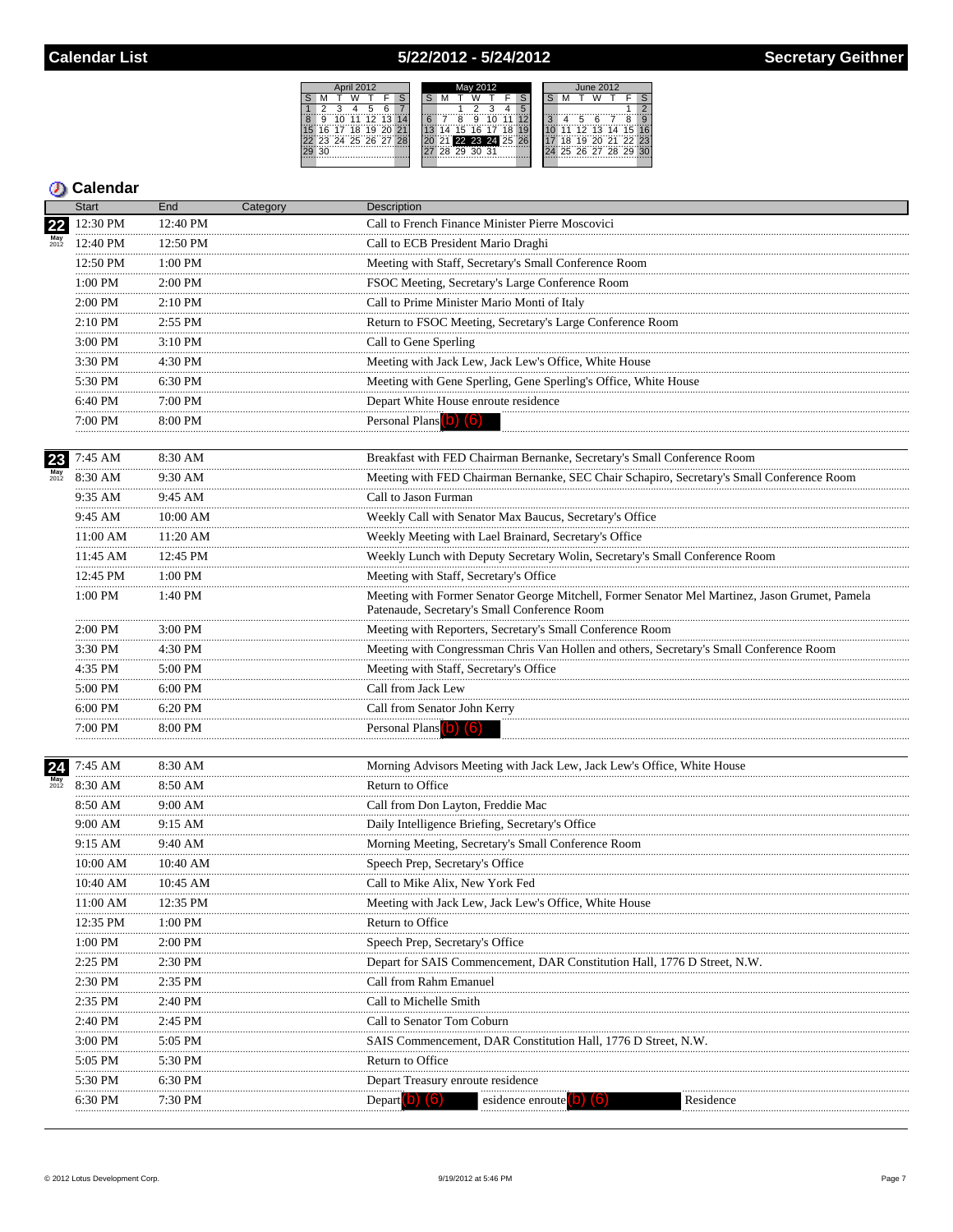### 5/22/2012 - 5/24/2012



|    | <b>Start</b> | End           | Category | Description                                                                                                                                    |
|----|--------------|---------------|----------|------------------------------------------------------------------------------------------------------------------------------------------------|
|    | 12:30 PM     | 12:40 PM      |          | Call to French Finance Minister Pierre Moscovici                                                                                               |
|    | 12:40 PM     | 12:50 PM      |          | Call to ECB President Mario Draghi                                                                                                             |
|    | 12:50 PM     | 1:00 PM       |          | Meeting with Staff, Secretary's Small Conference Room                                                                                          |
|    | 1:00 PM      | 2:00 PM<br>.  |          | FSOC Meeting, Secretary's Large Conference Room                                                                                                |
|    | .<br>2:00 PM | 2:10 PM       |          | Call to Prime Minister Mario Monti of Italy                                                                                                    |
|    | .<br>2:10 PM | 2:55 PM<br>.  |          | Return to FSOC Meeting, Secretary's Large Conference Room                                                                                      |
|    | .<br>3:00 PM | 3:10 PM       |          | Call to Gene Sperling                                                                                                                          |
|    | 3:30 PM      | 4:30 PM       |          | Meeting with Jack Lew, Jack Lew's Office, White House                                                                                          |
|    | .<br>5:30 PM | 6:30 PM       |          | Meeting with Gene Sperling, Gene Sperling's Office, White House                                                                                |
|    | 6:40 PM      | 7:00 PM       |          | Depart White House enroute residence                                                                                                           |
|    | 7:00 PM      | 8:00 PM<br>.  |          | Personal Plans (b) (6)                                                                                                                         |
| 23 | 7:45 AM      | 8:30 AM       |          | Breakfast with FED Chairman Bernanke, Secretary's Small Conference Room                                                                        |
|    | 8:30 AM      | 9:30 AM       |          | Meeting with FED Chairman Bernanke, SEC Chair Schapiro, Secretary's Small Conference Room                                                      |
|    | 9:35 AM      | 9:45 AM       |          | Call to Jason Furman                                                                                                                           |
|    | 9:45 AM      | 10:00 AM      |          | Weekly Call with Senator Max Baucus, Secretary's Office                                                                                        |
|    | 11:00 AM     | 11:20 AM      |          | Weekly Meeting with Lael Brainard, Secretary's Office                                                                                          |
|    | 11:45 AM     | .<br>12:45 PM |          | Weekly Lunch with Deputy Secretary Wolin, Secretary's Small Conference Room                                                                    |
|    | 12:45 PM     | 1:00 PM       |          | Meeting with Staff, Secretary's Office                                                                                                         |
|    | .<br>1:00 PM | 1:40 PM       |          | Meeting with Former Senator George Mitchell, Former Senator Mel Martinez, Jason Grumet, Pamela<br>Patenaude, Secretary's Small Conference Room |
|    | 2:00 PM      | 3:00 PM       |          | Meeting with Reporters, Secretary's Small Conference Room                                                                                      |
|    | 3:30 PM<br>. | 4:30 PM<br>.  |          | Meeting with Congressman Chris Van Hollen and others, Secretary's Small Conference Room                                                        |
|    | 4:35 PM<br>. | 5:00 PM       |          | Meeting with Staff, Secretary's Office                                                                                                         |
|    | 5:00 PM      | 6:00 PM       |          | Call from Jack Lew                                                                                                                             |
|    | 6:00 PM<br>. | 6:20 PM       |          | Call from Senator John Kerry                                                                                                                   |
|    | 7:00 PM<br>. | 8:00 PM       |          | Personal Plans (b) (6)                                                                                                                         |
| 24 | 7:45 AM      | 8:30 AM       |          | Morning Advisors Meeting with Jack Lew, Jack Lew's Office, White House                                                                         |
|    | 8:30 AM      | 8:50 AM       |          | Return to Office                                                                                                                               |
|    | 8:50 AM      | 9:00 AM       |          | Call from Don Layton, Freddie Mac                                                                                                              |
|    | 9:00 AM<br>. | 9:15 AM       |          | Daily Intelligence Briefing, Secretary's Office                                                                                                |
|    | 9:15 AM      | 9:40 AM       |          | Morning Meeting, Secretary's Small Conference Room                                                                                             |
|    | 10:00 AM     | 10:40 AM      |          | Speech Prep, Secretary's Office                                                                                                                |
|    | 10:40 AM     | 10:45 AM      |          | Call to Mike Alix, New York Fed                                                                                                                |
|    | 11:00 AM     | 12:35 PM      |          | Meeting with Jack Lew, Jack Lew's Office, White House                                                                                          |
|    | 12:35 PM     | 1:00 PM       |          | Return to Office                                                                                                                               |
|    | 1:00 PM      | $2:00$ PM     |          | Speech Prep, Secretary's Office                                                                                                                |
|    | 2:25 PM      | $2:30$ PM     |          | Depart for SAIS Commencement, DAR Constitution Hall, 1776 D Street, N.W.                                                                       |
|    | 2:30 PM      | $2:35$ PM     |          | Call from Rahm Emanuel                                                                                                                         |
|    | 2:35 PM      | 2:40 PM       |          | Call to Michelle Smith                                                                                                                         |
|    | 2:40 PM      | 2:45 PM       |          | Call to Senator Tom Coburn                                                                                                                     |
|    | 3:00 PM      | 5:05 PM       |          | SAIS Commencement, DAR Constitution Hall, 1776 D Street, N.W.                                                                                  |
|    | 5:05 PM      | 5:30 PM       |          | Return to Office                                                                                                                               |
|    | 5:30 PM      | 6:30 PM       |          | Depart Treasury enroute residence                                                                                                              |
|    | 6:30 PM      | 7:30 PM       |          | Depart <sup>1</sup><br>Residence<br>esidence enroute<br>.                                                                                      |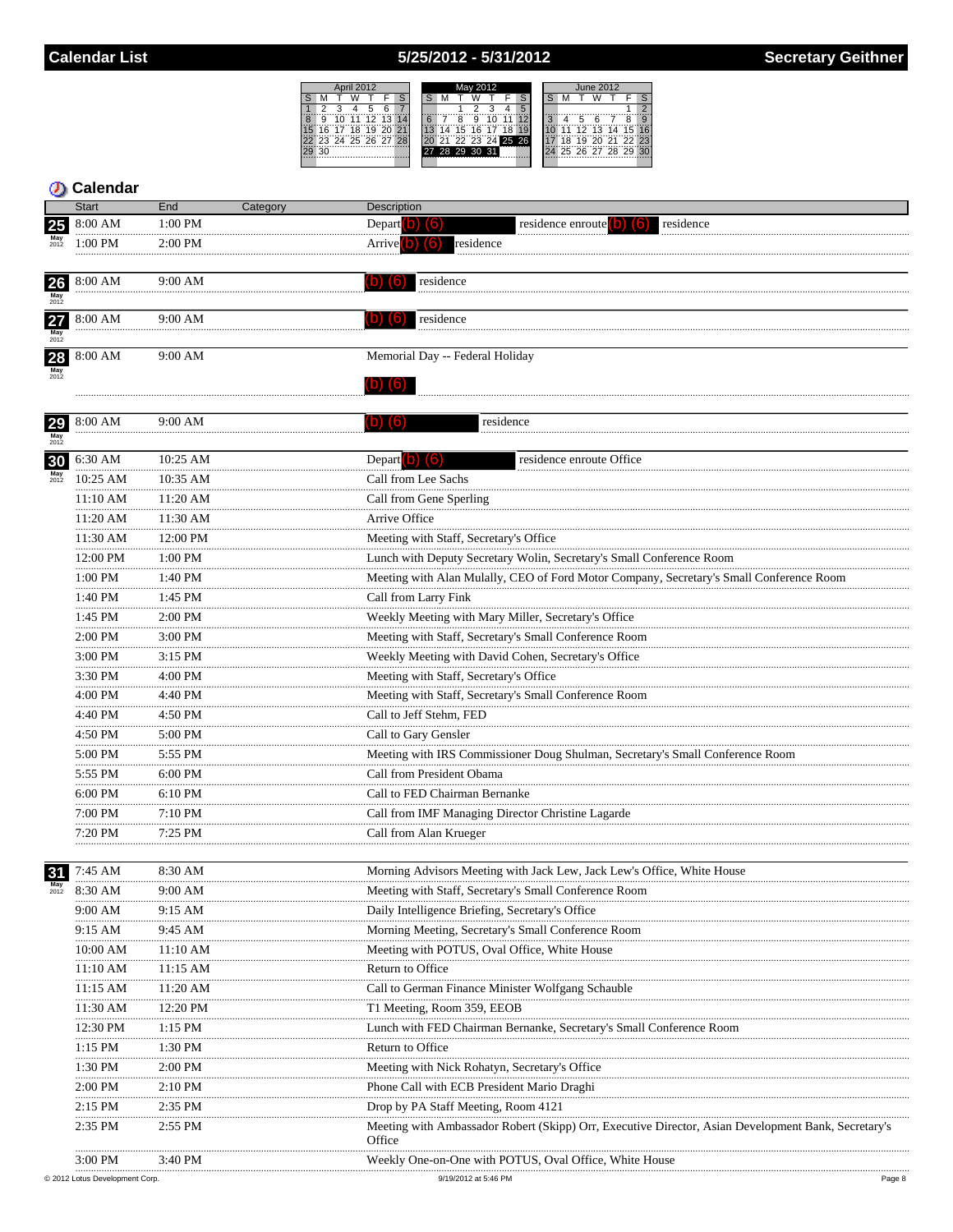### 5/25/2012 - 5/31/2012



#### **D** Calendar Start

|                              | <b>Start</b> | End               | Category | <b>Description</b>              |
|------------------------------|--------------|-------------------|----------|---------------------------------|
| <b>25</b>                    | :00 AM       | 1:00 PM           |          | residence<br>residence enroute  |
| May<br>2012                  | $1:00$ PM    | $2:00 \text{ PM}$ |          | residence                       |
| <b>26</b><br>$May$<br>$2012$ | 8:00 AM      | 9:00 AM           |          | residence                       |
| 27<br>$May$<br>$2012$        | 8:00 AM      | 9:00 AM           |          | residence                       |
| May<br>2012                  | 8:00 AM      | 9:00 AM           |          | Memorial Day -- Federal Holiday |
|                              |              | $9.00 \text{ AM}$ |          | residence                       |

| 29              | 8:00 AM       | 9:00 AM      | residence<br>(6)                                                                                                 |
|-----------------|---------------|--------------|------------------------------------------------------------------------------------------------------------------|
| $May$<br>$2012$ |               |              |                                                                                                                  |
|                 | 30 6:30 AM    | 10:25 AM     | residence enroute Office<br>Depart $\begin{pmatrix} 0 \\ 0 \end{pmatrix}$ $\begin{pmatrix} 6 \\ 0 \end{pmatrix}$ |
|                 | 10:25 AM      | 10:35 AM     | Call from Lee Sachs                                                                                              |
|                 | 11:10 AM      | 11:20 AM     | Call from Gene Sperling                                                                                          |
|                 | 11:20 AM      | 11:30 AM     | Arrive Office                                                                                                    |
|                 | 11:30 AM      | 12:00 PM     | Meeting with Staff, Secretary's Office                                                                           |
|                 | 12:00 PM      | 1:00 PM      | Lunch with Deputy Secretary Wolin, Secretary's Small Conference Room                                             |
|                 | 1:00 PM       | 1:40 PM      | Meeting with Alan Mulally, CEO of Ford Motor Company, Secretary's Small Conference Room                          |
|                 | 1:40 PM       | 1:45 PM      | Call from Larry Fink                                                                                             |
|                 | 1:45 PM       | 2:00 PM      | Weekly Meeting with Mary Miller, Secretary's Office                                                              |
|                 | 2:00 PM       | 3:00 PM      | Meeting with Staff, Secretary's Small Conference Room                                                            |
|                 | 3:00 PM       | 3:15 PM      | Weekly Meeting with David Cohen, Secretary's Office                                                              |
|                 | 3:30 PM       | 4:00 PM      | Meeting with Staff, Secretary's Office                                                                           |
|                 | 4:00 PM       | 4:40 PM      | Meeting with Staff, Secretary's Small Conference Room                                                            |
|                 | 4:40 PM       | 4:50 PM      | Call to Jeff Stehm, FED                                                                                          |
|                 | 4:50 PM       | 5:00 PM      | Call to Gary Gensler                                                                                             |
|                 | 5:00 PM       | 5:55 PM      | Meeting with IRS Commissioner Doug Shulman, Secretary's Small Conference Room                                    |
|                 | 5:55 PM       | 6:00 PM      | Call from President Obama                                                                                        |
|                 | 6:00 PM       | 6:10 PM      | Call to FED Chairman Bernanke                                                                                    |
|                 | <br>7:00 PM   | .<br>7:10 PM | Call from IMF Managing Director Christine Lagarde                                                                |
|                 | 7:20 PM       | 7:25 PM      | Call from Alan Krueger                                                                                           |
|                 |               |              |                                                                                                                  |
| 31              | 7:45 AM       | 8:30 AM      | Morning Advisors Meeting with Jack Lew, Jack Lew's Office, White House                                           |
|                 | 8:30 AM       | 9:00 AM      | Meeting with Staff, Secretary's Small Conference Room                                                            |
|                 | 9:00 AM       | 9:15 AM      | Daily Intelligence Briefing, Secretary's Office                                                                  |
|                 | 9:15 AM       | 9:45 AM      | Morning Meeting, Secretary's Small Conference Room                                                               |
|                 | 10:00 AM      | 11:10 AM     | Meeting with POTUS, Oval Office, White House                                                                     |
|                 | 11:10 AM      | 11:15 AM     | Return to Office                                                                                                 |
|                 | 11:15 AM      | 11:20 AM     | Call to German Finance Minister Wolfgang Schauble                                                                |
|                 | 11:30 AM      | 12:20 PM     | T1 Meeting, Room 359, EEOB                                                                                       |
|                 | 12:30 PM<br>. | 1:15 PM      | Lunch with FED Chairman Bernanke, Secretary's Small Conference Room                                              |
|                 | 1:15 PM       | 1:30 PM      | Return to Office                                                                                                 |
|                 | 1:30 PM       | 2:00 PM      | Meeting with Nick Rohatyn, Secretary's Office                                                                    |
|                 | 2:00 PM       | 2:10 PM      | Phone Call with ECB President Mario Draghi                                                                       |
|                 | 2:15 PM       | 2:35 PM      | Drop by PA Staff Meeting, Room 4121                                                                              |
|                 | 2:35 PM       | 2:55 PM      | Meeting with Ambassador Robert (Skipp) Orr, Executive Director, Asian Development Bank, Secretary's<br>Office    |
|                 | 3:00 PM       | 3:40 PM      | Weekly One-on-One with POTUS, Oval Office, White House                                                           |
|                 |               |              |                                                                                                                  |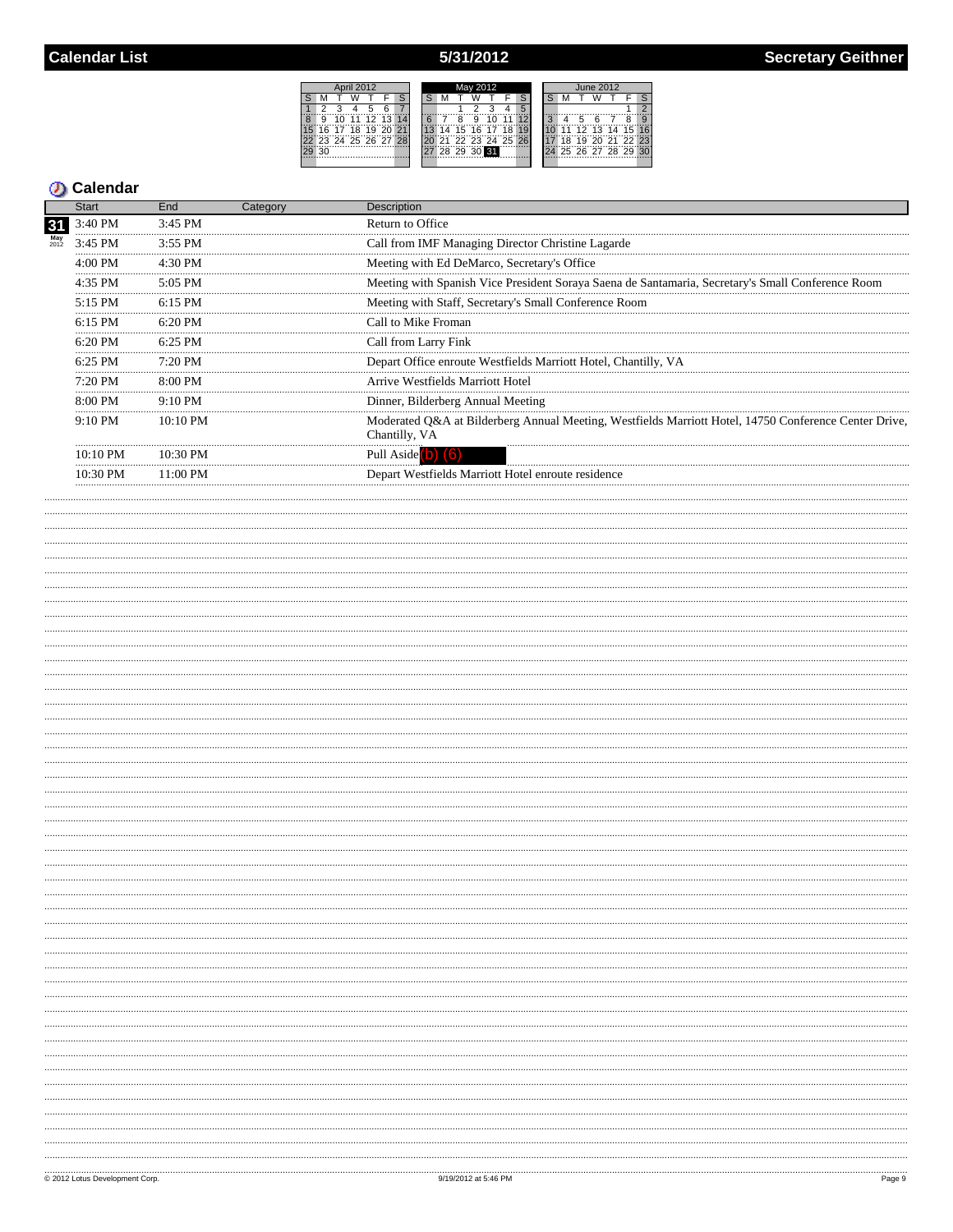# 5/31/2012

|    |                      |                | April 2012 |          |    |  |     |             | May 2012 |                |  |   |     |   | June 2012 |                |  |
|----|----------------------|----------------|------------|----------|----|--|-----|-------------|----------|----------------|--|---|-----|---|-----------|----------------|--|
|    |                      |                |            |          |    |  |     |             |          |                |  |   |     |   |           |                |  |
|    |                      |                |            |          |    |  |     |             |          |                |  |   |     |   |           |                |  |
| 8  |                      | 10             | 11         | 12 13 14 |    |  |     |             | 9        |                |  | ä |     | 5 |           |                |  |
|    |                      | 16 17 18 19 20 |            |          | 21 |  |     | 15 16 17    |          | 18             |  |   | 11  |   |           | 12 13 14 15 16 |  |
|    | 22 23 24 25 26 27 28 |                |            |          |    |  | 137 |             |          | 22 23 24 25 26 |  |   | ΊÄ. |   |           | 19 20 21 22 23 |  |
| 29 | 30                   |                |            |          |    |  |     | 28 29 30 31 |          |                |  |   |     |   |           | 25 26 27 28 29 |  |
|    |                      |                |            |          |    |  |     |             |          |                |  |   |     |   |           |                |  |

|                             | Start             | End                | Category | Description                                                                                                            |
|-----------------------------|-------------------|--------------------|----------|------------------------------------------------------------------------------------------------------------------------|
| 31<br>$May$ <sub>2012</sub> | 3:40 PM           | $3:45$ PM          |          | Return to Office                                                                                                       |
|                             | 3:45 PM           | $3:55$ PM          |          | Call from IMF Managing Director Christine Lagarde                                                                      |
|                             | $4:00$ PM         | $4.30$ PM          |          | Meeting with Ed DeMarco, Secretary's Office                                                                            |
|                             | 4:35 PM           | $5:05$ PM          |          | Meeting with Spanish Vice President Soraya Saena de Santamaria, Secretary's Small Conference Room                      |
|                             | 5:15 PM           | $6:15$ PM          |          | Meeting with Staff, Secretary's Small Conference Room                                                                  |
|                             | $6:15$ PM         | $6.20$ PM          |          | Call to Mike Froman                                                                                                    |
|                             | $6:20$ PM         | $6:25$ PM          |          | Call from Larry Fink                                                                                                   |
|                             | $6:25$ PM         | $7:20$ PM          |          | Depart Office enroute Westfields Marriott Hotel, Chantilly, VA                                                         |
|                             | $7:20$ PM         | $8:00 \text{ PM}$  |          | Arrive Westfields Marriott Hotel                                                                                       |
|                             | 8:00 PM           | $9:10 \text{ PM}$  |          | Dinner, Bilderberg Annual Meeting                                                                                      |
|                             | $9:10 \text{ PM}$ | $10:10 \text{ PM}$ |          | Moderated O&A at Bilderberg Annual Meeting, Westfields Marriott Hotel, 14750 Conference Center Drive,<br>Chantilly, VA |
|                             | $10:10$ PM        | 10.30 PM           |          | Pull Aside                                                                                                             |
|                             | 10:30 PM          | $11:00 \text{ PM}$ |          | Depart Westfields Marriott Hotel enroute residence                                                                     |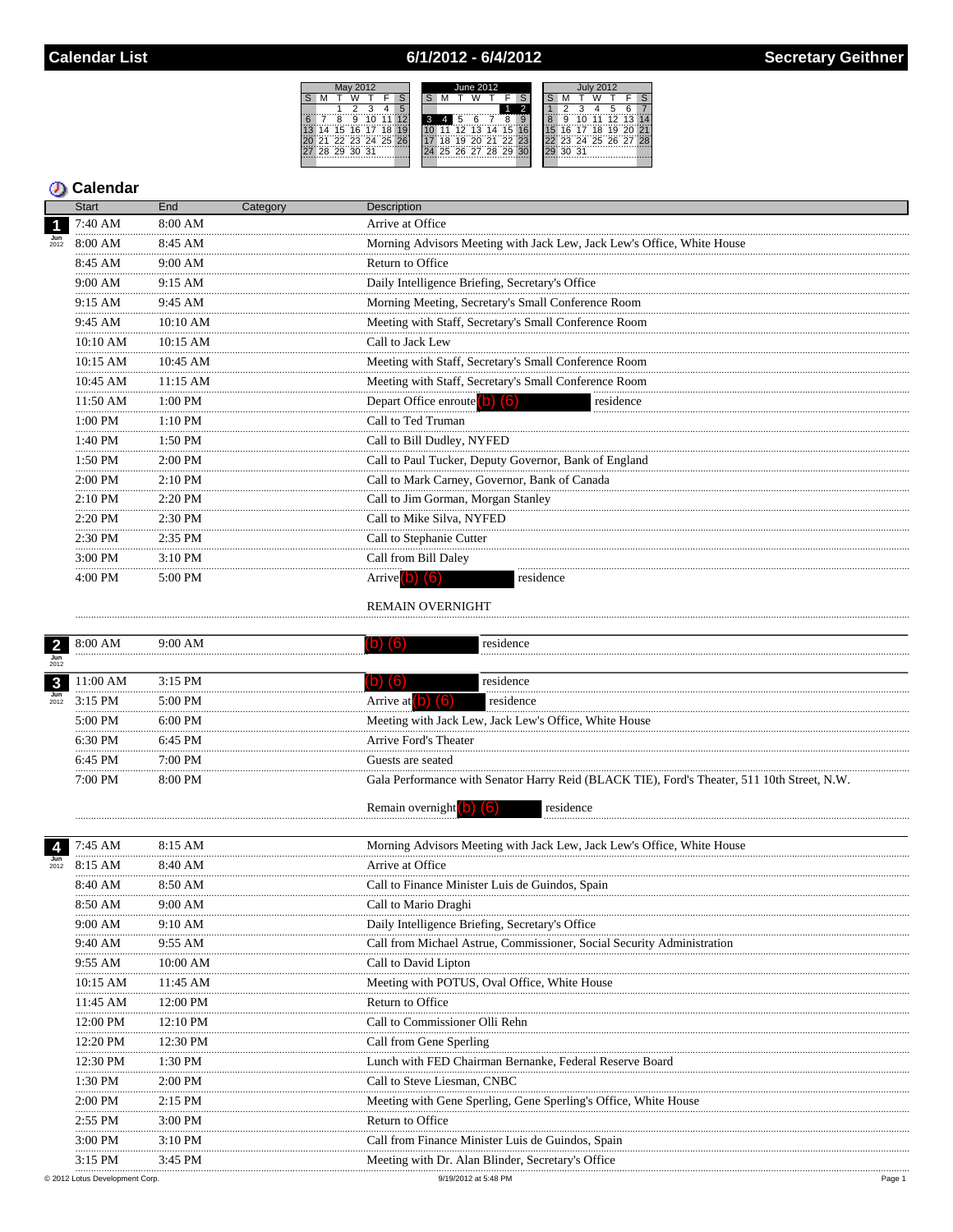## 6/1/2012 - 6/4/2012



#### **D** Calendar

|                           | <b>Start</b> | End        | Category | <b>Description</b>                                                     |
|---------------------------|--------------|------------|----------|------------------------------------------------------------------------|
| $\blacksquare$            | 7:40 AM      | 8:00 AM    |          | Arrive at Office                                                       |
| $\frac{\text{Jun}}{2012}$ | 8:00 AM      | 8:45 AM    |          | Morning Advisors Meeting with Jack Lew, Jack Lew's Office, White House |
|                           | 8:45 AM      | $9:00$ AM  |          | Return to Office                                                       |
|                           | 9:00 AM      | 9:15 AM    |          | Daily Intelligence Briefing, Secretary's Office                        |
|                           | 9:15 AM      | 9:45 AM    |          | Morning Meeting, Secretary's Small Conference Room                     |
|                           | 9:45 AM      | 10:10 AM   |          | Meeting with Staff, Secretary's Small Conference Room                  |
|                           | 10:10 AM     | $10:15$ AM |          | Call to Jack Lew                                                       |
|                           | $10:15$ AM   | $10:45$ AM |          | Meeting with Staff, Secretary's Small Conference Room                  |
|                           | 10:45 AM     | 11:15 AM   |          | Meeting with Staff, Secretary's Small Conference Room                  |
|                           | 11:50 AM     | $1:00$ PM  |          | Depart Office enroute (b) (6)<br>residence                             |
|                           | 1:00 PM      | $1:10$ PM  |          | Call to Ted Truman                                                     |
|                           | $1:40$ PM    | $1:50$ PM  |          | Call to Bill Dudley, NYFED                                             |
|                           | 1:50 PM      | $2:00$ PM  |          | Call to Paul Tucker, Deputy Governor, Bank of England                  |
|                           | $2:00$ PM    | $2:10$ PM  |          | Call to Mark Carney, Governor, Bank of Canada                          |
|                           | $2:10$ PM    | $2:20$ PM  |          | Call to Jim Gorman, Morgan Stanley                                     |
|                           | $2:20$ PM    | $2:30$ PM  |          | Call to Mike Silva, NYFED                                              |
|                           | $2:30$ PM    | $2:35$ PM  |          | Call to Stephanie Cutter                                               |
|                           | 3:00 PM      | $3:10$ PM  |          | Call from Bill Daley                                                   |
|                           | $4:00$ PM    | $5:00$ PM  |          | residence                                                              |

#### REMAIN OVERNIGHT

|                           | 8:00 AM       | 9:00 AM      | residence<br>(6)                                                                            |
|---------------------------|---------------|--------------|---------------------------------------------------------------------------------------------|
| Jun<br>2012               |               |              |                                                                                             |
| $\mathbf{3}$              | 11:00 AM      | 3:15 PM      | residence<br>(b) (6)                                                                        |
| $\frac{\text{Jun}}{2012}$ | $3:15$ PM<br> | $5:00$ PM    | Arrive at $(b)$ $(6)$<br>residence                                                          |
|                           | 5:00 PM<br>   | 6:00 PM      | Meeting with Jack Lew, Jack Lew's Office, White House                                       |
|                           | 6:30 PM       | 6:45 PM      | Arrive Ford's Theater                                                                       |
|                           | 6:45 PM       | 7:00 PM      | Guests are seated                                                                           |
|                           | 7:00 PM       | 8:00 PM      | Gala Performance with Senator Harry Reid (BLACK TIE), Ford's Theater, 511 10th Street, N.W. |
|                           |               |              | Remain overnight $(b)$ $(6)$<br>residence                                                   |
|                           | 7:45 AM       | 8:15 AM      | Morning Advisors Meeting with Jack Lew, Jack Lew's Office, White House                      |
| $\frac{\text{Jun}}{2012}$ | 8:15 AM       | 8:40 AM      | Arrive at Office                                                                            |
|                           | 8:40 AM       | 8:50 AM      | Call to Finance Minister Luis de Guindos, Spain                                             |
|                           | 8:50 AM       | $9:00$ AM    | Call to Mario Draghi                                                                        |
|                           | 9:00 AM       | 9:10 AM<br>. | Daily Intelligence Briefing, Secretary's Office                                             |
|                           | 9:40 AM       | 9:55 AM      | Call from Michael Astrue, Commissioner, Social Security Administration                      |
|                           | 9:55 AM       | 10:00 AM     | Call to David Lipton                                                                        |
|                           | 10:15 AM      | $11:45$ AM   | Meeting with POTUS, Oval Office, White House                                                |
|                           | 11:45 AM<br>  | 12:00 PM     | Return to Office                                                                            |
|                           | 12:00 PM      | 12:10 PM     | Call to Commissioner Olli Rehn                                                              |
|                           | 12:20 PM      | 12:30 PM     | Call from Gene Sperling                                                                     |
|                           | 12:30 PM      | 1:30 PM<br>. | Lunch with FED Chairman Bernanke, Federal Reserve Board                                     |
|                           | 1:30 PM       | 2:00 PM      | Call to Steve Liesman, CNBC                                                                 |
|                           | 2:00 PM       | $2:15$ PM    | Meeting with Gene Sperling, Gene Sperling's Office, White House                             |
|                           | 2:55 PM       | 3:00 PM      | Return to Office                                                                            |
|                           | 3:00 PM       | 3:10 PM      | Call from Finance Minister Luis de Guindos, Spain                                           |
|                           | 3:15 PM       | 3:45 PM      | Meeting with Dr. Alan Blinder, Secretary's Office                                           |
|                           |               |              |                                                                                             |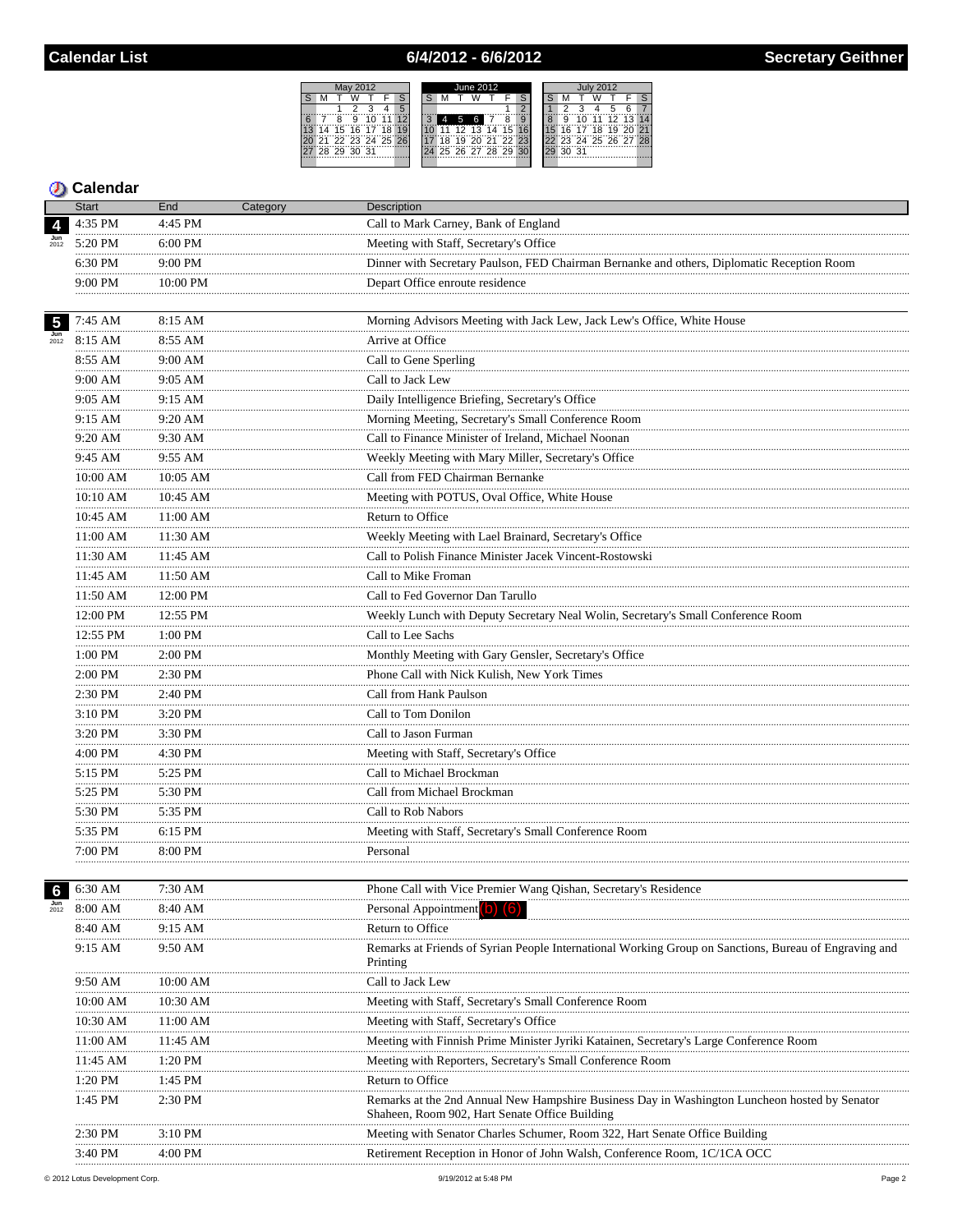## 6/4/2012 - 6/6/2012



|                           | Start               | End           | Category | Description                                                                                                                                     |
|---------------------------|---------------------|---------------|----------|-------------------------------------------------------------------------------------------------------------------------------------------------|
|                           | 4:35 PM             | 4:45 PM       |          | Call to Mark Carney, Bank of England                                                                                                            |
| $\frac{\text{Jun}}{2012}$ | 5:20 PM             | 6:00 PM       |          | Meeting with Staff, Secretary's Office                                                                                                          |
|                           | 6:30 PM             | 9:00 PM       |          | Dinner with Secretary Paulson, FED Chairman Bernanke and others, Diplomatic Reception Room                                                      |
|                           | .<br>9:00 PM        | 10:00 PM      |          | Depart Office enroute residence                                                                                                                 |
|                           |                     |               |          |                                                                                                                                                 |
| 5 <sub>5</sub>            | 7:45 AM             | 8:15 AM       |          | Morning Advisors Meeting with Jack Lew, Jack Lew's Office, White House                                                                          |
| $\frac{\text{Jun}}{2012}$ | 8:15 AM             | 8:55 AM       |          | Arrive at Office                                                                                                                                |
|                           | 8:55 AM             | 9:00 AM       |          | <br>Call to Gene Sperling                                                                                                                       |
|                           | .<br>9:00 AM        | .<br>9:05 AM  |          | Call to Jack Lew                                                                                                                                |
|                           | .<br>9:05 AM        | 9:15 AM       |          | Daily Intelligence Briefing, Secretary's Office                                                                                                 |
|                           | .<br>9:15 AM        | 9:20 AM       |          | Morning Meeting, Secretary's Small Conference Room                                                                                              |
|                           | <br>9:20 AM         | 9:30 AM       |          | Call to Finance Minister of Ireland, Michael Noonan                                                                                             |
|                           | 9:45 AM             | 9:55 AM       |          | Weekly Meeting with Mary Miller, Secretary's Office                                                                                             |
|                           | $10:00~\mathrm{AM}$ | 10:05 AM      |          | Call from FED Chairman Bernanke                                                                                                                 |
|                           | 10:10 AM            | 10:45 AM      |          | Meeting with POTUS, Oval Office, White House                                                                                                    |
|                           | .<br>$10:45$ AM     | 11:00 AM      |          | Return to Office                                                                                                                                |
|                           | 11:00 AM            | 11:30 AM      |          | Weekly Meeting with Lael Brainard, Secretary's Office                                                                                           |
|                           | <br>11:30 AM        | .<br>11:45 AM |          | Call to Polish Finance Minister Jacek Vincent-Rostowski                                                                                         |
|                           | 11:45 AM            | $11:50$ AM    |          | Call to Mike Froman                                                                                                                             |
|                           | .<br>11:50 AM       | .<br>12:00 PM |          | Call to Fed Governor Dan Tarullo                                                                                                                |
|                           | 12:00 PM            | 12:55 PM      |          | Weekly Lunch with Deputy Secretary Neal Wolin, Secretary's Small Conference Room                                                                |
|                           | .<br>12:55 PM       | .<br>1:00 PM  |          | Call to Lee Sachs                                                                                                                               |
|                           | .<br>1:00 PM        | 2:00 PM       |          | Monthly Meeting with Gary Gensler, Secretary's Office                                                                                           |
|                           | .<br>2:00 PM        | 2:30 PM       |          | Phone Call with Nick Kulish, New York Times                                                                                                     |
|                           | .<br>2:30 PM        | 2:40 PM       |          | Call from Hank Paulson                                                                                                                          |
|                           | .<br>3:10 PM        | 3:20 PM       |          | Call to Tom Donilon                                                                                                                             |
|                           | <br>3:20 PM         | 3:30 PM       |          | Call to Jason Furman                                                                                                                            |
|                           | .<br>4:00 PM        | 4:30 PM       |          | Meeting with Staff, Secretary's Office                                                                                                          |
|                           | .<br>5:15 PM        | .<br>5:25 PM  |          | Call to Michael Brockman                                                                                                                        |
|                           | .<br>5:25 PM        | 5:30 PM       |          | Call from Michael Brockman                                                                                                                      |
|                           | .<br>5:30 PM        | 5:35 PM       |          | Call to Rob Nabors                                                                                                                              |
|                           | 5:35 PM             | 6:15 PM       |          | Meeting with Staff, Secretary's Small Conference Room                                                                                           |
|                           | 7:00 PM             | 8:00 PM       |          | Personal                                                                                                                                        |
|                           |                     |               |          |                                                                                                                                                 |
|                           | 6:30 AM             | 7:30 AM       |          | Phone Call with Vice Premier Wang Qishan, Secretary's Residence                                                                                 |
| $\frac{\text{Jun}}{2012}$ | 8:00 AM             | <br>8:40 AM   |          | Personal Appointment (b) (6)                                                                                                                    |
|                           | 8:40 AM             | 9:15 AM       |          | Return to Office                                                                                                                                |
|                           | 9:15 AM             | 9:50 AM       |          | Remarks at Friends of Syrian People International Working Group on Sanctions, Bureau of Engraving and<br>Printing                               |
|                           | 9:50 AM             | 10:00 AM      |          | Call to Jack Lew                                                                                                                                |
|                           | 10:00 AM            | 10:30 AM      |          | Meeting with Staff, Secretary's Small Conference Room                                                                                           |
|                           | 10:30 AM            | 11:00 AM      |          | Meeting with Staff, Secretary's Office                                                                                                          |
|                           | 11:00 AM            | 11:45 AM      |          | Meeting with Finnish Prime Minister Jyriki Katainen, Secretary's Large Conference Room                                                          |
|                           | 11:45 AM            | $1:20$ PM     |          | Meeting with Reporters, Secretary's Small Conference Room                                                                                       |
|                           | 1:20 PM             | 1:45 PM       |          | Return to Office                                                                                                                                |
|                           | 1:45 PM             | 2:30 PM       |          | Remarks at the 2nd Annual New Hampshire Business Day in Washington Luncheon hosted by Senator<br>Shaheen, Room 902, Hart Senate Office Building |
|                           | 2:30 PM             | $3:10$ PM     |          | Meeting with Senator Charles Schumer, Room 322, Hart Senate Office Building                                                                     |
|                           | 3:40 PM             | 4:00 PM       |          | Retirement Reception in Honor of John Walsh, Conference Room, 1C/1CA OCC                                                                        |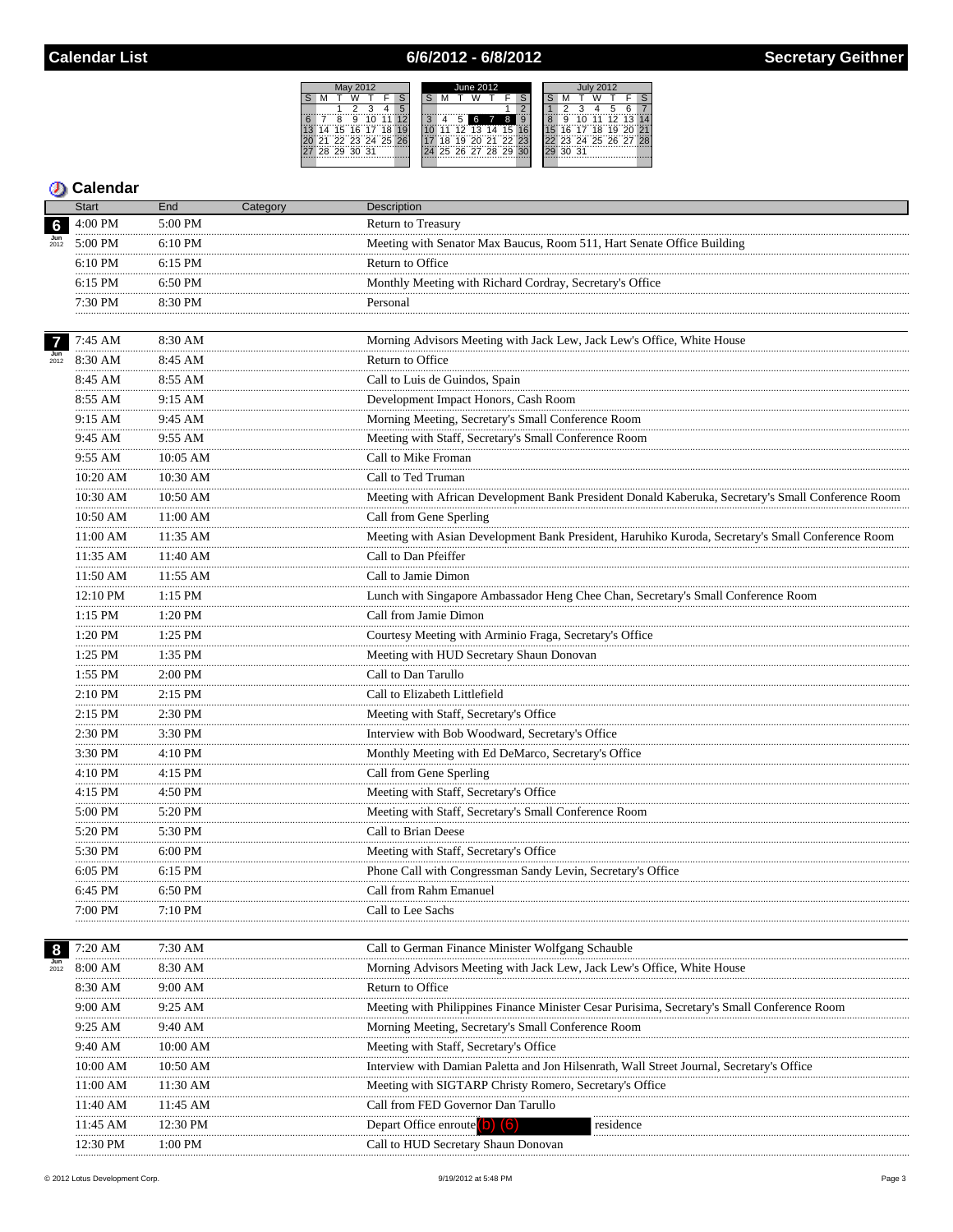## 6/6/2012 - 6/8/2012



|                           | Start        | End            | Category | Description                                                                                        |
|---------------------------|--------------|----------------|----------|----------------------------------------------------------------------------------------------------|
| $6\phantom{1}6$           | 4:00 PM      | 5:00 PM        |          | <b>Return to Treasury</b>                                                                          |
|                           | 5:00 PM      | $6:10$ PM      |          | Meeting with Senator Max Baucus, Room 511, Hart Senate Office Building                             |
|                           | 6:10 PM      | 6:15 PM        |          | Return to Office                                                                                   |
|                           | 6:15 PM      | 6:50 PM        |          | Monthly Meeting with Richard Cordray, Secretary's Office                                           |
|                           | 7:30 PM      | 8:30 PM        |          | Personal                                                                                           |
|                           |              |                |          |                                                                                                    |
| $\overline{7}$            | 7:45 AM      | 8:30 AM        |          | Morning Advisors Meeting with Jack Lew, Jack Lew's Office, White House                             |
| $\frac{\text{Jun}}{2012}$ | 8:30 AM      | 8:45 AM        |          | Return to Office                                                                                   |
|                           | 8:45 AM      | 8:55 AM        |          | Call to Luis de Guindos, Spain                                                                     |
|                           | 8:55 AM      | .<br>9:15 AM   |          | Development Impact Honors, Cash Room                                                               |
|                           | .<br>9:15 AM | <br>9:45 AM    |          | Morning Meeting, Secretary's Small Conference Room                                                 |
|                           | .<br>9:45 AM | 9:55 AM        |          | Meeting with Staff, Secretary's Small Conference Room                                              |
|                           | <br>9:55 AM  | .<br>10:05 AM  |          | Call to Mike Froman                                                                                |
|                           | 10:20 AM     | 10:30 AM       |          | Call to Ted Truman                                                                                 |
|                           | 10:30 AM     | 10:50 AM       |          | Meeting with African Development Bank President Donald Kaberuka, Secretary's Small Conference Room |
|                           | 10:50 AM     | 11:00 AM       |          | Call from Gene Sperling                                                                            |
|                           | 11:00 AM     | 11:35 AM       |          | Meeting with Asian Development Bank President, Haruhiko Kuroda, Secretary's Small Conference Room  |
|                           | 11:35 AM     | 11:40 AM       |          | Call to Dan Pfeiffer                                                                               |
|                           | 11:50 AM     | $11:55$ AM     |          | Call to Jamie Dimon                                                                                |
|                           | 12:10 PM     | <br>1:15 PM    |          | Lunch with Singapore Ambassador Heng Chee Chan, Secretary's Small Conference Room                  |
|                           | .<br>1:15 PM | 1:20 PM        |          | Call from Jamie Dimon                                                                              |
|                           | .<br>1:20 PM | .<br>$1:25$ PM |          | Courtesy Meeting with Arminio Fraga, Secretary's Office                                            |
|                           | 1:25 PM      | 1:35 PM        |          | Meeting with HUD Secretary Shaun Donovan                                                           |
|                           | .<br>1:55 PM | .<br>2:00 PM   |          | Call to Dan Tarullo                                                                                |
|                           | .<br>2:10 PM | 2:15 PM        |          | Call to Elizabeth Littlefield                                                                      |
|                           | .<br>2:15 PM | 2:30 PM        |          | Meeting with Staff, Secretary's Office                                                             |
|                           | .<br>2:30 PM | 3:30 PM        |          | Interview with Bob Woodward, Secretary's Office                                                    |
|                           | .<br>3:30 PM | 4:10 PM        |          | Monthly Meeting with Ed DeMarco, Secretary's Office                                                |
|                           | 4:10 PM      | 4:15 PM        |          | Call from Gene Sperling                                                                            |
|                           | .<br>4:15 PM | 4:50 PM        |          | Meeting with Staff, Secretary's Office                                                             |
|                           | .<br>5:00 PM | .<br>5:20 PM   |          | Meeting with Staff, Secretary's Small Conference Room                                              |
|                           | 5:20 PM      | 5:30 PM        |          | Call to Brian Deese                                                                                |
|                           | 5:30 PM      | 6:00 PM        |          | Meeting with Staff, Secretary's Office                                                             |
|                           | 6:05 PM      | 6:15 PM        |          | Phone Call with Congressman Sandy Levin, Secretary's Office                                        |
|                           | 6:45 PM      | 6:50 PM        |          | Call from Rahm Emanuel                                                                             |
|                           | 7:00 PM      | 7:10 PM        |          | Call to Lee Sachs                                                                                  |
|                           |              |                |          |                                                                                                    |
| 8                         | 7:20 AM      | 7:30 AM        |          | Call to German Finance Minister Wolfgang Schauble                                                  |
| $\frac{\text{Jun}}{2012}$ | 8:00 AM      | 8:30 AM        |          | Morning Advisors Meeting with Jack Lew, Jack Lew's Office, White House                             |
|                           | 8:30 AM      | 9:00 AM        |          | Return to Office                                                                                   |
|                           | 9:00 AM      | 9:25 AM        |          | Meeting with Philippines Finance Minister Cesar Purisima, Secretary's Small Conference Room        |
|                           | 9:25 AM      | 9:40 AM        |          | Morning Meeting, Secretary's Small Conference Room                                                 |
|                           | 9:40 AM      | 10:00 AM       |          | Meeting with Staff, Secretary's Office                                                             |
|                           | 10:00 AM     | 10:50 AM       |          | Interview with Damian Paletta and Jon Hilsenrath, Wall Street Journal, Secretary's Office          |
|                           | 11:00 AM     | 11:30 AM       |          | Meeting with SIGTARP Christy Romero, Secretary's Office                                            |
|                           | 11:40 AM     | 11:45 AM       |          | Call from FED Governor Dan Tarullo                                                                 |
|                           | 11:45 AM     | 12:30 PM       |          | Depart Office enroute <b>O</b><br>$\lceil 6 \rceil$<br>residence                                   |
|                           | 12:30 PM     | 1:00 PM        |          | Call to HUD Secretary Shaun Donovan                                                                |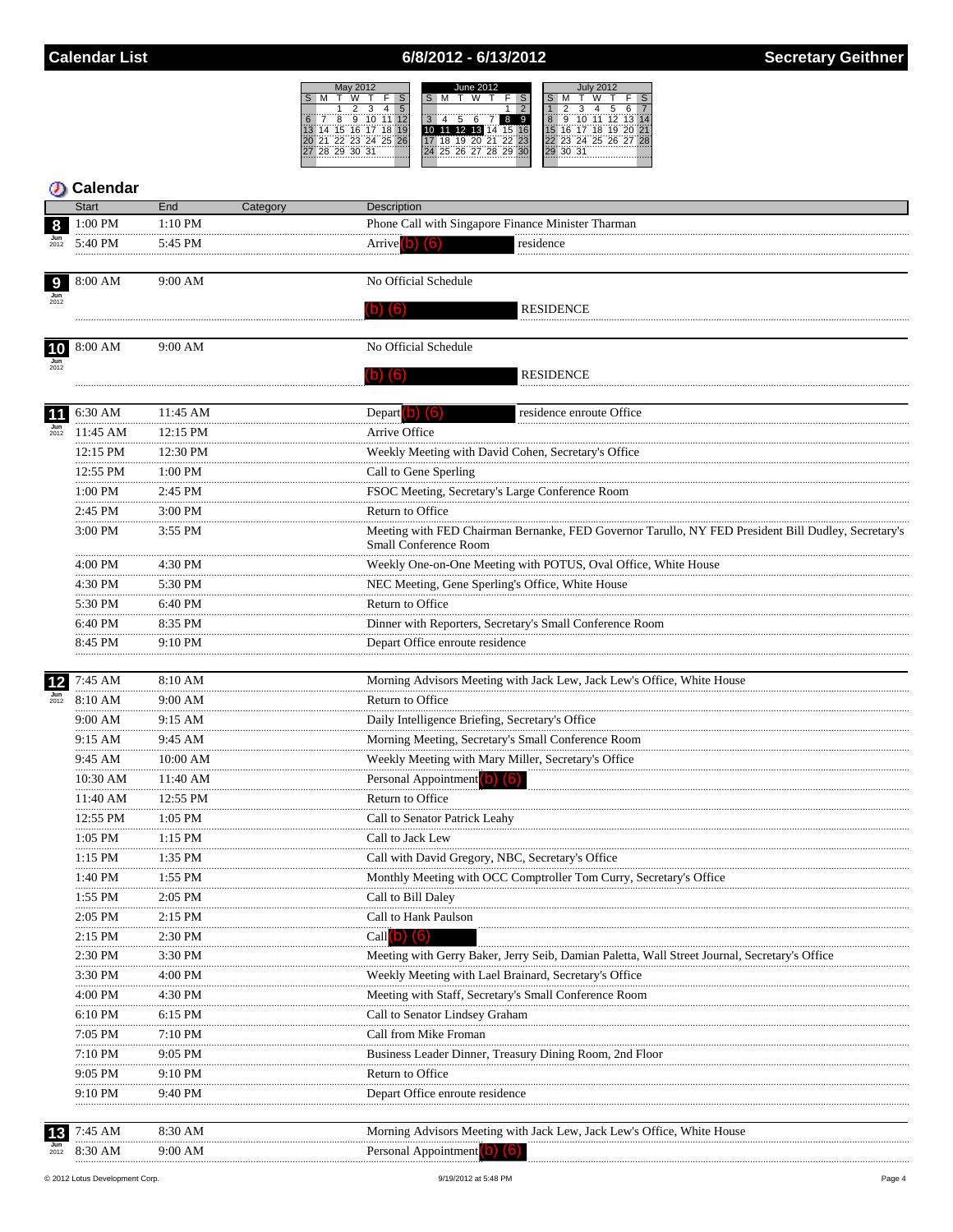## 6/8/2012 - 6/13/2012



|                           | Calendar<br><b>Start</b> |                            |                                                                                                                                     |
|---------------------------|--------------------------|----------------------------|-------------------------------------------------------------------------------------------------------------------------------------|
| 8                         | 1:00 PM                  | End<br>Category<br>1:10 PM | <b>Description</b><br>Phone Call with Singapore Finance Minister Tharman                                                            |
| $\frac{\text{Jun}}{2012}$ | 5:40 PM                  | 5:45 PM                    | Arrive $(b)$ $(6)$<br>residence                                                                                                     |
|                           |                          |                            |                                                                                                                                     |
| 9                         | $8:00$ AM                | 9:00 AM                    | No Official Schedule                                                                                                                |
|                           |                          |                            | (b) (6)<br><b>RESIDENCE</b>                                                                                                         |
| 10                        | 8:00 AM                  | 9:00 AM                    | No Official Schedule                                                                                                                |
|                           |                          |                            |                                                                                                                                     |
|                           |                          |                            | (b) (6)<br><b>RESIDENCE</b>                                                                                                         |
| 11                        | 6:30 AM                  | 11:45 AM                   | Depart b) (6)<br>residence enroute Office                                                                                           |
| $\frac{\text{Jun}}{2012}$ | 11:45 AM                 | 12:15 PM                   | Arrive Office                                                                                                                       |
|                           | 12:15 PM                 | 12:30 PM                   | Weekly Meeting with David Cohen, Secretary's Office                                                                                 |
|                           | <br>12:55 PM             | <br>$1:00$ PM              | Call to Gene Sperling                                                                                                               |
|                           | $1:00$ PM                | 2:45 PM                    | FSOC Meeting, Secretary's Large Conference Room                                                                                     |
|                           | <br>2:45 PM              | 3:00 PM                    | Return to Office                                                                                                                    |
|                           | 3:00 PM                  | 3:55 PM                    | Meeting with FED Chairman Bernanke, FED Governor Tarullo, NY FED President Bill Dudley, Secretary's<br><b>Small Conference Room</b> |
|                           | $4:00$ PM                | 4:30 PM                    |                                                                                                                                     |
|                           | <br>4:30 PM              | 5:30 PM                    | Weekly One-on-One Meeting with POTUS, Oval Office, White House<br>NEC Meeting, Gene Sperling's Office, White House                  |
|                           | 5:30 PM                  | 6:40 PM                    | Return to Office                                                                                                                    |
|                           |                          |                            |                                                                                                                                     |
|                           | 6:40 PM                  | 8:35 PM                    | Dinner with Reporters, Secretary's Small Conference Room                                                                            |
|                           | 8:45 PM                  | 9:10 PM                    | Depart Office enroute residence                                                                                                     |
| 12                        | 7:45 AM                  | 8:10 AM                    | Morning Advisors Meeting with Jack Lew, Jack Lew's Office, White House                                                              |
| 2012                      | 8:10 AM                  | 9:00 AM                    | Return to Office                                                                                                                    |
|                           | 9:00 AM                  | 9:15 AM                    | Daily Intelligence Briefing, Secretary's Office                                                                                     |
|                           | 9:15 AM                  | 9:45 AM                    | Morning Meeting, Secretary's Small Conference Room                                                                                  |
|                           | <br>9:45 AM              | <br>$10:00$ AM             | Weekly Meeting with Mary Miller, Secretary's Office                                                                                 |
|                           | 10:30 AM                 | 11:40 AM                   | Personal Appointment (b) (6)                                                                                                        |
|                           | <br>11:40 AM             | .<br>12:55 PM              | Return to Office                                                                                                                    |
|                           | 12:55 PM                 | $1:05$ PM                  | Call to Senator Patrick Leahy                                                                                                       |
|                           | <br>$1:05$ PM            | $1:15$ PM                  | Call to Jack Lew                                                                                                                    |
|                           | 1:15 PM                  | 1:35 PM                    | Call with David Gregory, NBC, Secretary's Office                                                                                    |
|                           | 1:40 PM                  | 1:55 PM                    | Monthly Meeting with OCC Comptroller Tom Curry, Secretary's Office                                                                  |
|                           | 1:55 PM                  | 2:05 PM                    | Call to Bill Daley                                                                                                                  |
|                           | 2:05 PM                  | 2:15 PM                    | Call to Hank Paulson                                                                                                                |
|                           | $2:15$ PM                | 2:30 PM                    | Call $(b)$ $(6)$                                                                                                                    |
|                           | 2:30 PM                  | 3:30 PM                    | Meeting with Gerry Baker, Jerry Seib, Damian Paletta, Wall Street Journal, Secretary's Office                                       |
|                           | 3:30 PM                  | 4:00 PM                    | Weekly Meeting with Lael Brainard, Secretary's Office                                                                               |
|                           | 4:00 PM                  | 4:30 PM                    | Meeting with Staff, Secretary's Small Conference Room                                                                               |
|                           | 6:10 PM                  | 6:15 PM                    | Call to Senator Lindsey Graham                                                                                                      |
|                           | 7:05 PM                  | 7:10 PM                    | Call from Mike Froman                                                                                                               |
|                           | 7:10 PM                  | 9:05 PM                    | Business Leader Dinner, Treasury Dining Room, 2nd Floor                                                                             |
|                           | 9:05 PM                  | 9:10 PM                    | Return to Office                                                                                                                    |
|                           | 9:10 PM                  | 9:40 PM                    | Depart Office enroute residence                                                                                                     |
|                           |                          |                            |                                                                                                                                     |
|                           | 7:45 AM                  | 8:30 AM                    | Morning Advisors Meeting with Jack Lew, Jack Lew's Office, White House                                                              |
|                           | 8:30 AM                  | 9:00 AM                    | Personal Appointment (b) (6)                                                                                                        |

9/19/2012 at 5:48 PM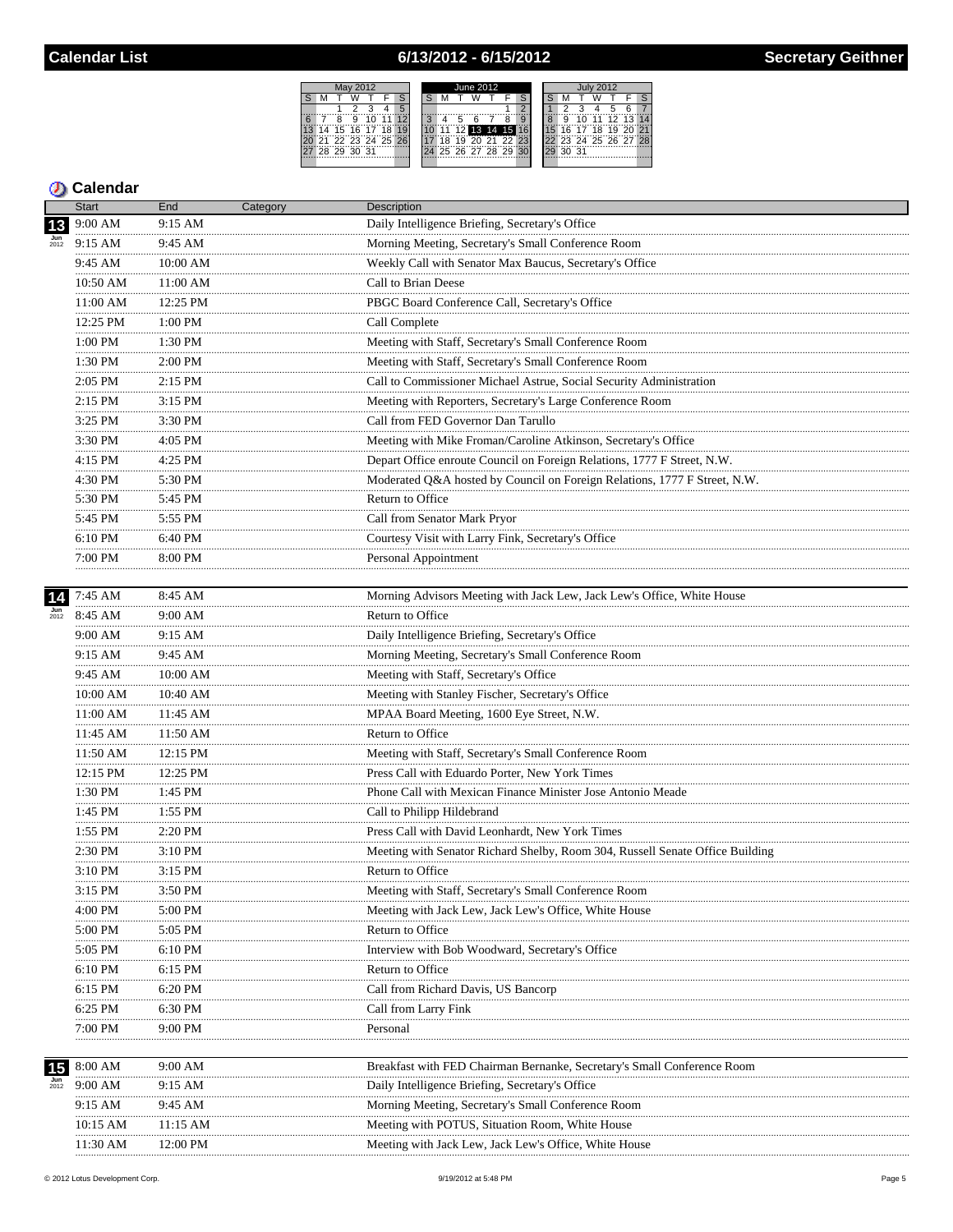## 6/13/2012 - 6/15/2012



|                           | <b>Start</b>        | End                                                 | Category | <b>Description</b>                                                            |
|---------------------------|---------------------|-----------------------------------------------------|----------|-------------------------------------------------------------------------------|
| 13                        | 9:00 AM             | 9:15 AM                                             |          | Daily Intelligence Briefing, Secretary's Office                               |
|                           | 9:15 AM             | 9:45 AM                                             |          | Morning Meeting, Secretary's Small Conference Room                            |
|                           | 9:45 AM             | 10:00 AM                                            |          | Weekly Call with Senator Max Baucus, Secretary's Office                       |
|                           | 10:50 AM            | 11:00 AM                                            |          | Call to Brian Deese                                                           |
|                           | 11:00 AM            | 12:25 PM                                            |          | PBGC Board Conference Call, Secretary's Office                                |
|                           | 12:25 PM            | 1:00 PM                                             |          | Call Complete                                                                 |
|                           | 1:00 PM             | 1:30 PM<br>.                                        |          | Meeting with Staff, Secretary's Small Conference Room                         |
|                           | .<br>$1:30$ PM<br>. | 2:00 PM<br>.                                        |          | Meeting with Staff, Secretary's Small Conference Room                         |
|                           | $2:05$ PM           | 2:15 PM                                             |          | Call to Commissioner Michael Astrue, Social Security Administration           |
|                           | .<br>2:15 PM        | .<br>3:15 PM                                        |          | Meeting with Reporters, Secretary's Large Conference Room                     |
|                           | .<br>3:25 PM        | 3:30 PM                                             |          | Call from FED Governor Dan Tarullo                                            |
|                           | .<br>3:30 PM        | .<br>4:05 PM                                        |          | Meeting with Mike Froman/Caroline Atkinson, Secretary's Office                |
|                           | 4:15 PM             | 4:25 PM                                             |          | Depart Office enroute Council on Foreign Relations, 1777 F Street, N.W.       |
|                           | .<br>4:30 PM        | .<br>5:30 PM                                        |          | Moderated Q&A hosted by Council on Foreign Relations, 1777 F Street, N.W.     |
|                           | 5:30 PM             | 5:45 PM                                             |          | Return to Office                                                              |
|                           | .<br>5:45 PM        | 5:55 PM                                             |          | Call from Senator Mark Pryor                                                  |
|                           | .<br>6:10 PM        | 6:40 PM                                             |          | Courtesy Visit with Larry Fink, Secretary's Office                            |
|                           | $7:00 \text{ PM}$   | 8:00 PM                                             |          | Personal Appointment                                                          |
|                           |                     |                                                     |          |                                                                               |
| 14                        | 7:45 AM             | 8:45 AM                                             |          | Morning Advisors Meeting with Jack Lew, Jack Lew's Office, White House        |
| $\frac{\text{Jun}}{2012}$ | 8:45 AM<br>.        | 9:00 AM<br>.                                        |          | Return to Office                                                              |
|                           | 9:00 AM             | 9:15 AM                                             |          | Daily Intelligence Briefing, Secretary's Office                               |
|                           | 9:15 AM             | 9:45 AM                                             |          | Morning Meeting, Secretary's Small Conference Room                            |
|                           | <br>9:45 AM         | 10:00 AM                                            |          | Meeting with Staff, Secretary's Office                                        |
|                           | 10:00 AM            | 10:40 AM                                            |          | Meeting with Stanley Fischer, Secretary's Office                              |
|                           | $11:00~\mathrm{AM}$ | 11:45 AM                                            |          | MPAA Board Meeting, 1600 Eye Street, N.W.                                     |
|                           | 11:45 AM            | 11:50 AM                                            |          | Return to Office                                                              |
|                           | 11:50 AM            | 12:15 PM                                            |          | Meeting with Staff, Secretary's Small Conference Room                         |
|                           | .<br>$12:15$ PM     | $\begin{array}{c}\n 12:25 \text{ PM}\n \end{array}$ |          | Press Call with Eduardo Porter, New York Times                                |
|                           | .<br>1:30 PM        | 1:45 PM                                             |          | Phone Call with Mexican Finance Minister Jose Antonio Meade                   |
|                           | .<br>1:45 PM        | $1:55$ PM                                           |          | Call to Philipp Hildebrand                                                    |
|                           | 1:55 PM             | 2:20 PM                                             |          | Press Call with David Leonhardt, New York Times                               |
|                           | .<br>2:30 PM        | 3:10 PM                                             |          | Meeting with Senator Richard Shelby, Room 304, Russell Senate Office Building |
|                           | 3:10 PM             | 3:15 PM                                             |          | Return to Office                                                              |
|                           | 3:15 PM             | 3:50 PM                                             |          | Meeting with Staff, Secretary's Small Conference Room                         |
|                           | 4:00 PM             | 5:00 PM                                             |          | Meeting with Jack Lew, Jack Lew's Office, White House                         |
|                           | 5:00 PM             | 5:05 PM                                             |          | Return to Office                                                              |
|                           | 5:05 PM             | 6:10 PM                                             |          | Interview with Bob Woodward, Secretary's Office                               |
|                           | 6:10 PM             | 6:15 PM                                             |          | Return to Office<br>.                                                         |
|                           | 6:15 PM             | 6:20 PM                                             |          | Call from Richard Davis, US Bancorp                                           |
|                           | 6:25 PM             | 6:30 PM                                             |          | Call from Larry Fink                                                          |
|                           | 7:00 PM             | 9:00 PM                                             |          | Personal                                                                      |
|                           |                     |                                                     |          |                                                                               |
| 15                        | 8:00 AM             | 9:00 AM                                             |          | Breakfast with FED Chairman Bernanke, Secretary's Small Conference Room       |
| 2012                      | 9:00 AM             | 9:15 AM                                             |          | Daily Intelligence Briefing, Secretary's Office                               |
|                           | 9:15 AM             | 9:45 AM                                             |          | Morning Meeting, Secretary's Small Conference Room                            |
|                           | 10:15 AM            | 11:15 AM                                            |          | Meeting with POTUS, Situation Room, White House                               |
|                           | 11:30 AM            | 12:00 PM                                            |          | Meeting with Jack Lew, Jack Lew's Office, White House                         |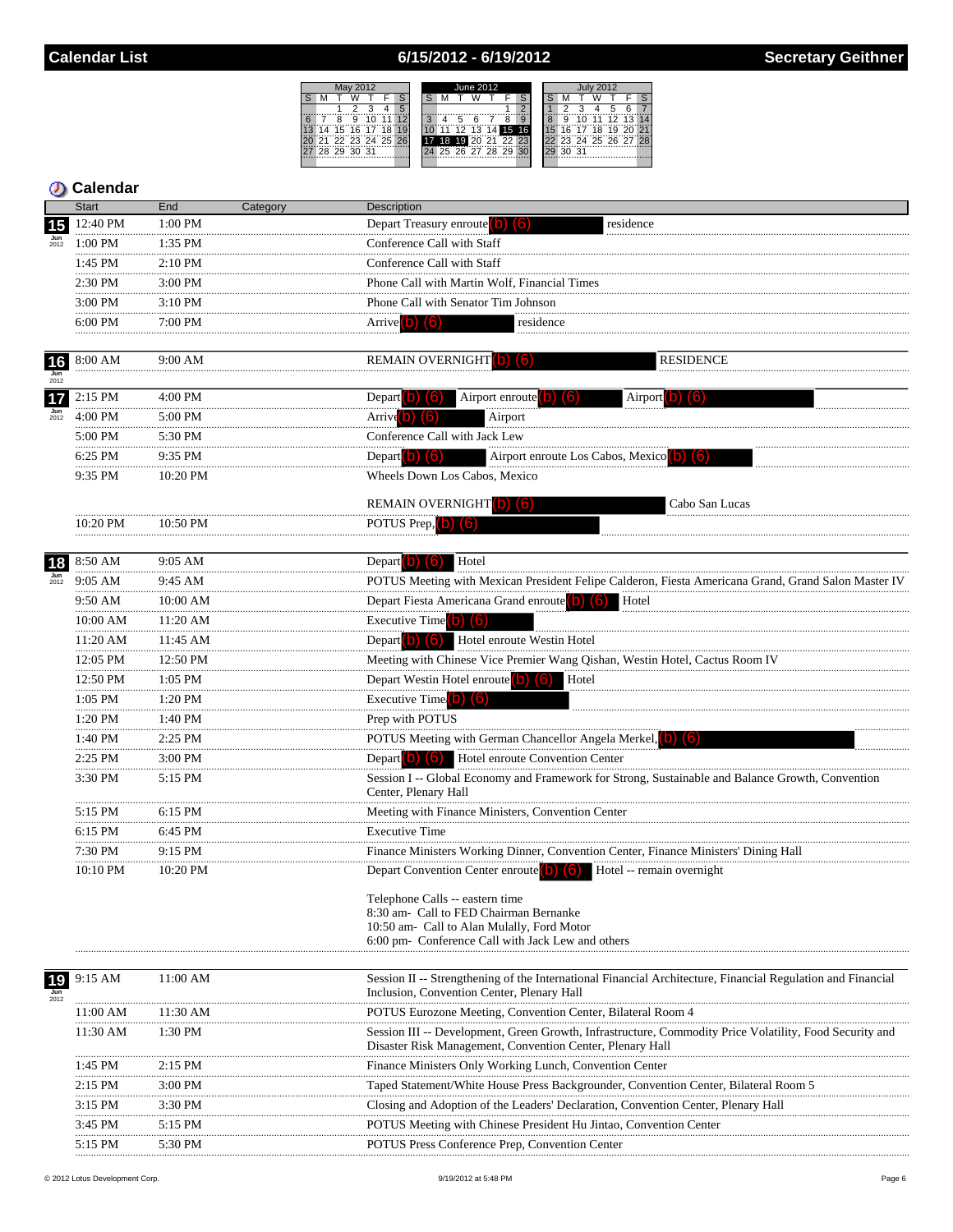### 6/15/2012 - 6/19/2012



|                                 | <b>Start</b>      | End                | Category | Description                                                                                                                                                                  |
|---------------------------------|-------------------|--------------------|----------|------------------------------------------------------------------------------------------------------------------------------------------------------------------------------|
| 15                              | 12:40 PM          | 1:00 PM            |          | Depart Treasury enroute (b) (6)<br>residence                                                                                                                                 |
| $\frac{\text{Jun}}{2012}$       | 1:00 PM           | 1:35 PM            |          | Conference Call with Staff                                                                                                                                                   |
|                                 | 1:45 PM           | 2:10 PM            |          | Conference Call with Staff                                                                                                                                                   |
|                                 | 2:30 PM           | 3:00 PM            |          | Phone Call with Martin Wolf, Financial Times                                                                                                                                 |
|                                 | 3:00 PM           | 3:10 PM            |          | Phone Call with Senator Tim Johnson                                                                                                                                          |
|                                 | 6:00 PM           | 7:00 PM<br>.       |          | Arrive $\left( b\right)$ $\left( 6\right)$<br>residence                                                                                                                      |
|                                 |                   |                    |          |                                                                                                                                                                              |
| 16<br>$\frac{\text{Jun}}{2012}$ | 8:00 AM           | 9:00 AM            |          | <b>REMAIN OVERNIGHT b</b><br><b>RESIDENCE</b>                                                                                                                                |
| 17                              | $2:15$ PM         | 4:00 PM            |          | Airport enroute<br>Depart <b>O</b><br>Airport <sup>1</sup><br>וסו                                                                                                            |
| $\frac{\text{Jun}}{2012}$       | $4:00 \text{ PM}$ | 5:00 PM            |          | Arrive <sup>(b)</sup> (b)<br>Airport                                                                                                                                         |
|                                 | 5:00 PM           | 5:30 PM            |          | Conference Call with Jack Lew                                                                                                                                                |
|                                 | 6:25 PM           | 9:35 PM            |          | Depart (b) $(6)$<br>Airport enroute Los Cabos, Mexico (D)                                                                                                                    |
|                                 | 9:35 PM           | 10:20 PM           |          | Wheels Down Los Cabos, Mexico                                                                                                                                                |
|                                 |                   |                    |          | REMAIN OVERNIGHT (b) (6)<br>Cabo San Lucas                                                                                                                                   |
|                                 | $10:20$ PM        | $10:50 \text{ PM}$ |          | POTUS Prep, b) (6)                                                                                                                                                           |
|                                 |                   |                    |          |                                                                                                                                                                              |
| 18                              | 8:50 AM           | 9:05 AM            |          | Hotel<br>Depart $\left( b\right)$ $\left( 6\right)$                                                                                                                          |
| $\frac{\text{Jun}}{2012}$       | 9:05 AM           | 9:45 AM            |          | POTUS Meeting with Mexican President Felipe Calderon, Fiesta Americana Grand, Grand Salon Master IV                                                                          |
|                                 | 9:50 AM           | 10:00 AM           |          | Hotel<br>Depart Fiesta Americana Grand enroute <sup>(b)</sup>                                                                                                                |
|                                 | 10:00 AM          | 11:20 AM           |          | Executive Time $(b)$ $(6)$                                                                                                                                                   |
|                                 | <br>11:20 AM      | 11:45 AM           |          | Hotel enroute Westin Hotel<br>Depart $\vert$ b) $\vert$ (6)                                                                                                                  |
|                                 | <br>12:05 PM      | 12:50 PM           |          | Meeting with Chinese Vice Premier Wang Qishan, Westin Hotel, Cactus Room IV                                                                                                  |
|                                 | <br>12:50 PM      | $1:05$ PM          |          | Depart Westin Hotel enroute (b) (6)<br>Hotel                                                                                                                                 |
|                                 | .<br>1:05 PM      | 1:20 PM            |          | <b>Executive Time</b><br>(16)                                                                                                                                                |
|                                 | 1:20 PM           | 1:40 PM            |          | Prep with POTUS                                                                                                                                                              |
|                                 | .<br>1:40 PM      | 2:25 PM            |          | POTUS Meeting with German Chancellor Angela Merkel, (b) (6)                                                                                                                  |
|                                 | 2:25 PM           | 3:00 PM            |          | Depart $\begin{pmatrix} 0 \\ 0 \end{pmatrix}$ $\begin{pmatrix} 6 \\ 0 \end{pmatrix}$<br>Hotel enroute Convention Center                                                      |
|                                 | 3:30 PM           | 5:15 PM            |          | Session I -- Global Economy and Framework for Strong, Sustainable and Balance Growth, Convention<br>Center, Plenary Hall                                                     |
|                                 | 5:15 PM           | 6:15 PM            |          | Meeting with Finance Ministers, Convention Center                                                                                                                            |
|                                 | 6:15 PM           | 6:45 PM            |          | <b>Executive Time</b>                                                                                                                                                        |
|                                 | 7:30 PM           | 9:15 PM            |          | Finance Ministers Working Dinner, Convention Center, Finance Ministers' Dining Hall                                                                                          |
|                                 | 10:10 PM          | 10:20 PM           |          | Depart Convention Center enroute (b) (6)<br>Hotel -- remain overnight                                                                                                        |
|                                 |                   |                    |          | Telephone Calls -- eastern time<br>8:30 am- Call to FED Chairman Bernanke<br>10:50 am- Call to Alan Mulally, Ford Motor<br>6:00 pm- Conference Call with Jack Lew and others |
| 19                              | 9:15 AM           | 11:00 AM           |          | Session II -- Strengthening of the International Financial Architecture, Financial Regulation and Financial<br>Inclusion, Convention Center, Plenary Hall                    |
|                                 | 11:00 AM          | 11:30 AM           |          | POTUS Eurozone Meeting, Convention Center, Bilateral Room 4                                                                                                                  |
|                                 | 11:30 AM          | 1:30 PM            |          | Session III -- Development, Green Growth, Infrastructure, Commodity Price Volatility, Food Security and<br>Disaster Risk Management, Convention Center, Plenary Hall         |
|                                 | 1:45 PM           | $2:15$ PM          |          | Finance Ministers Only Working Lunch, Convention Center                                                                                                                      |
|                                 | 2:15 PM           | 3:00 PM            |          | Taped Statement/White House Press Backgrounder, Convention Center, Bilateral Room 5                                                                                          |
|                                 | 3:15 PM           | 3:30 PM            |          | Closing and Adoption of the Leaders' Declaration, Convention Center, Plenary Hall                                                                                            |
|                                 | .<br>3:45 PM      | 5:15 PM            |          | POTUS Meeting with Chinese President Hu Jintao, Convention Center                                                                                                            |
|                                 | 5:15 PM           | 5:30 PM            |          | <b>POTUS Press Conference Prep. Convention Center</b>                                                                                                                        |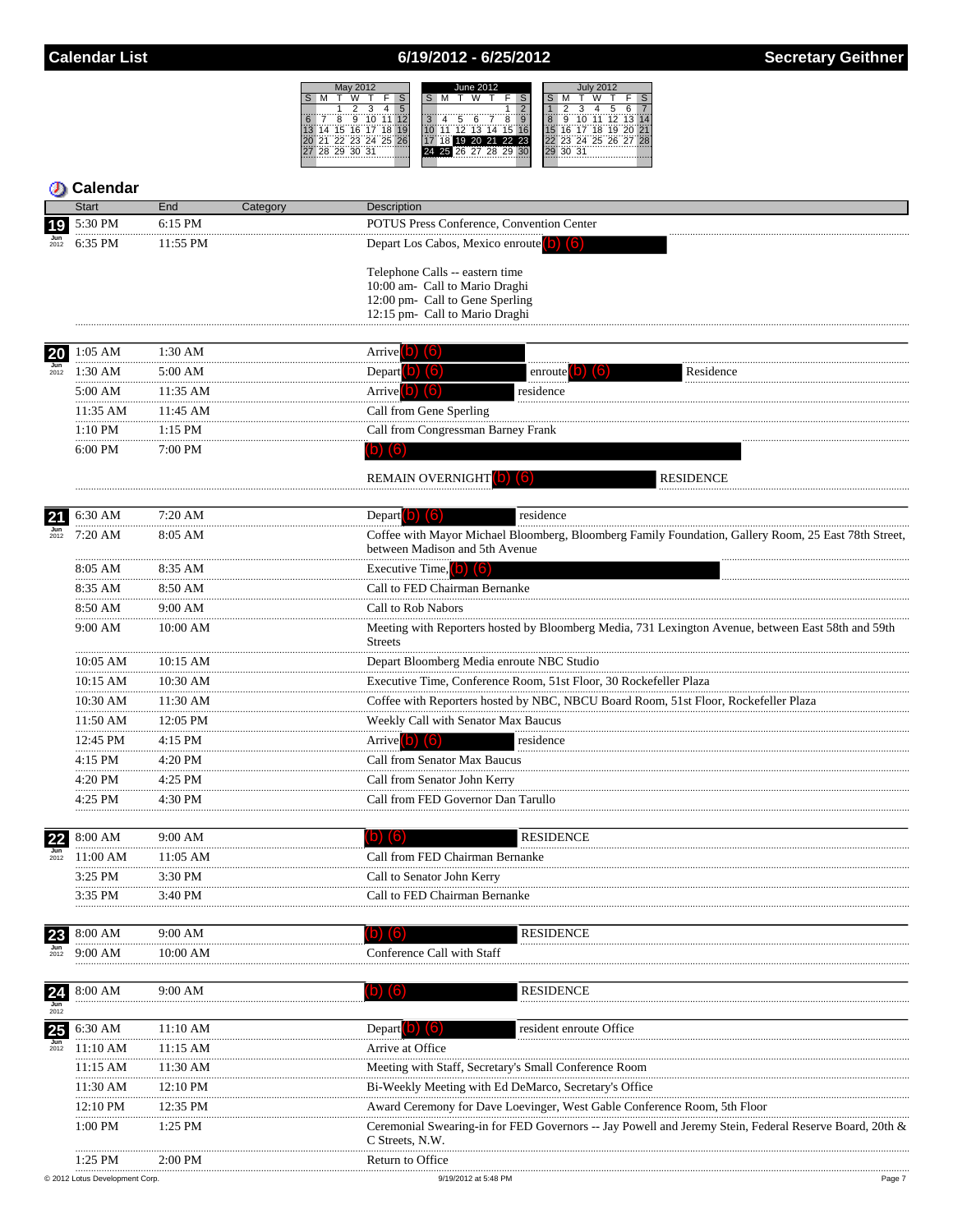### 6/19/2012 - 6/25/2012



|                                 | Calendar      |                 |                                                                                                                                        |
|---------------------------------|---------------|-----------------|----------------------------------------------------------------------------------------------------------------------------------------|
|                                 | <b>Start</b>  | End<br>Category | <b>Description</b>                                                                                                                     |
| 19                              | 5:30 PM       | 6:15 PM         | POTUS Press Conference, Convention Center                                                                                              |
|                                 | 6:35 PM       | 11:55 PM        | Depart Los Cabos, Mexico enroute (b) (6)                                                                                               |
|                                 |               |                 | Telephone Calls -- eastern time                                                                                                        |
|                                 |               |                 | 10:00 am- Call to Mario Draghi                                                                                                         |
|                                 |               |                 | 12:00 pm- Call to Gene Sperling<br>12:15 pm- Call to Mario Draghi                                                                      |
|                                 |               |                 |                                                                                                                                        |
| 20                              | $1:05$ AM     | 1:30 AM         | Arrive <b>D (5)</b>                                                                                                                    |
| $\frac{\text{Jun}}{2012}$       | $1:30$ AM     | 5:00 AM         | Depart $(b)$ $(6)$<br>Residence<br>enroute <b>O</b><br>(6)                                                                             |
|                                 | 5:00 AM       | 11:35 AM        | Arrive <sup>[b]</sup><br>$\lceil 6 \rceil$<br>residence                                                                                |
|                                 | .<br>11:35 AM | 11:45 AM        | Call from Gene Sperling                                                                                                                |
|                                 | $1:10$ PM     | 1:15 PM         | Call from Congressman Barney Frank                                                                                                     |
|                                 | 6:00 PM       | 7:00 PM         | $(b)$ $(6)$                                                                                                                            |
|                                 |               |                 | <b>REMAIN OVERNIGHT</b> (b) (6)<br><b>RESIDENCE</b>                                                                                    |
|                                 |               |                 |                                                                                                                                        |
| 21<br>$\frac{\text{Jun}}{2012}$ | 6:30 AM       | 7:20 AM         | residence<br>Depart $\left( 0 \right)$ $\left( 6 \right)$                                                                              |
|                                 | 7:20 AM       | 8:05 AM         | Coffee with Mayor Michael Bloomberg, Bloomberg Family Foundation, Gallery Room, 25 East 78th Street,<br>between Madison and 5th Avenue |
|                                 | 8:05 AM       | 8:35 AM         | Executive Time, $(b)$ $(6)$                                                                                                            |
|                                 | 8:35 AM<br>   | 8:50 AM         | Call to FED Chairman Bernanke                                                                                                          |
|                                 | 8:50 AM       | 9:00 AM         | Call to Rob Nabors                                                                                                                     |
|                                 | 9:00 AM       | 10:00 AM        | Meeting with Reporters hosted by Bloomberg Media, 731 Lexington Avenue, between East 58th and 59th<br><b>Streets</b>                   |
|                                 | 10:05 AM      | 10:15 AM        | Depart Bloomberg Media enroute NBC Studio                                                                                              |
|                                 | 10:15 AM      | 10:30 AM        | Executive Time, Conference Room, 51st Floor, 30 Rockefeller Plaza                                                                      |
|                                 | 10:30 AM      | 11:30 AM        | Coffee with Reporters hosted by NBC, NBCU Board Room, 51st Floor, Rockefeller Plaza                                                    |
|                                 | 11:50 AM      | 12:05 PM        | Weekly Call with Senator Max Baucus                                                                                                    |
|                                 | 12:45 PM      | 4:15 PM         | residence<br>Arrive <sup>[b]</sup><br>(6)                                                                                              |
|                                 | 4:15 PM<br>.  | 4:20 PM         | Call from Senator Max Baucus                                                                                                           |
|                                 | 4:20 PM       | 4:25 PM         | Call from Senator John Kerry                                                                                                           |
|                                 | 4:25 PM       | 4:30 PM         | Call from FED Governor Dan Tarullo                                                                                                     |
|                                 |               |                 |                                                                                                                                        |
| 22<br>$\frac{\text{Jun}}{2012}$ | 8:00 AM       | 9:00 AM         | <b>RESIDENCE</b><br>$\vert$ b) (6)                                                                                                     |
|                                 | 11:00 AM      | $11:05$ AM      | Call from FED Chairman Bernanke                                                                                                        |
|                                 | 3:25 PM<br>   | 3:30 PM         | Call to Senator John Kerry                                                                                                             |
|                                 | 3:35 PM       | 3:40 PM         | Call to FED Chairman Bernanke                                                                                                          |
| 23                              | 8:00 AM       | 9:00 AM         | <b>RESIDENCE</b><br>$\lceil 6 \rceil$<br>O)                                                                                            |
|                                 | 9:00 AM       | 10:00 AM        | Conference Call with Staff                                                                                                             |
| 24                              | 8:00 AM       | 9:00 AM         | RESIDENCE                                                                                                                              |
| Jun<br>2012                     |               |                 |                                                                                                                                        |
| 25                              | 6:30 AM       | 11:10 AM        | Depart <b>D</b> 6<br>resident enroute Office                                                                                           |
| 2012                            | 11:10 AM      | 11:15 AM        | Arrive at Office                                                                                                                       |
|                                 | 11:15 AM      | 11:30 AM        | Meeting with Staff, Secretary's Small Conference Room                                                                                  |
|                                 | 11:30 AM      | 12:10 PM        | Bi-Weekly Meeting with Ed DeMarco, Secretary's Office                                                                                  |
|                                 | 12:10 PM      | 12:35 PM        | Award Ceremony for Dave Loevinger, West Gable Conference Room, 5th Floor                                                               |
|                                 | $1:00$ PM     | 1:25 PM         | Ceremonial Swearing-in for FED Governors -- Jay Powell and Jeremy Stein, Federal Reserve Board, 20th &<br>C Streets, N.W.              |
|                                 | $1:25$ PM     | 2:00 PM         | Return to Office                                                                                                                       |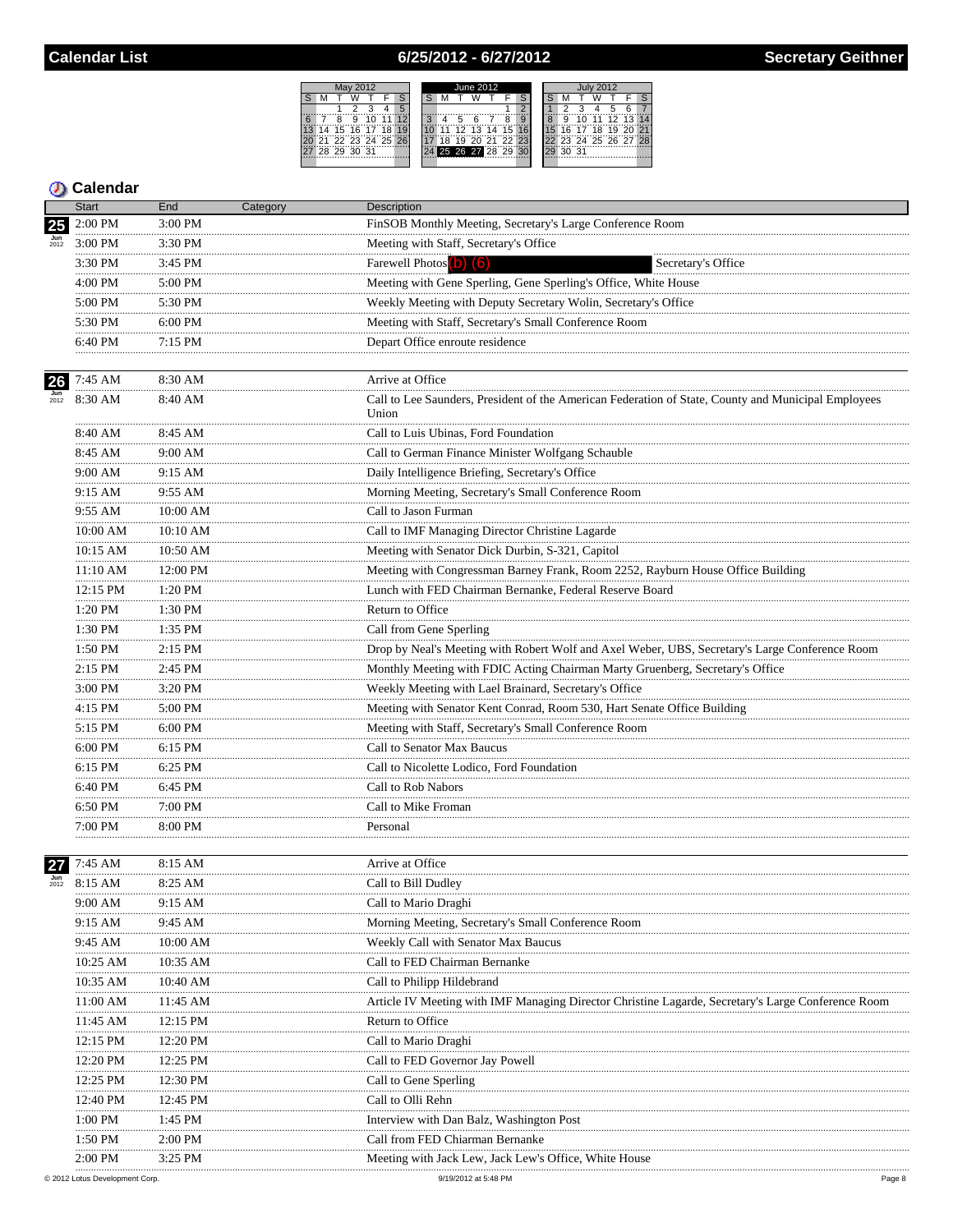## 6/25/2012 - 6/27/2012



|                           | Start             | End          | Category | Description                                                                                                  |
|---------------------------|-------------------|--------------|----------|--------------------------------------------------------------------------------------------------------------|
| 25                        | 2:00 PM           | 3:00 PM      |          | FinSOB Monthly Meeting, Secretary's Large Conference Room                                                    |
|                           | $3:00$ PM         | 3:30 PM      |          | Meeting with Staff, Secretary's Office                                                                       |
|                           | 3:30 PM           | 3:45 PM      |          | Farewell Photos (b) (6)<br>Secretary's Office                                                                |
|                           | 4:00 PM           | 5:00 PM      |          | Meeting with Gene Sperling, Gene Sperling's Office, White House                                              |
|                           | 5:00 PM           | 5:30 PM      |          | Weekly Meeting with Deputy Secretary Wolin, Secretary's Office                                               |
|                           | 5:30 PM           | 6:00 PM      |          | Meeting with Staff, Secretary's Small Conference Room                                                        |
|                           | 6:40 PM           | 7:15 PM      |          | Depart Office enroute residence                                                                              |
|                           |                   |              |          |                                                                                                              |
| 26                        | 7:45 AM           | 8:30 AM      |          | Arrive at Office                                                                                             |
| $\frac{\text{Jun}}{2012}$ | 8:30 AM           | 8:40 AM      |          | Call to Lee Saunders, President of the American Federation of State, County and Municipal Employees<br>Union |
|                           | 8:40 AM           | 8:45 AM      |          | Call to Luis Ubinas, Ford Foundation                                                                         |
|                           | 8:45 AM<br>.      | 9:00 AM      |          | Call to German Finance Minister Wolfgang Schauble                                                            |
|                           | 9:00 AM           | 9:15 AM      |          | Daily Intelligence Briefing, Secretary's Office                                                              |
|                           | 9:15 AM           | 9:55 AM      |          | Morning Meeting, Secretary's Small Conference Room                                                           |
|                           | 9:55 AM           | 10:00 AM     |          | Call to Jason Furman                                                                                         |
|                           | 10:00 AM<br>.     | 10:10 AM     |          | Call to IMF Managing Director Christine Lagarde                                                              |
|                           | 10:15 AM          | 10:50 AM     |          | Meeting with Senator Dick Durbin, S-321, Capitol                                                             |
|                           | 11:10 AM          | 12:00 PM     |          | Meeting with Congressman Barney Frank, Room 2252, Rayburn House Office Building                              |
|                           | 12:15 PM<br>.     | 1:20 PM      |          | Lunch with FED Chairman Bernanke, Federal Reserve Board                                                      |
|                           | 1:20 PM           | 1:30 PM      |          | Return to Office                                                                                             |
|                           | .<br>1:30 PM      | 1:35 PM      |          | Call from Gene Sperling                                                                                      |
|                           | 1:50 PM<br>.      | 2:15 PM      |          | Drop by Neal's Meeting with Robert Wolf and Axel Weber, UBS, Secretary's Large Conference Room               |
|                           | 2:15 PM           | 2:45 PM      |          | Monthly Meeting with FDIC Acting Chairman Marty Gruenberg, Secretary's Office                                |
|                           | .<br>3:00 PM      | 3:20 PM      |          | Weekly Meeting with Lael Brainard, Secretary's Office                                                        |
|                           | 4:15 PM           | 5:00 PM      |          | Meeting with Senator Kent Conrad, Room 530, Hart Senate Office Building                                      |
|                           | .<br>5:15 PM<br>. | 6:00 PM<br>. |          | Meeting with Staff, Secretary's Small Conference Room                                                        |
|                           | $6:00$ PM         | 6:15 PM      |          | Call to Senator Max Baucus                                                                                   |
|                           | 6:15 PM           | 6:25 PM      |          | Call to Nicolette Lodico, Ford Foundation                                                                    |
|                           | 6:40 PM           | 6:45 PM      |          | Call to Rob Nabors                                                                                           |
|                           | 6:50 PM           | 7:00 PM      |          | Call to Mike Froman                                                                                          |
|                           | 7:00 PM           | 8:00 PM      |          | Personal                                                                                                     |
|                           |                   |              |          |                                                                                                              |
| 27                        | 7:45 AM           | 8:15 AM      |          | Arrive at Office                                                                                             |
| 2012                      | 8:15 AM           | 8:25 AM      |          | Call to Bill Dudley                                                                                          |
|                           | 9:00 AM           | 9:15 AM      |          | Call to Mario Draghi                                                                                         |
|                           | 9:15 AM           | 9:45 AM      |          | Morning Meeting, Secretary's Small Conference Room                                                           |
|                           | 9:45 AM           | $10:00$ AM   |          | Weekly Call with Senator Max Baucus                                                                          |
|                           | 10:25 AM          | 10:35 AM     |          | Call to FED Chairman Bernanke                                                                                |
|                           | 10:35 AM          | 10:40 AM     |          | Call to Philipp Hildebrand                                                                                   |
|                           | 11:00 AM          | 11:45 AM     |          | Article IV Meeting with IMF Managing Director Christine Lagarde, Secretary's Large Conference Room           |
|                           | 11:45 AM          | 12:15 PM     |          | Return to Office                                                                                             |
|                           | 12:15 PM          | 12:20 PM     |          | Call to Mario Draghi                                                                                         |
|                           | 12:20 PM<br>.     | 12:25 PM     |          | Call to FED Governor Jay Powell                                                                              |
|                           | 12:25 PM          | 12:30 PM     |          | Call to Gene Sperling                                                                                        |
|                           | 12:40 PM          | 12:45 PM     |          | Call to Olli Rehn                                                                                            |
|                           | $1:00$ PM         | 1:45 PM      |          | Interview with Dan Balz, Washington Post                                                                     |
|                           | 1:50 PM           | $2:00$ PM    |          | Call from FED Chiarman Bernanke                                                                              |
|                           | $2:00 \text{ PM}$ | $3:25$ PM    |          | Meeting with Jack Lew, Jack Lew's Office, White House                                                        |